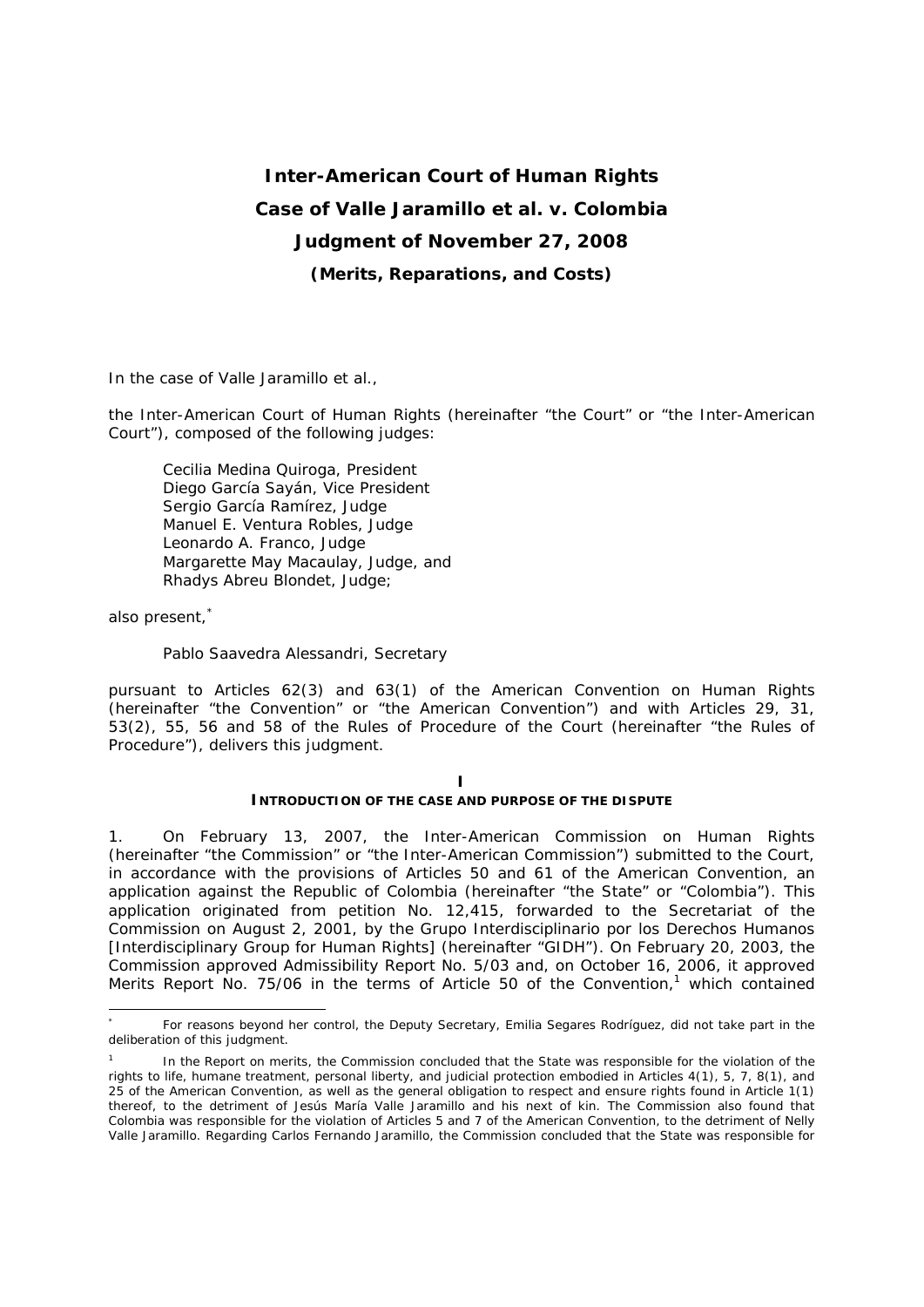# **Inter-American Court of Human Rights Case of Valle Jaramillo** *et al. v.* **Colombia Judgment of November 27, 2008**  *(Merits, Reparations, and Costs)*

In the case of *Valle Jaramillo et al.,*

the Inter-American Court of Human Rights (hereinafter "the Court" or "the Inter-American Court"), composed of the following judges:

Cecilia Medina Quiroga, President Diego García Sayán, Vice President Sergio García Ramírez, Judge Manuel E. Ventura Robles, Judge Leonardo A. Franco, Judge Margarette May Macaulay, Judge, and Rhadys Abreu Blondet, Judge;

also present,\*

-

Pablo Saavedra Alessandri, Secretary

pursuant to Articles 62(3) and 63(1) of the American Convention on Human Rights (hereinafter "the Convention" or "the American Convention") and with Articles 29, 31, 53(2), 55, 56 and 58 of the Rules of Procedure of the Court (hereinafter "the Rules of Procedure"), delivers this judgment.

**I** 

## **INTRODUCTION OF THE CASE AND PURPOSE OF THE DISPUTE**

1. On February 13, 2007, the Inter-American Commission on Human Rights (hereinafter "the Commission" or "the Inter-American Commission") submitted to the Court, in accordance with the provisions of Articles 50 and 61 of the American Convention, an application against the Republic of Colombia (hereinafter "the State" or "Colombia"). This application originated from petition No. 12,415, forwarded to the Secretariat of the Commission on August 2, 2001, by the *Grupo Interdisciplinario por los Derechos Humanos* [Interdisciplinary Group for Human Rights] (hereinafter "GIDH"). On February 20, 2003, the Commission approved Admissibility Report No. 5/03 and, on October 16, 2006, it approved Merits Report No. 75/06 in the terms of Article 50 of the Convention,<sup>1</sup> which contained

<sup>\*</sup> For reasons beyond her control, the Deputy Secretary, Emilia Segares Rodríguez, did not take part in the deliberation of this judgment.

<sup>1</sup> In the Report on merits, the Commission concluded that the State was responsible for the violation of the rights to life, humane treatment, personal liberty, and judicial protection embodied in Articles 4(1), 5, 7, 8(1), and 25 of the American Convention, as well as the general obligation to respect and ensure rights found in Article 1(1) thereof, to the detriment of Jesús María Valle Jaramillo and his next of kin. The Commission also found that Colombia was responsible for the violation of Articles 5 and 7 of the American Convention, to the detriment of Nelly Valle Jaramillo. Regarding Carlos Fernando Jaramillo, the Commission concluded that the State was responsible for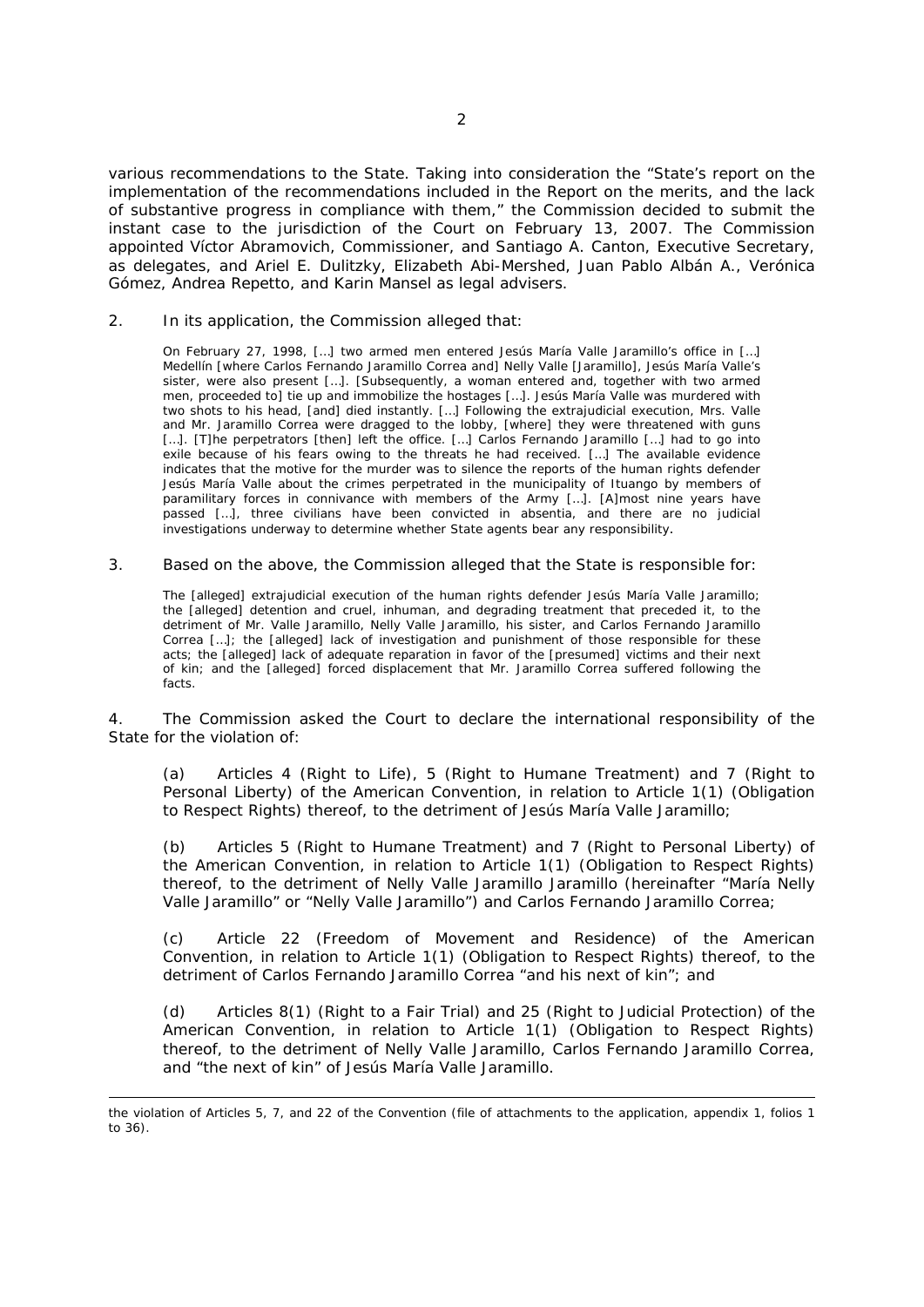various recommendations to the State. Taking into consideration the "State's report on the implementation of the recommendations included in the Report on the merits, and the lack of substantive progress in compliance with them," the Commission decided to submit the instant case to the jurisdiction of the Court on February 13, 2007. The Commission appointed Víctor Abramovich, Commissioner, and Santiago A. Canton, Executive Secretary, as delegates, and Ariel E. Dulitzky, Elizabeth Abi-Mershed, Juan Pablo Albán A., Verónica Gómez, Andrea Repetto, and Karin Mansel as legal advisers.

# 2. In its application, the Commission alleged that:

On February 27, 1998, […] two armed men entered Jesús María Valle Jaramillo's office in […] Medellín [where Carlos Fernando Jaramillo Correa and] Nelly Valle [Jaramillo], Jesús María Valle's sister, were also present […]. [Subsequently, a woman entered and, together with two armed men, proceeded to] tie up and immobilize the hostages […]. Jesús María Valle was murdered with two shots to his head, [and] died instantly. […] Following the extrajudicial execution, Mrs. Valle and Mr. Jaramillo Correa were dragged to the lobby, [where] they were threatened with guns [...]. [T]he perpetrators [then] left the office. [...] Carlos Fernando Jaramillo [...] had to go into exile because of his fears owing to the threats he had received. […] The available evidence indicates that the motive for the murder was to silence the reports of the human rights defender Jesús María Valle about the crimes perpetrated in the municipality of Ituango by members of paramilitary forces in connivance with members of the Army [...]. [A]most nine years have passed […], three civilians have been convicted *in absentia*, and there are no judicial investigations underway to determine whether State agents bear any responsibility.

3. Based on the above, the Commission alleged that the State is responsible for:

The [alleged] extrajudicial execution of the human rights defender Jesús María Valle Jaramillo; the [alleged] detention and cruel, inhuman, and degrading treatment that preceded it, to the detriment of Mr. Valle Jaramillo, Nelly Valle Jaramillo, his sister, and Carlos Fernando Jaramillo Correa […]; the [alleged] lack of investigation and punishment of those responsible for these acts; the [alleged] lack of adequate reparation in favor of the [presumed] victims and their next of kin; and the [alleged] forced displacement that Mr. Jaramillo Correa suffered following the facts.

4. The Commission asked the Court to declare the international responsibility of the State for the violation of:

(a) Articles 4 (Right to Life), 5 (Right to Humane Treatment) and 7 (Right to Personal Liberty) of the American Convention, in relation to Article 1(1) (Obligation to Respect Rights) thereof, to the detriment of Jesús María Valle Jaramillo;

(b) Articles 5 (Right to Humane Treatment) and 7 (Right to Personal Liberty) of the American Convention, in relation to Article 1(1) (Obligation to Respect Rights) thereof, to the detriment of Nelly Valle Jaramillo Jaramillo (hereinafter "María Nelly Valle Jaramillo" or "Nelly Valle Jaramillo") and Carlos Fernando Jaramillo Correa;

(c) Article 22 (Freedom of Movement and Residence) of the American Convention, in relation to Article 1(1) (Obligation to Respect Rights) thereof, to the detriment of Carlos Fernando Jaramillo Correa "and his next of kin"; and

(d) Articles 8(1) (Right to a Fair Trial) and 25 (Right to Judicial Protection) of the American Convention, in relation to Article 1(1) (Obligation to Respect Rights) thereof, to the detriment of Nelly Valle Jaramillo, Carlos Fernando Jaramillo Correa, and "the next of kin" of Jesús María Valle Jaramillo.

 the violation of Articles 5, 7, and 22 of the Convention (file of attachments to the application, appendix 1, folios 1 to 36).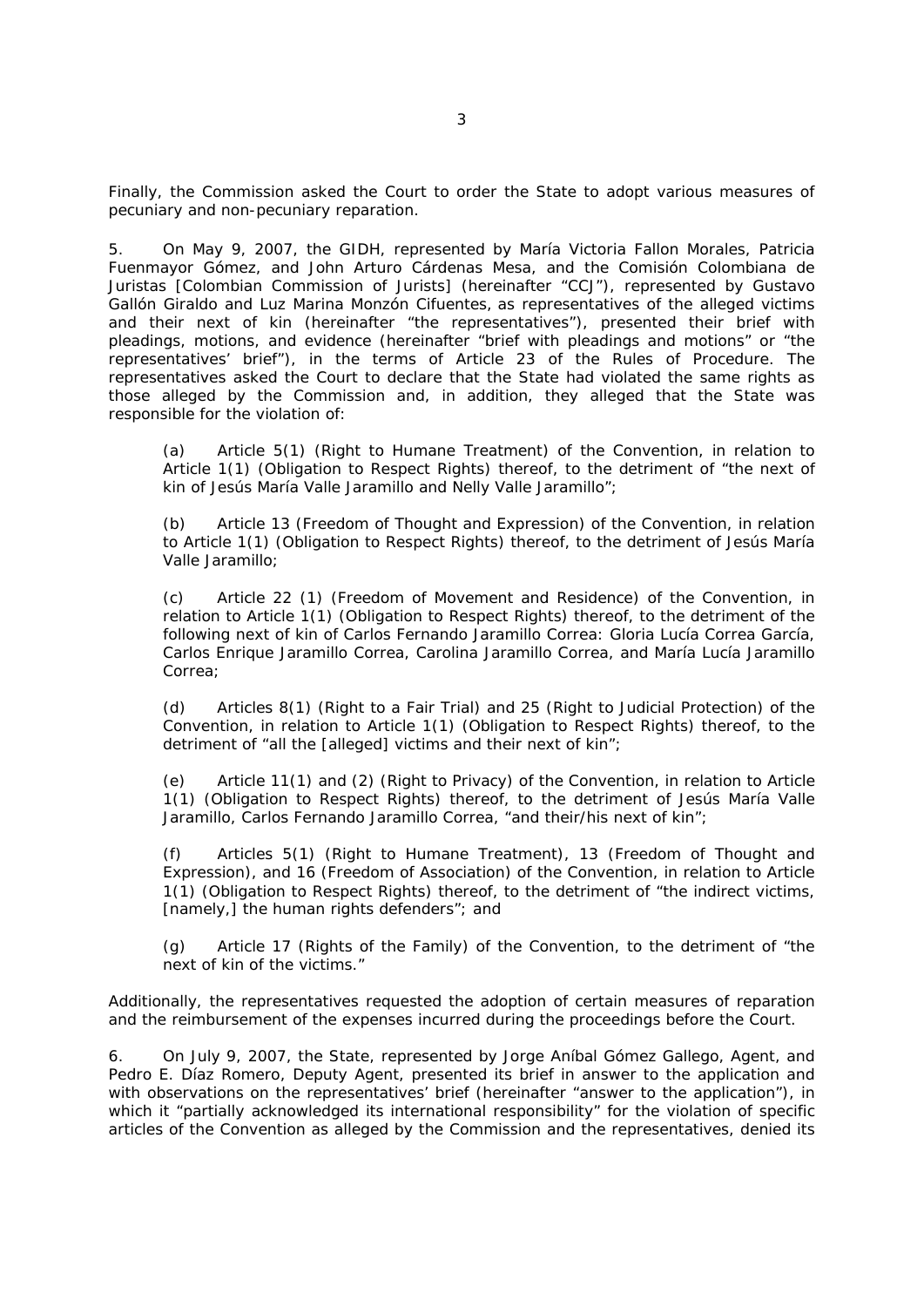Finally, the Commission asked the Court to order the State to adopt various measures of pecuniary and non-pecuniary reparation.

5. On May 9, 2007, the GIDH, represented by María Victoria Fallon Morales, Patricia Fuenmayor Gómez, and John Arturo Cárdenas Mesa, and the *Comisión Colombiana de Juristas* [Colombian Commission of Jurists] (hereinafter "CCJ"), represented by Gustavo Gallón Giraldo and Luz Marina Monzón Cifuentes, as representatives of the alleged victims and their next of kin (hereinafter "the representatives"), presented their brief with pleadings, motions, and evidence (hereinafter "brief with pleadings and motions" or "the representatives' brief"), in the terms of Article 23 of the Rules of Procedure. The representatives asked the Court to declare that the State had violated the same rights as those alleged by the Commission and, in addition, they alleged that the State was responsible for the violation of:

(a) Article 5(1) (Right to Humane Treatment) of the Convention, in relation to Article 1(1) (Obligation to Respect Rights) thereof, to the detriment of "the next of kin of Jesús María Valle Jaramillo and Nelly Valle Jaramillo";

(b) Article 13 (Freedom of Thought and Expression) of the Convention, in relation to Article 1(1) (Obligation to Respect Rights) thereof, to the detriment of Jesús María Valle Jaramillo;

(c) Article 22 (1) (Freedom of Movement and Residence) of the Convention, in relation to Article 1(1) (Obligation to Respect Rights) thereof, to the detriment of the following next of kin of Carlos Fernando Jaramillo Correa: Gloria Lucía Correa García, Carlos Enrique Jaramillo Correa, Carolina Jaramillo Correa, and María Lucía Jaramillo Correa;

(d) Articles 8(1) (Right to a Fair Trial) and 25 (Right to Judicial Protection) of the Convention, in relation to Article 1(1) (Obligation to Respect Rights) thereof, to the detriment of "all the [alleged] victims and their next of kin";

(e) Article 11(1) and (2) (Right to Privacy) of the Convention, in relation to Article 1(1) (Obligation to Respect Rights) thereof, to the detriment of Jesús María Valle Jaramillo, Carlos Fernando Jaramillo Correa, "and their/his next of kin";

(f) Articles 5(1) (Right to Humane Treatment), 13 (Freedom of Thought and Expression), and 16 (Freedom of Association) of the Convention, in relation to Article 1(1) (Obligation to Respect Rights) thereof, to the detriment of "the indirect victims, [namely,] the human rights defenders"; and

(g) Article 17 (Rights of the Family) of the Convention, to the detriment of "the next of kin of the victims."

Additionally, the representatives requested the adoption of certain measures of reparation and the reimbursement of the expenses incurred during the proceedings before the Court.

6. On July 9, 2007, the State, represented by Jorge Aníbal Gómez Gallego, Agent, and Pedro E. Díaz Romero, Deputy Agent, presented its brief in answer to the application and with observations on the representatives' brief (hereinafter "answer to the application"), in which it "partially acknowledged its international responsibility" for the violation of specific articles of the Convention as alleged by the Commission and the representatives, denied its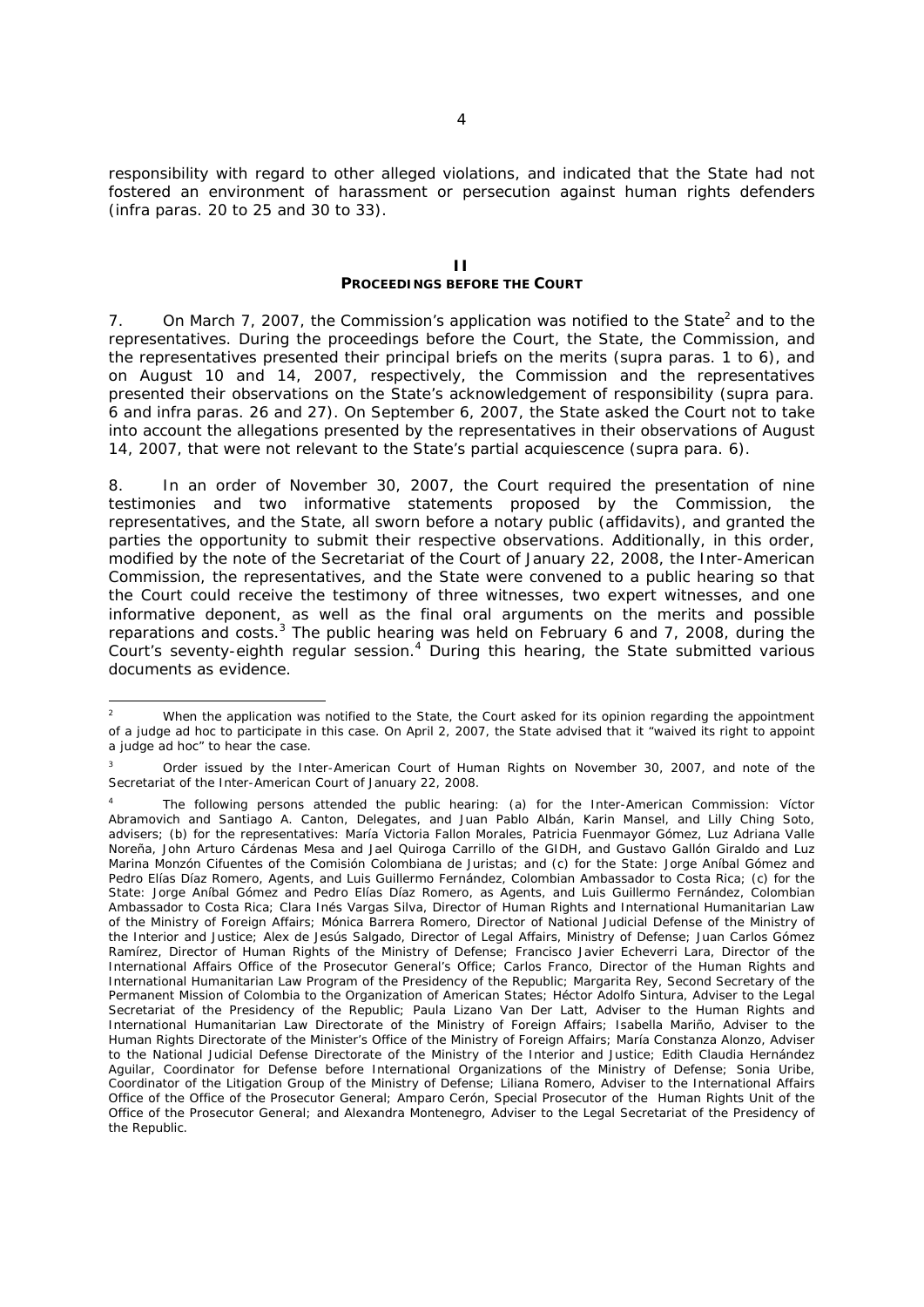responsibility with regard to other alleged violations, and indicated that the State had not fostered an environment of harassment or persecution against human rights defenders (*infra* paras. 20 to 25 and 30 to 33).

# **II PROCEEDINGS BEFORE THE COURT**

7. On March 7, 2007, the Commission's application was notified to the State<sup>2</sup> and to the representatives. During the proceedings before the Court, the State, the Commission, and the representatives presented their principal briefs on the merits (*supra* paras. 1 to 6), and on August 10 and 14, 2007, respectively, the Commission and the representatives presented their observations on the State's acknowledgement of responsibility (*supra* para. 6 and *infra* paras. 26 and 27). On September 6, 2007, the State asked the Court not to take into account the allegations presented by the representatives in their observations of August 14, 2007, that were not relevant to the State's partial acquiescence (*supra* para. 6).

8. In an order of November 30, 2007, the Court required the presentation of nine testimonies and two informative statements proposed by the Commission, the representatives, and the State, all sworn before a notary public (affidavits), and granted the parties the opportunity to submit their respective observations. Additionally, in this order, modified by the note of the Secretariat of the Court of January 22, 2008, the Inter-American Commission, the representatives, and the State were convened to a public hearing so that the Court could receive the testimony of three witnesses, two expert witnesses, and one informative deponent, as well as the final oral arguments on the merits and possible reparations and costs. $3$  The public hearing was held on February 6 and 7, 2008, during the Court's seventy-eighth regular session.<sup>4</sup> During this hearing, the State submitted various documents as evidence.

<sup>-</sup>2 When the application was notified to the State, the Court asked for its opinion regarding the appointment of a judge *ad hoc* to participate in this case. On April 2, 2007, the State advised that it "waived its right to appoint a judge *ad hoc*" to hear the case.

<sup>3</sup> Order issued by the Inter-American Court of Human Rights on November 30, 2007, and note of the Secretariat of the Inter-American Court of January 22, 2008.

<sup>4</sup> The following persons attended the public hearing: (a) for the Inter-American Commission: Víctor Abramovich and Santiago A. Canton, Delegates, and Juan Pablo Albán, Karin Mansel, and Lilly Ching Soto, advisers; (b) for the representatives: María Victoria Fallon Morales, Patricia Fuenmayor Gómez, Luz Adriana Valle Noreña, John Arturo Cárdenas Mesa and Jael Quiroga Carrillo of the GIDH, and Gustavo Gallón Giraldo and Luz Marina Monzón Cifuentes of the *Comisión Colombiana de Juristas*; and (c) for the State: Jorge Aníbal Gómez and Pedro Elías Díaz Romero, Agents, and Luis Guillermo Fernández, Colombian Ambassador to Costa Rica; (c) for the State: Jorge Aníbal Gómez and Pedro Elías Díaz Romero, as Agents, and Luis Guillermo Fernández, Colombian Ambassador to Costa Rica; Clara Inés Vargas Silva, Director of Human Rights and International Humanitarian Law of the Ministry of Foreign Affairs; Mónica Barrera Romero, Director of National Judicial Defense of the Ministry of the Interior and Justice; Alex de Jesús Salgado, Director of Legal Affairs, Ministry of Defense; Juan Carlos Gómez Ramírez, Director of Human Rights of the Ministry of Defense; Francisco Javier Echeverri Lara, Director of the International Affairs Office of the Prosecutor General's Office; Carlos Franco, Director of the Human Rights and International Humanitarian Law Program of the Presidency of the Republic; Margarita Rey, Second Secretary of the Permanent Mission of Colombia to the Organization of American States; Héctor Adolfo Sintura, Adviser to the Legal Secretariat of the Presidency of the Republic; Paula Lizano Van Der Latt, Adviser to the Human Rights and International Humanitarian Law Directorate of the Ministry of Foreign Affairs; Isabella Mariño, Adviser to the Human Rights Directorate of the Minister's Office of the Ministry of Foreign Affairs; María Constanza Alonzo, Adviser to the National Judicial Defense Directorate of the Ministry of the Interior and Justice; Edith Claudia Hernández Aguilar, Coordinator for Defense before International Organizations of the Ministry of Defense; Sonia Uribe, Coordinator of the Litigation Group of the Ministry of Defense; Liliana Romero, Adviser to the International Affairs Office of the Office of the Prosecutor General; Amparo Cerón, Special Prosecutor of the Human Rights Unit of the Office of the Prosecutor General; and Alexandra Montenegro, Adviser to the Legal Secretariat of the Presidency of the Republic.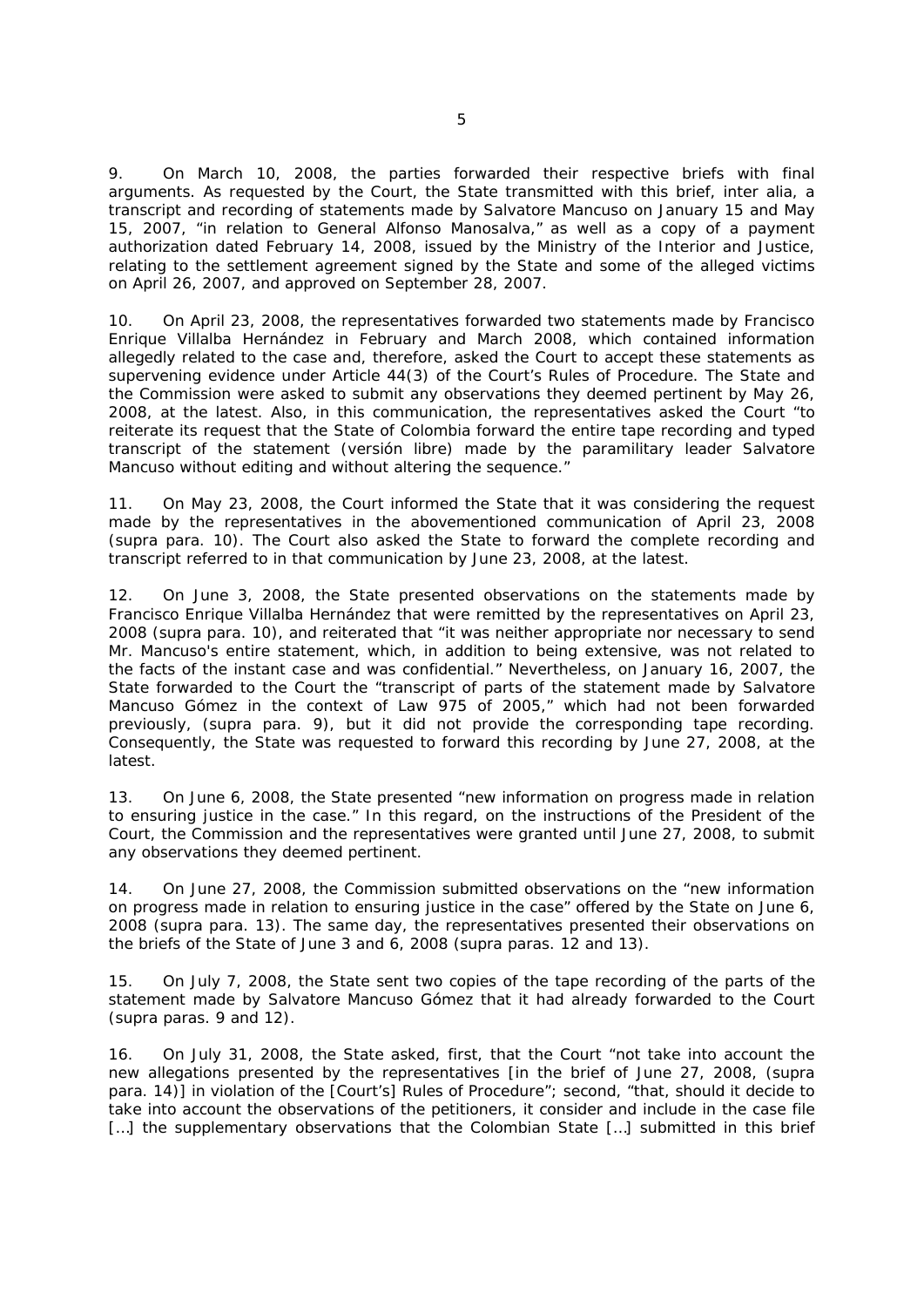9. On March 10, 2008, the parties forwarded their respective briefs with final arguments. As requested by the Court, the State transmitted with this brief, *inter alia*, a transcript and recording of statements made by Salvatore Mancuso on January 15 and May 15, 2007, "in relation to General Alfonso Manosalva," as well as a copy of a payment authorization dated February 14, 2008, issued by the Ministry of the Interior and Justice, relating to the settlement agreement signed by the State and some of the alleged victims on April 26, 2007, and approved on September 28, 2007.

10. On April 23, 2008, the representatives forwarded two statements made by Francisco Enrique Villalba Hernández in February and March 2008, which contained information allegedly related to the case and, therefore, asked the Court to accept these statements as supervening evidence under Article 44(3) of the Court's Rules of Procedure. The State and the Commission were asked to submit any observations they deemed pertinent by May 26, 2008, at the latest. Also, in this communication, the representatives asked the Court "to reiterate its request that the State of Colombia forward the entire tape recording and typed transcript of the statement (*versión libre*) made by the paramilitary leader Salvatore Mancuso without editing and without altering the sequence."

11. On May 23, 2008, the Court informed the State that it was considering the request made by the representatives in the abovementioned communication of April 23, 2008 (*supra* para. 10). The Court also asked the State to forward the complete recording and transcript referred to in that communication by June 23, 2008, at the latest.

12. On June 3, 2008, the State presented observations on the statements made by Francisco Enrique Villalba Hernández that were remitted by the representatives on April 23, 2008 (*supra* para. 10), and reiterated that "it was neither appropriate nor necessary to send Mr. Mancuso's entire statement, which, in addition to being extensive, was not related to the facts of the instant case and was confidential." Nevertheless, on January 16, 2007, the State forwarded to the Court the "transcript of parts of the statement made by Salvatore Mancuso Gómez in the context of Law 975 of 2005," which had not been forwarded previously, (*supra* para. 9), but it did not provide the corresponding tape recording. Consequently, the State was requested to forward this recording by June 27, 2008, at the latest.

13. On June 6, 2008, the State presented "new information on progress made in relation to ensuring justice in the case." In this regard, on the instructions of the President of the Court, the Commission and the representatives were granted until June 27, 2008, to submit any observations they deemed pertinent.

14. On June 27, 2008, the Commission submitted observations on the "new information on progress made in relation to ensuring justice in the case" offered by the State on June 6, 2008 (*supra* para. 13). The same day, the representatives presented their observations on the briefs of the State of June 3 and 6, 2008 (*supra* paras. 12 and 13).

15. On July 7, 2008, the State sent two copies of the tape recording of the parts of the statement made by Salvatore Mancuso Gómez that it had already forwarded to the Court (*supra* paras. 9 and 12).

16. On July 31, 2008, the State asked, first, that the Court "not take into account the new allegations presented by the representatives [in the brief of June 27, 2008, (*supra*  para. 14)] in violation of the [Court's] Rules of Procedure"; second, "that, should it decide to take into account the observations of the petitioners, it consider and include in the case file [...] the supplementary observations that the Colombian State [...] submitted in this brief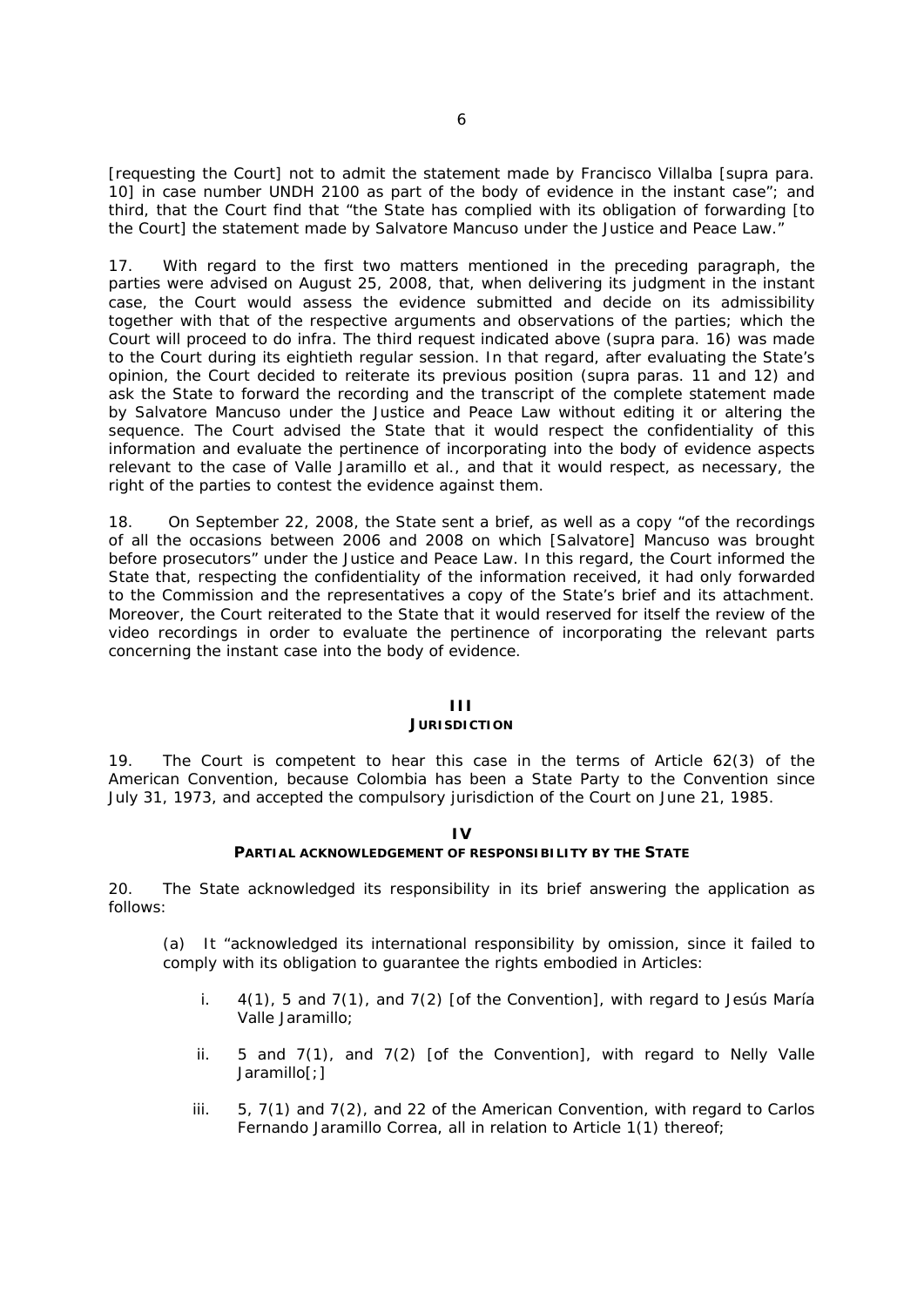[requesting the Court] not to admit the statement made by Francisco Villalba [*supra* para. 10] in case number UNDH 2100 as part of the body of evidence in the instant case"; and third, that the Court find that "the State has complied with its obligation of forwarding [to the Court] the statement made by Salvatore Mancuso under the Justice and Peace Law."

17. With regard to the first two matters mentioned in the preceding paragraph, the parties were advised on August 25, 2008, that, when delivering its judgment in the instant case, the Court would assess the evidence submitted and decide on its admissibility together with that of the respective arguments and observations of the parties; which the Court will proceed to do *infra*. The third request indicated above (*supra* para. 16) was made to the Court during its eightieth regular session. In that regard, after evaluating the State's opinion, the Court decided to reiterate its previous position (*supra* paras. 11 and 12) and ask the State to forward the recording and the transcript of the complete statement made by Salvatore Mancuso under the Justice and Peace Law without editing it or altering the sequence. The Court advised the State that it would respect the confidentiality of this information and evaluate the pertinence of incorporating into the body of evidence aspects relevant to the case of Valle Jaramillo *et al.*, and that it would respect, as necessary, the right of the parties to contest the evidence against them.

18. On September 22, 2008, the State sent a brief, as well as a copy "of the recordings of all the occasions between 2006 and 2008 on which [Salvatore] Mancuso was brought before prosecutors" under the Justice and Peace Law. In this regard, the Court informed the State that, respecting the confidentiality of the information received, it had only forwarded to the Commission and the representatives a copy of the State's brief and its attachment. Moreover, the Court reiterated to the State that it would reserved for itself the review of the video recordings in order to evaluate the pertinence of incorporating the relevant parts concerning the instant case into the body of evidence.

## **III**

## **JURISDICTION**

19. The Court is competent to hear this case in the terms of Article 62(3) of the American Convention, because Colombia has been a State Party to the Convention since July 31, 1973, and accepted the compulsory jurisdiction of the Court on June 21, 1985.

# $\mathbf{I}$

## **PARTIAL ACKNOWLEDGEMENT OF RESPONSIBILITY BY THE STATE**

20. The State acknowledged its responsibility in its brief answering the application as follows:

(a) It "acknowledged its international responsibility by omission, since it failed to comply with its obligation to guarantee the rights embodied in Articles:

- i.  $4(1)$ , 5 and 7(1), and 7(2) [of the Convention], with regard to Jesús María Valle Jaramillo;
- ii. 5 and 7(1), and 7(2) [of the Convention], with regard to Nelly Valle Jaramillo[;]
- iii. 5, 7(1) and 7(2), and 22 of the American Convention, with regard to Carlos Fernando Jaramillo Correa, all in relation to Article 1(1) thereof;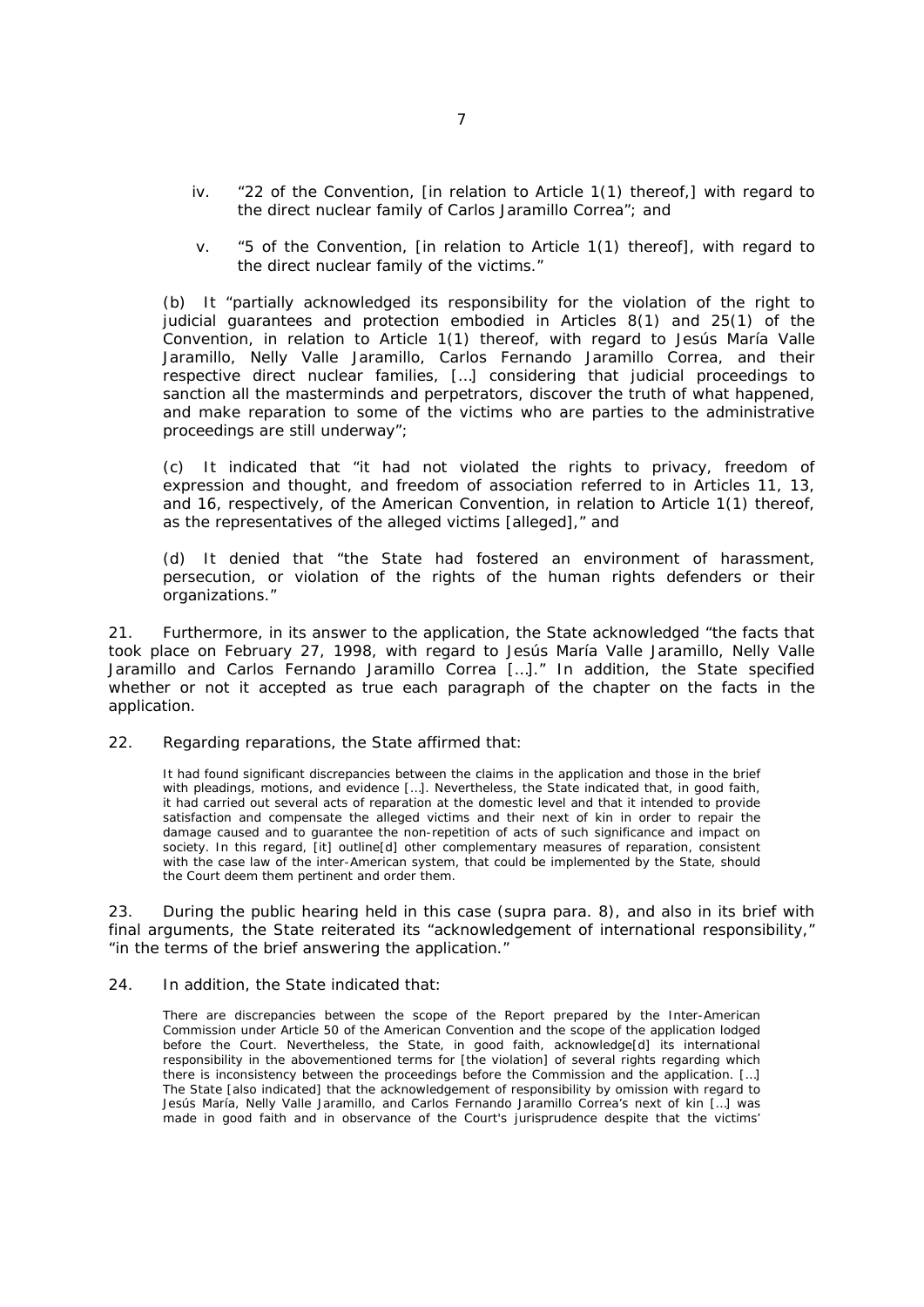- iv. "22 of the Convention, [in relation to Article 1(1) thereof,] with regard to the direct nuclear family of Carlos Jaramillo Correa"; and
- v. "5 of the Convention, [in relation to Article 1(1) thereof], with regard to the direct nuclear family of the victims."

(b) It "partially acknowledged its responsibility for the violation of the right to judicial guarantees and protection embodied in Articles 8(1) and 25(1) of the Convention, in relation to Article 1(1) thereof, with regard to Jesús María Valle Jaramillo, Nelly Valle Jaramillo, Carlos Fernando Jaramillo Correa, and their respective direct nuclear families, […] considering that judicial proceedings to sanction all the masterminds and perpetrators, discover the truth of what happened, and make reparation to some of the victims who are parties to the administrative proceedings are still underway";

(c) It indicated that "it had not violated the rights to privacy, freedom of expression and thought, and freedom of association referred to in Articles 11, 13, and 16, respectively, of the American Convention, in relation to Article 1(1) thereof, as the representatives of the alleged victims [alleged]," and

(d) It denied that "the State had fostered an environment of harassment, persecution, or violation of the rights of the human rights defenders or their organizations."

21. Furthermore, in its answer to the application, the State acknowledged "the facts that took place on February 27, 1998, with regard to Jesús María Valle Jaramillo, Nelly Valle Jaramillo and Carlos Fernando Jaramillo Correa […]." In addition, the State specified whether or not it accepted as true each paragraph of the chapter on the facts in the application.

## 22. Regarding reparations, the State affirmed that:

It had found significant discrepancies between the claims in the application and those in the brief with pleadings, motions, and evidence […]. Nevertheless, the State indicated that, in good faith, it had carried out several acts of reparation at the domestic level and that it intended to provide satisfaction and compensate the alleged victims and their next of kin in order to repair the damage caused and to guarantee the non-repetition of acts of such significance and impact on society. In this regard, [it] outline[d] other complementary measures of reparation, consistent with the case law of the inter-American system, that could be implemented by the State, should the Court deem them pertinent and order them.

23. During the public hearing held in this case (*supra* para. 8), and also in its brief with final arguments, the State reiterated its "acknowledgement of international responsibility," "in the terms of the brief answering the application."

## 24. In addition, the State indicated that:

There are discrepancies between the scope of the Report prepared by the Inter-American Commission under Article 50 of the American Convention and the scope of the application lodged before the Court. Nevertheless, the State, in good faith, acknowledge[d] its international responsibility in the abovementioned terms for [the violation] of several rights regarding which there is inconsistency between the proceedings before the Commission and the application. […] The State [also indicated] that the acknowledgement of responsibility by omission with regard to Jesús María, Nelly Valle Jaramillo, and Carlos Fernando Jaramillo Correa's next of kin […] was made in good faith and in observance of the Court's jurisprudence despite that the victims'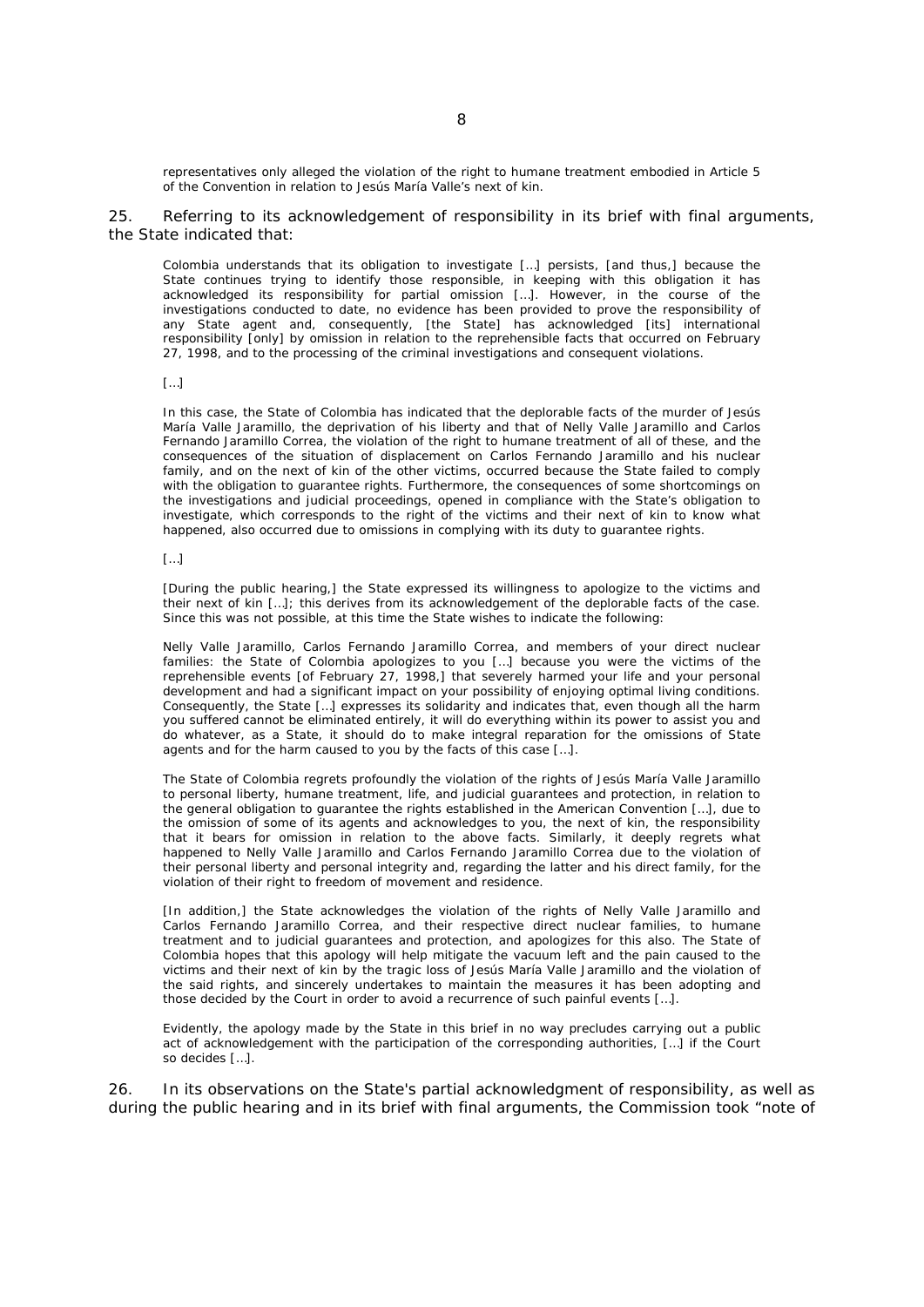representatives only alleged the violation of the right to humane treatment embodied in Article 5 of the Convention in relation to Jesús María Valle's next of kin.

## 25. Referring to its acknowledgement of responsibility in its brief with final arguments, the State indicated that:

Colombia understands that its obligation to investigate […] persists, [and thus,] because the State continues trying to identify those responsible, in keeping with this obligation it has acknowledged its responsibility for partial omission […]. However, in the course of the investigations conducted to date, no evidence has been provided to prove the responsibility of any State agent and, consequently, [the State] has acknowledged [its] international responsibility [only] by omission in relation to the reprehensible facts that occurred on February 27, 1998, and to the processing of the criminal investigations and consequent violations.

[…]

In this case, the State of Colombia has indicated that the deplorable facts of the murder of Jesús María Valle Jaramillo, the deprivation of his liberty and that of Nelly Valle Jaramillo and Carlos Fernando Jaramillo Correa, the violation of the right to humane treatment of all of these, and the consequences of the situation of displacement on Carlos Fernando Jaramillo and his nuclear family, and on the next of kin of the other victims, occurred because the State failed to comply with the obligation to quarantee rights. Furthermore, the consequences of some shortcomings on the investigations and judicial proceedings, opened in compliance with the State's obligation to investigate, which corresponds to the right of the victims and their next of kin to know what happened, also occurred due to omissions in complying with its duty to guarantee rights.

#### […]

[During the public hearing,] the State expressed its willingness to apologize to the victims and their next of kin […]; this derives from its acknowledgement of the deplorable facts of the case. Since this was not possible, at this time the State wishes to indicate the following:

Nelly Valle Jaramillo, Carlos Fernando Jaramillo Correa, and members of your direct nuclear families: the State of Colombia apologizes to you […] because you were the victims of the reprehensible events [of February 27, 1998,] that severely harmed your life and your personal development and had a significant impact on your possibility of enjoying optimal living conditions. Consequently, the State […] expresses its solidarity and indicates that, even though all the harm you suffered cannot be eliminated entirely, it will do everything within its power to assist you and do whatever, as a State, it should do to make integral reparation for the omissions of State agents and for the harm caused to you by the facts of this case […].

The State of Colombia regrets profoundly the violation of the rights of Jesús María Valle Jaramillo to personal liberty, humane treatment, life, and judicial guarantees and protection, in relation to the general obligation to guarantee the rights established in the American Convention […], due to the omission of some of its agents and acknowledges to you, the next of kin, the responsibility that it bears for omission in relation to the above facts. Similarly, it deeply regrets what happened to Nelly Valle Jaramillo and Carlos Fernando Jaramillo Correa due to the violation of their personal liberty and personal integrity and, regarding the latter and his direct family, for the violation of their right to freedom of movement and residence.

[In addition,] the State acknowledges the violation of the rights of Nelly Valle Jaramillo and Carlos Fernando Jaramillo Correa, and their respective direct nuclear families, to humane treatment and to judicial guarantees and protection, and apologizes for this also. The State of Colombia hopes that this apology will help mitigate the vacuum left and the pain caused to the victims and their next of kin by the tragic loss of Jesús María Valle Jaramillo and the violation of the said rights, and sincerely undertakes to maintain the measures it has been adopting and those decided by the Court in order to avoid a recurrence of such painful events […].

Evidently, the apology made by the State in this brief in no way precludes carrying out a public act of acknowledgement with the participation of the corresponding authorities, […] if the Court so decides […].

26. In its observations on the State's partial acknowledgment of responsibility, as well as during the public hearing and in its brief with final arguments, the Commission took "note of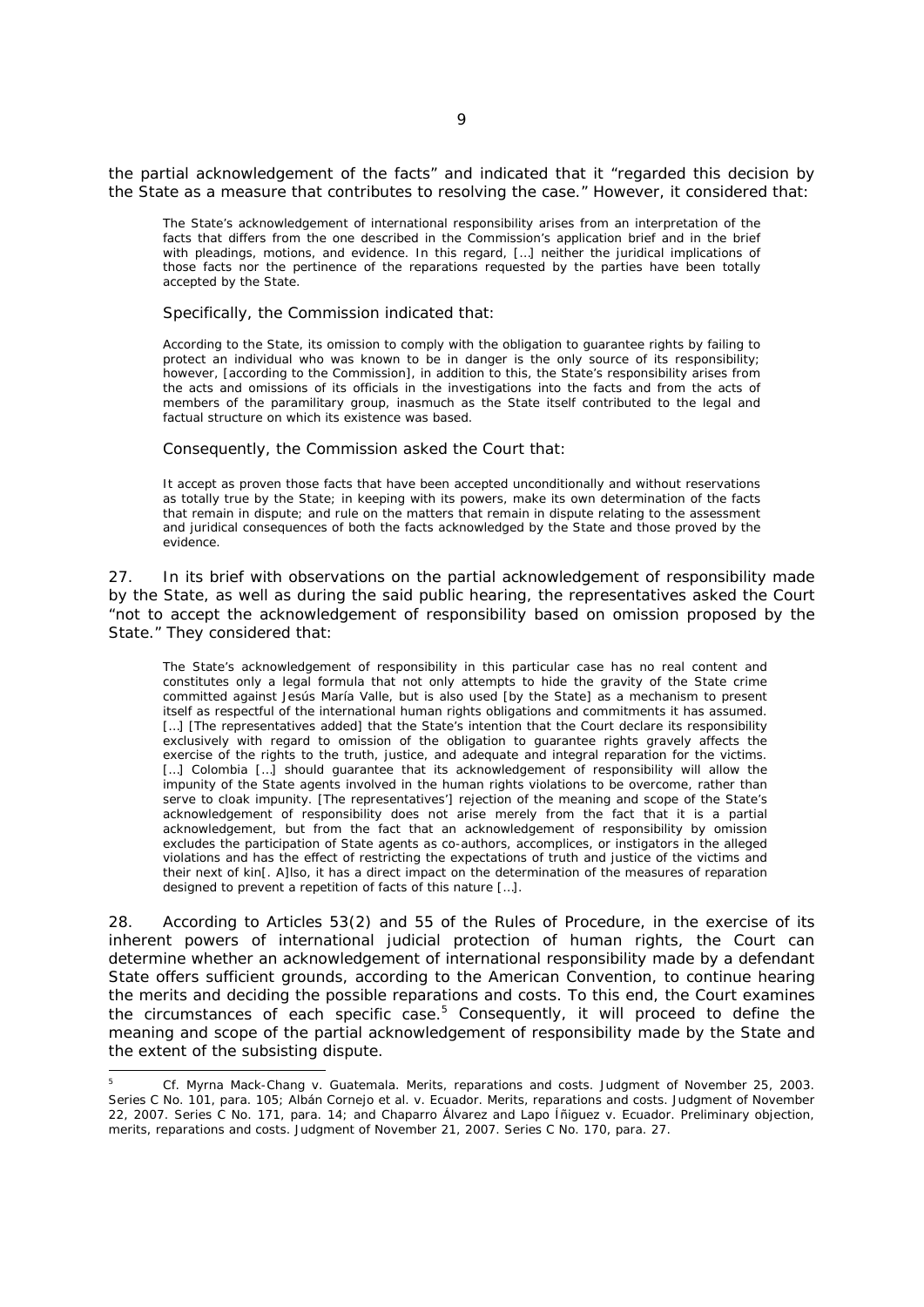the partial acknowledgement of the facts" and indicated that it "regarded this decision by the State as a measure that contributes to resolving the case." However, it considered that:

The State's acknowledgement of international responsibility arises from an interpretation of the facts that differs from the one described in the Commission's application brief and in the brief with pleadings, motions, and evidence. In this regard, […] neither the juridical implications of those facts nor the pertinence of the reparations requested by the parties have been totally accepted by the State.

Specifically, the Commission indicated that:

According to the State, its omission to comply with the obligation to guarantee rights by failing to protect an individual who was known to be in danger is the only source of its responsibility; however, [according to the Commission], in addition to this, the State's responsibility arises from the acts and omissions of its officials in the investigations into the facts and from the acts of members of the paramilitary group, inasmuch as the State itself contributed to the legal and factual structure on which its existence was based.

Consequently, the Commission asked the Court that:

It accept as proven those facts that have been accepted unconditionally and without reservations as totally true by the State; in keeping with its powers, make its own determination of the facts that remain in dispute; and rule on the matters that remain in dispute relating to the assessment and juridical consequences of both the facts acknowledged by the State and those proved by the evidence.

27. In its brief with observations on the partial acknowledgement of responsibility made by the State, as well as during the said public hearing, the representatives asked the Court "not to accept the acknowledgement of responsibility based on omission proposed by the State." They considered that:

The State's acknowledgement of responsibility in this particular case has no real content and constitutes only a legal formula that not only attempts to hide the gravity of the State crime committed against Jesús María Valle, but is also used [by the State] as a mechanism to present itself as respectful of the international human rights obligations and commitments it has assumed. [...] [The representatives added] that the State's intention that the Court declare its responsibility exclusively with regard to omission of the obligation to guarantee rights gravely affects the exercise of the rights to the truth, justice, and adequate and integral reparation for the victims. [...] Colombia [...] should guarantee that its acknowledgement of responsibility will allow the impunity of the State agents involved in the human rights violations to be overcome, rather than serve to cloak impunity. [The representatives'] rejection of the meaning and scope of the State's acknowledgement of responsibility does not arise merely from the fact that it is a partial acknowledgement, but from the fact that an acknowledgement of responsibility by omission excludes the participation of State agents as co-authors, accomplices, or instigators in the alleged violations and has the effect of restricting the expectations of truth and justice of the victims and their next of kin[. A]lso, it has a direct impact on the determination of the measures of reparation designed to prevent a repetition of facts of this nature […].

28. According to Articles 53(2) and 55 of the Rules of Procedure, in the exercise of its inherent powers of international judicial protection of human rights, the Court can determine whether an acknowledgement of international responsibility made by a defendant State offers sufficient grounds, according to the American Convention, to continue hearing the merits and deciding the possible reparations and costs. To this end, the Court examines the circumstances of each specific case. $5$  Consequently, it will proceed to define the meaning and scope of the partial acknowledgement of responsibility made by the State and the extent of the subsisting dispute.

<sup>5</sup> *Cf. Myrna Mack-Chang v. Guatemala*. Merits, reparations and costs. Judgment of November 25, 2003. Series C No. 101, para. 105; *Albán Cornejo et al. v. Ecuador*. Merits, reparations and costs. Judgment of November 22, 2007. Series C No. 171, para. 14; and *Chaparro Álvarez and Lapo Íñiguez v. Ecuador*. Preliminary objection, merits, reparations and costs. Judgment of November 21, 2007. Series C No. 170, para. 27.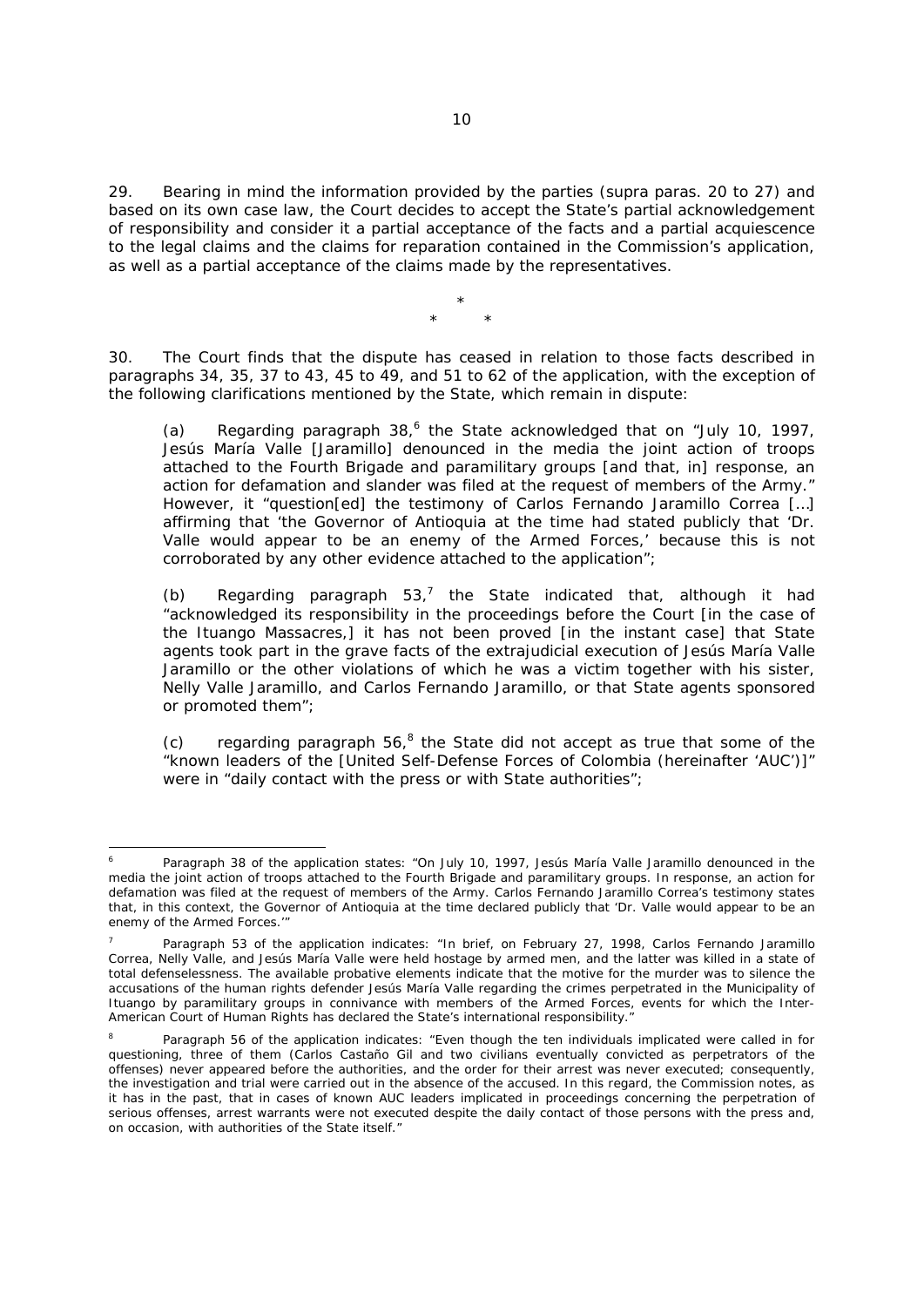29. Bearing in mind the information provided by the parties (*supra* paras. 20 to 27) and based on its own case law, the Court decides to accept the State's partial acknowledgement of responsibility and consider it a partial acceptance of the facts and a partial acquiescence to the legal claims and the claims for reparation contained in the Commission's application, as well as a partial acceptance of the claims made by the representatives.

> \* \* \*

30. The Court finds that the dispute has ceased in relation to those facts described in paragraphs 34, 35, 37 to 43, 45 to 49, and 51 to 62 of the application, with the exception of the following clarifications mentioned by the State, which remain in dispute:

(a) Regarding paragraph  $38<sub>i</sub>$ <sup>6</sup> the State acknowledged that on "July 10, 1997, Jesús María Valle [Jaramillo] denounced in the media the joint action of troops attached to the Fourth Brigade and paramilitary groups [and that, in] response, an action for defamation and slander was filed at the request of members of the Army." However, it "question[ed] the testimony of Carlos Fernando Jaramillo Correa […] affirming that 'the Governor of Antioquia at the time had stated publicly that 'Dr. Valle would appear to be an enemy of the Armed Forces,' because this is not corroborated by any other evidence attached to the application";

(b) Regarding paragraph  $53<sub>1</sub><sup>7</sup>$  the State indicated that, although it had "acknowledged its responsibility in the proceedings before the Court [in the *case of the Ituango Massacres*,] it has not been proved [in the instant case] that State agents took part in the grave facts of the extrajudicial execution of Jesús María Valle Jaramillo or the other violations of which he was a victim together with his sister, Nelly Valle Jaramillo, and Carlos Fernando Jaramillo, or that State agents sponsored or promoted them";

(c) regarding paragraph  $56<sub>1</sub><sup>8</sup>$  the State did not accept as true that some of the "known leaders of the [United Self-Defense Forces of Colombia (hereinafter 'AUC')]" were in "daily contact with the press or with State authorities";

<sup>6</sup> Paragraph 38 of the application states: "On July 10, 1997, Jesús María Valle Jaramillo denounced in the media the joint action of troops attached to the Fourth Brigade and paramilitary groups. In response, an action for defamation was filed at the request of members of the Army. Carlos Fernando Jaramillo Correa's testimony states that, in this context, the Governor of Antioquia at the time declared publicly that 'Dr. Valle would appear to be an enemy of the Armed Forces.'"

<sup>7</sup> Paragraph 53 of the application indicates: "In brief, on February 27, 1998, Carlos Fernando Jaramillo Correa, Nelly Valle, and Jesús María Valle were held hostage by armed men, and the latter was killed in a state of total defenselessness. The available probative elements indicate that the motive for the murder was to silence the accusations of the human rights defender Jesús María Valle regarding the crimes perpetrated in the Municipality of Ituango by paramilitary groups in connivance with members of the Armed Forces, events for which the Inter-American Court of Human Rights has declared the State's international responsibility.

<sup>8</sup> Paragraph 56 of the application indicates: "Even though the ten individuals implicated were called in for questioning, three of them (Carlos Castaño Gil and two civilians eventually convicted as perpetrators of the offenses) never appeared before the authorities, and the order for their arrest was never executed; consequently, the investigation and trial were carried out in the absence of the accused. In this regard, the Commission notes, as it has in the past, that in cases of known AUC leaders implicated in proceedings concerning the perpetration of serious offenses, arrest warrants were not executed despite the daily contact of those persons with the press and, on occasion, with authorities of the State itself."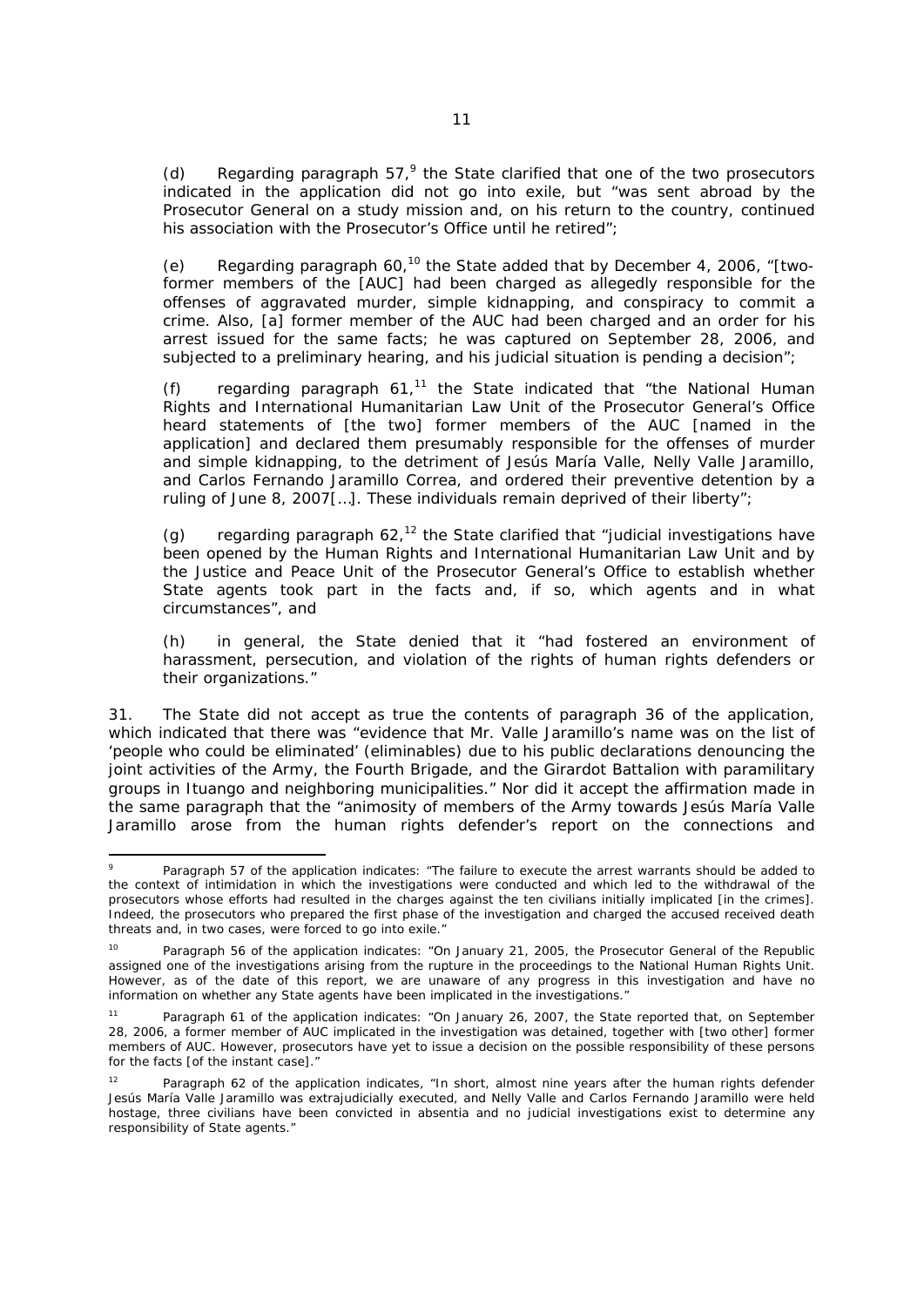(d) Regarding paragraph  $57<sup>9</sup>$  the State clarified that one of the two prosecutors indicated in the application did not go into exile, but "was sent abroad by the Prosecutor General on a study mission and, on his return to the country, continued his association with the Prosecutor's Office until he retired";

(e) Regarding paragraph  $60<sub>10</sub>$  the State added that by December 4, 2006, "[twoformer members of the [AUC] had been charged as allegedly responsible for the offenses of aggravated murder, simple kidnapping, and conspiracy to commit a crime. Also, [a] former member of the AUC had been charged and an order for his arrest issued for the same facts; he was captured on September 28, 2006, and subjected to a preliminary hearing, and his judicial situation is pending a decision";

(f) regarding paragraph  $61<sup>11</sup>$  the State indicated that "the National Human Rights and International Humanitarian Law Unit of the Prosecutor General's Office heard statements of [the two] former members of the AUC [named in the application] and declared them presumably responsible for the offenses of murder and simple kidnapping, to the detriment of Jesús María Valle, Nelly Valle Jaramillo, and Carlos Fernando Jaramillo Correa, and ordered their preventive detention by a ruling of June 8, 2007[…]. These individuals remain deprived of their liberty";

(g) regarding paragraph  $62<sup>12</sup>$  the State clarified that "judicial investigations have been opened by the Human Rights and International Humanitarian Law Unit and by the Justice and Peace Unit of the Prosecutor General's Office to establish whether State agents took part in the facts and, if so, which agents and in what circumstances", and

(h) in general, the State denied that it "had fostered an environment of harassment, persecution, and violation of the rights of human rights defenders or their organizations."

31. The State did not accept as true the contents of paragraph 36 of the application, which indicated that there was "evidence that Mr. Valle Jaramillo's name was on the list of 'people who could be eliminated' (*eliminable*s) due to his public declarations denouncing the joint activities of the Army, the Fourth Brigade, and the Girardot Battalion with paramilitary groups in Ituango and neighboring municipalities." Nor did it accept the affirmation made in the same paragraph that the "animosity of members of the Army towards Jesús María Valle Jaramillo arose from the human rights defender's report on the connections and

<sup>-</sup>9 Paragraph 57 of the application indicates: "The failure to execute the arrest warrants should be added to the context of intimidation in which the investigations were conducted and which led to the withdrawal of the prosecutors whose efforts had resulted in the charges against the ten civilians initially implicated [in the crimes]. Indeed, the prosecutors who prepared the first phase of the investigation and charged the accused received death threats and, in two cases, were forced to go into exile."

<sup>&</sup>lt;sup>10</sup> Paragraph 56 of the application indicates: "On January 21, 2005, the Prosecutor General of the Republic assigned one of the investigations arising from the rupture in the proceedings to the National Human Rights Unit. However, as of the date of this report, we are unaware of any progress in this investigation and have no information on whether any State agents have been implicated in the investigations."

<sup>&</sup>lt;sup>11</sup> Paragraph 61 of the application indicates: "On January 26, 2007, the State reported that, on September 28, 2006, a former member of AUC implicated in the investigation was detained, together with [two other] former members of AUC. However, prosecutors have yet to issue a decision on the possible responsibility of these persons for the facts [of the instant case]."

<sup>&</sup>lt;sup>12</sup> Paragraph 62 of the application indicates, "In short, almost nine years after the human rights defender Jesús María Valle Jaramillo was extrajudicially executed, and Nelly Valle and Carlos Fernando Jaramillo were held hostage, three civilians have been convicted *in absentia* and no judicial investigations exist to determine any responsibility of State agents."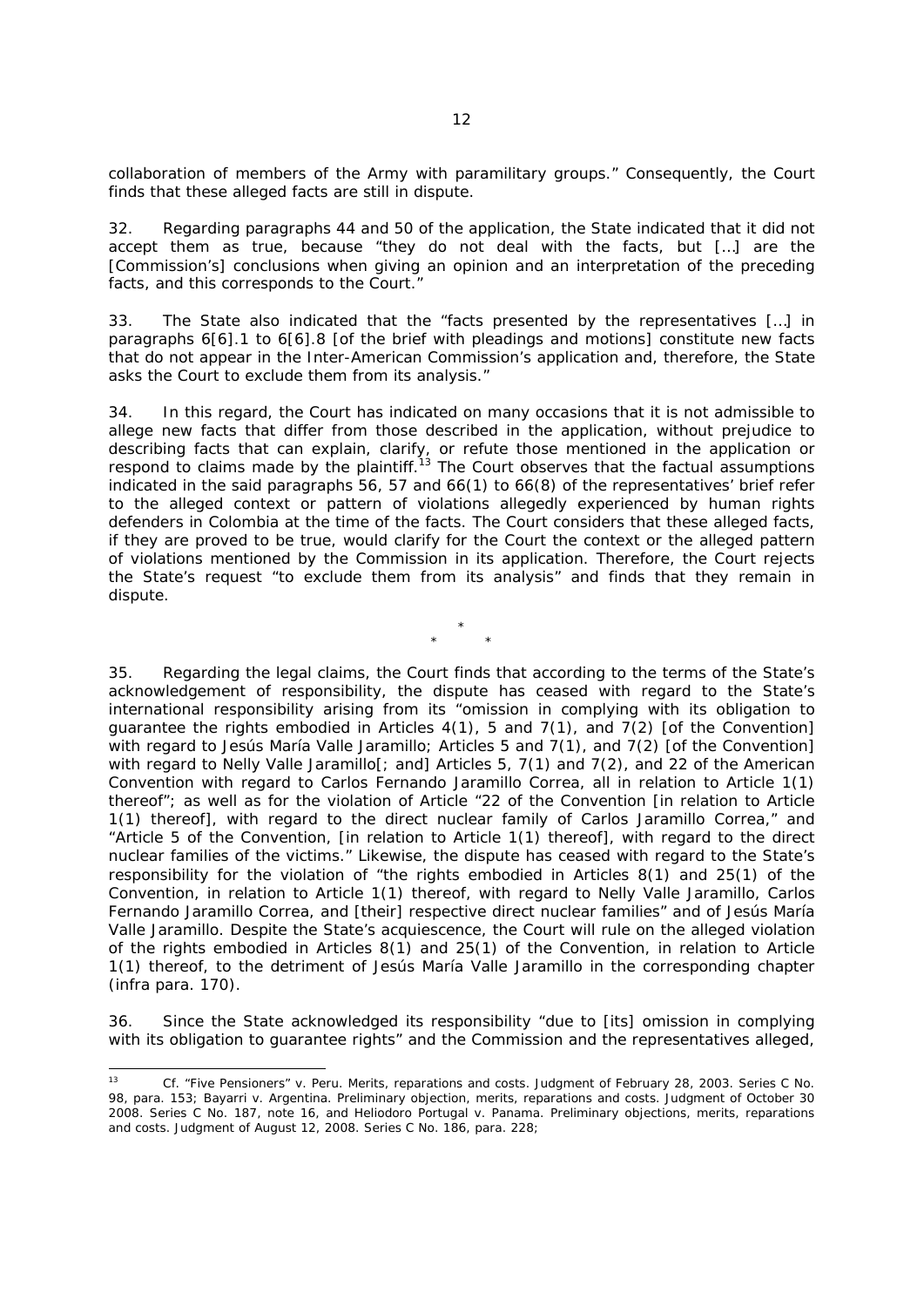collaboration of members of the Army with paramilitary groups." Consequently, the Court finds that these alleged facts are still in dispute.

32. Regarding paragraphs 44 and 50 of the application, the State indicated that it did not accept them as true, because "they do not deal with the facts, but […] are the [Commission's] conclusions when giving an opinion and an interpretation of the preceding facts, and this corresponds to the Court."

33. The State also indicated that the "facts presented by the representatives […] in paragraphs 6[6].1 to 6[6].8 [of the brief with pleadings and motions] constitute new facts that do not appear in the Inter-American Commission's application and, therefore, the State asks the Court to exclude them from its analysis."

34. In this regard, the Court has indicated on many occasions that it is not admissible to allege new facts that differ from those described in the application, without prejudice to describing facts that can explain, clarify, or refute those mentioned in the application or respond to claims made by the plaintiff.<sup>13</sup> The Court observes that the factual assumptions indicated in the said paragraphs 56, 57 and 66(1) to 66(8) of the representatives' brief refer to the alleged context or pattern of violations allegedly experienced by human rights defenders in Colombia at the time of the facts. The Court considers that these alleged facts, if they are proved to be true, would clarify for the Court the context or the alleged pattern of violations mentioned by the Commission in its application. Therefore, the Court rejects the State's request "to exclude them from its analysis" and finds that they remain in dispute.

> \*  $\star$   $\star$

35. Regarding the legal claims, the Court finds that according to the terms of the State's acknowledgement of responsibility, the dispute has ceased with regard to the State's international responsibility arising from its "omission in complying with its obligation to guarantee the rights embodied in Articles  $4(1)$ , 5 and  $7(1)$ , and  $7(2)$  [of the Convention] with regard to Jesús María Valle Jaramillo; Articles 5 and 7(1), and 7(2) [of the Convention] with regard to Nelly Valle Jaramillo[; and] Articles 5, 7(1) and 7(2), and 22 of the American Convention with regard to Carlos Fernando Jaramillo Correa, all in relation to Article 1(1) thereof"; as well as for the violation of Article "22 of the Convention [in relation to Article 1(1) thereof], with regard to the direct nuclear family of Carlos Jaramillo Correa," and "Article 5 of the Convention, [in relation to Article 1(1) thereof], with regard to the direct nuclear families of the victims." Likewise, the dispute has ceased with regard to the State's responsibility for the violation of "the rights embodied in Articles 8(1) and 25(1) of the Convention, in relation to Article 1(1) thereof, with regard to Nelly Valle Jaramillo, Carlos Fernando Jaramillo Correa, and [their] respective direct nuclear families" and of Jesús María Valle Jaramillo. Despite the State's acquiescence, the Court will rule on the alleged violation of the rights embodied in Articles 8(1) and 25(1) of the Convention, in relation to Article 1(1) thereof, to the detriment of Jesús María Valle Jaramillo in the corresponding chapter (*infra* para. 170).

36. Since the State acknowledged its responsibility "due to [its] omission in complying with its obligation to guarantee rights" and the Commission and the representatives alleged,

<sup>13</sup> *Cf. "Five Pensioners" v. Peru*. *Merits, reparations and costs*. Judgment of February 28, 2003. Series C No. 98, para. 153; *Bayarri v. Argentina. Preliminary objection, merits, reparations and costs. Judgment of October 30 2008.* Series C No. 187, note 16, and *Heliodoro Portugal v. Panama*. *Preliminary objections, merits, reparations and costs.* Judgment of August 12, 2008. Series C No. 186, para. 228;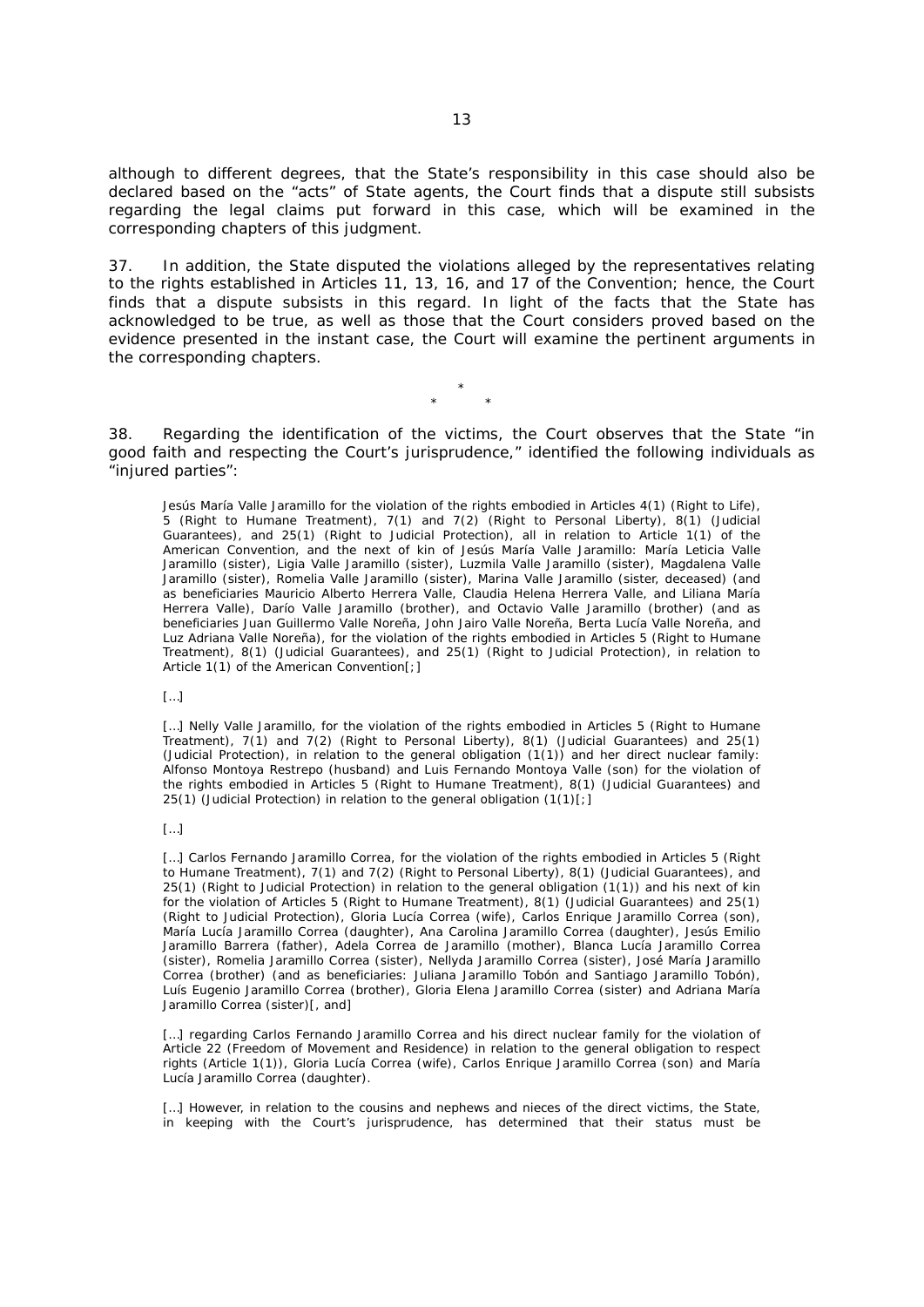although to different degrees, that the State's responsibility in this case should also be declared based on the "acts" of State agents, the Court finds that a dispute still subsists regarding the legal claims put forward in this case, which will be examined in the corresponding chapters of this judgment.

37. In addition, the State disputed the violations alleged by the representatives relating to the rights established in Articles 11, 13, 16, and 17 of the Convention; hence, the Court finds that a dispute subsists in this regard. In light of the facts that the State has acknowledged to be true, as well as those that the Court considers proved based on the evidence presented in the instant case, the Court will examine the pertinent arguments in the corresponding chapters.

> \* \* \*

38. Regarding the identification of the victims, the Court observes that the State "in good faith and respecting the Court's jurisprudence," identified the following individuals as "injured parties":

Jesús María Valle Jaramillo for the violation of the rights embodied in Articles 4(1) (Right to Life), 5 (Right to Humane Treatment), 7(1) and 7(2) (Right to Personal Liberty), 8(1) (Judicial Guarantees), and 25(1) (Right to Judicial Protection), all in relation to Article 1(1) of the American Convention, and the next of kin of Jesús María Valle Jaramillo: María Leticia Valle Jaramillo (sister), Ligia Valle Jaramillo (sister), Luzmila Valle Jaramillo (sister), Magdalena Valle Jaramillo (sister), Romelia Valle Jaramillo (sister), Marina Valle Jaramillo (sister, deceased) (and as beneficiaries Mauricio Alberto Herrera Valle, Claudia Helena Herrera Valle, and Liliana María Herrera Valle), Darío Valle Jaramillo (brother), and Octavio Valle Jaramillo (brother) (and as beneficiaries Juan Guillermo Valle Noreña, John Jairo Valle Noreña, Berta Lucía Valle Noreña, and Luz Adriana Valle Noreña), for the violation of the rights embodied in Articles 5 (Right to Humane Treatment), 8(1) (Judicial Guarantees), and 25(1) (Right to Judicial Protection), in relation to Article 1(1) of the American Convention[;]

[…]

[...] Nelly Valle Jaramillo, for the violation of the rights embodied in Articles 5 (Right to Humane Treatment), 7(1) and 7(2) (Right to Personal Liberty), 8(1) (Judicial Guarantees) and 25(1) (Judicial Protection), in relation to the general obligation (1(1)) and her direct nuclear family: Alfonso Montoya Restrepo (husband) and Luis Fernando Montoya Valle (son) for the violation of the rights embodied in Articles 5 (Right to Humane Treatment), 8(1) (Judicial Guarantees) and 25(1) (Judicial Protection) in relation to the general obligation (1(1)[;]

[…]

[...] Carlos Fernando Jaramillo Correa, for the violation of the rights embodied in Articles 5 (Right to Humane Treatment), 7(1) and 7(2) (Right to Personal Liberty), 8(1) (Judicial Guarantees), and 25(1) (Right to Judicial Protection) in relation to the general obligation (1(1)) and his next of kin for the violation of Articles 5 (Right to Humane Treatment), 8(1) (Judicial Guarantees) and 25(1) (Right to Judicial Protection), Gloria Lucía Correa (wife), Carlos Enrique Jaramillo Correa (son), María Lucía Jaramillo Correa (daughter), Ana Carolina Jaramillo Correa (daughter), Jesús Emilio Jaramillo Barrera (father), Adela Correa de Jaramillo (mother), Blanca Lucía Jaramillo Correa (sister), Romelia Jaramillo Correa (sister), Nellyda Jaramillo Correa (sister), José María Jaramillo Correa (brother) (and as beneficiaries: Juliana Jaramillo Tobón and Santiago Jaramillo Tobón), Luís Eugenio Jaramillo Correa (brother), Gloria Elena Jaramillo Correa (sister) and Adriana María Jaramillo Correa (sister)[, and]

[...] regarding Carlos Fernando Jaramillo Correa and his direct nuclear family for the violation of Article 22 (Freedom of Movement and Residence) in relation to the general obligation to respect rights (Article 1(1)), Gloria Lucía Correa (wife), Carlos Enrique Jaramillo Correa (son) and María Lucía Jaramillo Correa (daughter).

[...] However, in relation to the cousins and nephews and nieces of the direct victims, the State, in keeping with the Court's jurisprudence, has determined that their status must be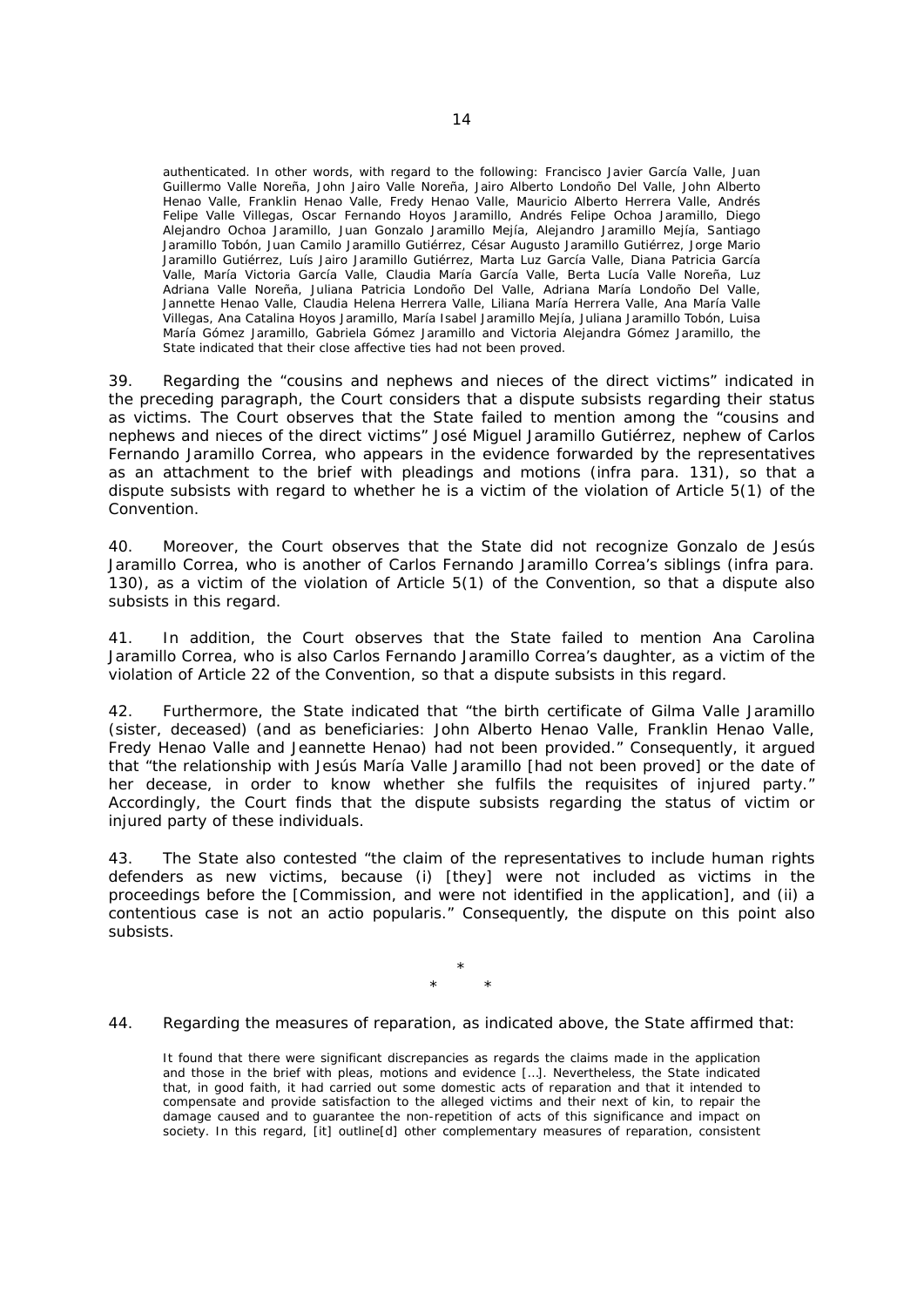authenticated. In other words, with regard to the following: Francisco Javier García Valle, Juan Guillermo Valle Noreña, John Jairo Valle Noreña, Jairo Alberto Londoño Del Valle, John Alberto Henao Valle, Franklin Henao Valle, Fredy Henao Valle, Mauricio Alberto Herrera Valle, Andrés Felipe Valle Villegas, Oscar Fernando Hoyos Jaramillo, Andrés Felipe Ochoa Jaramillo, Diego Alejandro Ochoa Jaramillo, Juan Gonzalo Jaramillo Mejía, Alejandro Jaramillo Mejía, Santiago Jaramillo Tobón, Juan Camilo Jaramillo Gutiérrez, César Augusto Jaramillo Gutiérrez, Jorge Mario Jaramillo Gutiérrez, Luís Jairo Jaramillo Gutiérrez, Marta Luz García Valle, Diana Patricia García Valle, María Victoria García Valle, Claudia María García Valle, Berta Lucía Valle Noreña, Luz Adriana Valle Noreña, Juliana Patricia Londoño Del Valle, Adriana María Londoño Del Valle, Jannette Henao Valle, Claudia Helena Herrera Valle, Liliana María Herrera Valle, Ana María Valle Villegas, Ana Catalina Hoyos Jaramillo, María Isabel Jaramillo Mejía, Juliana Jaramillo Tobón, Luisa María Gómez Jaramillo, Gabriela Gómez Jaramillo and Victoria Alejandra Gómez Jaramillo, the State indicated that their close affective ties had not been proved.

39. Regarding the "cousins and nephews and nieces of the direct victims" indicated in the preceding paragraph, the Court considers that a dispute subsists regarding their status as victims. The Court observes that the State failed to mention among the "cousins and nephews and nieces of the direct victims" José Miguel Jaramillo Gutiérrez, nephew of Carlos Fernando Jaramillo Correa, who appears in the evidence forwarded by the representatives as an attachment to the brief with pleadings and motions (*infra* para. 131), so that a dispute subsists with regard to whether he is a victim of the violation of Article 5(1) of the Convention.

40. Moreover, the Court observes that the State did not recognize Gonzalo de Jesús Jaramillo Correa, who is another of Carlos Fernando Jaramillo Correa's siblings (*infra* para. 130), as a victim of the violation of Article 5(1) of the Convention, so that a dispute also subsists in this regard.

41. In addition, the Court observes that the State failed to mention Ana Carolina Jaramillo Correa, who is also Carlos Fernando Jaramillo Correa's daughter, as a victim of the violation of Article 22 of the Convention, so that a dispute subsists in this regard.

42. Furthermore, the State indicated that "the birth certificate of Gilma Valle Jaramillo (sister, deceased) (and as beneficiaries: John Alberto Henao Valle, Franklin Henao Valle, Fredy Henao Valle and Jeannette Henao) had not been provided." Consequently, it argued that "the relationship with Jesús María Valle Jaramillo [had not been proved] or the date of her decease, in order to know whether she fulfils the requisites of injured party." Accordingly, the Court finds that the dispute subsists regarding the status of victim or injured party of these individuals.

43. The State also contested "the claim of the representatives to include human rights defenders as new victims, because (i) [they] were not included as victims in the proceedings before the [Commission, and were not identified in the application], and (ii) a contentious case is not an *actio popularis."* Consequently, the dispute on this point also subsists.

> \* \* \*

44. Regarding the measures of reparation, as indicated above, the State affirmed that:

It found that there were significant discrepancies as regards the claims made in the application and those in the brief with pleas, motions and evidence […]. Nevertheless, the State indicated that, in good faith, it had carried out some domestic acts of reparation and that it intended to compensate and provide satisfaction to the alleged victims and their next of kin, to repair the damage caused and to guarantee the non-repetition of acts of this significance and impact on society. In this regard, [it] outline[d] other complementary measures of reparation, consistent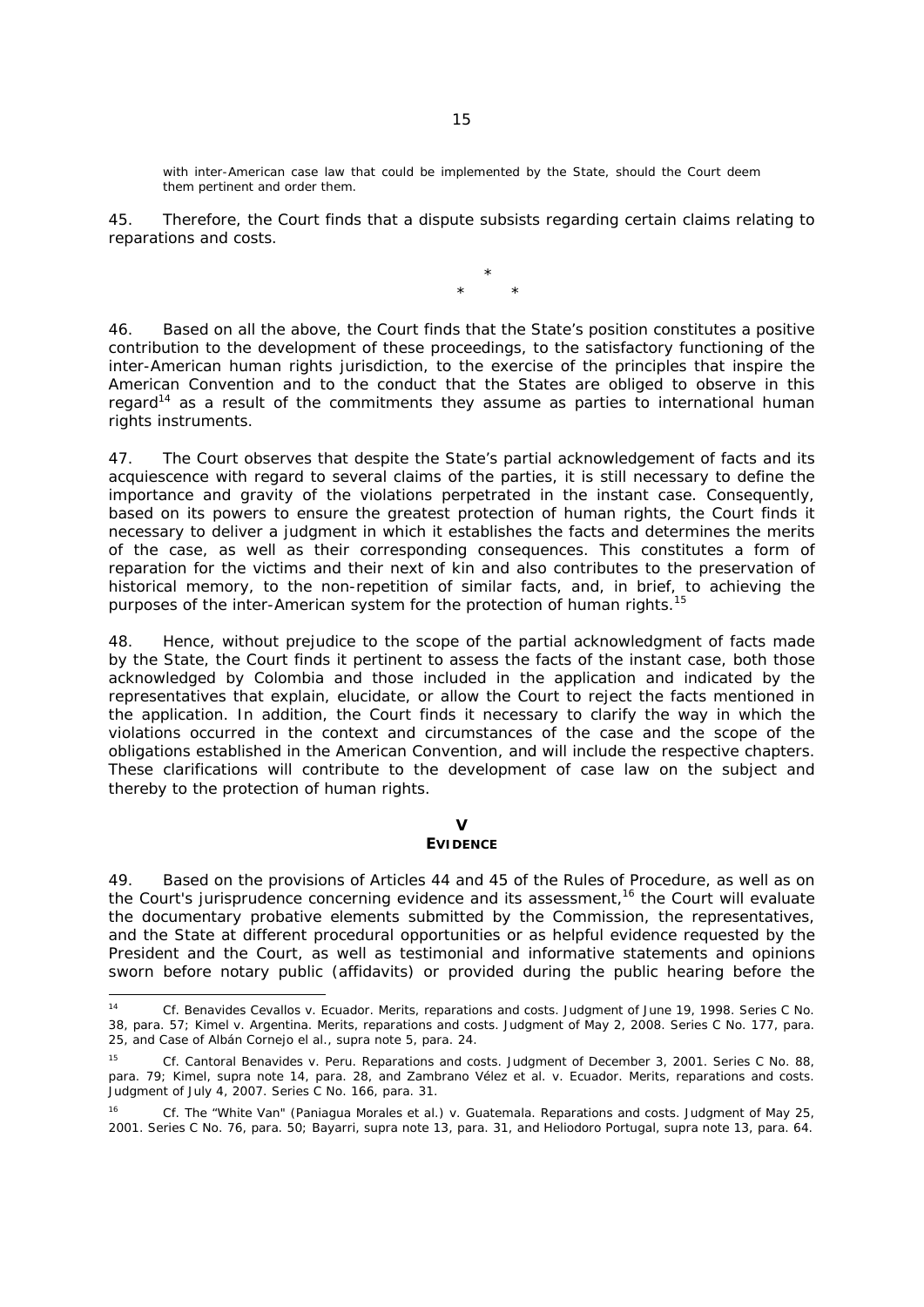with inter-American case law that could be implemented by the State, should the Court deem them pertinent and order them.

45. Therefore, the Court finds that a dispute subsists regarding certain claims relating to reparations and costs.

> \* \* \*

46. Based on all the above, the Court finds that the State's position constitutes a positive contribution to the development of these proceedings, to the satisfactory functioning of the inter-American human rights jurisdiction, to the exercise of the principles that inspire the American Convention and to the conduct that the States are obliged to observe in this regard<sup>14</sup> as a result of the commitments they assume as parties to international human rights instruments.

47. The Court observes that despite the State's partial acknowledgement of facts and its acquiescence with regard to several claims of the parties, it is still necessary to define the importance and gravity of the violations perpetrated in the instant case. Consequently, based on its powers to ensure the greatest protection of human rights, the Court finds it necessary to deliver a judgment in which it establishes the facts and determines the merits of the case, as well as their corresponding consequences. This constitutes a form of reparation for the victims and their next of kin and also contributes to the preservation of historical memory, to the non-repetition of similar facts, and, in brief, to achieving the purposes of the inter-American system for the protection of human rights.<sup>15</sup>

48. Hence, without prejudice to the scope of the partial acknowledgment of facts made by the State, the Court finds it pertinent to assess the facts of the instant case, both those acknowledged by Colombia and those included in the application and indicated by the representatives that explain, elucidate, or allow the Court to reject the facts mentioned in the application. In addition, the Court finds it necessary to clarify the way in which the violations occurred in the context and circumstances of the case and the scope of the obligations established in the American Convention, and will include the respective chapters. These clarifications will contribute to the development of case law on the subject and thereby to the protection of human rights.

# **V**

# **EVIDENCE**

49. Based on the provisions of Articles 44 and 45 of the Rules of Procedure, as well as on the Court's jurisprudence concerning evidence and its assessment,<sup>16</sup> the Court will evaluate the documentary probative elements submitted by the Commission, the representatives, and the State at different procedural opportunities or as helpful evidence requested by the President and the Court, as well as testimonial and informative statements and opinions sworn before notary public (affidavits) or provided during the public hearing before the

<sup>14</sup> *Cf. Benavides Cevallos v. Ecuador. Merits, reparations and costs.* Judgment of June 19, 1998. Series C No. 38, para. 57; *Kimel v. Argentina. Merits, reparations and costs.* Judgment of May 2, 2008. Series C No. 177, para. 25, and *Case of Albán Cornejo el al., supra* note 5, para. 24.

<sup>15</sup> *Cf. Cantoral Benavides v. Peru. Reparations and costs.* Judgment of December 3, 2001. Series C No. 88, para. 79; *Kimel*, *supra* note 14, para. 28, and *Zambrano Vélez et al. v. Ecuador. Merits, reparations and costs*. Judgment of July 4, 2007. Series C No. 166, para. 31.

<sup>16</sup> *Cf. The "White Van" (Paniagua Morales et al.) v. Guatemala*. *Reparations and costs*. Judgment of May 25, 2001. Series C No. 76, para. 50; *Bayarri, supra* note 13, para. 31, and *Heliodoro Portugal, supra* note 13, para. 64.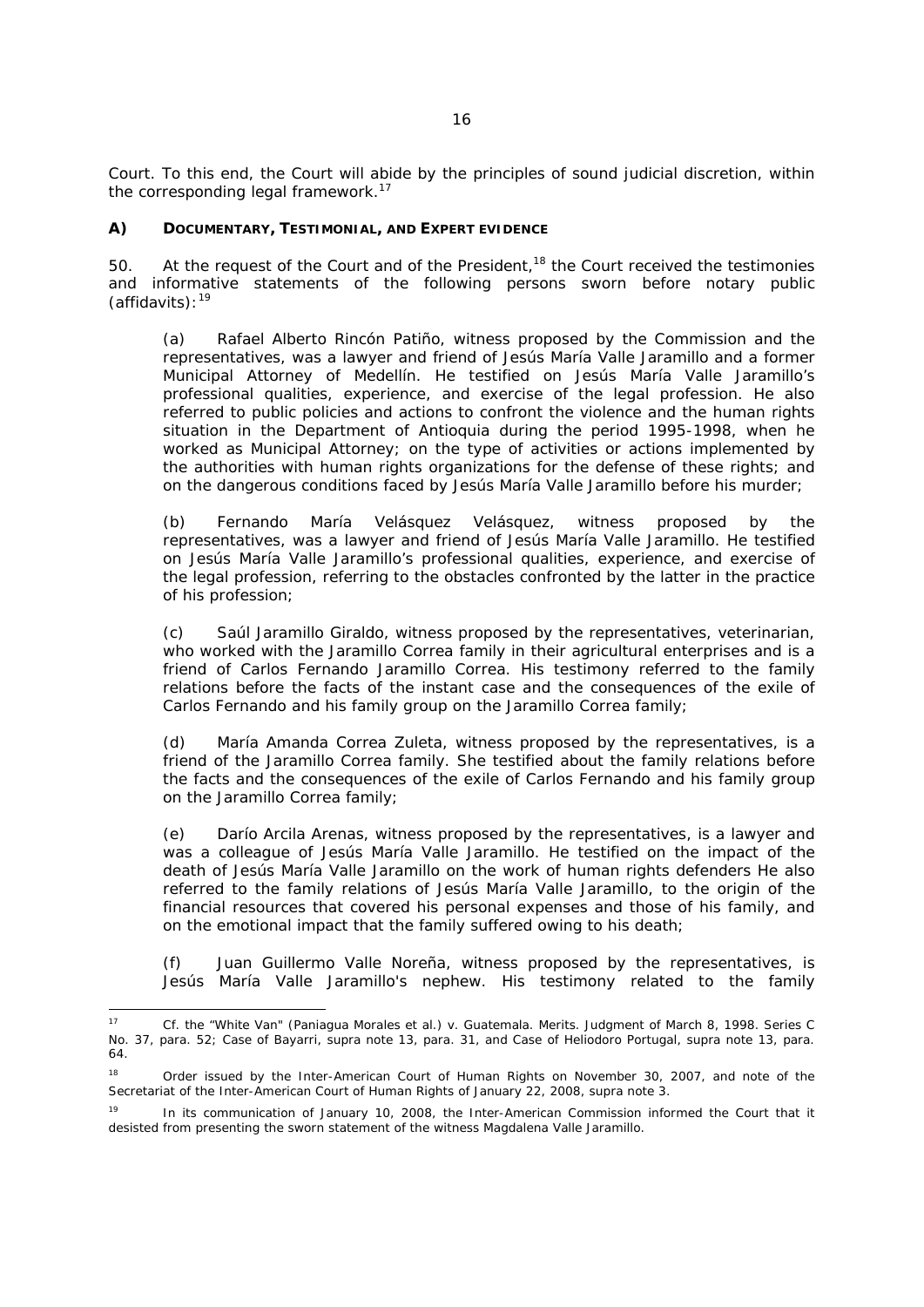Court. To this end, the Court will abide by the principles of sound judicial discretion, within the corresponding legal framework.<sup>17</sup>

# *A) DOCUMENTARY, TESTIMONIAL, AND EXPERT EVIDENCE*

50. At the request of the Court and of the President, $18$  the Court received the testimonies and informative statements of the following persons sworn before notary public  $(affidavits):$ <sup>19</sup>

(a) *Rafael Alberto Rincón Patiño*, witness proposed by the Commission and the representatives, was a lawyer and friend of Jesús María Valle Jaramillo and a former Municipal Attorney of Medellín. He testified on Jesús María Valle Jaramillo's professional qualities, experience, and exercise of the legal profession. He also referred to public policies and actions to confront the violence and the human rights situation in the Department of Antioquia during the period 1995-1998, when he worked as Municipal Attorney; on the type of activities or actions implemented by the authorities with human rights organizations for the defense of these rights; and on the dangerous conditions faced by Jesús María Valle Jaramillo before his murder;

(b) *Fernando María Velásquez Velásquez*, witness proposed by the representatives, was a lawyer and friend of Jesús María Valle Jaramillo. He testified on Jesús María Valle Jaramillo's professional qualities, experience, and exercise of the legal profession, referring to the obstacles confronted by the latter in the practice of his profession;

(c) *Saúl Jaramillo Giraldo*, witness proposed by the representatives, veterinarian, who worked with the Jaramillo Correa family in their agricultural enterprises and is a friend of Carlos Fernando Jaramillo Correa. His testimony referred to the family relations before the facts of the instant case and the consequences of the exile of Carlos Fernando and his family group on the Jaramillo Correa family;

(d) *María Amanda Correa Zuleta*, witness proposed by the representatives, is a friend of the Jaramillo Correa family. She testified about the family relations before the facts and the consequences of the exile of Carlos Fernando and his family group on the Jaramillo Correa family;

(e) *Darío Arcila Arenas*, witness proposed by the representatives, is a lawyer and was a colleague of Jesús María Valle Jaramillo. He testified on the impact of the death of Jesús María Valle Jaramillo on the work of human rights defenders He also referred to the family relations of Jesús María Valle Jaramillo, to the origin of the financial resources that covered his personal expenses and those of his family, and on the emotional impact that the family suffered owing to his death;

(f) *Juan Guillermo Valle Noreña*, witness proposed by the representatives, is Jesús María Valle Jaramillo's nephew. His testimony related to the family

<sup>17</sup> *Cf. the "White Van" (Paniagua Morales et al.) v. Guatemala*. Merits. Judgment of March 8, 1998. Series C No. 37, para. 52; *Case of Bayarri, supra* note 13, para. 31, and *Case of Heliodoro Portugal, supra* note 13, para. 64.

<sup>&</sup>lt;sup>18</sup> Order issued by the Inter-American Court of Human Rights on November 30, 2007, and note of the Secretariat of the Inter-American Court of Human Rights of January 22, 2008, *supra* note 3.

<sup>19</sup> In its communication of January 10, 2008, the Inter-American Commission informed the Court that it desisted from presenting the sworn statement of the witness Magdalena Valle Jaramillo.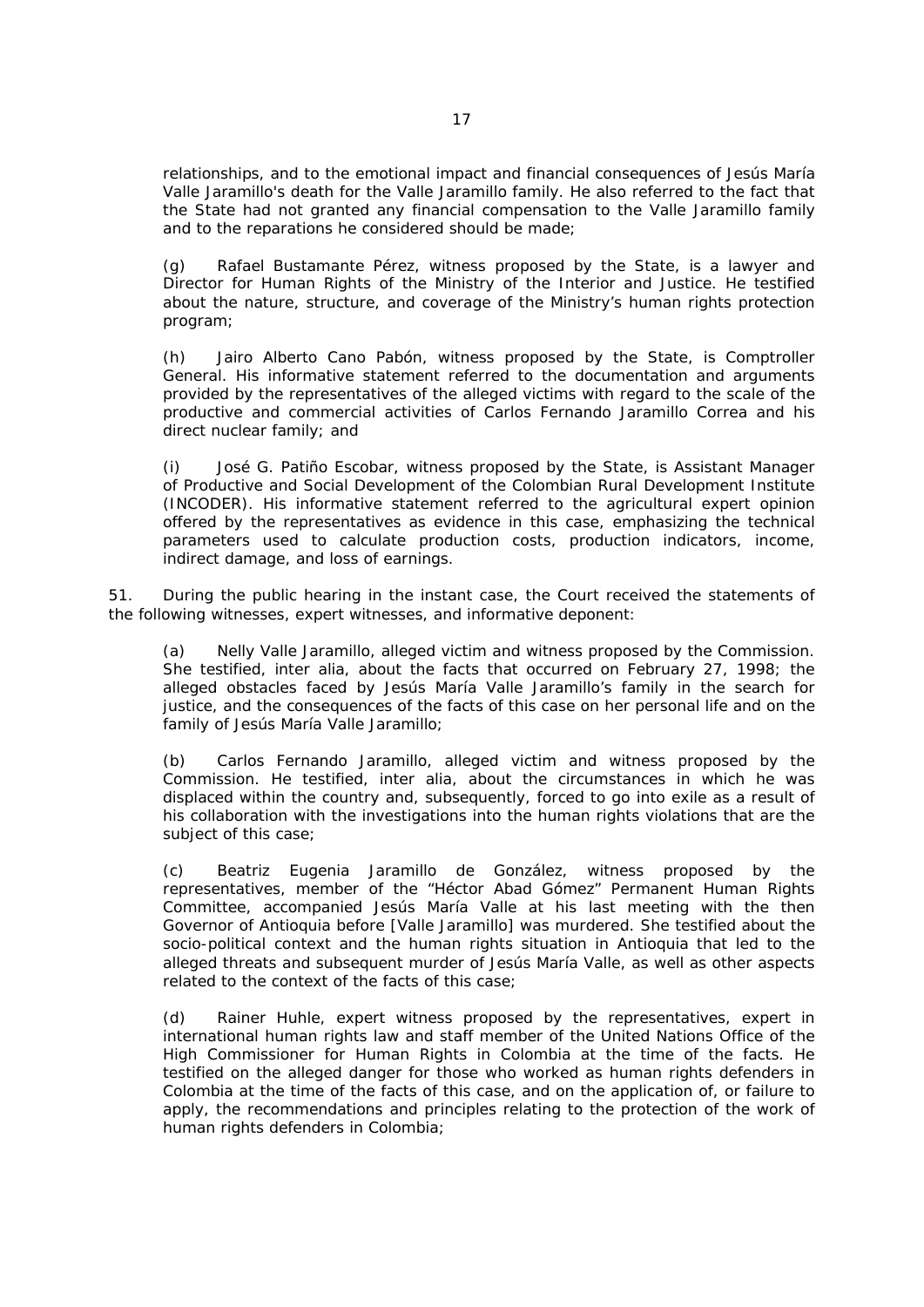relationships, and to the emotional impact and financial consequences of Jesús María Valle Jaramillo's death for the Valle Jaramillo family. He also referred to the fact that the State had not granted any financial compensation to the Valle Jaramillo family and to the reparations he considered should be made;

(g) *Rafael Bustamante Pérez*, witness proposed by the State, is a lawyer and Director for Human Rights of the Ministry of the Interior and Justice. He testified about the nature, structure, and coverage of the Ministry's human rights protection program;

(h) *Jairo Alberto Cano Pabón*, witness proposed by the State, is Comptroller General. His informative statement referred to the documentation and arguments provided by the representatives of the alleged victims with regard to the scale of the productive and commercial activities of Carlos Fernando Jaramillo Correa and his direct nuclear family; and

(i) *José G. Patiño Escobar*, witness proposed by the State, is Assistant Manager of Productive and Social Development of the Colombian Rural Development Institute (INCODER). His informative statement referred to the agricultural expert opinion offered by the representatives as evidence in this case, emphasizing the technical parameters used to calculate production costs, production indicators, income, indirect damage, and loss of earnings.

51. During the public hearing in the instant case, the Court received the statements of the following witnesses, expert witnesses, and informative deponent:

(a) *Nelly Valle Jaramillo*, alleged victim and witness proposed by the Commission. She testified, *inter alia*, about the facts that occurred on February 27, 1998; the alleged obstacles faced by Jesús María Valle Jaramillo's family in the search for justice, and the consequences of the facts of this case on her personal life and on the family of Jesús María Valle Jaramillo;

(b) *Carlos Fernando Jaramillo,* alleged victim and witness proposed by the Commission. He testified, *inter alia*, about the circumstances in which he was displaced within the country and, subsequently, forced to go into exile as a result of his collaboration with the investigations into the human rights violations that are the subject of this case;

(c) *Beatriz Eugenia Jaramillo de González*, witness proposed by the representatives, member of the "Héctor Abad Gómez" Permanent Human Rights Committee, accompanied Jesús María Valle at his last meeting with the then Governor of Antioquia before [Valle Jaramillo] was murdered. She testified about the socio-political context and the human rights situation in Antioquia that led to the alleged threats and subsequent murder of Jesús María Valle, as well as other aspects related to the context of the facts of this case;

(d) *Rainer Huhle*, expert witness proposed by the representatives, expert in international human rights law and staff member of the United Nations Office of the High Commissioner for Human Rights in Colombia at the time of the facts. He testified on the alleged danger for those who worked as human rights defenders in Colombia at the time of the facts of this case, and on the application of, or failure to apply, the recommendations and principles relating to the protection of the work of human rights defenders in Colombia;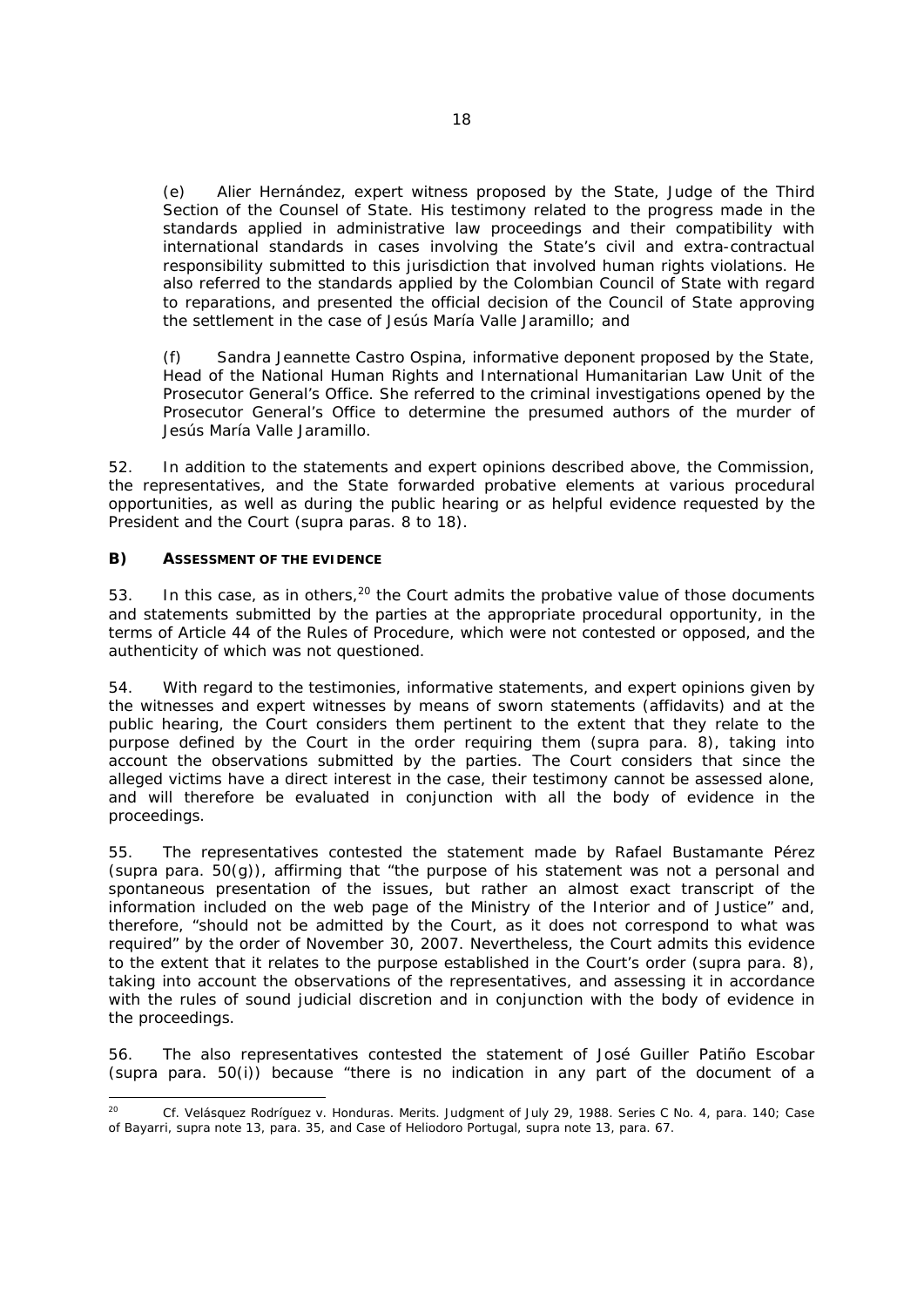(e) *Alier Hernández*, expert witness proposed by the State, Judge of the Third Section of the Counsel of State. His testimony related to the progress made in the standards applied in administrative law proceedings and their compatibility with international standards in cases involving the State's civil and extra-contractual responsibility submitted to this jurisdiction that involved human rights violations. He also referred to the standards applied by the Colombian Council of State with regard to reparations, and presented the official decision of the Council of State approving the settlement in the case of Jesús María Valle Jaramillo; and

(f) *Sandra Jeannette Castro Ospina*, informative deponent proposed by the State, Head of the National Human Rights and International Humanitarian Law Unit of the Prosecutor General's Office. She referred to the criminal investigations opened by the Prosecutor General's Office to determine the presumed authors of the murder of Jesús María Valle Jaramillo.

52. In addition to the statements and expert opinions described above, the Commission, the representatives, and the State forwarded probative elements at various procedural opportunities, as well as during the public hearing or as helpful evidence requested by the President and the Court (*supra* paras. 8 to 18).

# *B) ASSESSMENT OF THE EVIDENCE*

53. In this case, as in others,  $20$  the Court admits the probative value of those documents and statements submitted by the parties at the appropriate procedural opportunity, in the terms of Article 44 of the Rules of Procedure, which were not contested or opposed, and the authenticity of which was not questioned.

54. With regard to the testimonies, informative statements, and expert opinions given by the witnesses and expert witnesses by means of sworn statements (affidavits) and at the public hearing, the Court considers them pertinent to the extent that they relate to the purpose defined by the Court in the order requiring them (*supra* para. 8), taking into account the observations submitted by the parties. The Court considers that since the alleged victims have a direct interest in the case, their testimony cannot be assessed alone, and will therefore be evaluated in conjunction with all the body of evidence in the proceedings.

55. The representatives contested the statement made by Rafael Bustamante Pérez (*supra* para. 50(g)), affirming that "the purpose of his statement was not a personal and spontaneous presentation of the issues, but rather an almost exact transcript of the information included on the web page of the Ministry of the Interior and of Justice" and, therefore, "should not be admitted by the Court, as it does not correspond to what was required" by the order of November 30, 2007. Nevertheless, the Court admits this evidence to the extent that it relates to the purpose established in the Court's order (*supra* para. 8), taking into account the observations of the representatives, and assessing it in accordance with the rules of sound judicial discretion and in conjunction with the body of evidence in the proceedings.

56. The also representatives contested the statement of José Guiller Patiño Escobar (*supra* para. 50(i)) because "there is no indication in any part of the document of a

<sup>-</sup><sup>20</sup> *Cf. Velásquez Rodríguez v. Honduras. Merits*. Judgment of July 29, 1988. Series C No. 4, para. 140; *Case of Bayarri, supra* note 13, para. 35, and *Case of Heliodoro Portugal*, supra note 13, para. 67.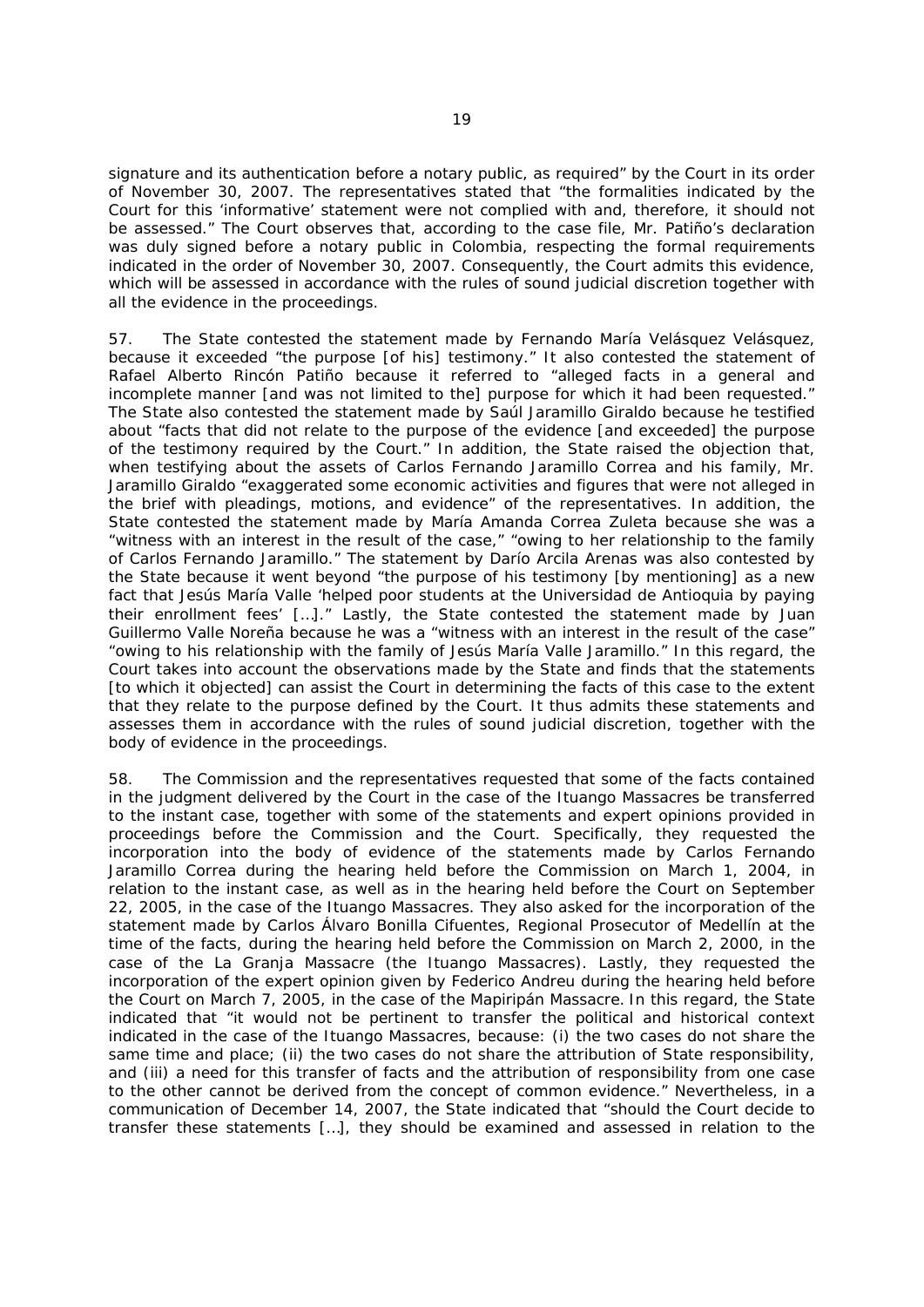signature and its authentication before a notary public, as required" by the Court in its order of November 30, 2007. The representatives stated that "the formalities indicated by the Court for this 'informative' statement were not complied with and, therefore, it should not be assessed." The Court observes that, according to the case file, Mr. Patiño's declaration was duly signed before a notary public in Colombia, respecting the formal requirements indicated in the order of November 30, 2007. Consequently, the Court admits this evidence, which will be assessed in accordance with the rules of sound judicial discretion together with all the evidence in the proceedings.

57. The State contested the statement made by Fernando María Velásquez Velásquez, because it exceeded "the purpose [of his] testimony." It also contested the statement of Rafael Alberto Rincón Patiño because it referred to "alleged facts in a general and incomplete manner [and was not limited to the] purpose for which it had been requested." The State also contested the statement made by Saúl Jaramillo Giraldo because he testified about "facts that did not relate to the purpose of the evidence [and exceeded] the purpose of the testimony required by the Court." In addition, the State raised the objection that, when testifying about the assets of Carlos Fernando Jaramillo Correa and his family, Mr. Jaramillo Giraldo "exaggerated some economic activities and figures that were not alleged in the brief with pleadings, motions, and evidence" of the representatives. In addition, the State contested the statement made by María Amanda Correa Zuleta because she was a "witness with an interest in the result of the case," "owing to her relationship to the family of Carlos Fernando Jaramillo." The statement by Darío Arcila Arenas was also contested by the State because it went beyond "the purpose of his testimony [by mentioning] as a new fact that Jesús María Valle 'helped poor students at the Universidad de Antioquia by paying their enrollment fees' […]." Lastly, the State contested the statement made by Juan Guillermo Valle Noreña because he was a "witness with an interest in the result of the case" "owing to his relationship with the family of Jesús María Valle Jaramillo." In this regard, the Court takes into account the observations made by the State and finds that the statements [to which it objected] can assist the Court in determining the facts of this case to the extent that they relate to the purpose defined by the Court. It thus admits these statements and assesses them in accordance with the rules of sound judicial discretion, together with the body of evidence in the proceedings.

58. The Commission and the representatives requested that some of the facts contained in the judgment delivered by the Court in the *case of the Ituango Massacres* be transferred to the instant case, together with some of the statements and expert opinions provided in proceedings before the Commission and the Court. Specifically, they requested the incorporation into the body of evidence of the statements made by Carlos Fernando Jaramillo Correa during the hearing held before the Commission on March 1, 2004, in relation to the instant case, as well as in the hearing held before the Court on September 22, 2005, in the case of the Ituango Massacres. They also asked for the incorporation of the statement made by Carlos Álvaro Bonilla Cifuentes, Regional Prosecutor of Medellín at the time of the facts, during the hearing held before the Commission on March 2, 2000, in the case of the La Granja Massacre (the Ituango Massacres). Lastly, they requested the incorporation of the expert opinion given by Federico Andreu during the hearing held before the Court on March 7, 2005, in the case of the Mapiripán Massacre. In this regard, the State indicated that "it would not be pertinent to transfer the political and historical context indicated in the case of the Ituango Massacres, because: (i) the two cases do not share the same time and place; (ii) the two cases do not share the attribution of State responsibility, and (iii) a need for this transfer of facts and the attribution of responsibility from one case to the other cannot be derived from the concept of common evidence." Nevertheless, in a communication of December 14, 2007, the State indicated that "should the Court decide to transfer these statements […], they should be examined and assessed in relation to the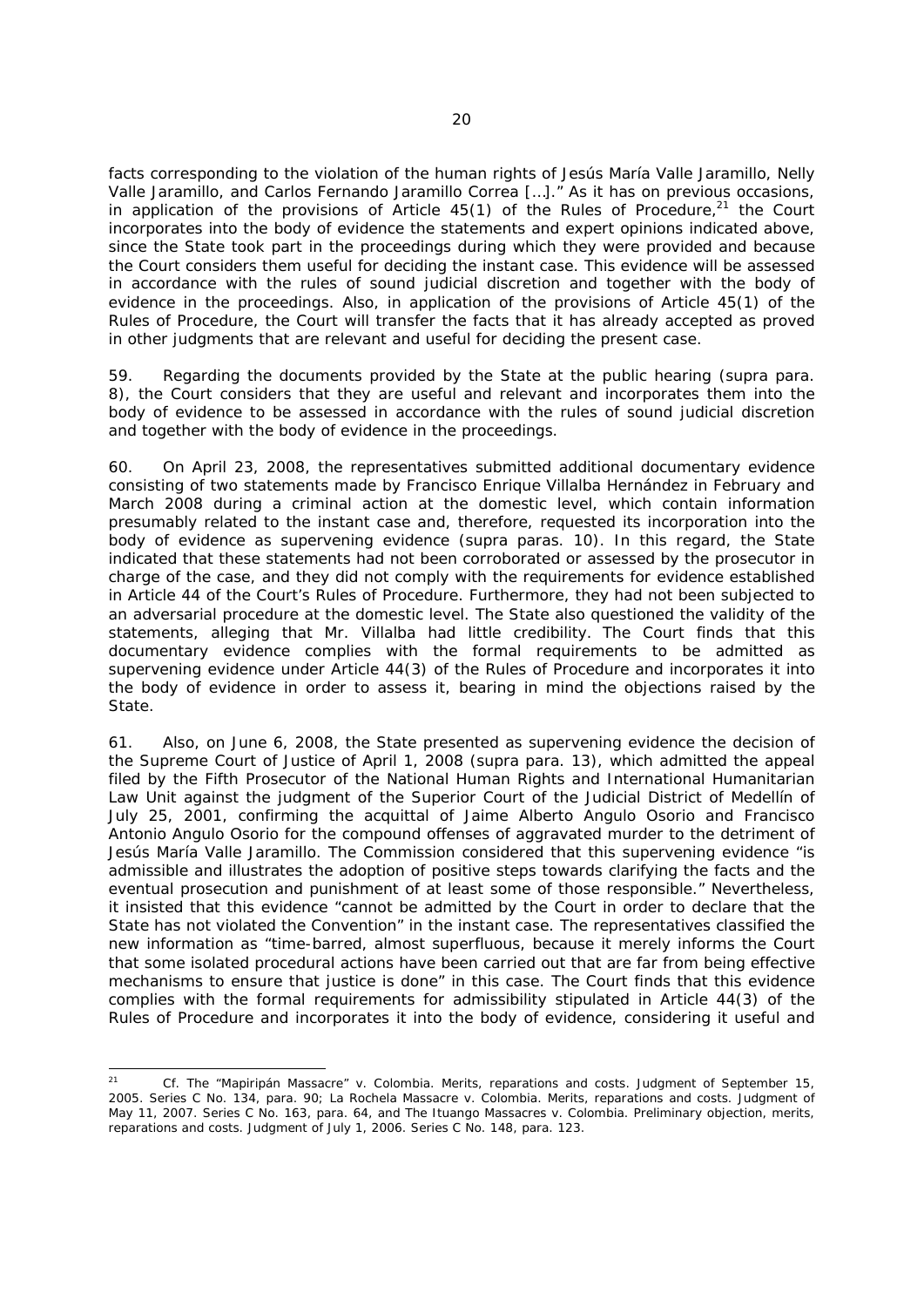facts corresponding to the violation of the human rights of Jesús María Valle Jaramillo, Nelly Valle Jaramillo, and Carlos Fernando Jaramillo Correa […]." As it has on previous occasions, in application of the provisions of Article  $45(1)$  of the Rules of Procedure,<sup>21</sup> the Court incorporates into the body of evidence the statements and expert opinions indicated above, since the State took part in the proceedings during which they were provided and because the Court considers them useful for deciding the instant case. This evidence will be assessed in accordance with the rules of sound judicial discretion and together with the body of evidence in the proceedings. Also, in application of the provisions of Article 45(1) of the Rules of Procedure, the Court will transfer the facts that it has already accepted as proved in other judgments that are relevant and useful for deciding the present case.

59. Regarding the documents provided by the State at the public hearing (*supra* para. 8), the Court considers that they are useful and relevant and incorporates them into the body of evidence to be assessed in accordance with the rules of sound judicial discretion and together with the body of evidence in the proceedings.

60. On April 23, 2008, the representatives submitted additional documentary evidence consisting of two statements made by Francisco Enrique Villalba Hernández in February and March 2008 during a criminal action at the domestic level, which contain information presumably related to the instant case and, therefore, requested its incorporation into the body of evidence as supervening evidence (*supra* paras. 10). In this regard, the State indicated that these statements had not been corroborated or assessed by the prosecutor in charge of the case, and they did not comply with the requirements for evidence established in Article 44 of the Court's Rules of Procedure. Furthermore, they had not been subjected to an adversarial procedure at the domestic level. The State also questioned the validity of the statements, alleging that Mr. Villalba had little credibility. The Court finds that this documentary evidence complies with the formal requirements to be admitted as supervening evidence under Article 44(3) of the Rules of Procedure and incorporates it into the body of evidence in order to assess it, bearing in mind the objections raised by the State.

61. Also, on June 6, 2008, the State presented as supervening evidence the decision of the Supreme Court of Justice of April 1, 2008 (*supra* para. 13), which admitted the appeal filed by the Fifth Prosecutor of the National Human Rights and International Humanitarian Law Unit against the judgment of the Superior Court of the Judicial District of Medellín of July 25, 2001, confirming the acquittal of Jaime Alberto Angulo Osorio and Francisco Antonio Angulo Osorio for the compound offenses of aggravated murder to the detriment of Jesús María Valle Jaramillo. The Commission considered that this supervening evidence "is admissible and illustrates the adoption of positive steps towards clarifying the facts and the eventual prosecution and punishment of at least some of those responsible." Nevertheless, it insisted that this evidence "cannot be admitted by the Court in order to declare that the State has not violated the Convention" in the instant case. The representatives classified the new information as "time-barred, almost superfluous, because it merely informs the Court that some isolated procedural actions have been carried out that are far from being effective mechanisms to ensure that justice is done" in this case. The Court finds that this evidence complies with the formal requirements for admissibility stipulated in Article 44(3) of the Rules of Procedure and incorporates it into the body of evidence, considering it useful and

<sup>21</sup> *Cf. The "Mapiripán Massacre" v. Colombia. Merits, reparations and costs.* Judgment of September 15, 2005. Series C No. 134, para. 90; *La Rochela Massacre v. Colombia. Merits, reparations and costs*. Judgment of May 11, 2007. Series C No. 163, para. 64, and *The Ituango Massacres v. Colombia. Preliminary objection, merits, reparations and costs*. Judgment of July 1, 2006. Series C No. 148, para. 123.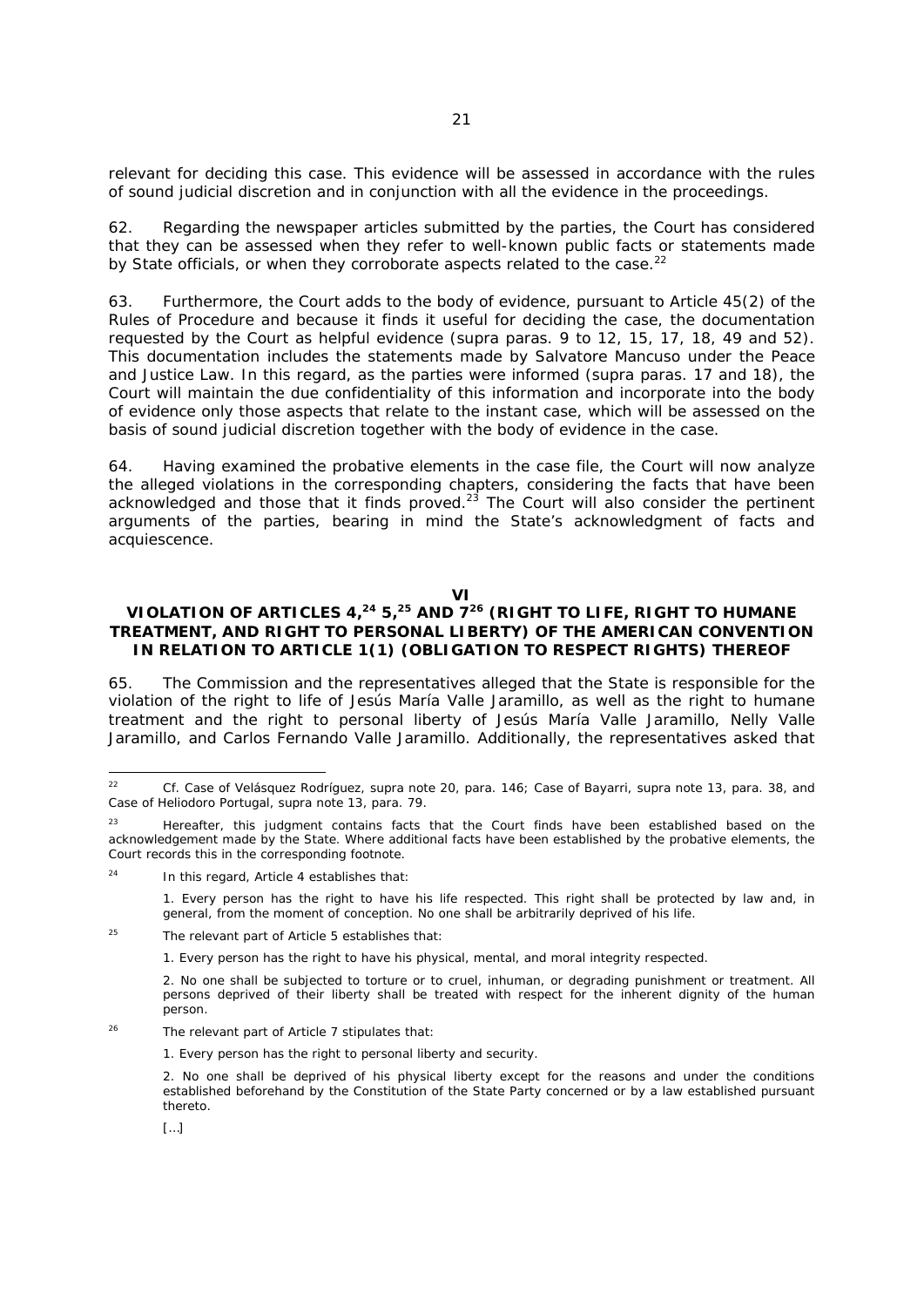relevant for deciding this case. This evidence will be assessed in accordance with the rules of sound judicial discretion and in conjunction with all the evidence in the proceedings.

62. Regarding the newspaper articles submitted by the parties, the Court has considered that they can be assessed when they refer to well-known public facts or statements made by State officials, or when they corroborate aspects related to the case. $^{22}$ 

63. Furthermore, the Court adds to the body of evidence, pursuant to Article 45(2) of the Rules of Procedure and because it finds it useful for deciding the case, the documentation requested by the Court as helpful evidence (*supra* paras. 9 to 12, 15, 17, 18, 49 and 52). This documentation includes the statements made by Salvatore Mancuso under the Peace and Justice Law. In this regard, as the parties were informed (*supra* paras. 17 and 18), the Court will maintain the due confidentiality of this information and incorporate into the body of evidence only those aspects that relate to the instant case, which will be assessed on the basis of sound judicial discretion together with the body of evidence in the case.

64. Having examined the probative elements in the case file, the Court will now analyze the alleged violations in the corresponding chapters, considering the facts that have been acknowledged and those that it finds proved. $23$  The Court will also consider the pertinent arguments of the parties, bearing in mind the State's acknowledgment of facts and acquiescence.

# **VI**

# **VIOLATION OF ARTICLES 4,24 5,25 AND 726 (RIGHT TO LIFE, RIGHT TO HUMANE TREATMENT, AND RIGHT TO PERSONAL LIBERTY) OF THE AMERICAN CONVENTION IN RELATION TO ARTICLE 1(1) (OBLIGATION TO RESPECT RIGHTS) THEREOF**

65. The Commission and the representatives alleged that the State is responsible for the violation of the right to life of Jesús María Valle Jaramillo, as well as the right to humane treatment and the right to personal liberty of Jesús María Valle Jaramillo, Nelly Valle Jaramillo, and Carlos Fernando Valle Jaramillo. Additionally, the representatives asked that

1. Every person has the right to personal liberty and security.

[…]

<sup>22</sup> <sup>22</sup> *Cf. Case of Velásquez Rodríguez, supra* note 20, para. 146; *Case of Bayarri, supra* note 13, para. 38, and *Case of Heliodoro Portugal, supra* note 13, para. 79.

<sup>&</sup>lt;sup>23</sup> Hereafter, this judgment contains facts that the Court finds have been established based on the acknowledgement made by the State. Where additional facts have been established by the probative elements, the Court records this in the corresponding footnote.

 $24$  In this regard, Article 4 establishes that:

<sup>1.</sup> Every person has the right to have his life respected. This right shall be protected by law and, in general, from the moment of conception. No one shall be arbitrarily deprived of his life.

 $25$  The relevant part of Article 5 establishes that:

<sup>1.</sup> Every person has the right to have his physical, mental, and moral integrity respected.

<sup>2.</sup> No one shall be subjected to torture or to cruel, inhuman, or degrading punishment or treatment. All persons deprived of their liberty shall be treated with respect for the inherent dignity of the human person.

 $26$  The relevant part of Article 7 stipulates that:

<sup>2.</sup> No one shall be deprived of his physical liberty except for the reasons and under the conditions established beforehand by the Constitution of the State Party concerned or by a law established pursuant thereto.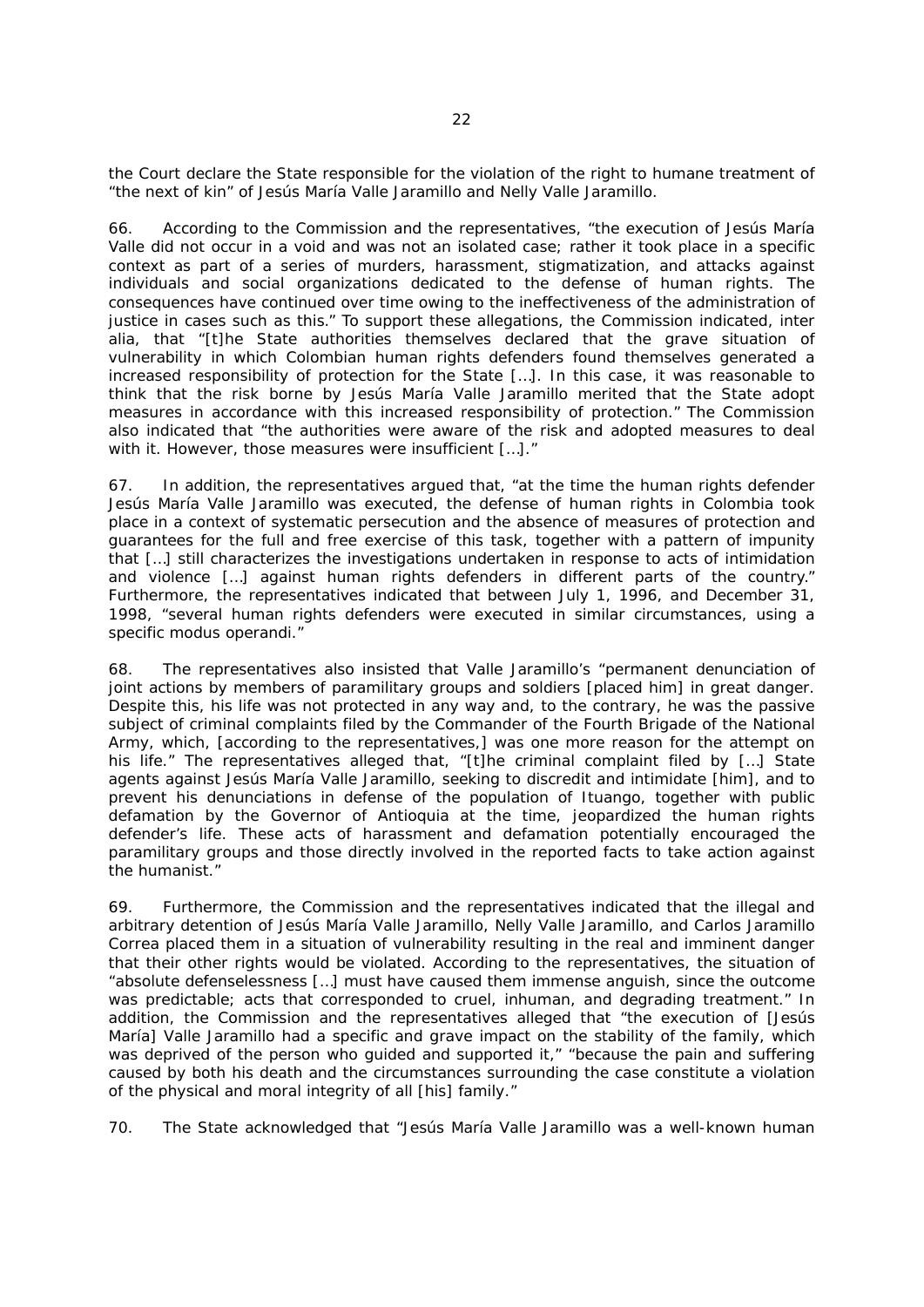the Court declare the State responsible for the violation of the right to humane treatment of "the next of kin" of Jesús María Valle Jaramillo and Nelly Valle Jaramillo.

66. According to the Commission and the representatives, "the execution of Jesús María Valle did not occur in a void and was not an isolated case; rather it took place in a specific context as part of a series of murders, harassment, stigmatization, and attacks against individuals and social organizations dedicated to the defense of human rights. The consequences have continued over time owing to the ineffectiveness of the administration of justice in cases such as this." To support these allegations, the Commission indicated, *inter alia*, that "[t]he State authorities themselves declared that the grave situation of vulnerability in which Colombian human rights defenders found themselves generated a increased responsibility of protection for the State […]. In this case, it was reasonable to think that the risk borne by Jesús María Valle Jaramillo merited that the State adopt measures in accordance with this increased responsibility of protection." The Commission also indicated that "the authorities were aware of the risk and adopted measures to deal with it. However, those measures were insufficient [...]."

67. In addition, the representatives argued that, "at the time the human rights defender Jesús María Valle Jaramillo was executed, the defense of human rights in Colombia took place in a context of systematic persecution and the absence of measures of protection and guarantees for the full and free exercise of this task, together with a pattern of impunity that […] still characterizes the investigations undertaken in response to acts of intimidation and violence […] against human rights defenders in different parts of the country." Furthermore, the representatives indicated that between July 1, 1996, and December 31, 1998, "several human rights defenders were executed in similar circumstances, using a specific *modus operandi.*"

68. The representatives also insisted that Valle Jaramillo's "permanent denunciation of joint actions by members of paramilitary groups and soldiers [placed him] in great danger. Despite this, his life was not protected in any way and, to the contrary, he was the passive subject of criminal complaints filed by the Commander of the Fourth Brigade of the National Army, which, [according to the representatives,] was one more reason for the attempt on his life." The representatives alleged that, "[t]he criminal complaint filed by [...] State agents against Jesús María Valle Jaramillo, seeking to discredit and intimidate [him], and to prevent his denunciations in defense of the population of Ituango, together with public defamation by the Governor of Antioquia at the time, jeopardized the human rights defender's life. These acts of harassment and defamation potentially encouraged the paramilitary groups and those directly involved in the reported facts to take action against the humanist."

69. Furthermore, the Commission and the representatives indicated that the illegal and arbitrary detention of Jesús María Valle Jaramillo, Nelly Valle Jaramillo, and Carlos Jaramillo Correa placed them in a situation of vulnerability resulting in the real and imminent danger that their other rights would be violated. According to the representatives, the situation of "absolute defenselessness […] must have caused them immense anguish, since the outcome was predictable; acts that corresponded to cruel, inhuman, and degrading treatment." In addition, the Commission and the representatives alleged that "the execution of [Jesús María] Valle Jaramillo had a specific and grave impact on the stability of the family, which was deprived of the person who guided and supported it," "because the pain and suffering caused by both his death and the circumstances surrounding the case constitute a violation of the physical and moral integrity of all [his] family."

70. The State acknowledged that "Jesús María Valle Jaramillo was a well-known human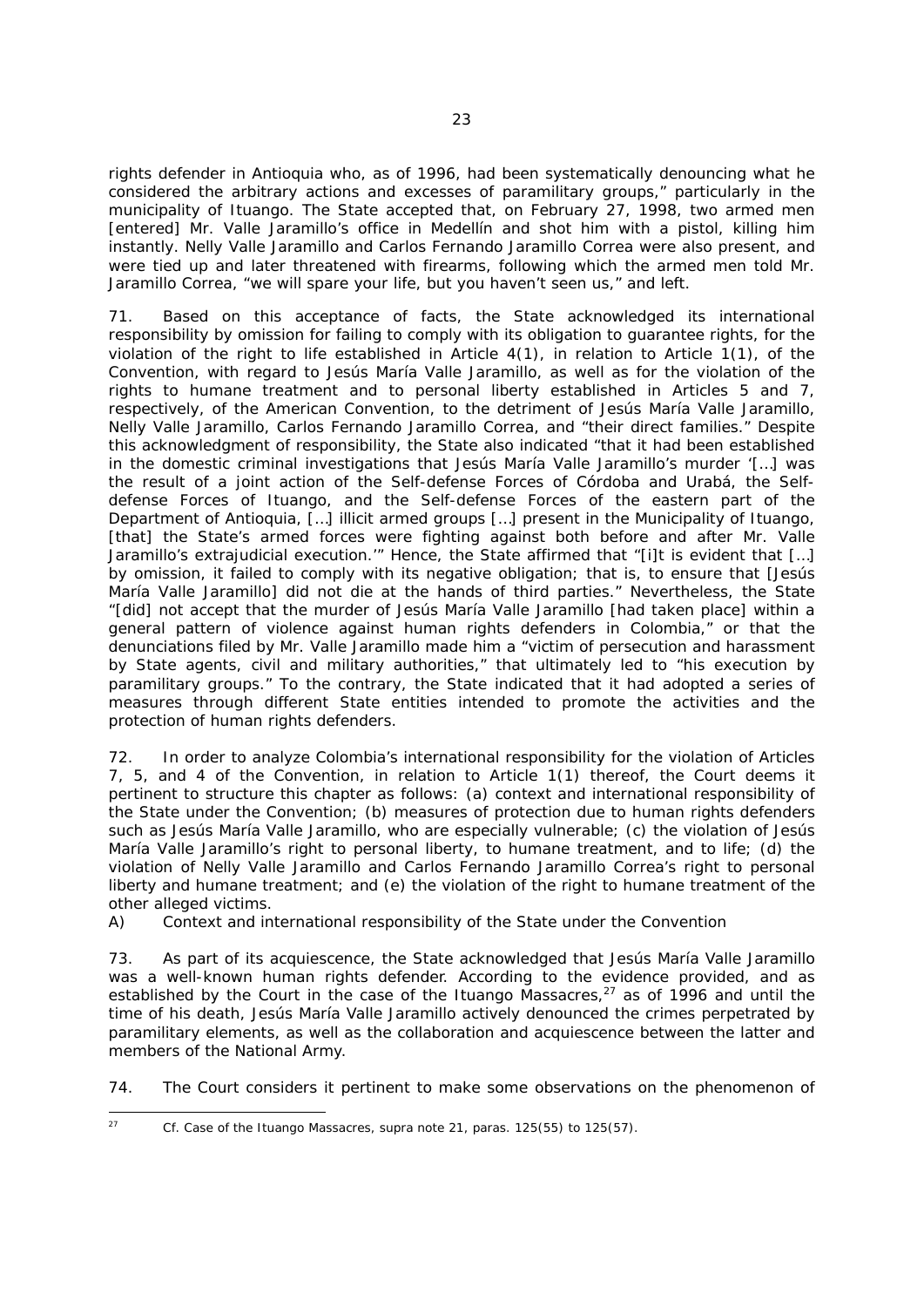rights defender in Antioquia who, as of 1996, had been systematically denouncing what he considered the arbitrary actions and excesses of paramilitary groups," particularly in the municipality of Ituango. The State accepted that, on February 27, 1998, two armed men [entered] Mr. Valle Jaramillo's office in Medellín and shot him with a pistol, killing him instantly. Nelly Valle Jaramillo and Carlos Fernando Jaramillo Correa were also present, and were tied up and later threatened with firearms, following which the armed men told Mr. Jaramillo Correa, "we will spare your life, but you haven't seen us," and left.

71. Based on this acceptance of facts, the State acknowledged its international responsibility by omission for failing to comply with its obligation to guarantee rights, for the violation of the right to life established in Article 4(1), in relation to Article 1(1), of the Convention, with regard to Jesús María Valle Jaramillo, as well as for the violation of the rights to humane treatment and to personal liberty established in Articles 5 and 7, respectively, of the American Convention, to the detriment of Jesús María Valle Jaramillo, Nelly Valle Jaramillo, Carlos Fernando Jaramillo Correa, and "their direct families." Despite this acknowledgment of responsibility, the State also indicated "that it had been established in the domestic criminal investigations that Jesús María Valle Jaramillo's murder '[…] was the result of a joint action of the Self-defense Forces of Córdoba and Urabá, the Selfdefense Forces of Ituango, and the Self-defense Forces of the eastern part of the Department of Antioquia, […] illicit armed groups […] present in the Municipality of Ituango, [that] the State's armed forces were fighting against both before and after Mr. Valle Jaramillo's extrajudicial execution.'" Hence, the State affirmed that "[i]t is evident that […] by omission, it failed to comply with its negative obligation; that is, to ensure that [Jesús María Valle Jaramillo] did not die at the hands of third parties." Nevertheless, the State "[did] not accept that the murder of Jesús María Valle Jaramillo [had taken place] within a general pattern of violence against human rights defenders in Colombia," or that the denunciations filed by Mr. Valle Jaramillo made him a "victim of persecution and harassment by State agents, civil and military authorities," that ultimately led to "his execution by paramilitary groups." To the contrary, the State indicated that it had adopted a series of measures through different State entities intended to promote the activities and the protection of human rights defenders.

72. In order to analyze Colombia's international responsibility for the violation of Articles 7, 5, and 4 of the Convention, in relation to Article 1(1) thereof, the Court deems it pertinent to structure this chapter as follows: (a) context and international responsibility of the State under the Convention; (b) measures of protection due to human rights defenders such as Jesús María Valle Jaramillo, who are especially vulnerable; (c) the violation of Jesús María Valle Jaramillo's right to personal liberty, to humane treatment, and to life; (d) the violation of Nelly Valle Jaramillo and Carlos Fernando Jaramillo Correa's right to personal liberty and humane treatment; and (e) the violation of the right to humane treatment of the other alleged victims.

*A) Context and international responsibility of the State under the Convention* 

73. As part of its acquiescence, the State acknowledged that Jesús María Valle Jaramillo was a well-known human rights defender. According to the evidence provided, and as established by the Court in the *case of the Ituango Massacres*, 27 as of 1996 and until the time of his death, Jesús María Valle Jaramillo actively denounced the crimes perpetrated by paramilitary elements, as well as the collaboration and acquiescence between the latter and members of the National Army.

74. The Court considers it pertinent to make some observations on the phenomenon of

 $\overline{27}$ 27 *Cf. Case of the Ituango Massacres, supra* note 21*,* paras. 125(55) to 125(57).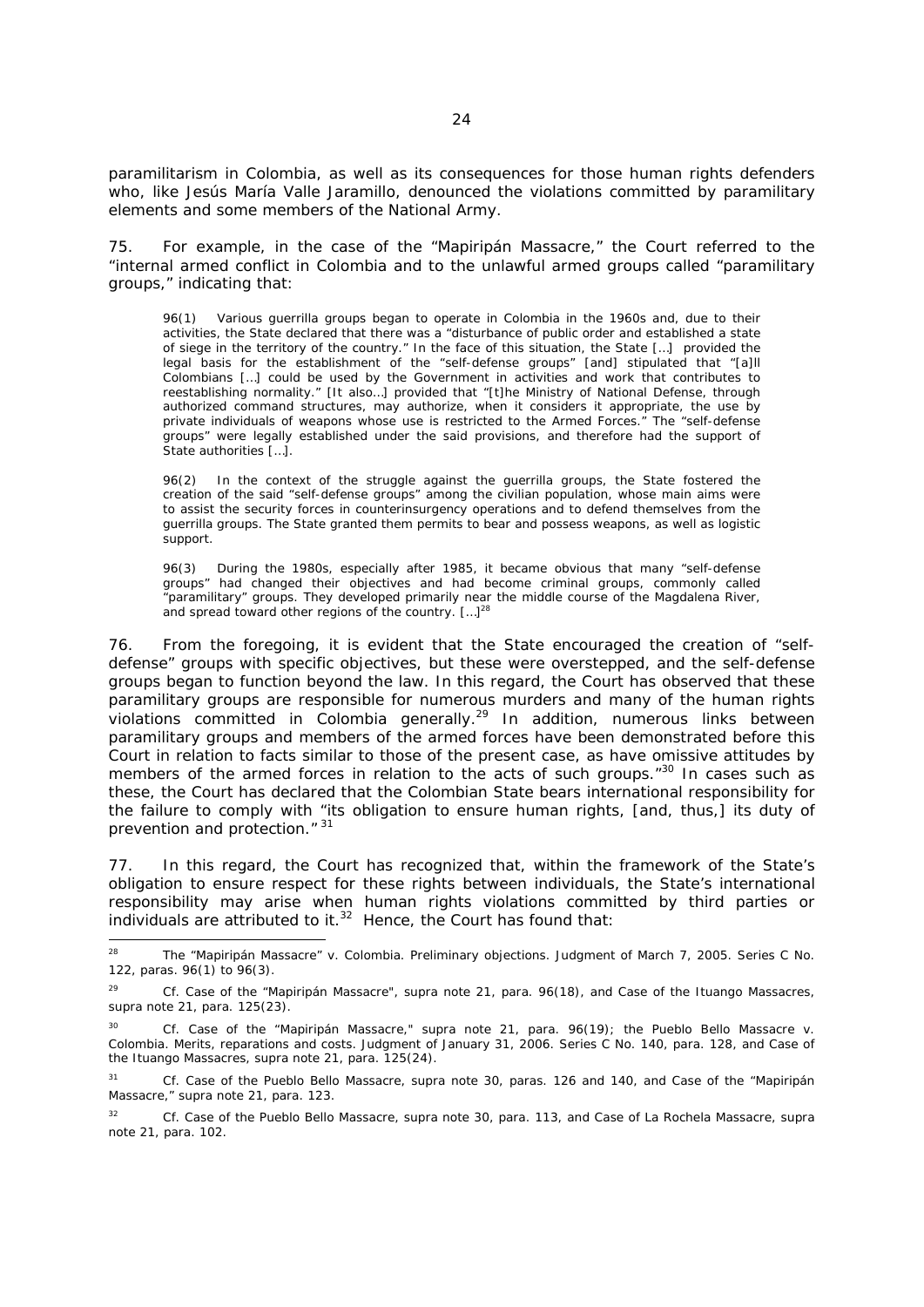paramilitarism in Colombia, as well as its consequences for those human rights defenders who, like Jesús María Valle Jaramillo, denounced the violations committed by paramilitary elements and some members of the National Army.

75. For example, in the *case of the "Mapiripán Massacre*," the Court referred to the "internal armed conflict in Colombia and to the unlawful armed groups called "paramilitary groups," indicating that:

96(1) Various guerrilla groups began to operate in Colombia in the 1960s and, due to their activities, the State declared that there was a "disturbance of public order and established a state of siege in the territory of the country." In the face of this situation, the State […] provided the legal basis for the establishment of the "self-defense groups" [and] stipulated that "[a]ll Colombians […] could be used by the Government in activities and work that contributes to reestablishing normality." [It also…] provided that "[t]he Ministry of National Defense, through authorized command structures, may authorize, when it considers it appropriate, the use by private individuals of weapons whose use is restricted to the Armed Forces." The "self-defense groups" were legally established under the said provisions, and therefore had the support of State authorities […].

96(2) In the context of the struggle against the guerrilla groups, the State fostered the creation of the said "self-defense groups" among the civilian population, whose main aims were to assist the security forces in counterinsurgency operations and to defend themselves from the guerrilla groups. The State granted them permits to bear and possess weapons, as well as logistic support.

96(3) During the 1980s, especially after 1985, it became obvious that many "self-defense groups" had changed their objectives and had become criminal groups, commonly called "paramilitary" groups. They developed primarily near the middle course of the Magdalena River, and spread toward other regions of the country. [...]<sup>28</sup>

76. From the foregoing, it is evident that the State encouraged the creation of "selfdefense" groups with specific objectives, but these were overstepped, and the self-defense groups began to function beyond the law. In this regard, the Court has observed that these paramilitary groups are responsible for numerous murders and many of the human rights violations committed in Colombia generally.<sup>29</sup> In addition, numerous links between paramilitary groups and members of the armed forces have been demonstrated before this Court in relation to facts similar to those of the present case, as have omissive attitudes by members of the armed forces in relation to the acts of such groups.<sup>"30</sup> In cases such as these, the Court has declared that the Colombian State bears international responsibility for the failure to comply with "its obligation to ensure human rights, [and, thus,] its duty of prevention and protection." 31

77. In this regard, the Court has recognized that, within the framework of the State's obligation to ensure respect for these rights between individuals, the State's international responsibility may arise when human rights violations committed by third parties or individuals are attributed to it. $32$  Hence, the Court has found that:

 $28$ 28 *The "Mapiripán Massacre" v. Colombia*. *Preliminary objections*. Judgment of March 7, 2005. Series C No. 122, paras. 96(1) to 96(3).

<sup>29</sup> *Cf. Case of the "Mapiripán Massacre", supra* note 21, para. 96(18), and *Case of the Ituango Massacres, supra* note 21, para. 125(23).

<sup>30</sup> *Cf. Case of the "Mapiripán Massacre," supra* note 21, para. 96(19); *the Pueblo Bello Massacre v. Colombia. Merits, reparations and costs.* Judgment of January 31, 2006. Series C No. 140, para. 128, and *Case of the Ituango Massacres, supra* note 21, para. 125(24).

<sup>31</sup> *Cf. Case of the Pueblo Bello Massacre,* supra note 30, paras. 126 and 140, and Case of *the "Mapiripán Massacre,"* supra note 21, para. 123.

<sup>32</sup> *Cf. Case of the Pueblo Bello Massacre, supra* note 30, para. 113, and *Case of La Rochela Massacre, supra*  note 21, para. 102.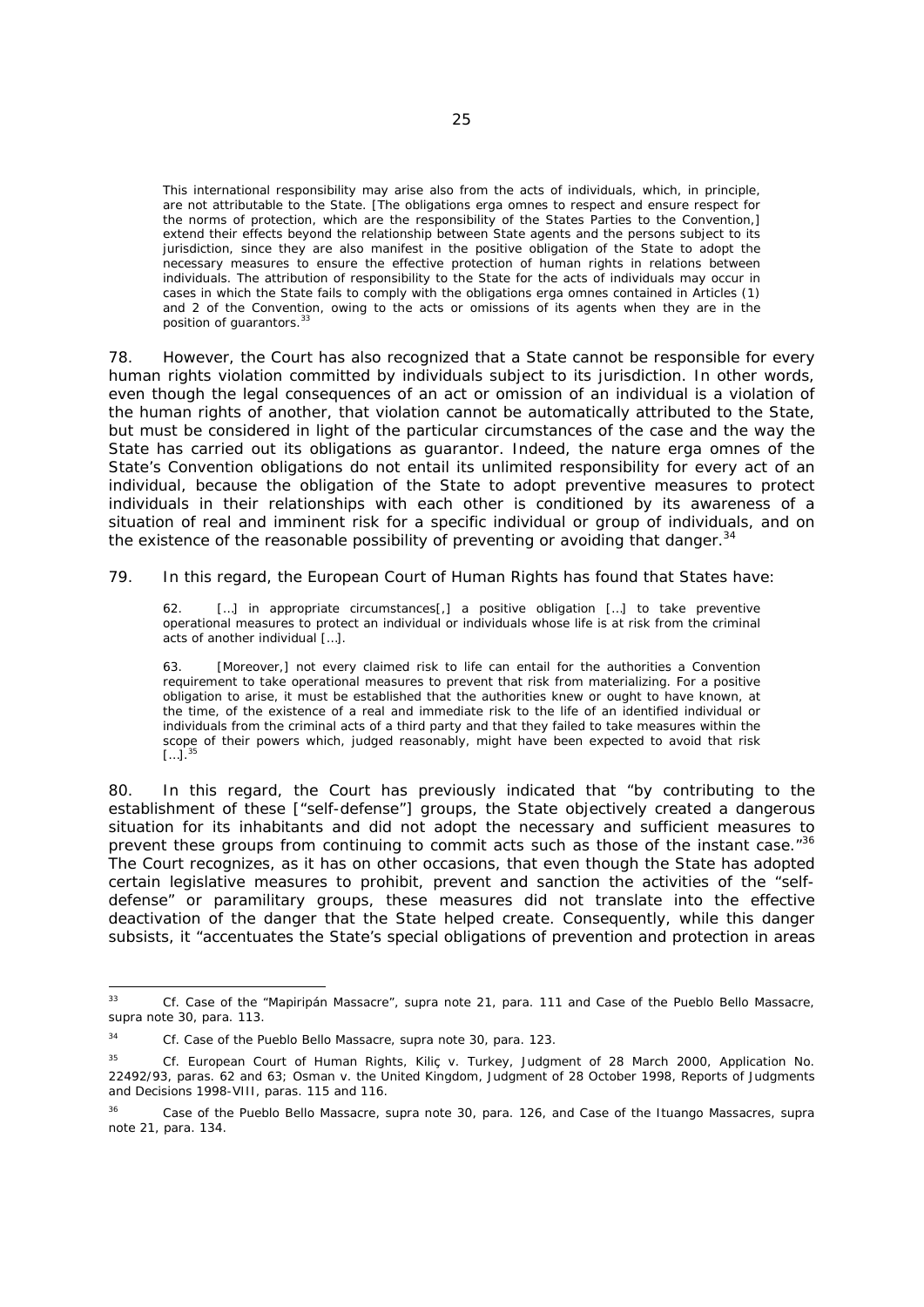This international responsibility may arise also from the acts of individuals, which, in principle, are not attributable to the State. [The obligations *erga omnes* to respect and ensure respect for the norms of protection, which are the responsibility of the States Parties to the Convention,] extend their effects beyond the relationship between State agents and the persons subject to its jurisdiction, since they are also manifest in the positive obligation of the State to adopt the necessary measures to ensure the effective protection of human rights in relations between individuals. The attribution of responsibility to the State for the acts of individuals may occur in cases in which the State fails to comply with the obligations *erga omnes* contained in Articles (1) and 2 of the Convention, owing to the acts or omissions of its agents when they are in the position of quarantors.<sup>3</sup>

78. However, the Court has also recognized that a State cannot be responsible for every human rights violation committed by individuals subject to its jurisdiction. In other words, even though the legal consequences of an act or omission of an individual is a violation of the human rights of another, that violation cannot be automatically attributed to the State, but must be considered in light of the particular circumstances of the case and the way the State has carried out its obligations as guarantor. Indeed, the nature *erga omnes* of the State's Convention obligations do not entail its unlimited responsibility for every act of an individual, because the obligation of the State to adopt preventive measures to protect individuals in their relationships with each other is conditioned by its awareness of a situation of real and imminent risk for a specific individual or group of individuals, and on the existence of the reasonable possibility of preventing or avoiding that danger.  $34$ 

79. In this regard, the European Court of Human Rights has found that States have:

62. […] in appropriate circumstances[,] a positive obligation […] to take preventive operational measures to protect an individual or individuals whose life is at risk from the criminal acts of another individual […].

63. [Moreover,] not every claimed risk to life can entail for the authorities a Convention requirement to take operational measures to prevent that risk from materializing. For a positive obligation to arise, it must be established that the authorities knew or ought to have known, at the time, of the existence of a real and immediate risk to the life of an identified individual or individuals from the criminal acts of a third party and that they failed to take measures within the scope of their powers which, judged reasonably, might have been expected to avoid that risk […].35

80. In this regard, the Court has previously indicated that "by contributing to the establishment of these ["self-defense"] groups, the State objectively created a dangerous situation for its inhabitants and did not adopt the necessary and sufficient measures to prevent these groups from continuing to commit acts such as those of the instant case."<sup>36</sup> The Court recognizes, as it has on other occasions, that even though the State has adopted certain legislative measures to prohibit, prevent and sanction the activities of the "selfdefense" or paramilitary groups, these measures did not translate into the effective deactivation of the danger that the State helped create. Consequently, while this danger subsists, it "accentuates the State's special obligations of prevention and protection in areas

 $33$ 33 *Cf.* Case of the "Mapiripán Massacre", supra note 21, para. 111 and *Case of the Pueblo Bello Massacre*, supra note 30, para. 113.

<sup>34</sup> *Cf. Case of the Pueblo Bello Massacre*, supra note 30, para. 123.

<sup>35</sup> *Cf. European Court of Human Rights, Kiliç v. Turkey*, Judgment of 28 March 2000, Application No. 22492/93, paras. 62 and 63; *Osman v. the United Kingdom*, Judgment of 28 October 1998, Reports of Judgments and Decisions 1998-VIII, paras. 115 and 116.

<sup>36</sup> *Case of the Pueblo Bello Massacre, supra* note 30, para. 126, and *Case of the Ituango Massacres, supra*  note 21, para. 134.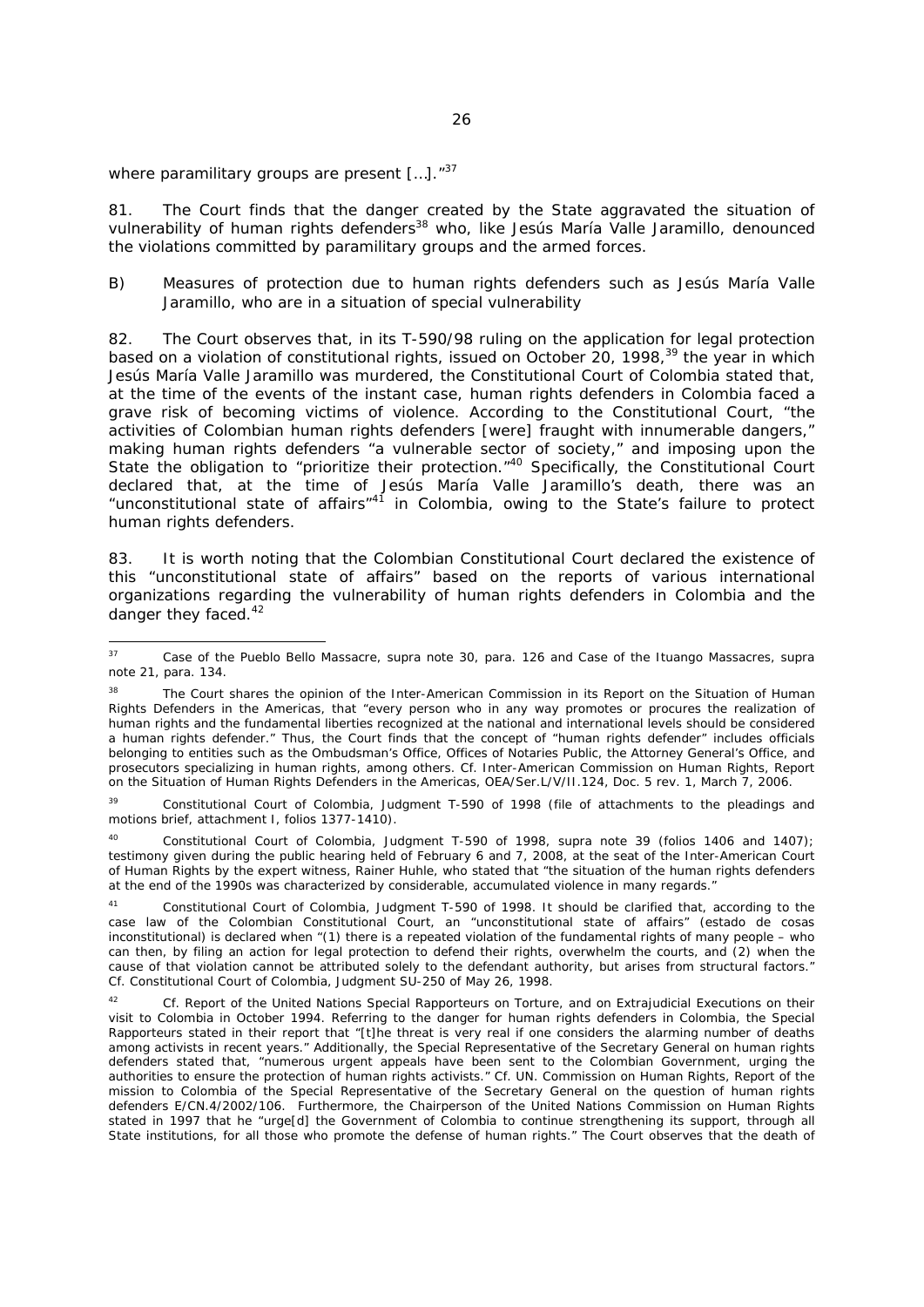where paramilitary groups are present [...]. "37

81. The Court finds that the danger created by the State aggravated the situation of vulnerability of human rights defenders<sup>38</sup> who, like Jesús María Valle Jaramillo, denounced the violations committed by paramilitary groups and the armed forces.

# *B) Measures of protection due to human rights defenders such as Jesús María Valle Jaramillo, who are in a situation of special vulnerability*

82. The Court observes that, in its T-590/98 ruling on the application for legal protection based on a violation of constitutional rights, issued on October 20, 1998,<sup>39</sup> the year in which Jesús María Valle Jaramillo was murdered, the Constitutional Court of Colombia stated that, at the time of the events of the instant case, human rights defenders in Colombia faced a grave risk of becoming victims of violence. According to the Constitutional Court, "the activities of Colombian human rights defenders [were] fraught with innumerable dangers," making human rights defenders "a vulnerable sector of society," and imposing upon the State the obligation to "prioritize their protection."<sup>40</sup> Specifically, the Constitutional Court declared that, at the time of Jesús María Valle Jaramillo's death, there was an "unconstitutional state of affairs*"*41 in Colombia, owing to the State's failure to protect human rights defenders.

83. It is worth noting that the Colombian Constitutional Court declared the existence of this "unconstitutional state of affairs" based on the reports of various international organizations regarding the vulnerability of human rights defenders in Colombia and the danger they faced.<sup>42</sup>

<sup>39</sup> Constitutional Court of Colombia, Judgment T-590 of 1998 (file of attachments to the pleadings and motions brief, attachment I, folios 1377-1410).

40 Constitutional Court of Colombia, Judgment T-590 of 1998, *supra* note 39 (folios 1406 and 1407); testimony given during the public hearing held of February 6 and 7, 2008, at the seat of the Inter-American Court of Human Rights by the expert witness, Rainer Huhle, who stated that "the situation of the human rights defenders at the end of the 1990s was characterized by considerable, accumulated violence in many regards."

41 Constitutional Court of Colombia, Judgment T-590 of 1998. It should be clarified that, according to the case law of the Colombian Constitutional Court, an "unconstitutional state of affairs" (*estado de cosas inconstitutional)* is declared when "(1) there is a repeated violation of the fundamental rights of many people – who can then, by filing an action for legal protection to defend their rights, overwhelm the courts, and (2) when the cause of that violation cannot be attributed solely to the defendant authority, but arises from structural factors." *Cf.* Constitutional Court of Colombia, Judgment SU-250 of May 26, 1998.

 $37$ 37 *Case of the Pueblo Bello Massacre, supra* note 30, para. 126 and *Case of the Ituango Massacres, supra*  note 21, para. 134.

<sup>&</sup>lt;sup>38</sup> The Court shares the opinion of the Inter-American Commission in its Report on the Situation of Human Rights Defenders in the Americas, that "every person who in any way promotes or procures the realization of human rights and the fundamental liberties recognized at the national and international levels should be considered a human rights defender." Thus, the Court finds that the concept of "human rights defender" includes officials belonging to entities such as the Ombudsman's Office, Offices of Notaries Public, the Attorney General's Office, and prosecutors specializing in human rights, among others. *Cf.* Inter-American Commission on Human Rights, Report on the Situation of Human Rights Defenders in the Americas, OEA/Ser.L/V/II.124, Doc. 5 rev. 1, March 7, 2006.

<sup>42</sup> *Cf.* Report of the United Nations Special Rapporteurs on Torture, and on Extrajudicial Executions on their visit to Colombia in October 1994. Referring to the danger for human rights defenders in Colombia, the Special Rapporteurs stated in their report that "[t]he threat is very real if one considers the alarming number of deaths among activists in recent years." Additionally, the Special Representative of the Secretary General on human rights defenders stated that, "numerous urgent appeals have been sent to the Colombian Government, urging the authorities to ensure the protection of human rights activists." *Cf.* UN. Commission on Human Rights, Report of the mission to Colombia of the Special Representative of the Secretary General on the question of human rights defenders E/CN.4/2002/106. Furthermore, the Chairperson of the United Nations Commission on Human Rights stated in 1997 that he "urge[d] the Government of Colombia to continue strengthening its support, through all State institutions, for all those who promote the defense of human rights." The Court observes that the death of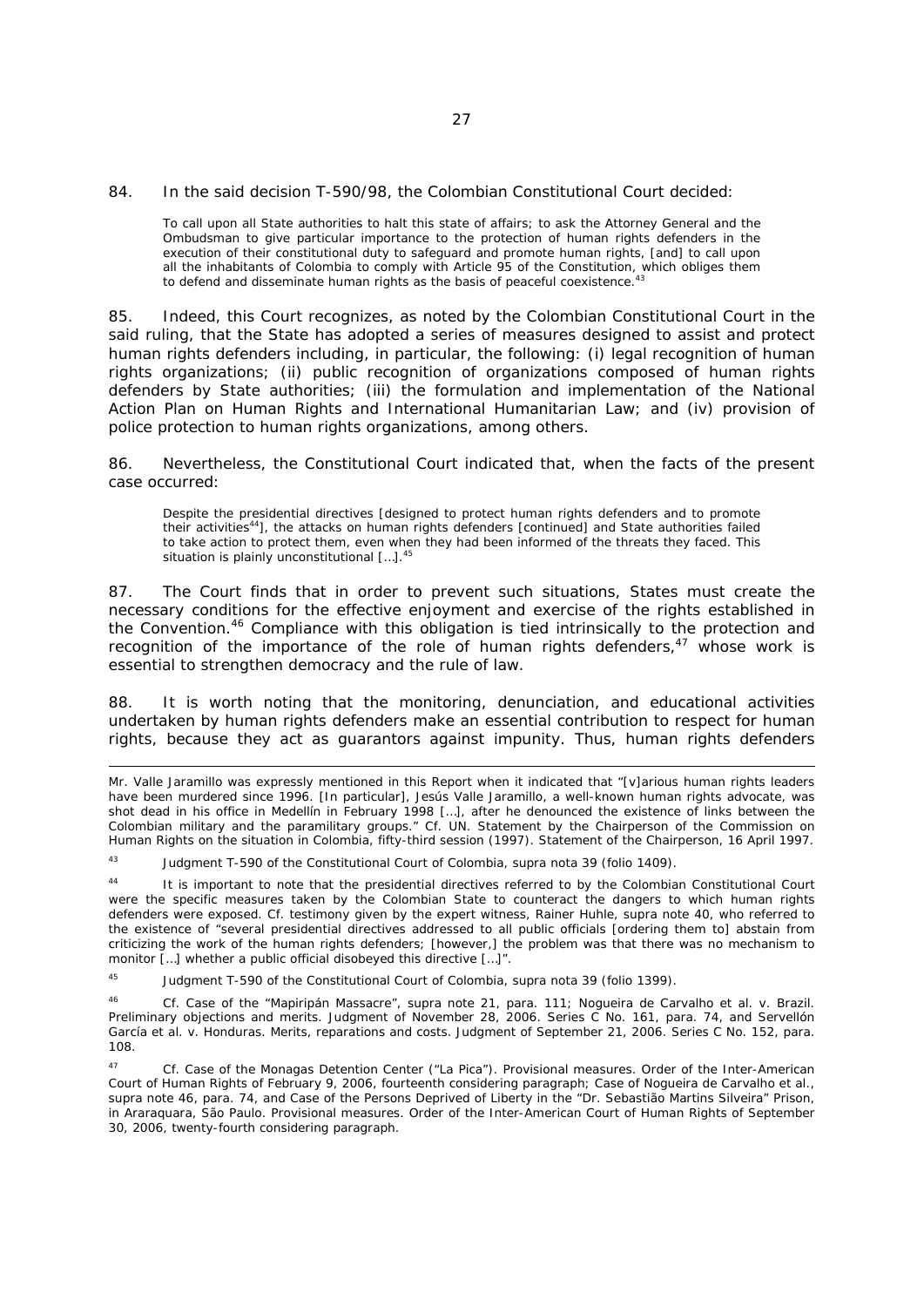84. In the said decision T-590/98, the Colombian Constitutional Court decided:

To call upon all State authorities to halt this state of affairs; to ask the Attorney General and the Ombudsman to give particular importance to the protection of human rights defenders in the execution of their constitutional duty to safeguard and promote human rights, [and] to call upon all the inhabitants of Colombia to comply with Article 95 of the Constitution, which obliges them to defend and disseminate human rights as the basis of peaceful coexistence.<sup>43</sup>

85. Indeed, this Court recognizes, as noted by the Colombian Constitutional Court in the said ruling, that the State has adopted a series of measures designed to assist and protect human rights defenders including, in particular, the following: (i) legal recognition of human rights organizations; (ii) public recognition of organizations composed of human rights defenders by State authorities; (iii) the formulation and implementation of the National Action Plan on Human Rights and International Humanitarian Law; and (iv) provision of police protection to human rights organizations, among others.

86. Nevertheless, the Constitutional Court indicated that, when the facts of the present case occurred:

Despite the presidential directives [designed to protect human rights defenders and to promote their activities<sup>44</sup>], the attacks on human rights defenders [continued] and State authorities failed to take action to protect them, even when they had been informed of the threats they faced. This situation is plainly unconstitutional [...].<sup>4</sup>

87. The Court finds that in order to prevent such situations, States must create the necessary conditions for the effective enjoyment and exercise of the rights established in the Convention.<sup>46</sup> Compliance with this obligation is tied intrinsically to the protection and recognition of the importance of the role of human rights defenders, $47$  whose work is essential to strengthen democracy and the rule of law.

88. It is worth noting that the monitoring, denunciation, and educational activities undertaken by human rights defenders make an essential contribution to respect for human rights, because they act as guarantors against impunity. Thus, human rights defenders

45 Judgment T-590 of the Constitutional Court of Colombia, *supra* nota 39 (folio 1399).

<sup>46</sup> *Cf.* Case of the *"Mapiripán Massacre", supra* note 21, para. 111; *Nogueira de Carvalho et al. v. Brazil. Preliminary objections and merits.* Judgment of November 28, 2006. Series C No. 161, para. 74, and *Servellón García et al. v. Honduras. Merits, reparations and costs.* Judgment of September 21, 2006. Series C No. 152, para. 108.

Mr. Valle Jaramillo was expressly mentioned in this Report when it indicated that "[v]arious human rights leaders have been murdered since 1996. [In particular], Jesús Valle Jaramillo, a well-known human rights advocate, was shot dead in his office in Medellín in February 1998 […], after he denounced the existence of links between the Colombian military and the paramilitary groups." *Cf.* UN. Statement by the Chairperson of the Commission on Human Rights on the situation in Colombia, fifty-third session (1997). Statement of the Chairperson, 16 April 1997.

<sup>43</sup> Judgment T-590 of the Constitutional Court of Colombia, *supra* nota 39 (folio 1409).

<sup>44</sup> It is important to note that the presidential directives referred to by the Colombian Constitutional Court were the specific measures taken by the Colombian State to counteract the dangers to which human rights defenders were exposed. *Cf.* testimony given by the expert witness, Rainer Huhle, *supra* note 40, who referred to the existence of "several presidential directives addressed to all public officials [ordering them to] abstain from criticizing the work of the human rights defenders; [however,] the problem was that there was no mechanism to monitor […] whether a public official disobeyed this directive […]".

<sup>47</sup> *Cf. Case of the Monagas Detention Center ("La Pica"). Provisional measures.* Order of the Inter-American Court of Human Rights of February 9, 2006, fourteenth considering paragraph; *Case of Nogueira de Carvalho et al., supra* note 46, para. 74, and *Case of the Persons Deprived of Liberty in the "Dr. Sebastião Martins Silveira" Prison, in Araraquara, São Paulo.* Provisional measures. Order of the Inter-American Court of Human Rights of September 30, 2006, twenty-fourth considering paragraph.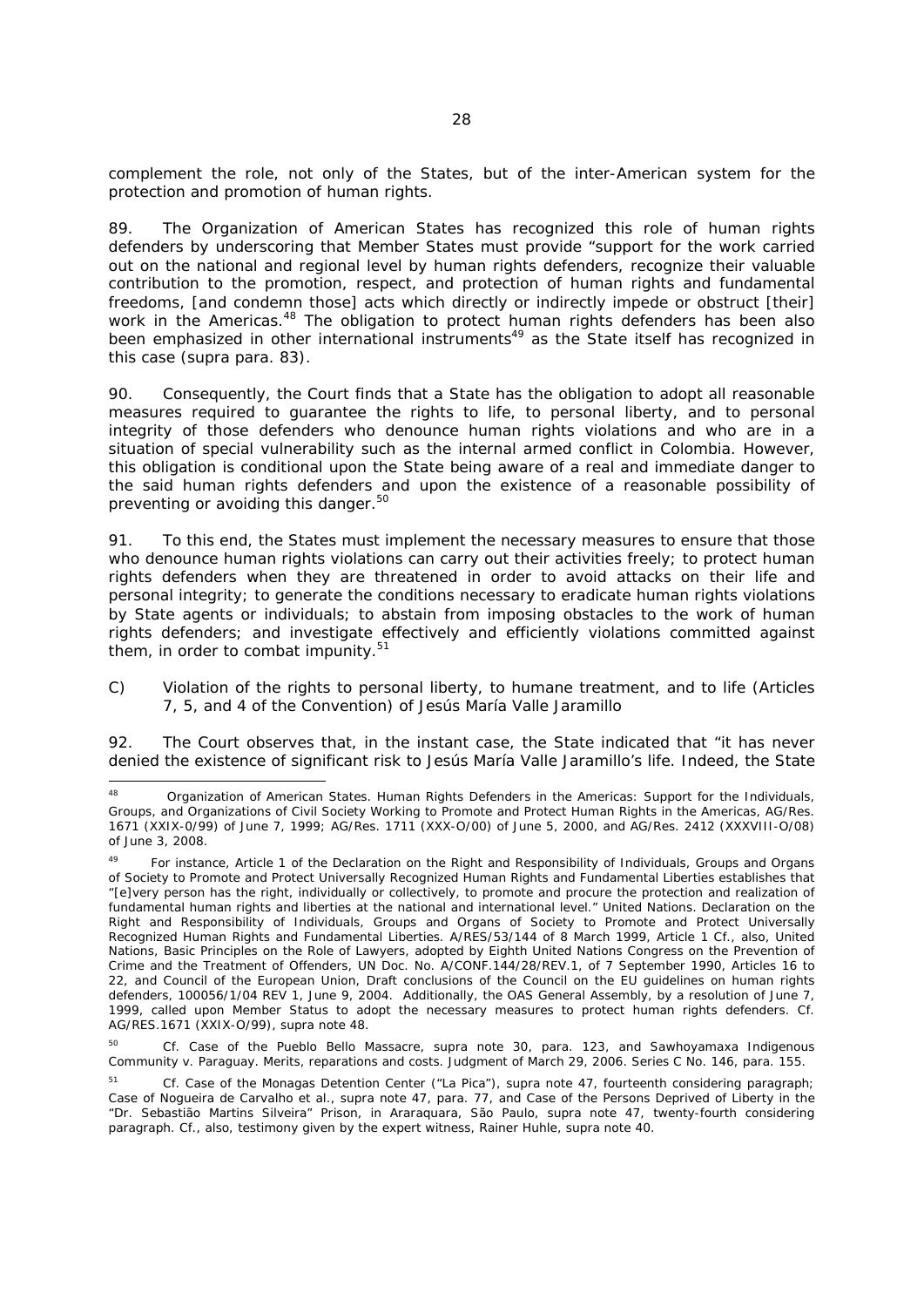complement the role, not only of the States, but of the inter-American system for the protection and promotion of human rights.

89. The Organization of American States has recognized this role of human rights defenders by underscoring that Member States must provide "support for the work carried out on the national and regional level by human rights defenders, recognize their valuable contribution to the promotion, respect, and protection of human rights and fundamental freedoms, [and condemn those] acts which directly or indirectly impede or obstruct [their] work in the Americas.<sup>48</sup> The obligation to protect human rights defenders has been also been emphasized in other international instruments<sup>49</sup> as the State itself has recognized in this case (*supra* para. 83).

90. Consequently, the Court finds that a State has the obligation to adopt all reasonable measures required to guarantee the rights to life, to personal liberty, and to personal integrity of those defenders who denounce human rights violations and who are in a situation of special vulnerability such as the internal armed conflict in Colombia. However, this obligation is conditional upon the State being aware of a real and immediate danger to the said human rights defenders and upon the existence of a reasonable possibility of preventing or avoiding this danger.<sup>50</sup>

91. To this end, the States must implement the necessary measures to ensure that those who denounce human rights violations can carry out their activities freely; to protect human rights defenders when they are threatened in order to avoid attacks on their life and personal integrity; to generate the conditions necessary to eradicate human rights violations by State agents or individuals; to abstain from imposing obstacles to the work of human rights defenders; and investigate effectively and efficiently violations committed against them, in order to combat impunity.<sup>51</sup>

*C) Violation of the rights to personal liberty, to humane treatment, and to life (Articles 7, 5, and 4 of the Convention) of Jesús María Valle Jaramillo* 

92. The Court observes that, in the instant case, the State indicated that "it has never denied the existence of significant risk to Jesús María Valle Jaramillo's life. Indeed, the State

<sup>48</sup> Organization of American States*. Human Rights Defenders in the Americas: Support for the Individuals, Groups, and Organizations of Civil Society Working to Promote and Protect Human Rights in the Americas*, AG/Res. 1671 (XXIX-0/99) of June 7, 1999; AG/Res. 1711 (XXX-O/00) of June 5, 2000, and AG/Res. 2412 (XXXVIII-O/08) of June 3, 2008.

<sup>49</sup> For instance, Article 1 of the *Declaration on the Right and Responsibility of Individuals, Groups and Organs*  of Society to Promote and Protect Universally Recognized Human Rights and Fundamental Liberties establishes that "[e]very person has the right, individually or collectively, to promote and procure the protection and realization of fundamental human rights and liberties at the national and international level." United Nations. *Declaration on the Right and Responsibility of Individuals, Groups and Organs of Society to Promote and Protect Universally Recognized Human Rights and Fundamental Liberties*. A/RES/53/144 of 8 March 1999, Article 1 *Cf., also,* United Nations, *Basic Principles on the Role of Lawyers*, adopted by Eighth United Nations Congress on the Prevention of Crime and the Treatment of Offenders, UN Doc. No. A/CONF.144/28/REV.1, of 7 September 1990, Articles 16 to 22, and Council of the European Union, *Draft conclusions of the Council on the EU guidelines on human rights defenders*, 100056/1/04 REV 1, June 9, 2004. Additionally, the OAS General Assembly, by a resolution of June 7, 1999, called upon Member Status to adopt the necessary measures to protect human rights defenders. *Cf.*  AG/RES.1671 (XXIX-O/99), *supra* note 48.

<sup>50</sup> *Cf. Case of the Pueblo Bello Massacre*, supra note 30, para. 123, and *Sawhoyamaxa Indigenous Community v. Paraguay. Merits, reparations and costs*. Judgment of March 29, 2006. Series C No. 146, para. 155.

<sup>51</sup> *Cf. Case of the Monagas Detention Center ("La Pica"), supra* note 47, fourteenth considering paragraph*; Case of Nogueira de Carvalho et al.*, *supra* note 47, para. 77, and *Case of the Persons Deprived of Liberty in the "Dr. Sebastião Martins Silveira" Prison, in Araraquara, São Paulo*, *supra* note 47, twenty-fourth considering paragraph. *Cf.,* also, testimony given by the expert witness, Rainer Huhle, *supra* note 40.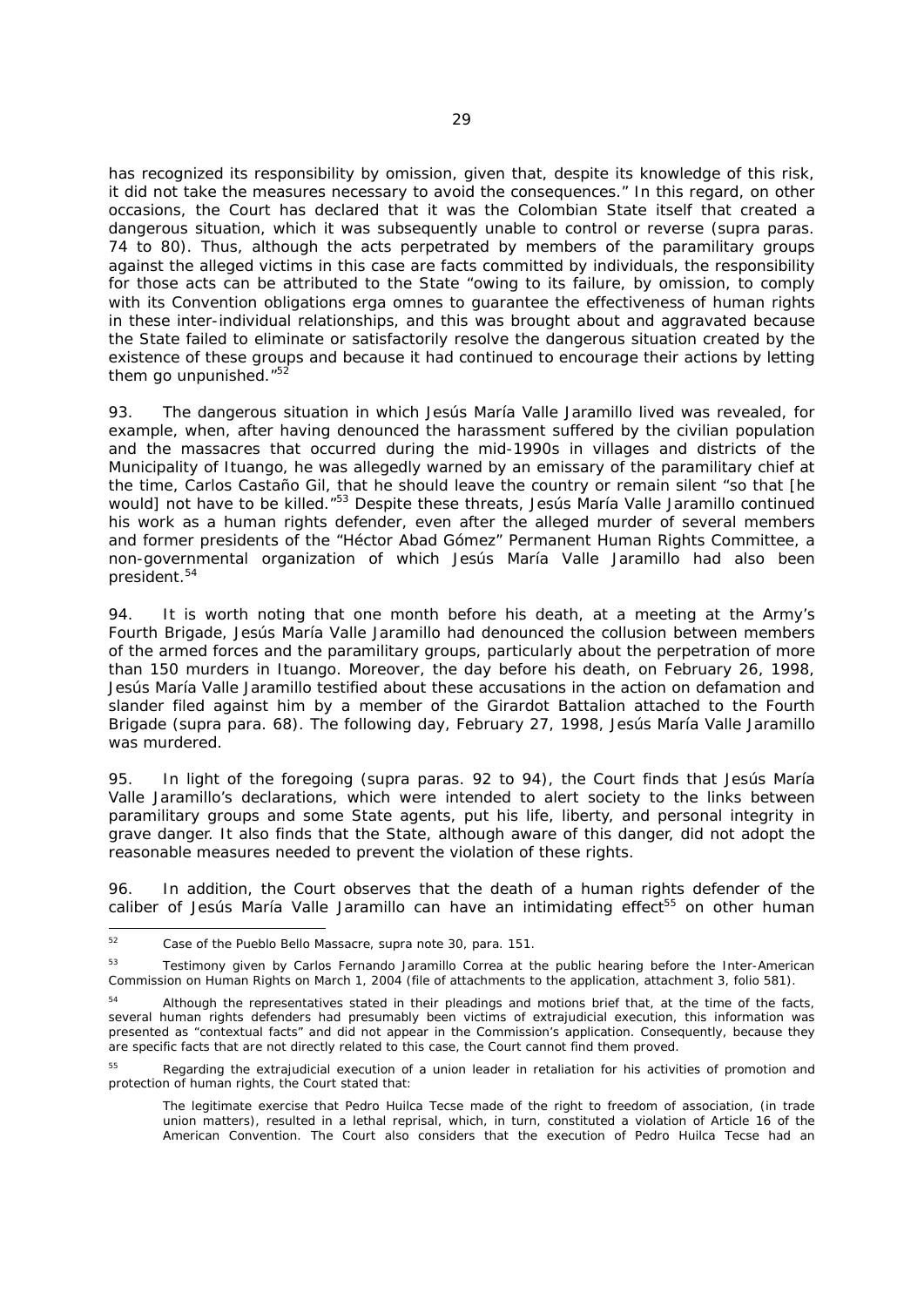has recognized its responsibility by omission, given that, despite its knowledge of this risk, it did not take the measures necessary to avoid the consequences." In this regard, on other occasions, the Court has declared that it was the Colombian State itself that created a dangerous situation, which it was subsequently unable to control or reverse (*supra* paras. 74 to 80). Thus, although the acts perpetrated by members of the paramilitary groups against the alleged victims in this case are facts committed by individuals, the responsibility for those acts can be attributed to the State "owing to its failure, by omission, to comply with its Convention obligations *erga omnes* to guarantee the effectiveness of human rights in these inter-individual relationships, and this was brought about and aggravated because the State failed to eliminate or satisfactorily resolve the dangerous situation created by the existence of these groups and because it had continued to encourage their actions by letting them go unpunished. $152$ 

93. The dangerous situation in which Jesús María Valle Jaramillo lived was revealed, for example, when, after having denounced the harassment suffered by the civilian population and the massacres that occurred during the mid-1990s in villages and districts of the Municipality of Ituango, he was allegedly warned by an emissary of the paramilitary chief at the time, Carlos Castaño Gil, that he should leave the country or remain silent "so that [he would] not have to be killed.<sup>"53</sup> Despite these threats, Jesús María Valle Jaramillo continued his work as a human rights defender, even after the alleged murder of several members and former presidents of the "Héctor Abad Gómez" Permanent Human Rights Committee, a non-governmental organization of which Jesús María Valle Jaramillo had also been president.54

94. It is worth noting that one month before his death, at a meeting at the Army's Fourth Brigade, Jesús María Valle Jaramillo had denounced the collusion between members of the armed forces and the paramilitary groups, particularly about the perpetration of more than 150 murders in Ituango. Moreover, the day before his death, on February 26, 1998, Jesús María Valle Jaramillo testified about these accusations in the action on defamation and slander filed against him by a member of the Girardot Battalion attached to the Fourth Brigade (*supra* para. 68). The following day, February 27, 1998, Jesús María Valle Jaramillo was murdered.

95. In light of the foregoing (*supra* paras. 92 to 94), the Court finds that Jesús María Valle Jaramillo's declarations, which were intended to alert society to the links between paramilitary groups and some State agents, put his life, liberty, and personal integrity in grave danger. It also finds that the State, although aware of this danger, did not adopt the reasonable measures needed to prevent the violation of these rights.

96. In addition, the Court observes that the death of a human rights defender of the caliber of Jesús María Valle Jaramillo can have an intimidating effect<sup>55</sup> on other human

 $52$ 52 *Case of the Pueblo Bello Massacre*, supra note 30, para. 151.

<sup>&</sup>lt;sup>53</sup> Testimony given by Carlos Fernando Jaramillo Correa at the public hearing before the Inter-American Commission on Human Rights on March 1, 2004 (file of attachments to the application, attachment 3, folio 581).

<sup>&</sup>lt;sup>54</sup> Although the representatives stated in their pleadings and motions brief that, at the time of the facts, several human rights defenders had presumably been victims of extrajudicial execution, this information was presented as "contextual facts" and did not appear in the Commission's application. Consequently, because they are specific facts that are not directly related to this case, the Court cannot find them proved.

<sup>&</sup>lt;sup>55</sup> Regarding the extrajudicial execution of a union leader in retaliation for his activities of promotion and protection of human rights, the Court stated that:

The legitimate exercise that Pedro Huilca Tecse made of the right to freedom of association, (in trade union matters), resulted in a lethal reprisal, which, in turn, constituted a violation of Article 16 of the American Convention. The Court also considers that the execution of Pedro Huilca Tecse had an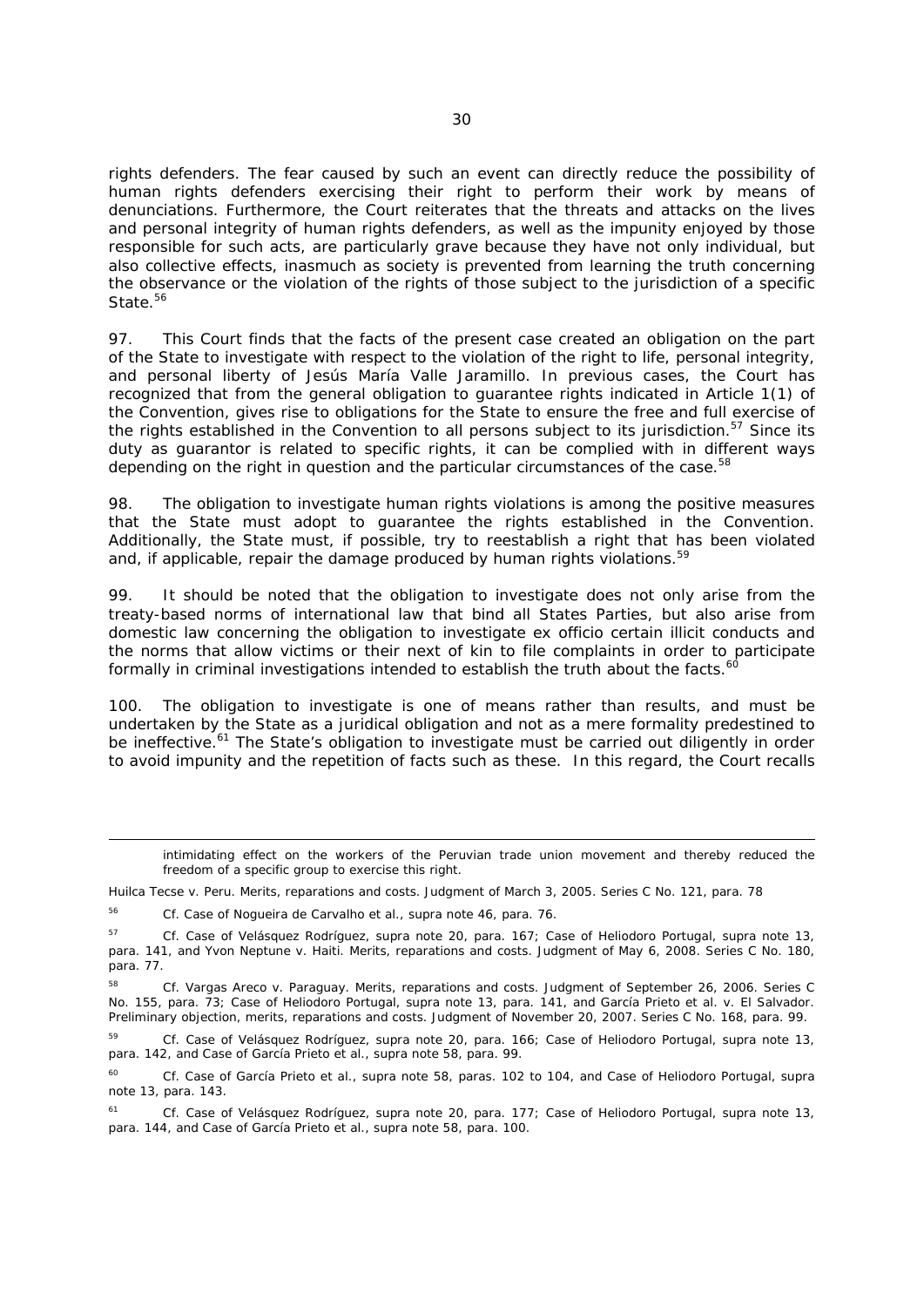rights defenders. The fear caused by such an event can directly reduce the possibility of human rights defenders exercising their right to perform their work by means of denunciations. Furthermore, the Court reiterates that the threats and attacks on the lives and personal integrity of human rights defenders, as well as the impunity enjoyed by those responsible for such acts, are particularly grave because they have not only individual, but also collective effects, inasmuch as society is prevented from learning the truth concerning the observance or the violation of the rights of those subject to the jurisdiction of a specific State<sup>56</sup>

97. This Court finds that the facts of the present case created an obligation on the part of the State to investigate with respect to the violation of the right to life, personal integrity, and personal liberty of Jesús María Valle Jaramillo. In previous cases, the Court has recognized that from the general obligation to guarantee rights indicated in Article 1(1) of the Convention, gives rise to obligations for the State to ensure the free and full exercise of the rights established in the Convention to all persons subject to its jurisdiction.<sup>57</sup> Since its duty as guarantor is related to specific rights, it can be complied with in different ways depending on the right in question and the particular circumstances of the case.<sup>58</sup>

98. The obligation to investigate human rights violations is among the positive measures that the State must adopt to guarantee the rights established in the Convention. Additionally, the State must, if possible, try to reestablish a right that has been violated and, if applicable, repair the damage produced by human rights violations.<sup>59</sup>

99. It should be noted that the obligation to investigate does not only arise from the treaty-based norms of international law that bind all States Parties, but also arise from domestic law concerning the obligation to investigate *ex officio* certain illicit conducts and the norms that allow victims or their next of kin to file complaints in order to participate formally in criminal investigations intended to establish the truth about the facts. $60$ 

100. The obligation to investigate is one of means rather than results, and must be undertaken by the State as a juridical obligation and not as a mere formality predestined to be ineffective.<sup>61</sup> The State's obligation to investigate must be carried out diligently in order to avoid impunity and the repetition of facts such as these. In this regard, the Court recalls

intimidating effect on the workers of the Peruvian trade union movement and thereby reduced the freedom of a specific group to exercise this right.

*Huilca Tecse v. Peru. Merits, reparations and costs*. Judgment of March 3, 2005. Series C No. 121, para. 78

56 *Cf. Case of Nogueira de Carvalho et al*., *supra* note 46, para. 76.

<sup>59</sup> *Cf. Case of Velásquez Rodríguez, supra* note 20, para. 166; *Case of Heliodoro Portugal, supra* note 13, para. 142, and *Case of García Prieto et al., supra* note 58, para. 99.

60 *Cf.* Case of García Prieto et al., supra note 58, paras. 102 to 104, and *Case of Heliodoro Portugal,* supra note 13, para. 143.

<sup>61</sup> *Cf. Case of Velásquez Rodríguez, supra* note 20*,* para. 177; *Case of Heliodoro Portugal, supra* note 13, para. 144, and *Case of García Prieto et al., supra* note 58, para. 100.

<sup>57</sup> *Cf. Case of Velásquez Rodríguez, supra* note 20, para. 167; *Case of Heliodoro Portugal, supra* note 13, para. 141, and *Yvon Neptune v. Haiti. Merits, reparations and costs.* Judgment of May 6, 2008. Series C No. 180, para. 77.

<sup>58</sup> *Cf. Vargas Areco v. Paraguay. Merits, reparations and costs*. Judgment of September 26, 2006. Series C No. 155, para. 73; *Case of Heliodoro Portugal, supra* note 13, para. 141, and *García Prieto et al. v. El Salvador. Preliminary objection, merits, reparations and costs*. Judgment of November 20, 2007. Series C No. 168, para. 99.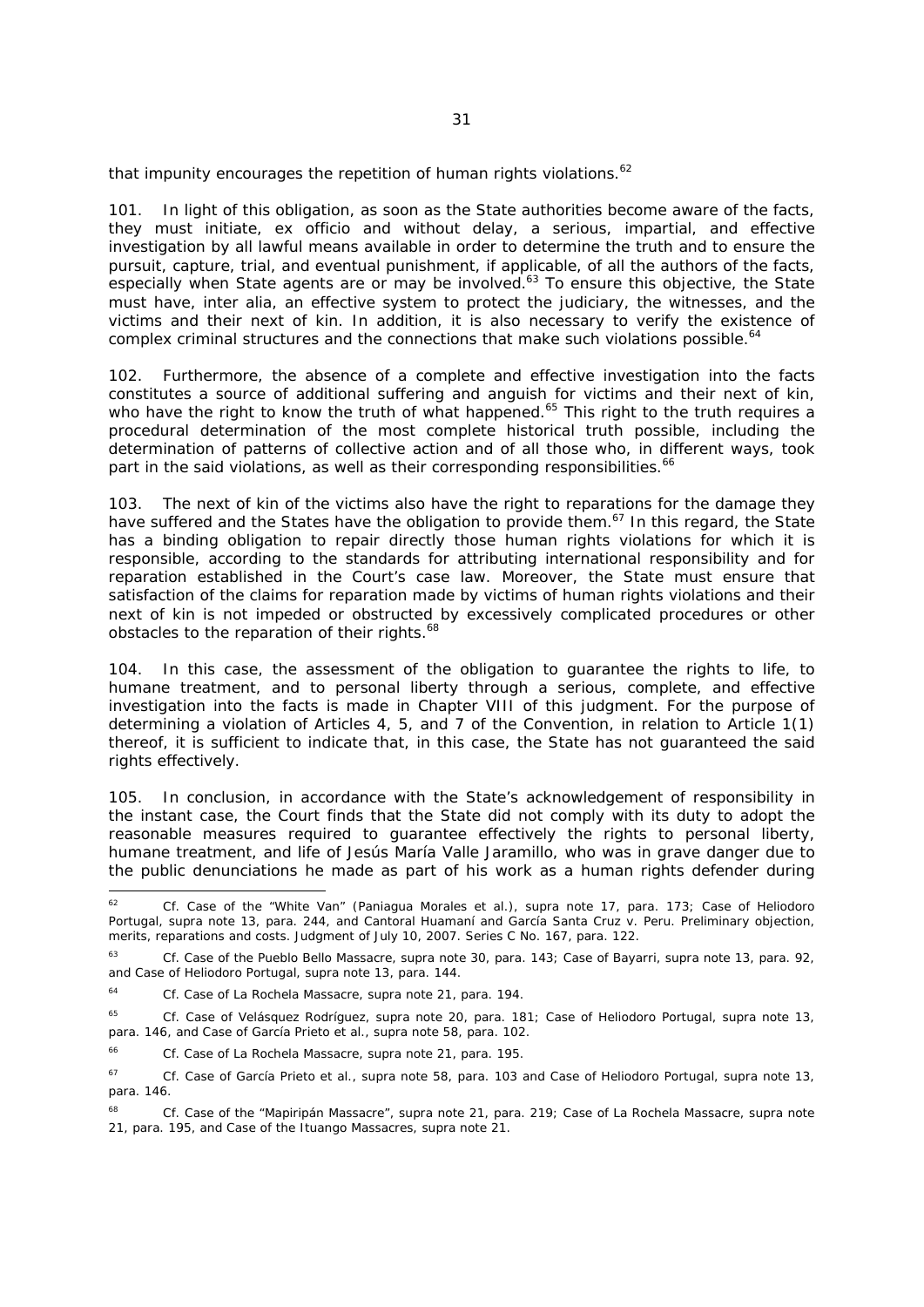that impunity encourages the repetition of human rights violations. $62$ 

101. In light of this obligation, as soon as the State authorities become aware of the facts, they must initiate, *ex officio* and without delay, a serious, impartial, and effective investigation by all lawful means available in order to determine the truth and to ensure the pursuit, capture, trial, and eventual punishment, if applicable, of all the authors of the facts, especially when State agents are or may be involved.<sup>63</sup> To ensure this objective, the State must have, *inter alia*, an effective system to protect the judiciary, the witnesses, and the victims and their next of kin. In addition, it is also necessary to verify the existence of complex criminal structures and the connections that make such violations possible.<sup>64</sup>

102. Furthermore, the absence of a complete and effective investigation into the facts constitutes a source of additional suffering and anguish for victims and their next of kin, who have the right to know the truth of what happened.<sup>65</sup> This right to the truth requires a procedural determination of the most complete historical truth possible, including the determination of patterns of collective action and of all those who, in different ways, took part in the said violations, as well as their corresponding responsibilities.<sup>66</sup>

103. The next of kin of the victims also have the right to reparations for the damage they have suffered and the States have the obligation to provide them.<sup>67</sup> In this regard, the State has a binding obligation to repair directly those human rights violations for which it is responsible, according to the standards for attributing international responsibility and for reparation established in the Court's case law. Moreover, the State must ensure that satisfaction of the claims for reparation made by victims of human rights violations and their next of kin is not impeded or obstructed by excessively complicated procedures or other obstacles to the reparation of their rights.<sup>68</sup>

104. In this case, the assessment of the obligation to guarantee the rights to life, to humane treatment, and to personal liberty through a serious, complete, and effective investigation into the facts is made in Chapter VIII of this judgment. For the purpose of determining a violation of Articles 4, 5, and 7 of the Convention, in relation to Article 1(1) thereof, it is sufficient to indicate that, in this case, the State has not guaranteed the said rights effectively.

105. In conclusion, in accordance with the State's acknowledgement of responsibility in the instant case, the Court finds that the State did not comply with its duty to adopt the reasonable measures required to guarantee effectively the rights to personal liberty, humane treatment, and life of Jesús María Valle Jaramillo, who was in grave danger due to the public denunciations he made as part of his work as a human rights defender during

 $62$ 62 *Cf. Case of the "White Van" (Paniagua Morales et al.), supra* note 17, para. 173; *Case of Heliodoro Portugal, supra* note 13, para. 244, and *Cantoral Huamaní and García Santa Cruz v. Peru. Preliminary objection, merits, reparations and costs.* Judgment of July 10, 2007. Series C No. 167, para. 122.

<sup>63</sup> *Cf. Case of the Pueblo Bello Massacre*, supra note 30, para. 143; *Case of Bayarri,* supra note 13, para. 92, and *Case of Heliodoro Portugal*, supra note 13, para. 144.

<sup>64</sup> *Cf. Case of La Rochela Massacre*, supra note 21, para. 194.

<sup>65</sup> *Cf. Case of Velásquez Rodríguez, supra* note 20, para. 181; *Case of Heliodoro Portugal, supra* note 13, para. 146, and *Case of García Prieto et al., supra* note 58, para. 102.

<sup>66</sup> *Cf. Case of La Rochela Massacre*, supra note 21, para. 195.

<sup>67</sup> *Cf. Case of García Prieto et al.,* supra note 58, para. 103 and *Case of Heliodoro Portugal*, supra note 13, para. 146.

<sup>68</sup> *Cf. Case of the "Mapiripán Massacre",* supra note 21, para. 219; *Case of La Rochela Massacre,* supra note 21, para. 195, and *Case of the Ituango Massacres*, *supra* note 21.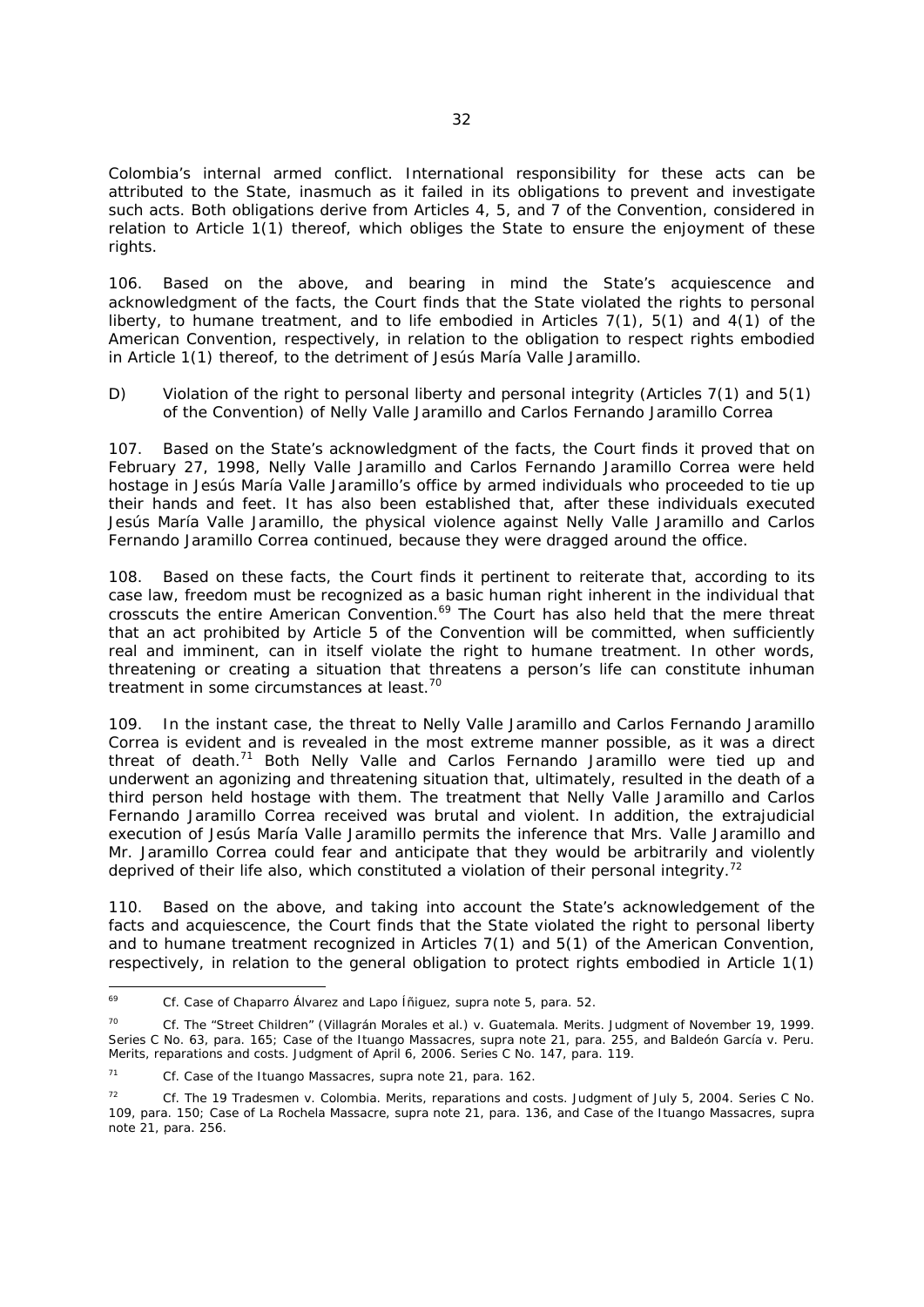Colombia's internal armed conflict. International responsibility for these acts can be attributed to the State, inasmuch as it failed in its obligations to prevent and investigate such acts. Both obligations derive from Articles 4, 5, and 7 of the Convention, considered in relation to Article  $1(1)$  thereof, which obliges the State to ensure the enjoyment of these rights.

106. Based on the above, and bearing in mind the State's acquiescence and acknowledgment of the facts, the Court finds that the State violated the rights to personal liberty, to humane treatment, and to life embodied in Articles 7(1), 5(1) and 4(1) of the American Convention, respectively, in relation to the obligation to respect rights embodied in Article 1(1) thereof, to the detriment of Jesús María Valle Jaramillo.

# *D) Violation of the right to personal liberty and personal integrity (Articles 7(1) and 5(1) of the Convention) of Nelly Valle Jaramillo and Carlos Fernando Jaramillo Correa*

107. Based on the State's acknowledgment of the facts, the Court finds it proved that on February 27, 1998, Nelly Valle Jaramillo and Carlos Fernando Jaramillo Correa were held hostage in Jesús María Valle Jaramillo's office by armed individuals who proceeded to tie up their hands and feet. It has also been established that, after these individuals executed Jesús María Valle Jaramillo, the physical violence against Nelly Valle Jaramillo and Carlos Fernando Jaramillo Correa continued, because they were dragged around the office.

108. Based on these facts, the Court finds it pertinent to reiterate that, according to its case law, freedom must be recognized as a basic human right inherent in the individual that crosscuts the entire American Convention.<sup>69</sup> The Court has also held that the mere threat that an act prohibited by Article 5 of the Convention will be committed, when sufficiently real and imminent, can in itself violate the right to humane treatment. In other words, threatening or creating a situation that threatens a person's life can constitute inhuman treatment in some circumstances at least.<sup>70</sup>

109. In the instant case, the threat to Nelly Valle Jaramillo and Carlos Fernando Jaramillo Correa is evident and is revealed in the most extreme manner possible, as it was a direct threat of death.<sup>71</sup> Both Nelly Valle and Carlos Fernando Jaramillo were tied up and underwent an agonizing and threatening situation that, ultimately, resulted in the death of a third person held hostage with them. The treatment that Nelly Valle Jaramillo and Carlos Fernando Jaramillo Correa received was brutal and violent. In addition, the extrajudicial execution of Jesús María Valle Jaramillo permits the inference that Mrs. Valle Jaramillo and Mr. Jaramillo Correa could fear and anticipate that they would be arbitrarily and violently deprived of their life also, which constituted a violation of their personal integrity.<sup>72</sup>

110. Based on the above, and taking into account the State's acknowledgement of the facts and acquiescence, the Court finds that the State violated the right to personal liberty and to humane treatment recognized in Articles 7(1) and 5(1) of the American Convention, respectively, in relation to the general obligation to protect rights embodied in Article 1(1)

<sup>69</sup> 69 *Cf. Case of Chaparro Álvarez and Lapo Íñiguez*, *supra* note 5, para. 52.

<sup>70</sup> *Cf. The "Street Children" (Villagrán Morales et al.) v. Guatemala. Merits.* Judgment of November 19, 1999. Series C No. 63, para. 165; *Case of the Ituango Massacres*, supra note 21, para. 255, and *Baldeón García v. Peru. Merits, reparations and costs*. Judgment of April 6, 2006. Series C No. 147, para. 119.

<sup>71</sup> *Cf. Case of the Ituango Massacres, supra* note 21, para. 162.

<sup>72</sup> *Cf. The 19 Tradesmen v. Colombia*. *Merits, reparations and costs*. Judgment of July 5, 2004. Series C No. 109, para. 150; *Case of La Rochela Massacre, supra* note 21, para. 136, and *Case of the Ituango Massacres, supra*  note 21, para. 256.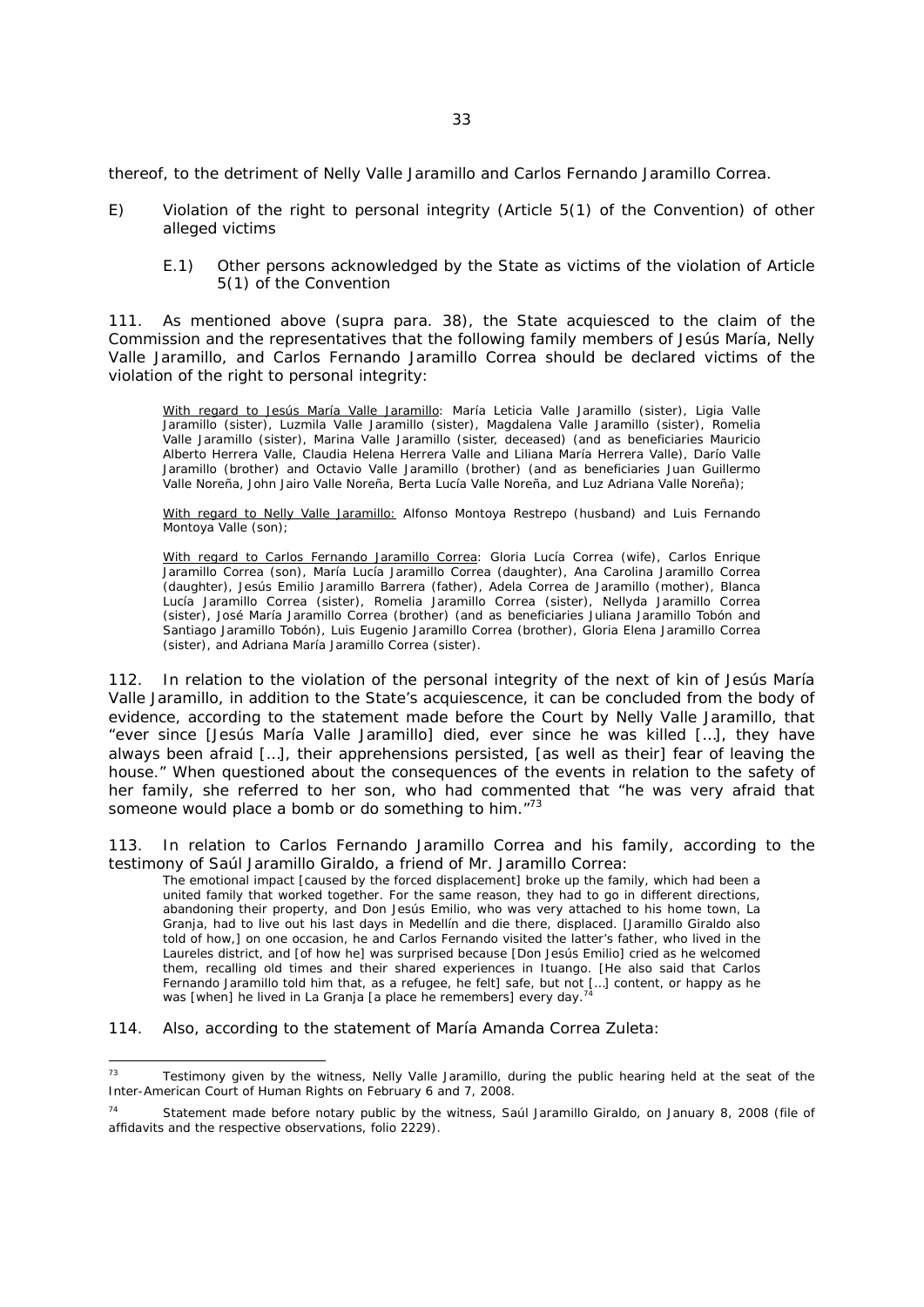thereof, to the detriment of Nelly Valle Jaramillo and Carlos Fernando Jaramillo Correa.

- *E) Violation of the right to personal integrity (Article 5(1) of the Convention) of other alleged victims* 
	- *E.1) Other persons acknowledged by the State as victims of the violation of Article 5(1) of the Convention*

111. As mentioned above (*supra* para. 38), the State acquiesced to the claim of the Commission and the representatives that the following family members of Jesús María, Nelly Valle Jaramillo, and Carlos Fernando Jaramillo Correa should be declared victims of the violation of the right to personal integrity:

With regard to Jesús María Valle Jaramillo: María Leticia Valle Jaramillo (sister), Ligia Valle Jaramillo (sister), Luzmila Valle Jaramillo (sister), Magdalena Valle Jaramillo (sister), Romelia Valle Jaramillo (sister), Marina Valle Jaramillo (sister, deceased) (and as beneficiaries Mauricio Alberto Herrera Valle, Claudia Helena Herrera Valle and Liliana María Herrera Valle), Darío Valle Jaramillo (brother) and Octavio Valle Jaramillo (brother) (and as beneficiaries Juan Guillermo Valle Noreña, John Jairo Valle Noreña, Berta Lucía Valle Noreña, and Luz Adriana Valle Noreña);

With regard to Nelly Valle Jaramillo: Alfonso Montoya Restrepo (husband) and Luis Fernando Montoya Valle (son);

With regard to Carlos Fernando Jaramillo Correa: Gloria Lucía Correa (wife), Carlos Enrique Jaramillo Correa (son), María Lucía Jaramillo Correa (daughter), Ana Carolina Jaramillo Correa (daughter), Jesús Emilio Jaramillo Barrera (father), Adela Correa de Jaramillo (mother), Blanca Lucía Jaramillo Correa (sister), Romelia Jaramillo Correa (sister), Nellyda Jaramillo Correa (sister), José María Jaramillo Correa (brother) (and as beneficiaries Juliana Jaramillo Tobón and Santiago Jaramillo Tobón), Luis Eugenio Jaramillo Correa (brother), Gloria Elena Jaramillo Correa (sister), and Adriana María Jaramillo Correa (sister).

112. In relation to the violation of the personal integrity of the next of kin of Jesús María Valle Jaramillo, in addition to the State's acquiescence, it can be concluded from the body of evidence, according to the statement made before the Court by Nelly Valle Jaramillo, that "ever since [Jesús María Valle Jaramillo] died, ever since he was killed […], they have always been afraid […], their apprehensions persisted, [as well as their] fear of leaving the house." When questioned about the consequences of the events in relation to the safety of her family, she referred to her son, who had commented that "he was very afraid that someone would place a bomb or do something to him."<sup>73</sup>

113. In relation to Carlos Fernando Jaramillo Correa and his family, according to the testimony of Saúl Jaramillo Giraldo, a friend of Mr. Jaramillo Correa:

The emotional impact [caused by the forced displacement] broke up the family, which had been a united family that worked together. For the same reason, they had to go in different directions, abandoning their property, and Don Jesús Emilio, who was very attached to his home town, La Granja, had to live out his last days in Medellín and die there, displaced. [Jaramillo Giraldo also told of how,] on one occasion, he and Carlos Fernando visited the latter's father, who lived in the *Laureles* district, and [of how he] was surprised because [Don Jesús Emilio] cried as he welcomed them, recalling old times and their shared experiences in Ituango. [He also said that Carlos Fernando Jaramillo told him that, as a refugee, he felt] safe, but not  $\left[ \ldots \right]$  content, or happy as he was [when] he lived in La Granja [a place he remembers] every day.<sup>7</sup>

114. Also, according to the statement of María Amanda Correa Zuleta:

 $7<sub>3</sub>$ Testimony given by the witness, Nelly Valle Jaramillo, during the public hearing held at the seat of the Inter-American Court of Human Rights on February 6 and 7, 2008.

<sup>74</sup> Statement made before notary public by the witness, Saúl Jaramillo Giraldo, on January 8, 2008 (file of affidavits and the respective observations, folio 2229).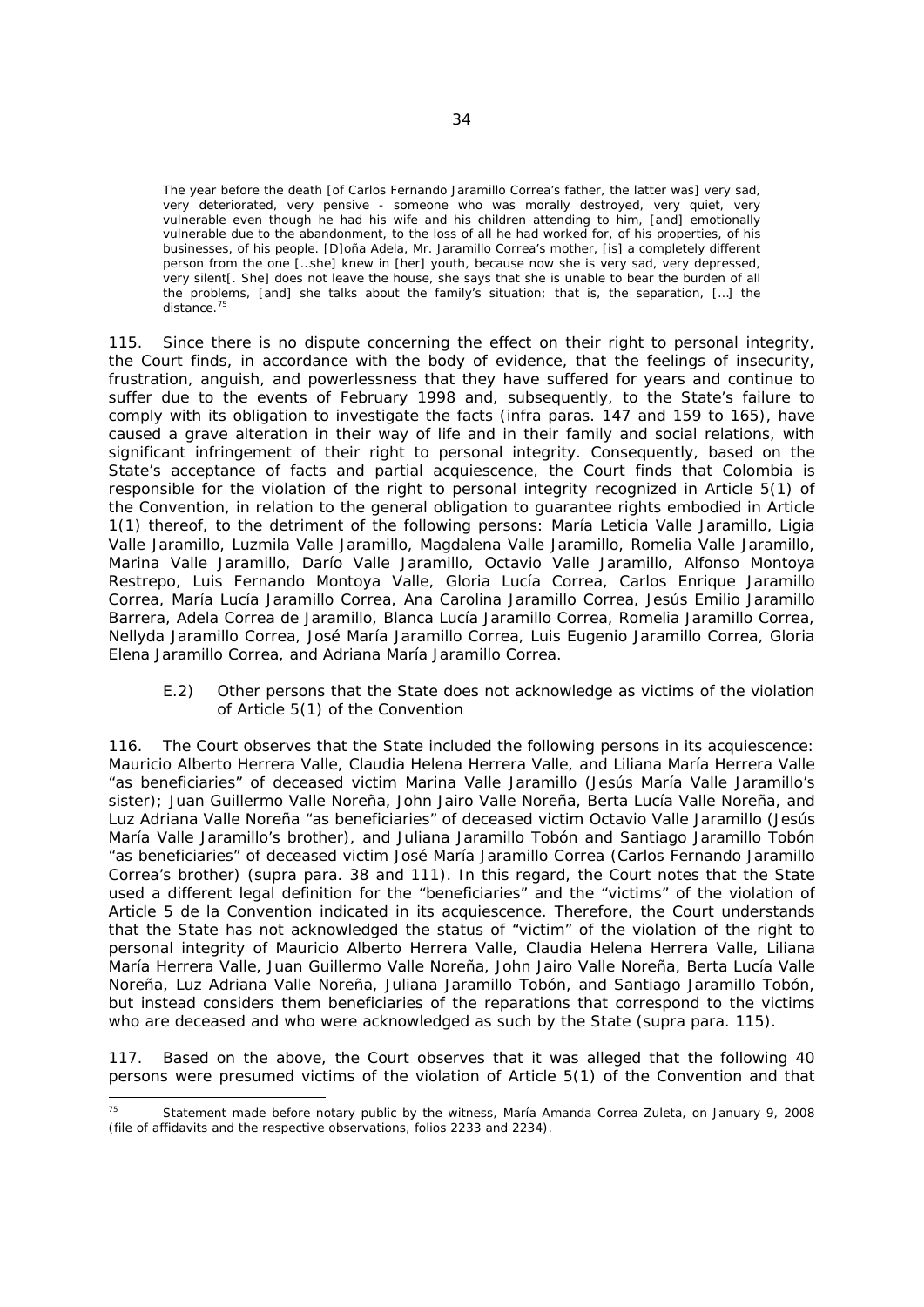The year before the death [of Carlos Fernando Jaramillo Correa's father, the latter was] very sad, very deteriorated, very pensive - someone who was morally destroyed, very quiet, very vulnerable even though he had his wife and his children attending to him, [and] emotionally vulnerable due to the abandonment, to the loss of all he had worked for, of his properties, of his businesses, of his people. [D]oña Adela, Mr. Jaramillo Correa's mother, [is] a completely different person from the one […she] knew in [her] youth, because now she is very sad, very depressed, very silent[. She] does not leave the house, she says that she is unable to bear the burden of all the problems, [and] she talks about the family's situation; that is, the separation, […] the distance.<sup>7</sup>

115. Since there is no dispute concerning the effect on their right to personal integrity, the Court finds, in accordance with the body of evidence, that the feelings of insecurity, frustration, anguish, and powerlessness that they have suffered for years and continue to suffer due to the events of February 1998 and, subsequently, to the State's failure to comply with its obligation to investigate the facts (*infra* paras. 147 and 159 to 165), have caused a grave alteration in their way of life and in their family and social relations, with significant infringement of their right to personal integrity. Consequently, based on the State's acceptance of facts and partial acquiescence, the Court finds that Colombia is responsible for the violation of the right to personal integrity recognized in Article 5(1) of the Convention, in relation to the general obligation to guarantee rights embodied in Article 1(1) thereof, to the detriment of the following persons: María Leticia Valle Jaramillo, Ligia Valle Jaramillo, Luzmila Valle Jaramillo, Magdalena Valle Jaramillo, Romelia Valle Jaramillo, Marina Valle Jaramillo, Darío Valle Jaramillo, Octavio Valle Jaramillo, Alfonso Montoya Restrepo, Luis Fernando Montoya Valle, Gloria Lucía Correa, Carlos Enrique Jaramillo Correa, María Lucía Jaramillo Correa, Ana Carolina Jaramillo Correa, Jesús Emilio Jaramillo Barrera, Adela Correa de Jaramillo, Blanca Lucía Jaramillo Correa, Romelia Jaramillo Correa, Nellyda Jaramillo Correa, José María Jaramillo Correa, Luis Eugenio Jaramillo Correa, Gloria Elena Jaramillo Correa, and Adriana María Jaramillo Correa.

# *E.2) Other persons that the State does not acknowledge as victims of the violation of Article 5(1) of the Convention*

116. The Court observes that the State included the following persons in its acquiescence: Mauricio Alberto Herrera Valle, Claudia Helena Herrera Valle, and Liliana María Herrera Valle "as beneficiaries" of deceased victim Marina Valle Jaramillo (Jesús María Valle Jaramillo's sister); Juan Guillermo Valle Noreña, John Jairo Valle Noreña, Berta Lucía Valle Noreña, and Luz Adriana Valle Noreña "as beneficiaries" of deceased victim Octavio Valle Jaramillo (Jesús María Valle Jaramillo's brother), and Juliana Jaramillo Tobón and Santiago Jaramillo Tobón "as beneficiaries" of deceased victim José María Jaramillo Correa (Carlos Fernando Jaramillo Correa's brother) (*supra* para. 38 and 111). In this regard, the Court notes that the State used a different legal definition for the "beneficiaries" and the "victims" of the violation of Article 5 de la Convention indicated in its acquiescence. Therefore, the Court understands that the State has not acknowledged the status of "victim" of the violation of the right to personal integrity of Mauricio Alberto Herrera Valle, Claudia Helena Herrera Valle, Liliana María Herrera Valle, Juan Guillermo Valle Noreña, John Jairo Valle Noreña, Berta Lucía Valle Noreña, Luz Adriana Valle Noreña, Juliana Jaramillo Tobón, and Santiago Jaramillo Tobón, but instead considers them beneficiaries of the reparations that correspond to the victims who are deceased and who were acknowledged as such by the State (*supra* para. 115).

117. Based on the above, the Court observes that it was alleged that the following 40 persons were presumed victims of the violation of Article 5(1) of the Convention and that

 $75$ Statement made before notary public by the witness, María Amanda Correa Zuleta, on January 9, 2008 (file of affidavits and the respective observations, folios 2233 and 2234).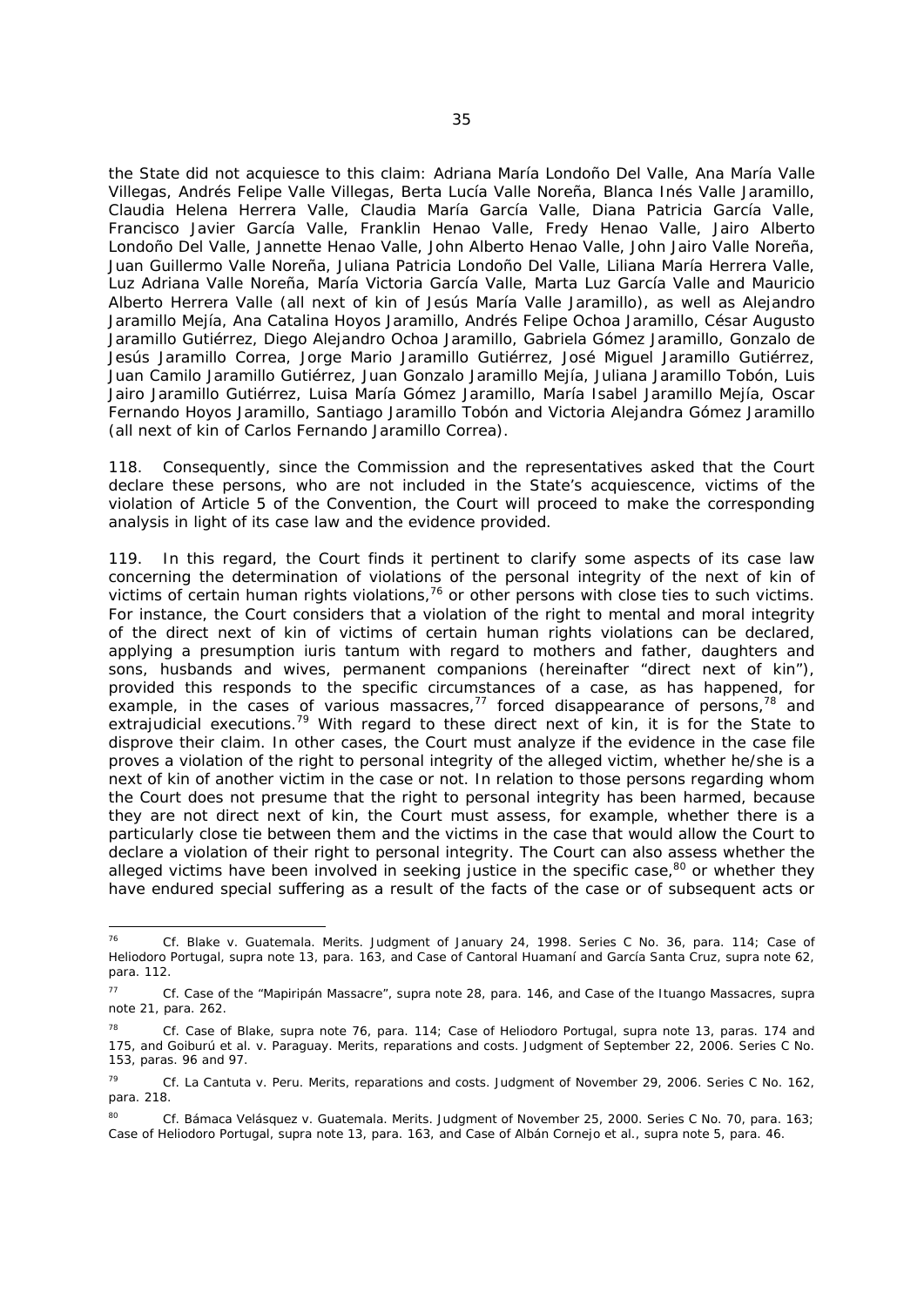the State did not acquiesce to this claim: Adriana María Londoño Del Valle, Ana María Valle Villegas, Andrés Felipe Valle Villegas, Berta Lucía Valle Noreña, Blanca Inés Valle Jaramillo, Claudia Helena Herrera Valle, Claudia María García Valle, Diana Patricia García Valle, Francisco Javier García Valle, Franklin Henao Valle, Fredy Henao Valle, Jairo Alberto Londoño Del Valle, Jannette Henao Valle, John Alberto Henao Valle, John Jairo Valle Noreña, Juan Guillermo Valle Noreña, Juliana Patricia Londoño Del Valle, Liliana María Herrera Valle, Luz Adriana Valle Noreña, María Victoria García Valle, Marta Luz García Valle and Mauricio Alberto Herrera Valle (all next of kin of Jesús María Valle Jaramillo), as well as Alejandro Jaramillo Mejía, Ana Catalina Hoyos Jaramillo, Andrés Felipe Ochoa Jaramillo, César Augusto Jaramillo Gutiérrez, Diego Alejandro Ochoa Jaramillo, Gabriela Gómez Jaramillo, Gonzalo de Jesús Jaramillo Correa, Jorge Mario Jaramillo Gutiérrez, José Miguel Jaramillo Gutiérrez, Juan Camilo Jaramillo Gutiérrez, Juan Gonzalo Jaramillo Mejía, Juliana Jaramillo Tobón, Luis Jairo Jaramillo Gutiérrez, Luisa María Gómez Jaramillo, María Isabel Jaramillo Mejía, Oscar Fernando Hoyos Jaramillo, Santiago Jaramillo Tobón and Victoria Alejandra Gómez Jaramillo (all next of kin of Carlos Fernando Jaramillo Correa).

118. Consequently, since the Commission and the representatives asked that the Court declare these persons, who are not included in the State's acquiescence, victims of the violation of Article 5 of the Convention, the Court will proceed to make the corresponding analysis in light of its case law and the evidence provided.

119. In this regard, the Court finds it pertinent to clarify some aspects of its case law concerning the determination of violations of the personal integrity of the next of kin of victims of certain human rights violations,<sup>76</sup> or other persons with close ties to such victims. For instance, the Court considers that a violation of the right to mental and moral integrity of the direct next of kin of victims of certain human rights violations can be declared, applying a presumption *iuris tantum* with regard to mothers and father, daughters and sons, husbands and wives, permanent companions (hereinafter "direct next of kin"), provided this responds to the specific circumstances of a case, as has happened, for example, in the cases of various massacres,<sup>77</sup> forced disappearance of persons,<sup>78</sup> and extrajudicial executions.<sup>79</sup> With regard to these direct next of kin, it is for the State to disprove their claim. In other cases, the Court must analyze if the evidence in the case file proves a violation of the right to personal integrity of the alleged victim, whether he/she is a next of kin of another victim in the case or not. In relation to those persons regarding whom the Court does not presume that the right to personal integrity has been harmed, because they are not direct next of kin, the Court must assess, for example, whether there is a particularly close tie between them and the victims in the case that would allow the Court to declare a violation of their right to personal integrity. The Court can also assess whether the alleged victims have been involved in seeking justice in the specific case,<sup>80</sup> or whether they have endured special suffering as a result of the facts of the case or of subsequent acts or

<sup>76</sup> *Cf. Blake v. Guatemala*. *Merits*. Judgment of January 24, 1998. Series C No. 36, para. 114; *Case of Heliodoro Portugal, supra* note 13, para. 163, and *Case of Cantoral Huamaní and García Santa Cruz, supra* note 62, para. 112.

<sup>77</sup> *Cf. Case of the "Mapiripán Massacre", supra* note 28, para. 146, and *Case of the Ituango Massacres, supra* note 21, para. 262.

<sup>78</sup> *Cf. Case of Blake, supra* note 76, para. 114; *Case of Heliodoro Portugal, supra* note 13, paras. 174 and 175, and *Goiburú et al. v. Paraguay. Merits, reparations and costs*. Judgment of September 22, 2006. Series C No. 153, paras. 96 and 97.

<sup>79</sup> *Cf. La Cantuta v. Peru. Merits, reparations and costs.* Judgment of November 29, 2006. Series C No. 162, para. 218.

<sup>80</sup> *Cf. Bámaca Velásquez v. Guatemala. Merits.* Judgment of November 25, 2000. Series C No. 70*,* para. 163; *Case of Heliodoro Portugal, supra* note 13, para. 163, and *Case of Albán Cornejo et al., supra* note 5, para. 46.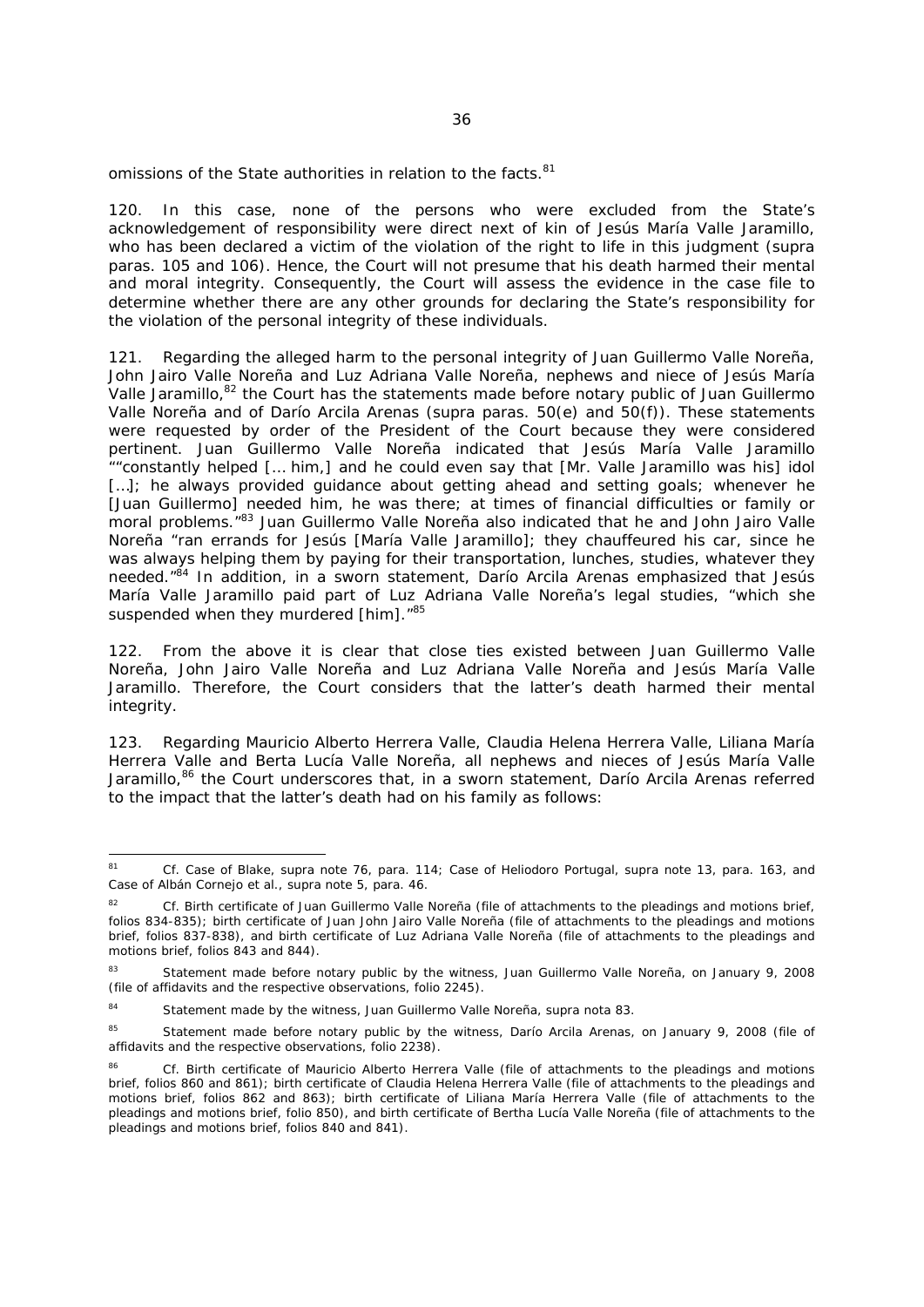omissions of the State authorities in relation to the facts.<sup>81</sup>

120. In this case, none of the persons who were excluded from the State's acknowledgement of responsibility were direct next of kin of Jesús María Valle Jaramillo, who has been declared a victim of the violation of the right to life in this judgment (*supra*  paras. 105 and 106). Hence, the Court will not presume that his death harmed their mental and moral integrity. Consequently, the Court will assess the evidence in the case file to determine whether there are any other grounds for declaring the State's responsibility for the violation of the personal integrity of these individuals.

121. Regarding the alleged harm to the personal integrity of Juan Guillermo Valle Noreña, John Jairo Valle Noreña and Luz Adriana Valle Noreña, nephews and niece of Jesús María Valle Jaramillo,<sup>82</sup> the Court has the statements made before notary public of Juan Guillermo Valle Noreña and of Darío Arcila Arenas (*supra* paras. 50(e) and 50(f)). These statements were requested by order of the President of the Court because they were considered pertinent. Juan Guillermo Valle Noreña indicated that Jesús María Valle Jaramillo ""constantly helped [… him,] and he could even say that [Mr. Valle Jaramillo was his] idol [...]; he always provided quidance about getting ahead and setting goals; whenever he [Juan Guillermo] needed him, he was there; at times of financial difficulties or family or moral problems.<sup>"83</sup> Juan Guillermo Valle Noreña also indicated that he and John Jairo Valle Noreña "ran errands for Jesús [María Valle Jaramillo]; they chauffeured his car, since he was always helping them by paying for their transportation, lunches, studies, whatever they needed."84 In addition, in a sworn statement, Darío Arcila Arenas emphasized that Jesús María Valle Jaramillo paid part of Luz Adriana Valle Noreña's legal studies, "which she suspended when they murdered [him]. "85

122. From the above it is clear that close ties existed between Juan Guillermo Valle Noreña, John Jairo Valle Noreña and Luz Adriana Valle Noreña and Jesús María Valle Jaramillo. Therefore, the Court considers that the latter's death harmed their mental integrity.

123. Regarding Mauricio Alberto Herrera Valle, Claudia Helena Herrera Valle, Liliana María Herrera Valle and Berta Lucía Valle Noreña, all nephews and nieces of Jesús María Valle Jaramillo,<sup>86</sup> the Court underscores that, in a sworn statement, Darío Arcila Arenas referred to the impact that the latter's death had on his family as follows:

<sup>81</sup> *Cf. Case of Blake, supra* note 76, para. 114; *Case of Heliodoro Portugal, supra* note 13, para. 163, and *Case of Albán Cornejo et al., supra* note 5, para. 46.

<sup>82</sup> *Cf.* Birth certificate of Juan Guillermo Valle Noreña (file of attachments to the pleadings and motions brief, folios 834-835); birth certificate of Juan John Jairo Valle Noreña (file of attachments to the pleadings and motions brief, folios 837-838), and birth certificate of Luz Adriana Valle Noreña (file of attachments to the pleadings and motions brief, folios 843 and 844).

<sup>83</sup> Statement made before notary public by the witness, Juan Guillermo Valle Noreña, on January 9, 2008 (file of affidavits and the respective observations, folio 2245).

<sup>84</sup> Statement made by the witness, Juan Guillermo Valle Noreña, *supra* nota 83.

<sup>85</sup> Statement made before notary public by the witness, Darío Arcila Arenas, on January 9, 2008 (file of affidavits and the respective observations, folio 2238).

<sup>86</sup> *Cf.* Birth certificate of Mauricio Alberto Herrera Valle (file of attachments to the pleadings and motions brief, folios 860 and 861); birth certificate of Claudia Helena Herrera Valle (file of attachments to the pleadings and motions brief, folios 862 and 863); birth certificate of Liliana María Herrera Valle (file of attachments to the pleadings and motions brief, folio 850), and birth certificate of Bertha Lucía Valle Noreña (file of attachments to the pleadings and motions brief, folios 840 and 841).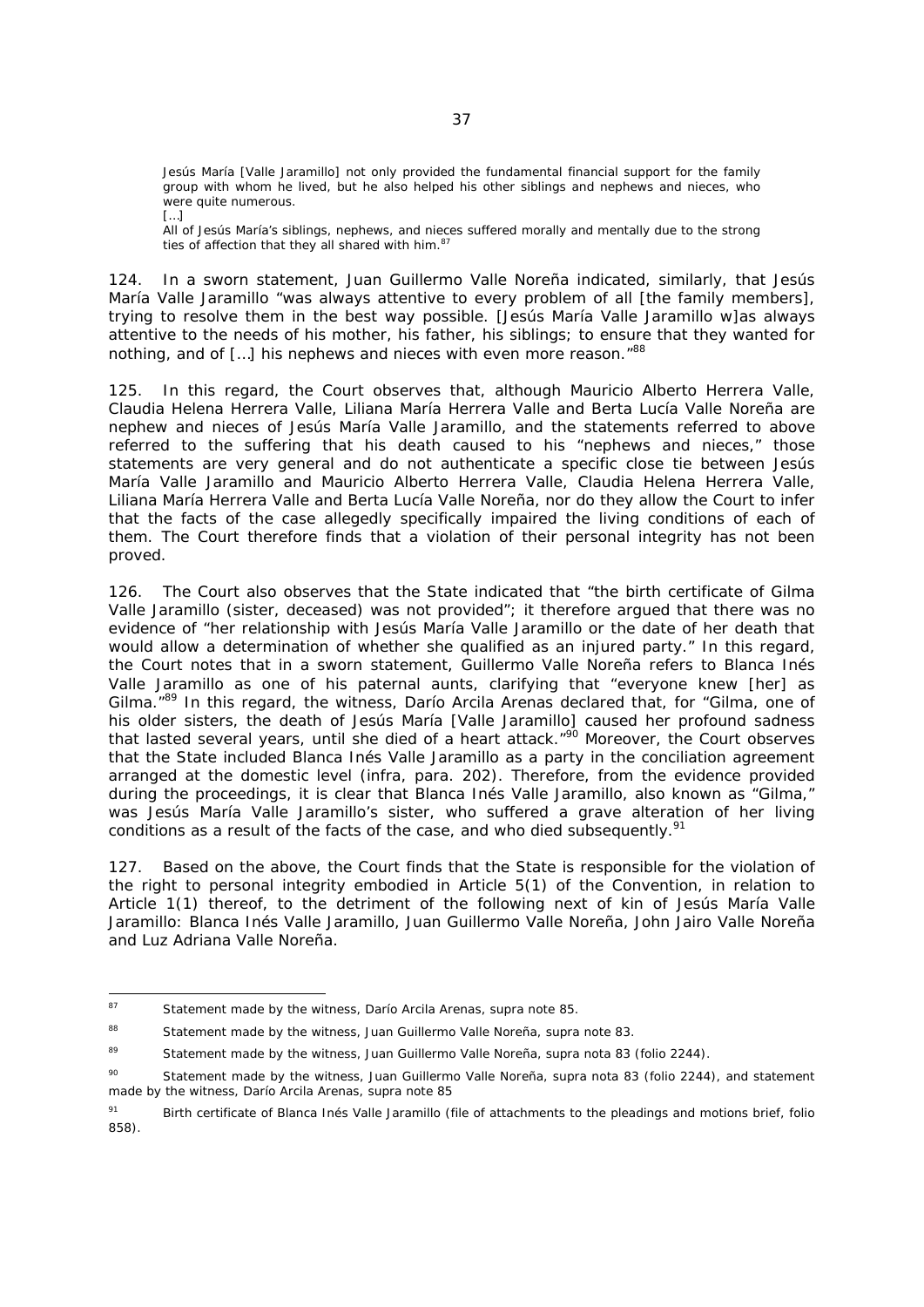Jesús María [Valle Jaramillo] not only provided the fundamental financial support for the family group with whom he lived, but he also helped his other siblings and nephews and nieces, who were quite numerous.  $[...]$ 

All of Jesús María's siblings, nephews, and nieces suffered morally and mentally due to the strong ties of affection that they all shared with him.<sup>87</sup>

124. In a sworn statement, Juan Guillermo Valle Noreña indicated, similarly, that Jesús María Valle Jaramillo "was always attentive to every problem of all [the family members], trying to resolve them in the best way possible. [Jesús María Valle Jaramillo w]as always attentive to the needs of his mother, his father, his siblings; to ensure that they wanted for nothing, and of [...] his nephews and nieces with even more reason."<sup>88</sup>

125. In this regard, the Court observes that, although Mauricio Alberto Herrera Valle, Claudia Helena Herrera Valle, Liliana María Herrera Valle and Berta Lucía Valle Noreña are nephew and nieces of Jesús María Valle Jaramillo, and the statements referred to above referred to the suffering that his death caused to his "nephews and nieces," those statements are very general and do not authenticate a specific close tie between Jesús María Valle Jaramillo and Mauricio Alberto Herrera Valle, Claudia Helena Herrera Valle, Liliana María Herrera Valle and Berta Lucía Valle Noreña, nor do they allow the Court to infer that the facts of the case allegedly specifically impaired the living conditions of each of them. The Court therefore finds that a violation of their personal integrity has not been proved.

126. The Court also observes that the State indicated that "the birth certificate of Gilma Valle Jaramillo (sister, deceased) was not provided"; it therefore argued that there was no evidence of "her relationship with Jesús María Valle Jaramillo or the date of her death that would allow a determination of whether she qualified as an injured party." In this regard, the Court notes that in a sworn statement, Guillermo Valle Noreña refers to Blanca Inés Valle Jaramillo as one of his paternal aunts, clarifying that "everyone knew [her] as Gilma."<sup>89</sup> In this regard, the witness, Darío Arcila Arenas declared that, for "Gilma, one of his older sisters, the death of Jesús María [Valle Jaramillo] caused her profound sadness that lasted several years, until she died of a heart attack."<sup>90</sup> Moreover, the Court observes that the State included Blanca Inés Valle Jaramillo as a party in the conciliation agreement arranged at the domestic level (*infra,* para. 202). Therefore, from the evidence provided during the proceedings, it is clear that Blanca Inés Valle Jaramillo, also known as "Gilma," was Jesús María Valle Jaramillo's sister, who suffered a grave alteration of her living conditions as a result of the facts of the case, and who died subsequently.<sup>91</sup>

127. Based on the above, the Court finds that the State is responsible for the violation of the right to personal integrity embodied in Article 5(1) of the Convention, in relation to Article 1(1) thereof, to the detriment of the following next of kin of Jesús María Valle Jaramillo: Blanca Inés Valle Jaramillo, Juan Guillermo Valle Noreña, John Jairo Valle Noreña and Luz Adriana Valle Noreña.

<sup>87</sup> 87 Statement made by the witness, Darío Arcila Arenas, *supra* note 85.

<sup>88</sup> Statement made by the witness, Juan Guillermo Valle Noreña, *supra* note 83.

<sup>89</sup> Statement made by the witness, Juan Guillermo Valle Noreña, *supra* nota 83 (folio 2244).

<sup>90</sup> Statement made by the witness, Juan Guillermo Valle Noreña, *supra* nota 83 (folio 2244), and statement made by the witness, Darío Arcila Arenas, *supra* note 85

<sup>91</sup> Birth certificate of Blanca Inés Valle Jaramillo (file of attachments to the pleadings and motions brief, folio 858).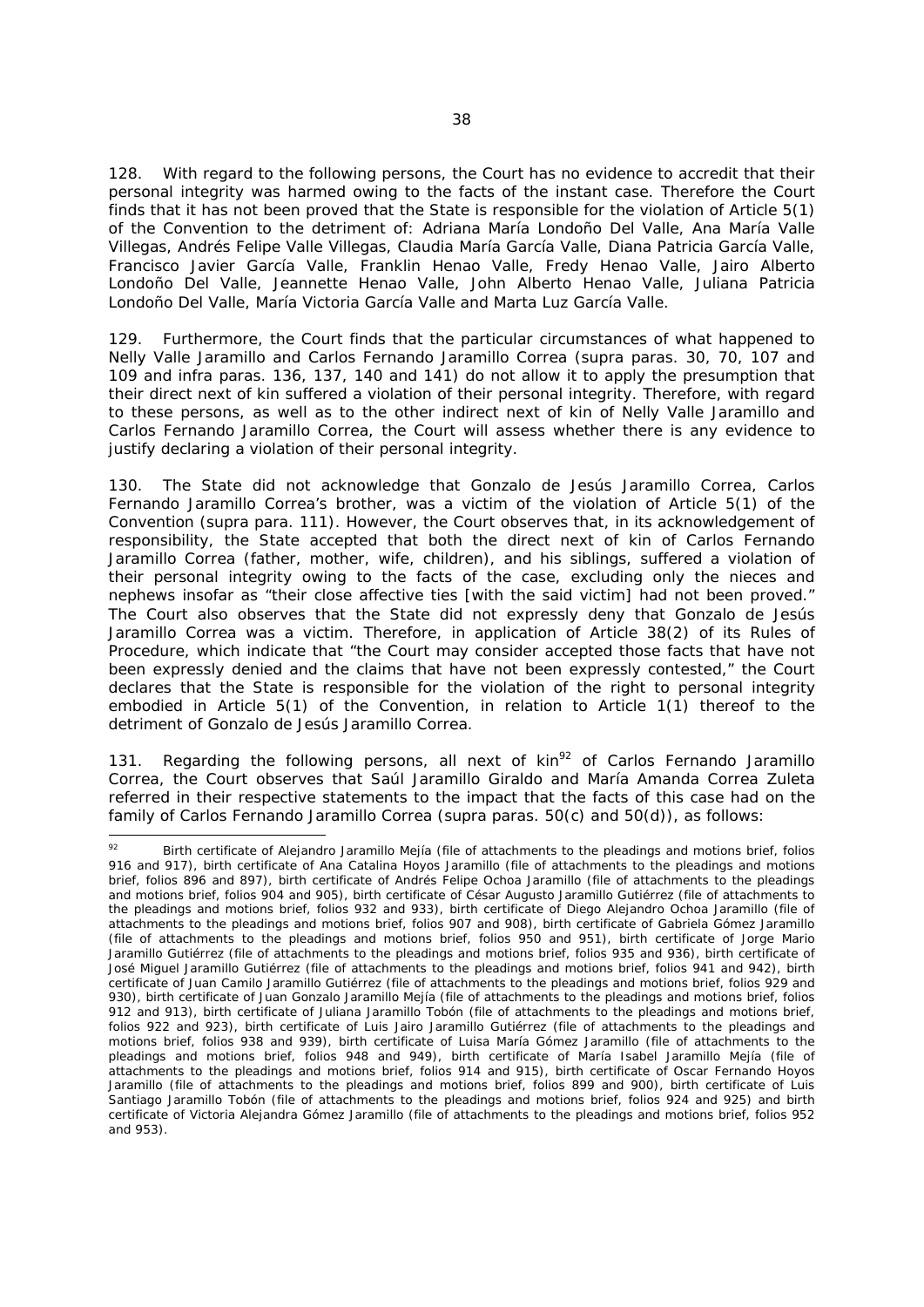128. With regard to the following persons, the Court has no evidence to accredit that their personal integrity was harmed owing to the facts of the instant case. Therefore the Court finds that it has not been proved that the State is responsible for the violation of Article 5(1) of the Convention to the detriment of: Adriana María Londoño Del Valle, Ana María Valle Villegas, Andrés Felipe Valle Villegas, Claudia María García Valle, Diana Patricia García Valle, Francisco Javier García Valle, Franklin Henao Valle, Fredy Henao Valle, Jairo Alberto Londoño Del Valle, Jeannette Henao Valle, John Alberto Henao Valle, Juliana Patricia Londoño Del Valle, María Victoria García Valle and Marta Luz García Valle.

129. Furthermore, the Court finds that the particular circumstances of what happened to Nelly Valle Jaramillo and Carlos Fernando Jaramillo Correa (*supra* paras. 30, 70, 107 and 109 and *infra* paras. 136, 137, 140 and 141) do not allow it to apply the presumption that their direct next of kin suffered a violation of their personal integrity. Therefore, with regard to these persons, as well as to the other indirect next of kin of Nelly Valle Jaramillo and Carlos Fernando Jaramillo Correa, the Court will assess whether there is any evidence to justify declaring a violation of their personal integrity.

130. The State did not acknowledge that Gonzalo de Jesús Jaramillo Correa, Carlos Fernando Jaramillo Correa's brother, was a victim of the violation of Article 5(1) of the Convention (*supra* para. 111). However, the Court observes that, in its acknowledgement of responsibility, the State accepted that both the direct next of kin of Carlos Fernando Jaramillo Correa (father, mother, wife, children), and his siblings, suffered a violation of their personal integrity owing to the facts of the case, excluding only the nieces and nephews insofar as "their close affective ties [with the said victim] had not been proved." The Court also observes that the State did not expressly deny that Gonzalo de Jesús Jaramillo Correa was a victim. Therefore, in application of Article 38(2) of its Rules of Procedure, which indicate that "the Court may consider accepted those facts that have not been expressly denied and the claims that have not been expressly contested," the Court declares that the State is responsible for the violation of the right to personal integrity embodied in Article 5(1) of the Convention, in relation to Article 1(1) thereof to the detriment of Gonzalo de Jesús Jaramillo Correa.

131. Regarding the following persons, all next of  $kin<sup>92</sup>$  of Carlos Fernando Jaramillo Correa, the Court observes that Saúl Jaramillo Giraldo and María Amanda Correa Zuleta referred in their respective statements to the impact that the facts of this case had on the family of Carlos Fernando Jaramillo Correa (*supra* paras. 50(c) and 50(d)), as follows:

 $0<sub>2</sub>$ Birth certificate of Alejandro Jaramillo Mejía (file of attachments to the pleadings and motions brief, folios 916 and 917), birth certificate of Ana Catalina Hoyos Jaramillo (file of attachments to the pleadings and motions brief, folios 896 and 897), birth certificate of Andrés Felipe Ochoa Jaramillo (file of attachments to the pleadings and motions brief, folios 904 and 905), birth certificate of César Augusto Jaramillo Gutiérrez (file of attachments to the pleadings and motions brief, folios 932 and 933), birth certificate of Diego Alejandro Ochoa Jaramillo (file of attachments to the pleadings and motions brief, folios 907 and 908), birth certificate of Gabriela Gómez Jaramillo (file of attachments to the pleadings and motions brief, folios 950 and 951), birth certificate of Jorge Mario Jaramillo Gutiérrez (file of attachments to the pleadings and motions brief, folios 935 and 936), birth certificate of José Miguel Jaramillo Gutiérrez (file of attachments to the pleadings and motions brief, folios 941 and 942), birth certificate of Juan Camilo Jaramillo Gutiérrez (file of attachments to the pleadings and motions brief, folios 929 and 930), birth certificate of Juan Gonzalo Jaramillo Mejía (file of attachments to the pleadings and motions brief, folios 912 and 913), birth certificate of Juliana Jaramillo Tobón (file of attachments to the pleadings and motions brief, folios 922 and 923), birth certificate of Luis Jairo Jaramillo Gutiérrez (file of attachments to the pleadings and motions brief, folios 938 and 939), birth certificate of Luisa María Gómez Jaramillo (file of attachments to the pleadings and motions brief, folios 948 and 949), birth certificate of María Isabel Jaramillo Mejía (file of attachments to the pleadings and motions brief, folios 914 and 915), birth certificate of Oscar Fernando Hoyos Jaramillo (file of attachments to the pleadings and motions brief, folios 899 and 900), birth certificate of Luis Santiago Jaramillo Tobón (file of attachments to the pleadings and motions brief, folios 924 and 925) and birth certificate of Victoria Alejandra Gómez Jaramillo (file of attachments to the pleadings and motions brief, folios 952 and 953).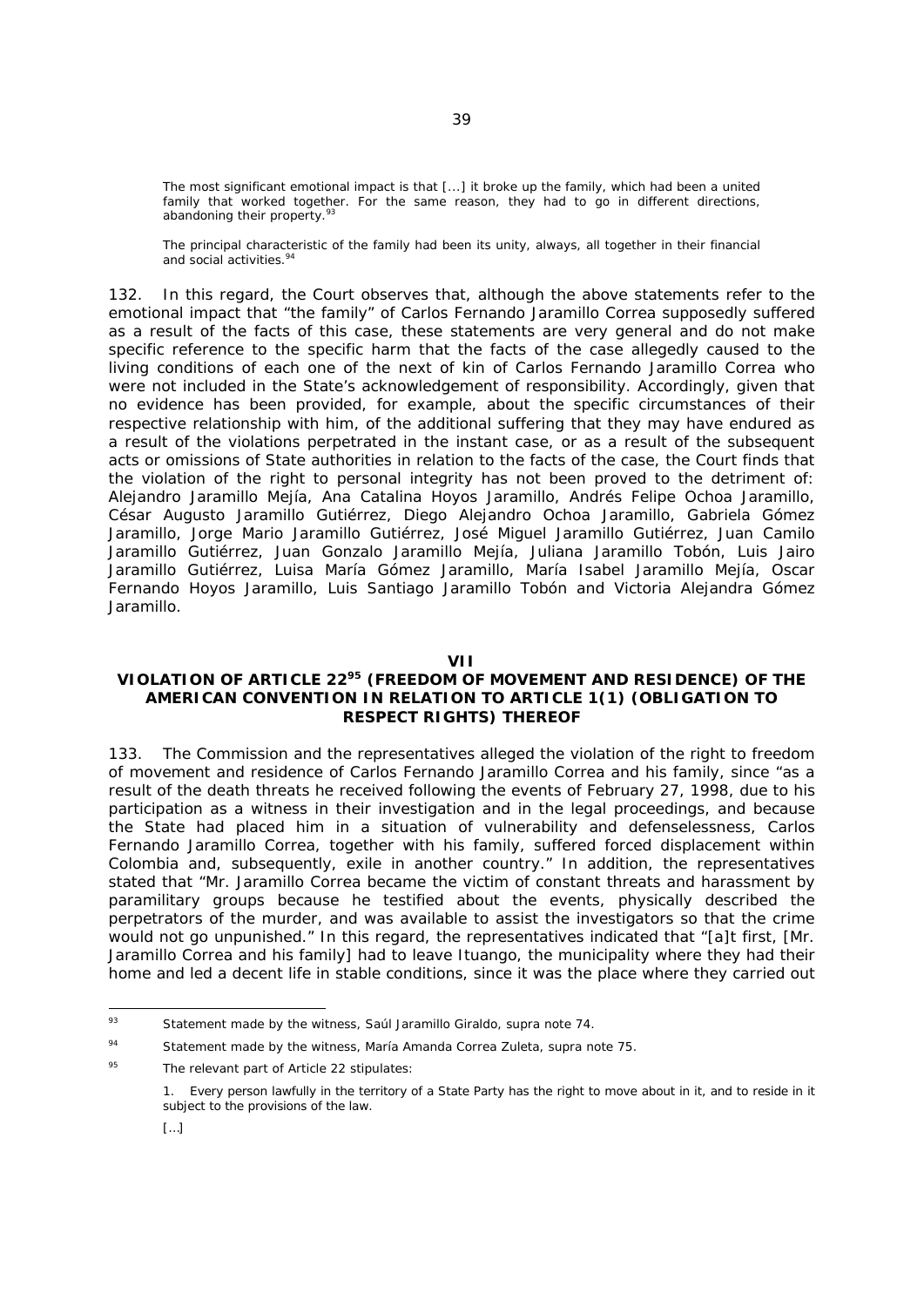The most significant emotional impact is that [...] it broke up the family, which had been a united family that worked together. For the same reason, they had to go in different directions, abandoning their property.<sup>93</sup>

The principal characteristic of the family had been its unity, always, all together in their financial and social activities.<sup>9</sup>

132. In this regard, the Court observes that, although the above statements refer to the emotional impact that "the family" of Carlos Fernando Jaramillo Correa supposedly suffered as a result of the facts of this case, these statements are very general and do not make specific reference to the specific harm that the facts of the case allegedly caused to the living conditions of each one of the next of kin of Carlos Fernando Jaramillo Correa who were not included in the State's acknowledgement of responsibility. Accordingly, given that no evidence has been provided, for example, about the specific circumstances of their respective relationship with him, of the additional suffering that they may have endured as a result of the violations perpetrated in the instant case, or as a result of the subsequent acts or omissions of State authorities in relation to the facts of the case, the Court finds that the violation of the right to personal integrity has not been proved to the detriment of: Alejandro Jaramillo Mejía, Ana Catalina Hoyos Jaramillo, Andrés Felipe Ochoa Jaramillo, César Augusto Jaramillo Gutiérrez, Diego Alejandro Ochoa Jaramillo, Gabriela Gómez Jaramillo, Jorge Mario Jaramillo Gutiérrez, José Miguel Jaramillo Gutiérrez, Juan Camilo Jaramillo Gutiérrez, Juan Gonzalo Jaramillo Mejía, Juliana Jaramillo Tobón, Luis Jairo Jaramillo Gutiérrez, Luisa María Gómez Jaramillo, María Isabel Jaramillo Mejía, Oscar Fernando Hoyos Jaramillo, Luis Santiago Jaramillo Tobón and Victoria Alejandra Gómez Jaramillo.

#### **VII**

# **VIOLATION OF ARTICLE 2295 (FREEDOM OF MOVEMENT AND RESIDENCE) OF THE AMERICAN CONVENTION IN RELATION TO ARTICLE 1(1) (OBLIGATION TO RESPECT RIGHTS) THEREOF**

133. The Commission and the representatives alleged the violation of the right to freedom of movement and residence of Carlos Fernando Jaramillo Correa and his family, since "as a result of the death threats he received following the events of February 27, 1998, due to his participation as a witness in their investigation and in the legal proceedings, and because the State had placed him in a situation of vulnerability and defenselessness, Carlos Fernando Jaramillo Correa, together with his family, suffered forced displacement within Colombia and, subsequently, exile in another country." In addition, the representatives stated that "Mr. Jaramillo Correa became the victim of constant threats and harassment by paramilitary groups because he testified about the events, physically described the perpetrators of the murder, and was available to assist the investigators so that the crime would not go unpunished." In this regard, the representatives indicated that "[a]t first, [Mr. Jaramillo Correa and his family] had to leave Ituango, the municipality where they had their home and led a decent life in stable conditions, since it was the place where they carried out

 $Q<sub>3</sub>$ 93 Statement made by the witness, Saúl Jaramillo Giraldo, *supra* note 74.

<sup>94</sup> Statement made by the witness, María Amanda Correa Zuleta, *supra* note 75.

 $95$  The relevant part of Article 22 stipulates:

<sup>1.</sup> Every person lawfully in the territory of a State Party has the right to move about in it, and to reside in it subject to the provisions of the law.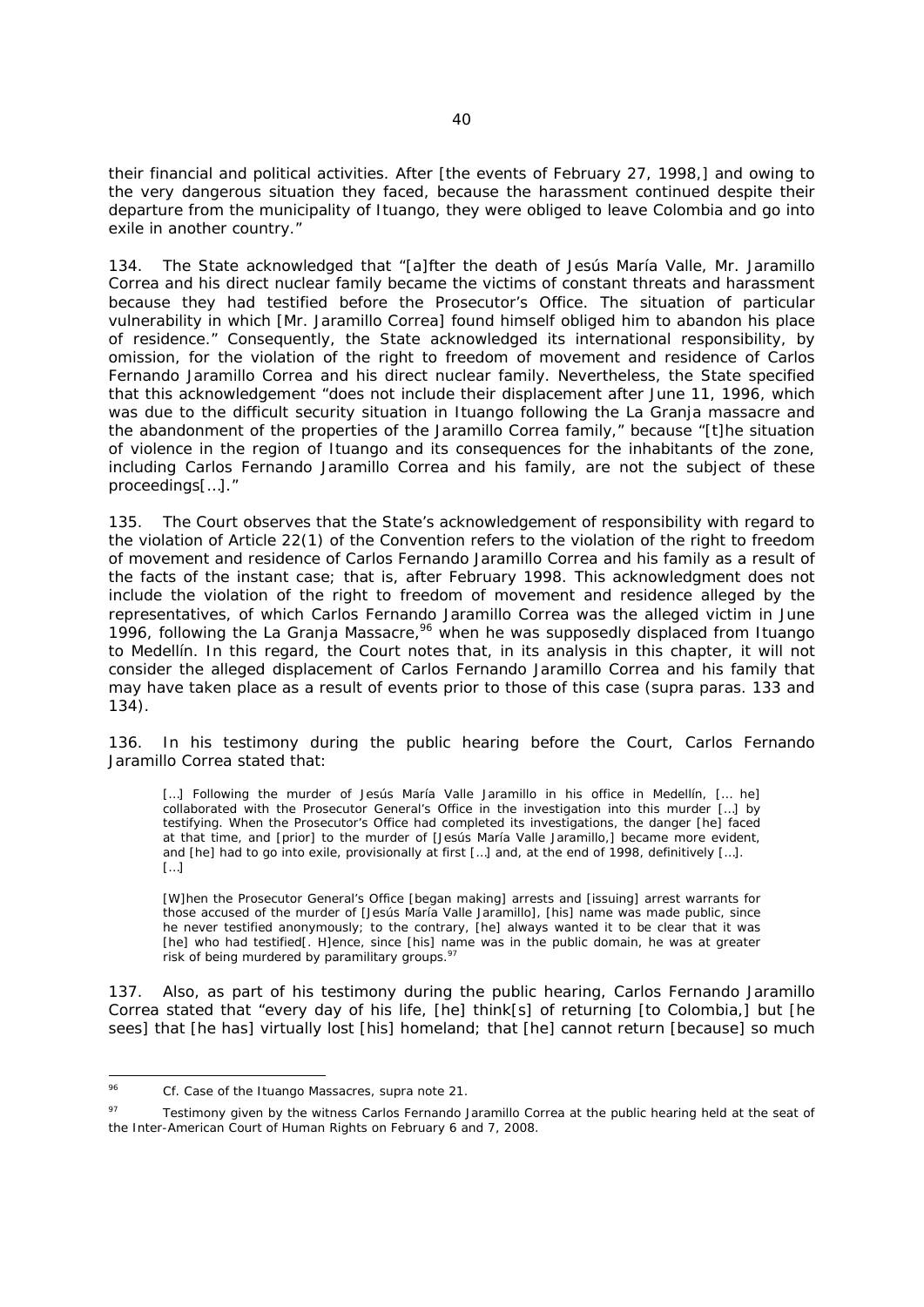their financial and political activities. After [the events of February 27, 1998,] and owing to the very dangerous situation they faced, because the harassment continued despite their departure from the municipality of Ituango, they were obliged to leave Colombia and go into exile in another country."

134. The State acknowledged that "[a]fter the death of Jesús María Valle, Mr. Jaramillo Correa and his direct nuclear family became the victims of constant threats and harassment because they had testified before the Prosecutor's Office. The situation of particular vulnerability in which [Mr. Jaramillo Correa] found himself obliged him to abandon his place of residence." Consequently, the State acknowledged its international responsibility, by omission, for the violation of the right to freedom of movement and residence of Carlos Fernando Jaramillo Correa and his direct nuclear family. Nevertheless, the State specified that this acknowledgement "does not include their displacement after June 11, 1996, which was due to the difficult security situation in Ituango following the La Granja massacre and the abandonment of the properties of the Jaramillo Correa family," because "[t]he situation of violence in the region of Ituango and its consequences for the inhabitants of the zone, including Carlos Fernando Jaramillo Correa and his family, are not the subject of these proceedings[…]."

135. The Court observes that the State's acknowledgement of responsibility with regard to the violation of Article 22(1) of the Convention refers to the violation of the right to freedom of movement and residence of Carlos Fernando Jaramillo Correa and his family as a result of the facts of the instant case; that is, after February 1998. This acknowledgment does not include the violation of the right to freedom of movement and residence alleged by the representatives, of which Carlos Fernando Jaramillo Correa was the alleged victim in June 1996, following the La Granja Massacre,<sup>96</sup> when he was supposedly displaced from Ituango to Medellín. In this regard, the Court notes that, in its analysis in this chapter, it will not consider the alleged displacement of Carlos Fernando Jaramillo Correa and his family that may have taken place as a result of events prior to those of this case (*supra* paras. 133 and 134).

136. In his testimony during the public hearing before the Court, Carlos Fernando Jaramillo Correa stated that:

[...] Following the murder of Jesús María Valle Jaramillo in his office in Medellín, [... he] collaborated with the Prosecutor General's Office in the investigation into this murder […] by testifying. When the Prosecutor's Office had completed its investigations, the danger [he] faced at that time, and [prior] to the murder of [Jesús María Valle Jaramillo,] became more evident, and [he] had to go into exile, provisionally at first […] and, at the end of 1998, definitively […].  $[...]$ 

[W]hen the Prosecutor General's Office [began making] arrests and [issuing] arrest warrants for those accused of the murder of [Jesús María Valle Jaramillo], [his] name was made public, since he never testified anonymously; to the contrary, [he] always wanted it to be clear that it was [he] who had testified[. H]ence, since [his] name was in the public domain, he was at greater risk of being murdered by paramilitary groups.<sup>97</sup>

137. Also, as part of his testimony during the public hearing, Carlos Fernando Jaramillo Correa stated that "every day of his life, [he] think[s] of returning [to Colombia,] but [he sees] that [he has] virtually lost [his] homeland; that [he] cannot return [because] so much

-

<sup>96</sup> *Cf. Case of the Ituango Massacres, supra* note 21.

<sup>97</sup> Testimony given by the witness Carlos Fernando Jaramillo Correa at the public hearing held at the seat of the Inter-American Court of Human Rights on February 6 and 7, 2008.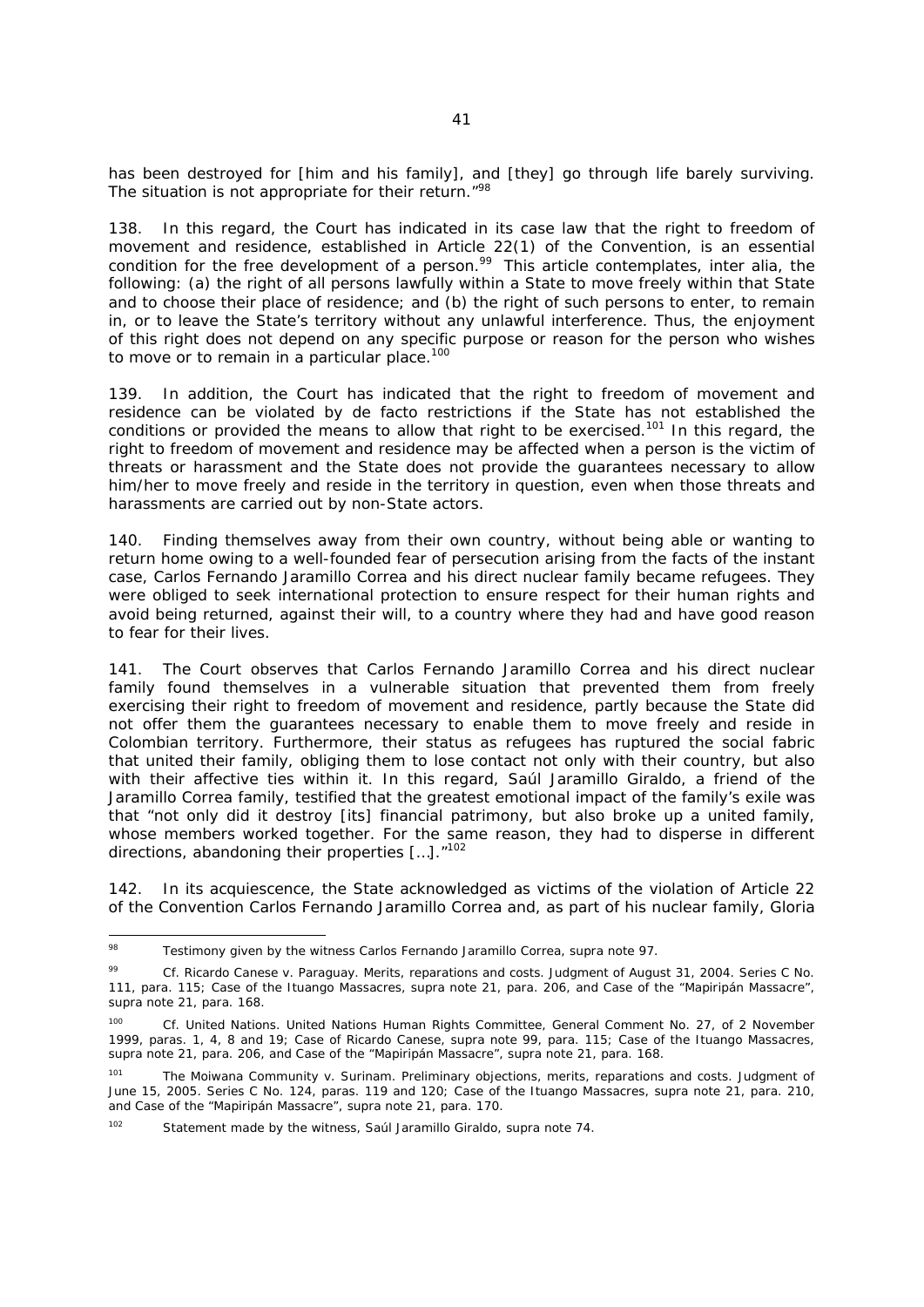has been destroyed for [him and his family], and [they] go through life barely surviving. The situation is not appropriate for their return."<sup>98</sup>

138. In this regard, the Court has indicated in its case law that the right to freedom of movement and residence, established in Article 22(1) of the Convention, is an essential condition for the free development of a person.<sup>99</sup> This article contemplates, *inter alia*, the following: (a) the right of all persons lawfully within a State to move freely within that State and to choose their place of residence; and (b) the right of such persons to enter, to remain in, or to leave the State's territory without any unlawful interference. Thus, the enjoyment of this right does not depend on any specific purpose or reason for the person who wishes to move or to remain in a particular place.<sup>100</sup>

139. In addition, the Court has indicated that the right to freedom of movement and residence can be violated by *de facto* restrictions if the State has not established the conditions or provided the means to allow that right to be exercised.<sup>101</sup> In this regard, the right to freedom of movement and residence may be affected when a person is the victim of threats or harassment and the State does not provide the guarantees necessary to allow him/her to move freely and reside in the territory in question, even when those threats and harassments are carried out by non-State actors.

140. Finding themselves away from their own country, without being able or wanting to return home owing to a well-founded fear of persecution arising from the facts of the instant case, Carlos Fernando Jaramillo Correa and his direct nuclear family became refugees. They were obliged to seek international protection to ensure respect for their human rights and avoid being returned, against their will, to a country where they had and have good reason to fear for their lives.

141. The Court observes that Carlos Fernando Jaramillo Correa and his direct nuclear family found themselves in a vulnerable situation that prevented them from freely exercising their right to freedom of movement and residence, partly because the State did not offer them the guarantees necessary to enable them to move freely and reside in Colombian territory. Furthermore, their status as refugees has ruptured the social fabric that united their family, obliging them to lose contact not only with their country, but also with their affective ties within it. In this regard, Saúl Jaramillo Giraldo, a friend of the Jaramillo Correa family, testified that the greatest emotional impact of the family's exile was that "not only did it destroy [its] financial patrimony, but also broke up a united family, whose members worked together. For the same reason, they had to disperse in different directions, abandoning their properties [...].<sup>"102</sup>

142. In its acquiescence, the State acknowledged as victims of the violation of Article 22 of the Convention Carlos Fernando Jaramillo Correa and, as part of his nuclear family, Gloria

 $98$ 98 Testimony given by the witness Carlos Fernando Jaramillo Correa, *supra* note 97.

<sup>99</sup> *Cf. Ricardo Canese v. Paraguay. Merits, reparations and costs*. Judgment of August 31, 2004. Series C No. 111, para. 115; *Case of the Ituango Massacres, supra* note 21, para. 206, and *Case of the "Mapiripán Massacre", supra* note 21, para. 168.

<sup>100</sup> *Cf.* United Nations. United Nations Human Rights Committee, General Comment No. 27, of 2 November 1999, paras. 1, 4, 8 and 19; *Case of Ricardo Canese, supra* note 99, para. 115; *Case of the Ituango Massacres, supra* note 21, para. 206, and *Case of the "Mapiripán Massacre", supra* note 21, para. 168.

<sup>101</sup> *The Moiwana Community v. Surinam. Preliminary objections, merits, reparations and costs*. Judgment of June 15, 2005. Series C No. 124, paras. 119 and 120; *Case of the Ituango Massacres, supra* note 21, para. 210, and *Case of the "Mapiripán Massacre", supra* note 21, para. 170.

<sup>102</sup> Statement made by the witness, Saúl Jaramillo Giraldo, *supra* note 74.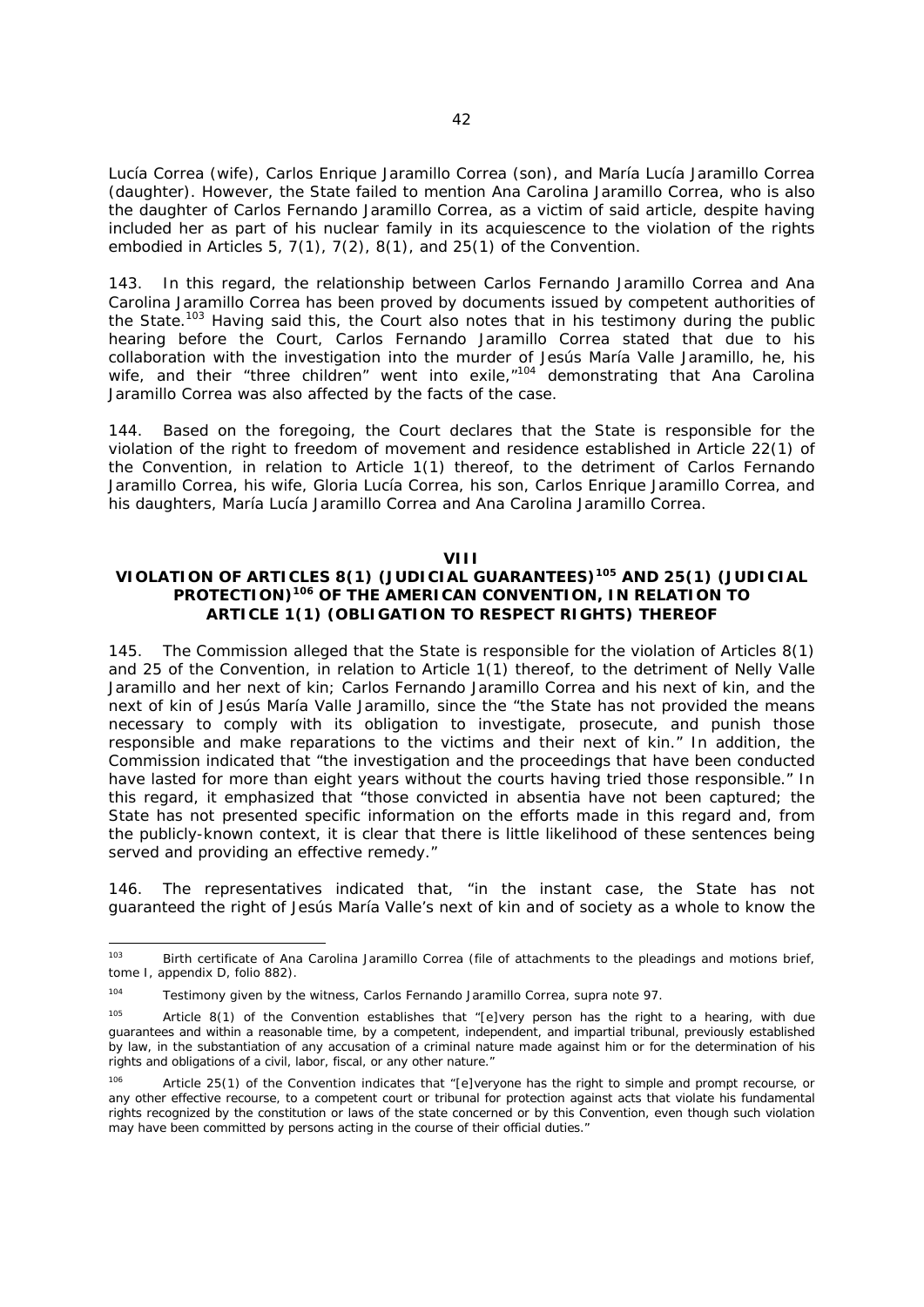Lucía Correa (wife), Carlos Enrique Jaramillo Correa (son), and María Lucía Jaramillo Correa (daughter). However, the State failed to mention Ana Carolina Jaramillo Correa, who is also the daughter of Carlos Fernando Jaramillo Correa, as a victim of said article, despite having included her as part of his nuclear family in its acquiescence to the violation of the rights embodied in Articles 5, 7(1), 7(2), 8(1), and 25(1) of the Convention.

143. In this regard, the relationship between Carlos Fernando Jaramillo Correa and Ana Carolina Jaramillo Correa has been proved by documents issued by competent authorities of the State.<sup>103</sup> Having said this, the Court also notes that in his testimony during the public hearing before the Court, Carlos Fernando Jaramillo Correa stated that due to his collaboration with the investigation into the murder of Jesús María Valle Jaramillo, he, his wife, and their "three children" went into exile,"<sup>104</sup> demonstrating that Ana Carolina Jaramillo Correa was also affected by the facts of the case.

144. Based on the foregoing, the Court declares that the State is responsible for the violation of the right to freedom of movement and residence established in Article 22(1) of the Convention, in relation to Article 1(1) thereof, to the detriment of Carlos Fernando Jaramillo Correa, his wife, Gloria Lucía Correa, his son, Carlos Enrique Jaramillo Correa, and his daughters, María Lucía Jaramillo Correa and Ana Carolina Jaramillo Correa.

### **VIII**

# **VIOLATION OF ARTICLES 8(1) (JUDICIAL GUARANTEES)105 AND 25(1) (JUDICIAL PROTECTION)106 OF THE AMERICAN CONVENTION, IN RELATION TO ARTICLE 1(1) (OBLIGATION TO RESPECT RIGHTS) THEREOF**

145. The Commission alleged that the State is responsible for the violation of Articles 8(1) and 25 of the Convention, in relation to Article 1(1) thereof, to the detriment of Nelly Valle Jaramillo and her next of kin; Carlos Fernando Jaramillo Correa and his next of kin, and the next of kin of Jesús María Valle Jaramillo, since the "the State has not provided the means necessary to comply with its obligation to investigate, prosecute, and punish those responsible and make reparations to the victims and their next of kin." In addition, the Commission indicated that "the investigation and the proceedings that have been conducted have lasted for more than eight years without the courts having tried those responsible." In this regard, it emphasized that "those convicted *in absentia* have not been captured; the State has not presented specific information on the efforts made in this regard and, from the publicly-known context, it is clear that there is little likelihood of these sentences being served and providing an effective remedy."

146. The representatives indicated that, "in the instant case, the State has not guaranteed the right of Jesús María Valle's next of kin and of society as a whole to know the

 $103$ Birth certificate of Ana Carolina Jaramillo Correa (file of attachments to the pleadings and motions brief, tome I, appendix D, folio 882).

<sup>104</sup> Testimony given by the witness, Carlos Fernando Jaramillo Correa, *supra* note 97.

<sup>105</sup> Article 8(1) of the Convention establishes that "[e]very person has the right to a hearing, with due guarantees and within a reasonable time, by a competent, independent, and impartial tribunal, previously established by law, in the substantiation of any accusation of a criminal nature made against him or for the determination of his rights and obligations of a civil, labor, fiscal, or any other nature."

<sup>106</sup> Article 25(1) of the Convention indicates that "[e]veryone has the right to simple and prompt recourse, or any other effective recourse, to a competent court or tribunal for protection against acts that violate his fundamental rights recognized by the constitution or laws of the state concerned or by this Convention, even though such violation may have been committed by persons acting in the course of their official duties."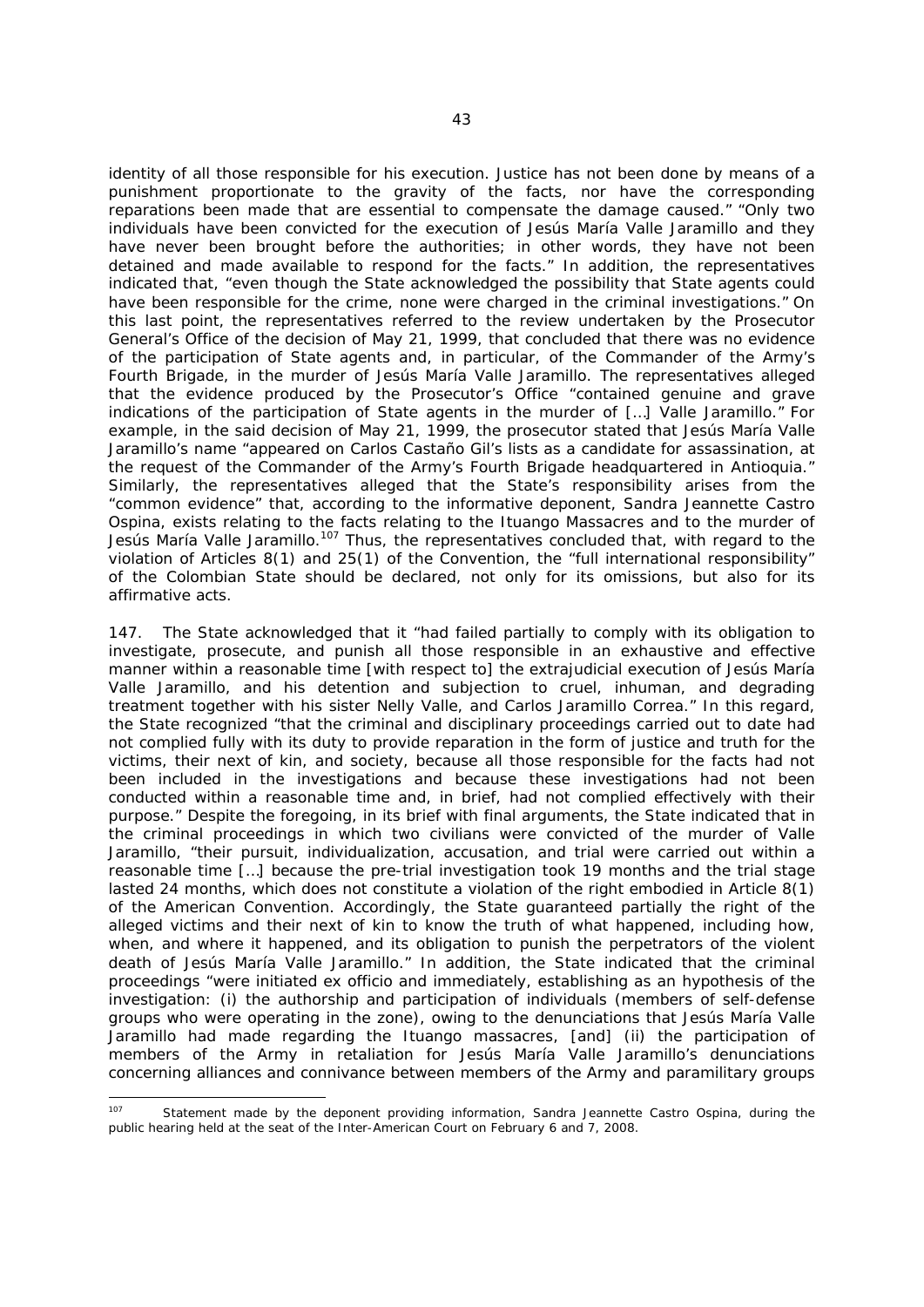identity of all those responsible for his execution. Justice has not been done by means of a punishment proportionate to the gravity of the facts, nor have the corresponding reparations been made that are essential to compensate the damage caused." "Only two individuals have been convicted for the execution of Jesús María Valle Jaramillo and they have never been brought before the authorities; in other words, they have not been detained and made available to respond for the facts." In addition, the representatives indicated that, "even though the State acknowledged the possibility that State agents could have been responsible for the crime, none were charged in the criminal investigations." On this last point, the representatives referred to the review undertaken by the Prosecutor General's Office of the decision of May 21, 1999, that concluded that there was no evidence of the participation of State agents and, in particular, of the Commander of the Army's Fourth Brigade, in the murder of Jesús María Valle Jaramillo. The representatives alleged that the evidence produced by the Prosecutor's Office "contained genuine and grave indications of the participation of State agents in the murder of […] Valle Jaramillo." For example, in the said decision of May 21, 1999, the prosecutor stated that Jesús María Valle Jaramillo's name "appeared on Carlos Castaño Gil's lists as a candidate for assassination, at the request of the Commander of the Army's Fourth Brigade headquartered in Antioquia." Similarly, the representatives alleged that the State's responsibility arises from the "common evidence" that, according to the informative deponent, Sandra Jeannette Castro Ospina, exists relating to the facts relating to the Ituango Massacres and to the murder of Jesús María Valle Jaramillo.<sup>107</sup> Thus, the representatives concluded that, with regard to the violation of Articles 8(1) and 25(1) of the Convention, the "full international responsibility" of the Colombian State should be declared, not only for its omissions, but also for its affirmative acts.

147. The State acknowledged that it "had failed partially to comply with its obligation to investigate, prosecute, and punish all those responsible in an exhaustive and effective manner within a reasonable time [with respect to] the extrajudicial execution of Jesús María Valle Jaramillo, and his detention and subjection to cruel, inhuman, and degrading treatment together with his sister Nelly Valle, and Carlos Jaramillo Correa." In this regard, the State recognized "that the criminal and disciplinary proceedings carried out to date had not complied fully with its duty to provide reparation in the form of justice and truth for the victims, their next of kin, and society, because all those responsible for the facts had not been included in the investigations and because these investigations had not been conducted within a reasonable time and, in brief, had not complied effectively with their purpose." Despite the foregoing, in its brief with final arguments, the State indicated that in the criminal proceedings in which two civilians were convicted of the murder of Valle Jaramillo, "their pursuit, individualization, accusation, and trial were carried out within a reasonable time […] because the pre-trial investigation took 19 months and the trial stage lasted 24 months, which does not constitute a violation of the right embodied in Article 8(1) of the American Convention. Accordingly, the State guaranteed partially the right of the alleged victims and their next of kin to know the truth of what happened, including how, when, and where it happened, and its obligation to punish the perpetrators of the violent death of Jesús María Valle Jaramillo." In addition, the State indicated that the criminal proceedings "were initiated *ex officio* and immediately, establishing as an hypothesis of the investigation: (i) the authorship and participation of individuals (members of self-defense groups who were operating in the zone), owing to the denunciations that Jesús María Valle Jaramillo had made regarding the Ituango massacres, [and] (ii) the participation of members of the Army in retaliation for Jesús María Valle Jaramillo's denunciations concerning alliances and connivance between members of the Army and paramilitary groups

 $107$ Statement made by the deponent providing information, Sandra Jeannette Castro Ospina, during the public hearing held at the seat of the Inter-American Court on February 6 and 7, 2008.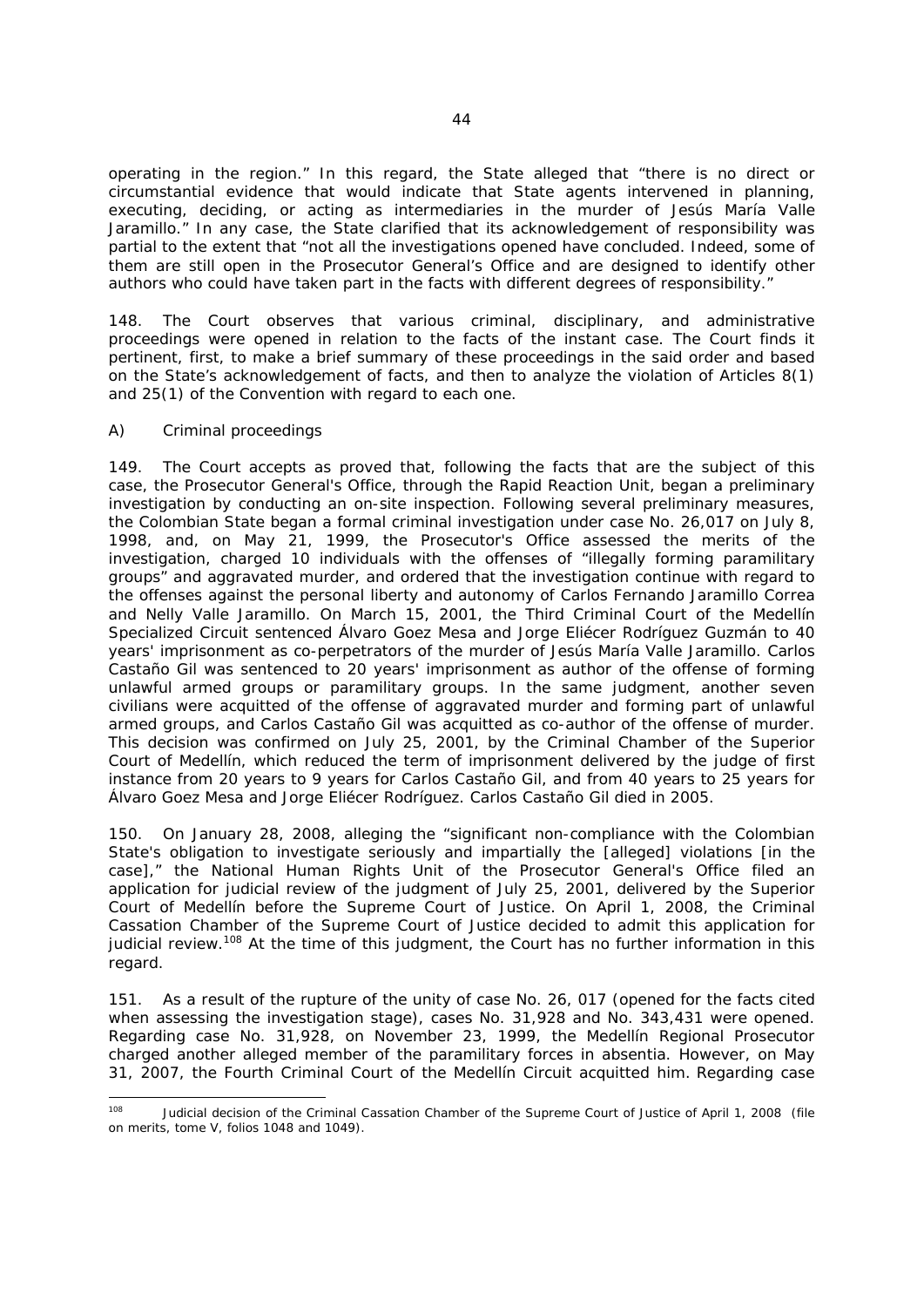operating in the region." In this regard, the State alleged that "there is no direct or circumstantial evidence that would indicate that State agents intervened in planning, executing, deciding, or acting as intermediaries in the murder of Jesús María Valle Jaramillo." In any case, the State clarified that its acknowledgement of responsibility was partial to the extent that "not all the investigations opened have concluded. Indeed, some of them are still open in the Prosecutor General's Office and are designed to identify other authors who could have taken part in the facts with different degrees of responsibility."

148. The Court observes that various criminal, disciplinary, and administrative proceedings were opened in relation to the facts of the instant case. The Court finds it pertinent, first, to make a brief summary of these proceedings in the said order and based on the State's acknowledgement of facts, and then to analyze the violation of Articles 8(1) and 25(1) of the Convention with regard to each one.

# *A) Criminal proceedings*

149. The Court accepts as proved that, following the facts that are the subject of this case, the Prosecutor General's Office, through the Rapid Reaction Unit, began a preliminary investigation by conducting an on-site inspection. Following several preliminary measures, the Colombian State began a formal criminal investigation under case No. 26,017 on July 8, 1998, and, on May 21, 1999, the Prosecutor's Office assessed the merits of the investigation, charged 10 individuals with the offenses of "illegally forming paramilitary groups" and aggravated murder, and ordered that the investigation continue with regard to the offenses against the personal liberty and autonomy of Carlos Fernando Jaramillo Correa and Nelly Valle Jaramillo. On March 15, 2001, the Third Criminal Court of the Medellín Specialized Circuit sentenced Álvaro Goez Mesa and Jorge Eliécer Rodríguez Guzmán to 40 years' imprisonment as co-perpetrators of the murder of Jesús María Valle Jaramillo. Carlos Castaño Gil was sentenced to 20 years' imprisonment as author of the offense of forming unlawful armed groups or paramilitary groups. In the same judgment, another seven civilians were acquitted of the offense of aggravated murder and forming part of unlawful armed groups, and Carlos Castaño Gil was acquitted as co-author of the offense of murder. This decision was confirmed on July 25, 2001, by the Criminal Chamber of the Superior Court of Medellín, which reduced the term of imprisonment delivered by the judge of first instance from 20 years to 9 years for Carlos Castaño Gil, and from 40 years to 25 years for Álvaro Goez Mesa and Jorge Eliécer Rodríguez. Carlos Castaño Gil died in 2005.

150. On January 28, 2008, alleging the "significant non-compliance with the Colombian State's obligation to investigate seriously and impartially the [alleged] violations [in the case]," the National Human Rights Unit of the Prosecutor General's Office filed an application for judicial review of the judgment of July 25, 2001, delivered by the Superior Court of Medellín before the Supreme Court of Justice. On April 1, 2008, the Criminal Cassation Chamber of the Supreme Court of Justice decided to admit this application for judicial review.<sup>108</sup> At the time of this judgment, the Court has no further information in this regard.

151. As a result of the rupture of the unity of case No. 26, 017 (opened for the facts cited when assessing the investigation stage), cases No. 31,928 and No. 343,431 were opened. Regarding case No. 31,928, on November 23, 1999, the Medellín Regional Prosecutor charged another alleged member of the paramilitary forces *in absentia*. However, on May 31, 2007, the Fourth Criminal Court of the Medellín Circuit acquitted him. Regarding case

<sup>108</sup> 108 Judicial decision of the Criminal Cassation Chamber of the Supreme Court of Justice of April 1, 2008 (file on merits, tome V, folios 1048 and 1049).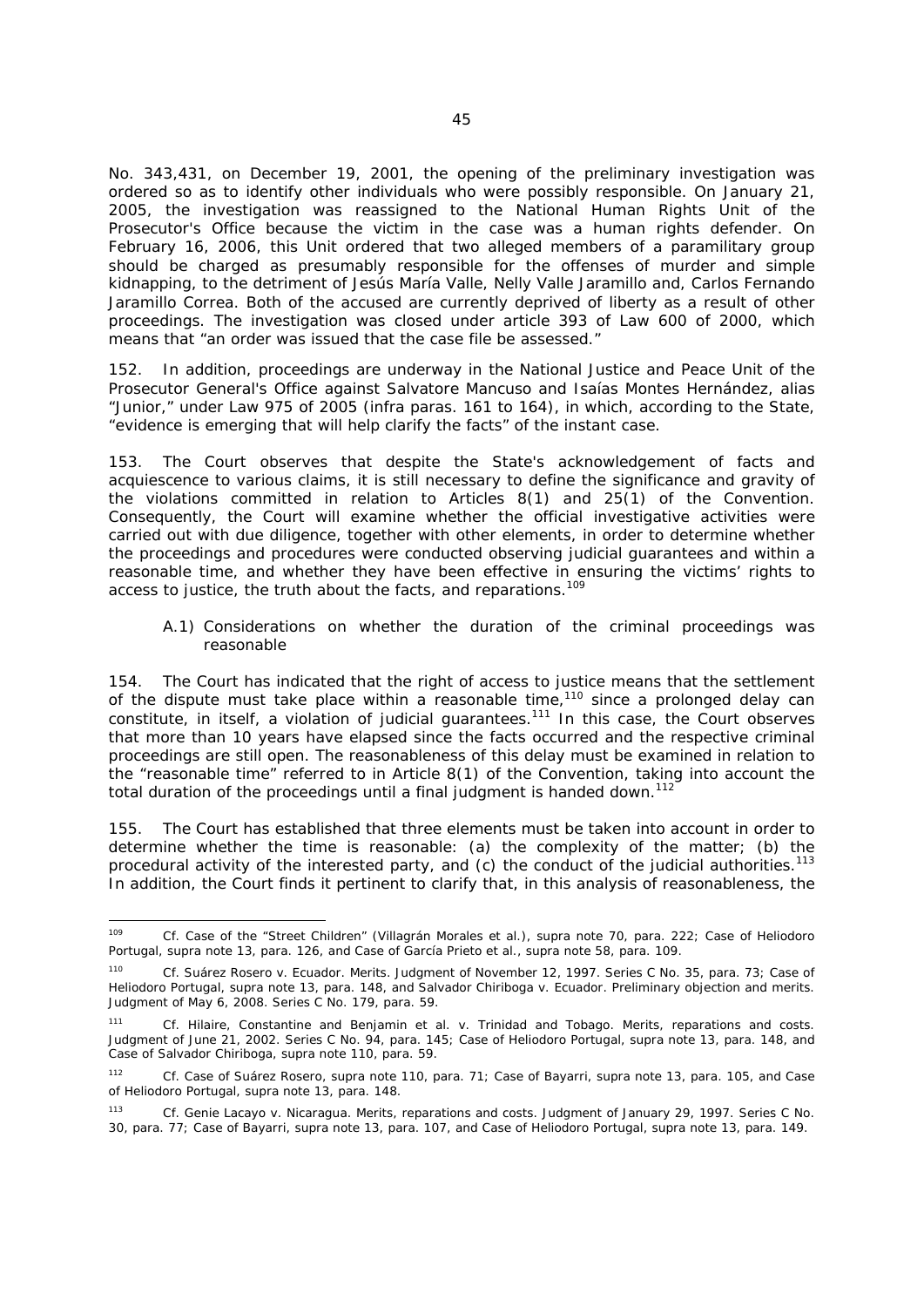No. 343,431, on December 19, 2001, the opening of the preliminary investigation was ordered so as to identify other individuals who were possibly responsible. On January 21, 2005, the investigation was reassigned to the National Human Rights Unit of the Prosecutor's Office because the victim in the case was a human rights defender. On February 16, 2006, this Unit ordered that two alleged members of a paramilitary group should be charged as presumably responsible for the offenses of murder and simple kidnapping, to the detriment of Jesús María Valle, Nelly Valle Jaramillo and, Carlos Fernando Jaramillo Correa. Both of the accused are currently deprived of liberty as a result of other proceedings. The investigation was closed under article 393 of Law 600 of 2000, which means that "an order was issued that the case file be assessed."

In addition, proceedings are underway in the National Justice and Peace Unit of the Prosecutor General's Office against Salvatore Mancuso and Isaías Montes Hernández, alias "Junior," under Law 975 of 2005 (*infra* paras. 161 to 164), in which, according to the State, "evidence is emerging that will help clarify the facts" of the instant case.

153. The Court observes that despite the State's acknowledgement of facts and acquiescence to various claims, it is still necessary to define the significance and gravity of the violations committed in relation to Articles 8(1) and 25(1) of the Convention. Consequently, the Court will examine whether the official investigative activities were carried out with due diligence, together with other elements, in order to determine whether the proceedings and procedures were conducted observing judicial guarantees and within a reasonable time, and whether they have been effective in ensuring the victims' rights to access to justice, the truth about the facts, and reparations.<sup>109</sup>

### *A.1) Considerations on whether the duration of the criminal proceedings was reasonable*

154. The Court has indicated that the right of access to justice means that the settlement of the dispute must take place within a reasonable time,<sup>110</sup> since a prolonged delay can constitute, in itself, a violation of judicial guarantees.111 In this case, the Court observes that more than 10 years have elapsed since the facts occurred and the respective criminal proceedings are still open. The reasonableness of this delay must be examined in relation to the "reasonable time" referred to in Article 8(1) of the Convention, taking into account the total duration of the proceedings until a final judgment is handed down.<sup>112</sup>

155. The Court has established that three elements must be taken into account in order to determine whether the time is reasonable: (a) the complexity of the matter; (b) the procedural activity of the interested party, and (c) the conduct of the judicial authorities.<sup>113</sup> In addition, the Court finds it pertinent to clarify that, in this analysis of reasonableness, the

<sup>109</sup> 109 *Cf. Case of the "Street Children" (Villagrán Morales et al.), supra* note 70, para. 222; *Case of Heliodoro Portugal, supra* note 13, para. 126, and *Case of García Prieto et al., supra* note 58*,* para. 109.

<sup>110</sup> *Cf. Suárez Rosero v. Ecuador. Merits.* Judgment of November 12, 1997. Series C No. 35, para. 73; *Case of Heliodoro Portugal,* supra note 13, para. 148, and *Salvador Chiriboga v. Ecuador. Preliminary objection and merits.* Judgment of May 6, 2008. Series C No. 179, para. 59.

<sup>111</sup> *Cf. Hilaire, Constantine and Benjamin et al. v. Trinidad and Tobago. Merits, reparations and costs*. Judgment of June 21, 2002. Series C No. 94, para. 145; *Case of Heliodoro Portugal, supra* note 13, para. 148, and *Case of Salvador Chiriboga, supra* note 110, para. 59.

<sup>112</sup> *Cf. Case of Suárez Rosero, supra* note 110, para. 71*; Case of Bayarri, supra* note 13, para. 105, and *Case of Heliodoro Portugal, supra* note 13, para. 148.

<sup>113</sup> *Cf. Genie Lacayo v. Nicaragua*. *Merits, reparations and costs.* Judgment of January 29, 1997. Series C No. 30, para. 77; *Case of Bayarri, supra* note 13, para. 107, and *Case of Heliodoro Portugal, supra* note 13, para. 149.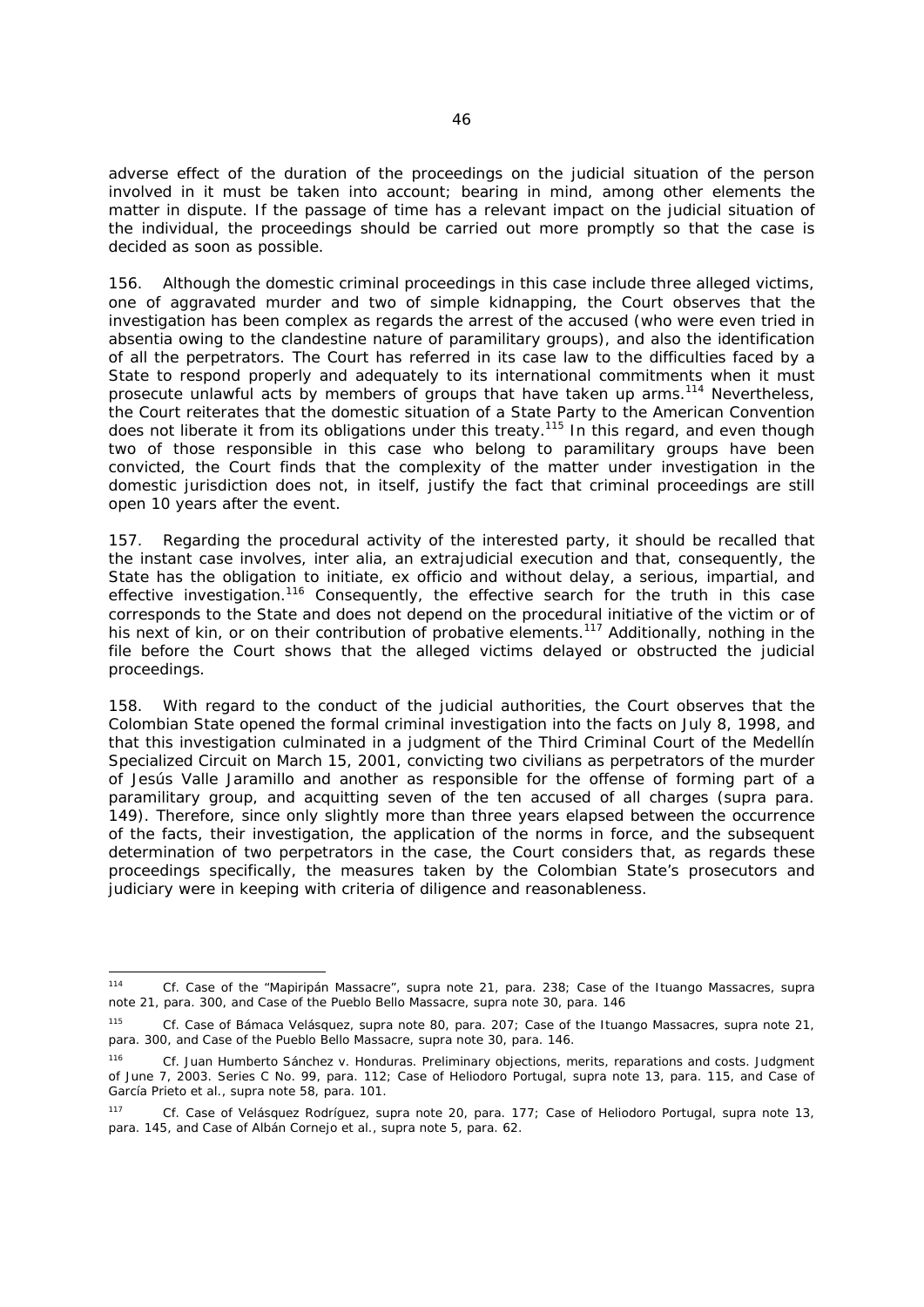adverse effect of the duration of the proceedings on the judicial situation of the person involved in it must be taken into account; bearing in mind, among other elements the matter in dispute. If the passage of time has a relevant impact on the judicial situation of the individual, the proceedings should be carried out more promptly so that the case is decided as soon as possible.

156. Although the domestic criminal proceedings in this case include three alleged victims, one of aggravated murder and two of simple kidnapping, the Court observes that the investigation has been complex as regards the arrest of the accused (who were even tried *in absentia* owing to the clandestine nature of paramilitary groups), and also the identification of all the perpetrators. The Court has referred in its case law to the difficulties faced by a State to respond properly and adequately to its international commitments when it must prosecute unlawful acts by members of groups that have taken up arms.<sup>114</sup> Nevertheless, the Court reiterates that the domestic situation of a State Party to the American Convention does not liberate it from its obligations under this treaty.<sup>115</sup> In this regard, and even though two of those responsible in this case who belong to paramilitary groups have been convicted, the Court finds that the complexity of the matter under investigation in the domestic jurisdiction does not, in itself, justify the fact that criminal proceedings are still open 10 years after the event.

157. Regarding the procedural activity of the interested party, it should be recalled that the instant case involves, *inter alia,* an extrajudicial execution and that, consequently, the State has the obligation to initiate, *ex officio* and without delay, a serious, impartial, and effective investigation.<sup>116</sup> Consequently, the effective search for the truth in this case corresponds to the State and does not depend on the procedural initiative of the victim or of his next of kin, or on their contribution of probative elements.<sup>117</sup> Additionally, nothing in the file before the Court shows that the alleged victims delayed or obstructed the judicial proceedings.

158. With regard to the conduct of the judicial authorities, the Court observes that the Colombian State opened the formal criminal investigation into the facts on July 8, 1998, and that this investigation culminated in a judgment of the Third Criminal Court of the Medellín Specialized Circuit on March 15, 2001, convicting two civilians as perpetrators of the murder of Jesús Valle Jaramillo and another as responsible for the offense of forming part of a paramilitary group, and acquitting seven of the ten accused of all charges (*supra* para. 149). Therefore, since only slightly more than three years elapsed between the occurrence of the facts, their investigation, the application of the norms in force, and the subsequent determination of two perpetrators in the case, the Court considers that, as regards these proceedings specifically, the measures taken by the Colombian State's prosecutors and judiciary were in keeping with criteria of diligence and reasonableness.

<sup>114</sup> 114 *Cf. Case of the "Mapiripán Massacre", supra* note 21, para. 238; *Case of the Ituango Massacres, supra*  note 21, para. 300, and *Case of the Pueblo Bello Massacre, supra* note 30, para. 146

<sup>115</sup> *Cf. Case of Bámaca Velásquez, supra* note 80, para. 207; *Case of the Ituango Massacres, supra* note 21, para. 300, and *Case of the Pueblo Bello Massacre, supra* note 30, para. 146.

<sup>116</sup> *Cf. Juan Humberto Sánchez v. Honduras. Preliminary objections, merits, reparations and costs*. Judgment of June 7, 2003. Series C No. 99, para. 112; *Case of Heliodoro Portugal*, *supra* note 13, para. 115, and *Case of García Prieto et al., supra* note 58, para. 101.

<sup>117</sup> *Cf. Case of Velásquez Rodríguez, supra* note 20, para. 177; *Case of Heliodoro Portugal, supra* note 13, para. 145, and *Case of Albán Cornejo et al., supra* note 5, para. 62.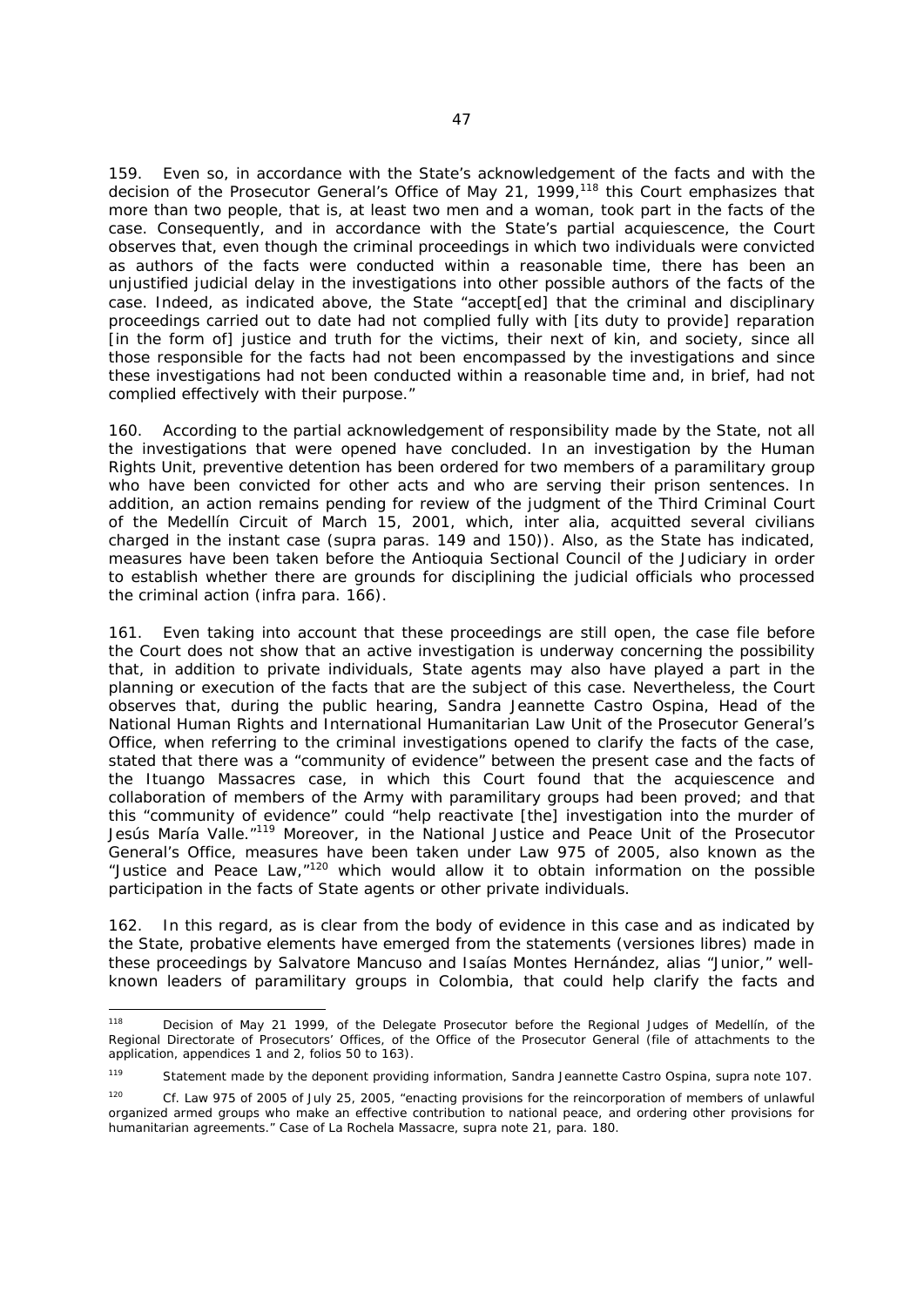159. Even so, in accordance with the State's acknowledgement of the facts and with the decision of the Prosecutor General's Office of May 21, 1999, $118$  this Court emphasizes that more than two people, that is, at least two men and a woman, took part in the facts of the case. Consequently, and in accordance with the State's partial acquiescence, the Court observes that, even though the criminal proceedings in which two individuals were convicted as authors of the facts were conducted within a reasonable time, there has been an unjustified judicial delay in the investigations into other possible authors of the facts of the case. Indeed, as indicated above, the State "accept[ed] that the criminal and disciplinary proceedings carried out to date had not complied fully with [its duty to provide] reparation [in the form of] justice and truth for the victims, their next of kin, and society, since all those responsible for the facts had not been encompassed by the investigations and since these investigations had not been conducted within a reasonable time and, in brief, had not complied effectively with their purpose."

160. According to the partial acknowledgement of responsibility made by the State, not all the investigations that were opened have concluded. In an investigation by the Human Rights Unit, preventive detention has been ordered for two members of a paramilitary group who have been convicted for other acts and who are serving their prison sentences. In addition, an action remains pending for review of the judgment of the Third Criminal Court of the Medellín Circuit of March 15, 2001, which, *inter alia*, acquitted several civilians charged in the instant case (*supra* paras. 149 and 150)). Also, as the State has indicated, measures have been taken before the Antioquia Sectional Council of the Judiciary in order to establish whether there are grounds for disciplining the judicial officials who processed the criminal action (*infra* para. 166).

161. Even taking into account that these proceedings are still open, the case file before the Court does not show that an active investigation is underway concerning the possibility that, in addition to private individuals, State agents may also have played a part in the planning or execution of the facts that are the subject of this case. Nevertheless, the Court observes that, during the public hearing, Sandra Jeannette Castro Ospina, Head of the National Human Rights and International Humanitarian Law Unit of the Prosecutor General's Office, when referring to the criminal investigations opened to clarify the facts of the case, stated that there was a "community of evidence" between the present case and the facts of the Ituango Massacres case, in which this Court found that the acquiescence and collaboration of members of the Army with paramilitary groups had been proved; and that this "community of evidence" could "help reactivate [the] investigation into the murder of Jesús María Valle."119 Moreover, in the National Justice and Peace Unit of the Prosecutor General's Office, measures have been taken under Law 975 of 2005, also known as the "Justice and Peace Law,"<sup>120</sup> which would allow it to obtain information on the possible participation in the facts of State agents or other private individuals.

162. In this regard, as is clear from the body of evidence in this case and as indicated by the State, probative elements have emerged from the statements (*versiones libres*) made in these proceedings by Salvatore Mancuso and Isaías Montes Hernández, alias "Junior," wellknown leaders of paramilitary groups in Colombia, that could help clarify the facts and

<sup>118</sup> Decision of May 21 1999, of the Delegate Prosecutor before the Regional Judges of Medellín, of the Regional Directorate of Prosecutors' Offices, of the Office of the Prosecutor General (file of attachments to the application, appendices 1 and 2, folios 50 to 163).

<sup>119</sup> Statement made by the deponent providing information, Sandra Jeannette Castro Ospina, *supra* note 107.

<sup>120</sup> *Cf.* Law 975 of 2005 of July 25, 2005, "enacting provisions for the reincorporation of members of unlawful organized armed groups who make an effective contribution to national peace, and ordering other provisions for humanitarian agreements." *Case of La Rochela Massacre*, *supra* note 21, para. 180.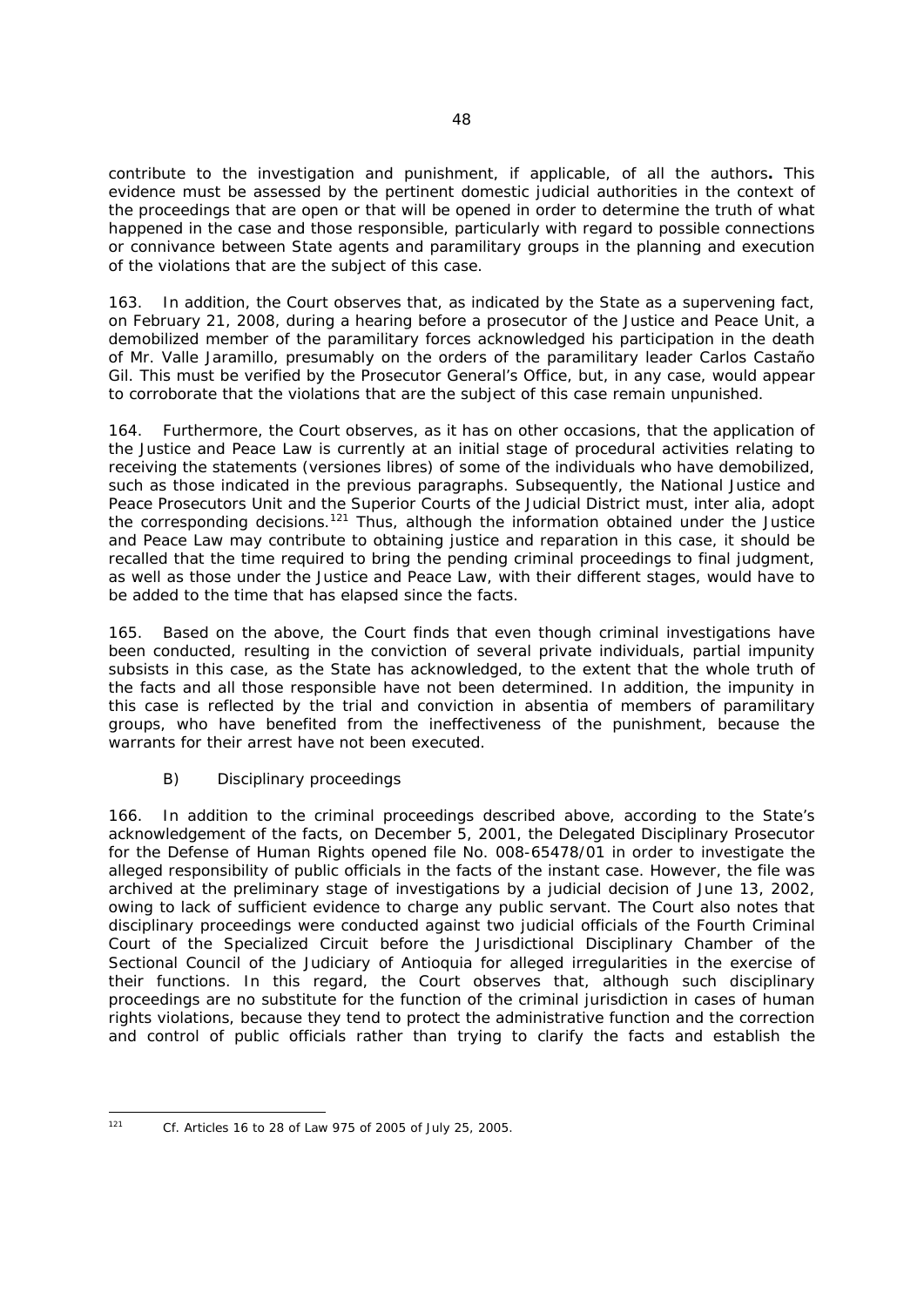contribute to the investigation and punishment, if applicable, of all the authors**.** This evidence must be assessed by the pertinent domestic judicial authorities in the context of the proceedings that are open or that will be opened in order to determine the truth of what happened in the case and those responsible, particularly with regard to possible connections or connivance between State agents and paramilitary groups in the planning and execution of the violations that are the subject of this case.

163. In addition, the Court observes that, as indicated by the State as a supervening fact, on February 21, 2008, during a hearing before a prosecutor of the Justice and Peace Unit, a demobilized member of the paramilitary forces acknowledged his participation in the death of Mr. Valle Jaramillo, presumably on the orders of the paramilitary leader Carlos Castaño Gil. This must be verified by the Prosecutor General's Office, but, in any case, would appear to corroborate that the violations that are the subject of this case remain unpunished.

164. Furthermore, the Court observes, as it has on other occasions, that the application of the Justice and Peace Law is currently at an initial stage of procedural activities relating to receiving the statements (*versiones libres*) of some of the individuals who have demobilized, such as those indicated in the previous paragraphs. Subsequently, the National Justice and Peace Prosecutors Unit and the Superior Courts of the Judicial District must, *inter alia*, adopt the corresponding decisions.<sup>121</sup> Thus, although the information obtained under the Justice and Peace Law may contribute to obtaining justice and reparation in this case, it should be recalled that the time required to bring the pending criminal proceedings to final judgment, as well as those under the Justice and Peace Law, with their different stages, would have to be added to the time that has elapsed since the facts.

165. Based on the above, the Court finds that even though criminal investigations have been conducted, resulting in the conviction of several private individuals, partial impunity subsists in this case, as the State has acknowledged, to the extent that the whole truth of the facts and all those responsible have not been determined. In addition, the impunity in this case is reflected by the trial and conviction *in absentia* of members of paramilitary groups, who have benefited from the ineffectiveness of the punishment, because the warrants for their arrest have not been executed.

# *B) Disciplinary proceedings*

166. In addition to the criminal proceedings described above, according to the State's acknowledgement of the facts, on December 5, 2001, the Delegated Disciplinary Prosecutor for the Defense of Human Rights opened file No. 008-65478/01 in order to investigate the alleged responsibility of public officials in the facts of the instant case. However, the file was archived at the preliminary stage of investigations by a judicial decision of June 13, 2002, owing to lack of sufficient evidence to charge any public servant. The Court also notes that disciplinary proceedings were conducted against two judicial officials of the Fourth Criminal Court of the Specialized Circuit before the Jurisdictional Disciplinary Chamber of the Sectional Council of the Judiciary of Antioquia for alleged irregularities in the exercise of their functions. In this regard, the Court observes that, although such disciplinary proceedings are no substitute for the function of the criminal jurisdiction in cases of human rights violations, because they tend to protect the administrative function and the correction and control of public officials rather than trying to clarify the facts and establish the

 $121$ *Cf.* Articles 16 to 28 of Law 975 of 2005 of July 25, 2005.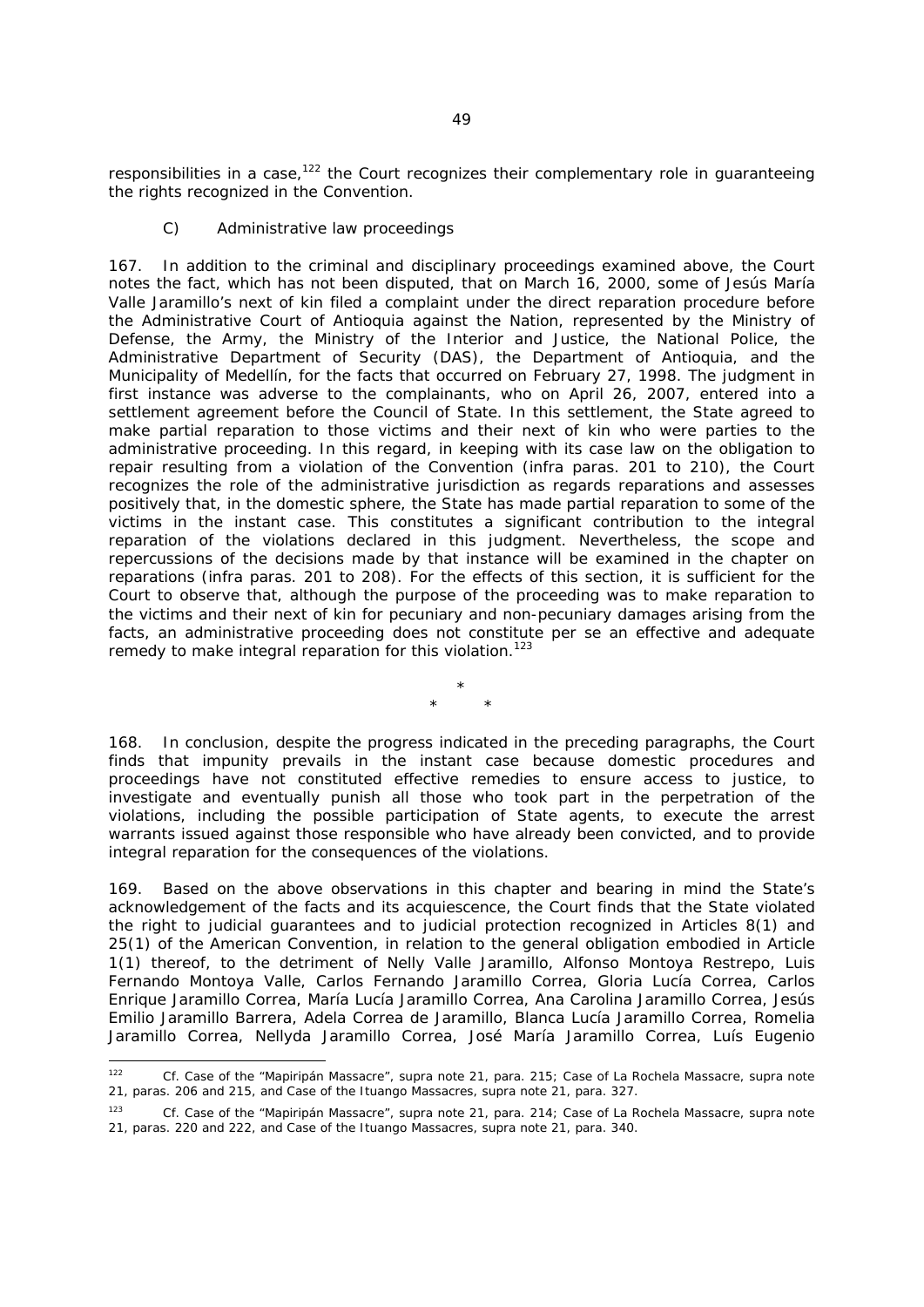responsibilities in a case, $122$  the Court recognizes their complementary role in quaranteeing the rights recognized in the Convention.

### *C) Administrative law proceedings*

167. In addition to the criminal and disciplinary proceedings examined above, the Court notes the fact, which has not been disputed, that on March 16, 2000, some of Jesús María Valle Jaramillo's next of kin filed a complaint under the direct reparation procedure before the Administrative Court of Antioquia against the Nation, represented by the Ministry of Defense, the Army, the Ministry of the Interior and Justice, the National Police, the Administrative Department of Security (DAS), the Department of Antioquia, and the Municipality of Medellín, for the facts that occurred on February 27, 1998. The judgment in first instance was adverse to the complainants, who on April 26, 2007, entered into a settlement agreement before the Council of State. In this settlement, the State agreed to make partial reparation to those victims and their next of kin who were parties to the administrative proceeding. In this regard, in keeping with its case law on the obligation to repair resulting from a violation of the Convention (*infra* paras. 201 to 210), the Court recognizes the role of the administrative jurisdiction as regards reparations and assesses positively that, in the domestic sphere, the State has made partial reparation to some of the victims in the instant case. This constitutes a significant contribution to the integral reparation of the violations declared in this judgment. Nevertheless, the scope and repercussions of the decisions made by that instance will be examined in the chapter on reparations (*infra* paras. 201 to 208). For the effects of this section, it is sufficient for the Court to observe that, although the purpose of the proceeding was to make reparation to the victims and their next of kin for pecuniary and non-pecuniary damages arising from the facts, an administrative proceeding does not constitute *per se* an effective and adequate remedy to make integral reparation for this violation.<sup>123</sup>

168. In conclusion, despite the progress indicated in the preceding paragraphs, the Court finds that impunity prevails in the instant case because domestic procedures and proceedings have not constituted effective remedies to ensure access to justice, to investigate and eventually punish all those who took part in the perpetration of the violations, including the possible participation of State agents, to execute the arrest warrants issued against those responsible who have already been convicted, and to provide integral reparation for the consequences of the violations.

\* \* \*

169. Based on the above observations in this chapter and bearing in mind the State's acknowledgement of the facts and its acquiescence, the Court finds that the State violated the right to judicial guarantees and to judicial protection recognized in Articles 8(1) and 25(1) of the American Convention, in relation to the general obligation embodied in Article 1(1) thereof, to the detriment of Nelly Valle Jaramillo, Alfonso Montoya Restrepo, Luis Fernando Montoya Valle, Carlos Fernando Jaramillo Correa, Gloria Lucía Correa, Carlos Enrique Jaramillo Correa, María Lucía Jaramillo Correa, Ana Carolina Jaramillo Correa, Jesús Emilio Jaramillo Barrera, Adela Correa de Jaramillo, Blanca Lucía Jaramillo Correa, Romelia Jaramillo Correa, Nellyda Jaramillo Correa, José María Jaramillo Correa, Luís Eugenio

 $122$ 122 *Cf. Case of the "Mapiripán Massacre", supra* note 21, para. 215; *Case of La Rochela Massacre, supra* note 21, paras. 206 and 215, and *Case of the Ituango Massacres, supra* note 21, para. 327.

<sup>123</sup> *Cf. Case of the "Mapiripán Massacre", supra* note 21, para. 214; *Case of La Rochela Massacre, supra* note 21, paras. 220 and 222, and *Case of the Ituango Massacres, supra* note 21, para. 340.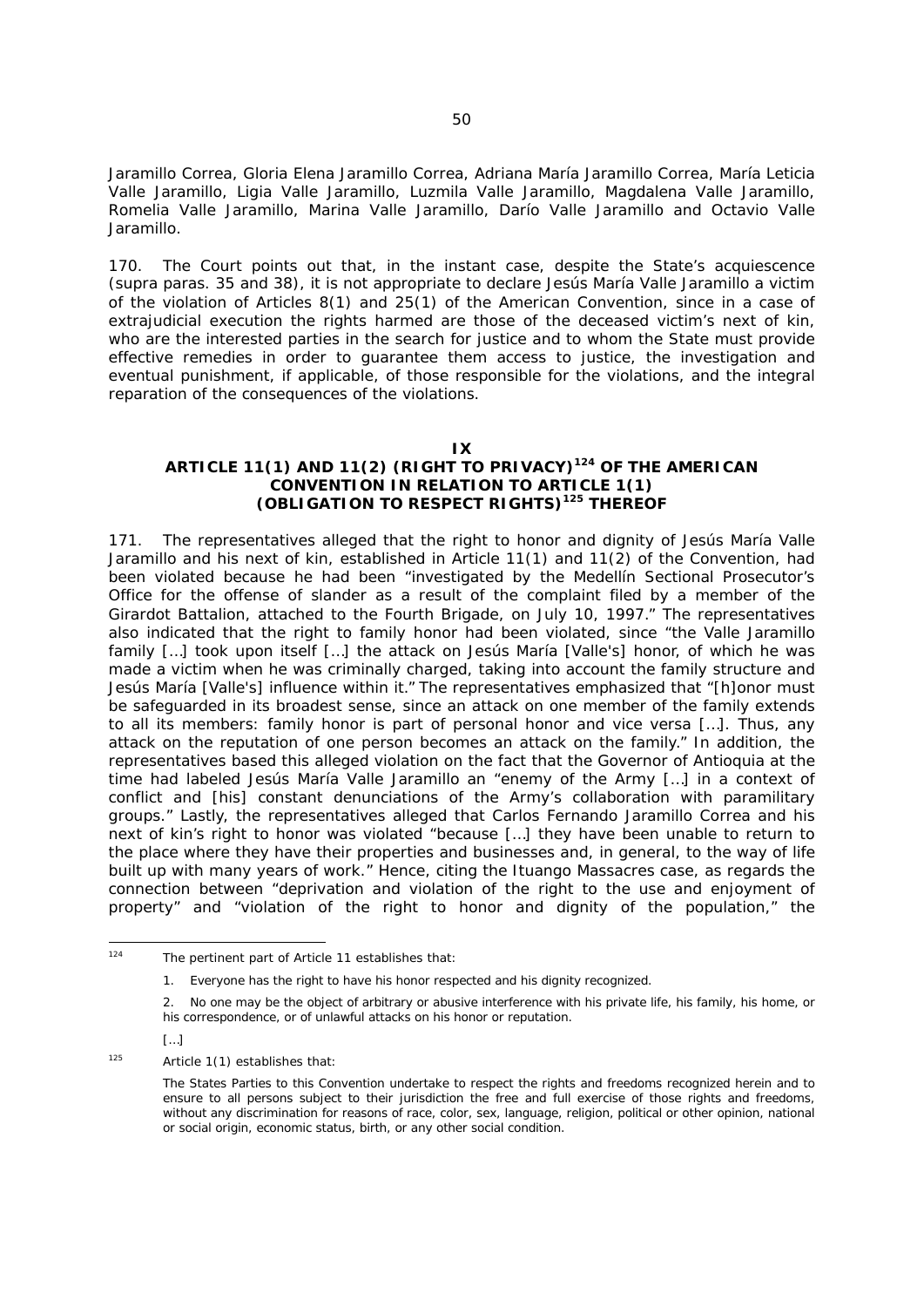Jaramillo Correa, Gloria Elena Jaramillo Correa, Adriana María Jaramillo Correa, María Leticia Valle Jaramillo, Ligia Valle Jaramillo, Luzmila Valle Jaramillo, Magdalena Valle Jaramillo, Romelia Valle Jaramillo, Marina Valle Jaramillo, Darío Valle Jaramillo and Octavio Valle Jaramillo.

170. The Court points out that, in the instant case, despite the State's acquiescence (*supra* paras. 35 and 38), it is not appropriate to declare Jesús María Valle Jaramillo a victim of the violation of Articles 8(1) and 25(1) of the American Convention, since in a case of extrajudicial execution the rights harmed are those of the deceased victim's next of kin, who are the interested parties in the search for justice and to whom the State must provide effective remedies in order to guarantee them access to justice, the investigation and eventual punishment, if applicable, of those responsible for the violations, and the integral reparation of the consequences of the violations.

**IX** 

# **ARTICLE 11(1) AND 11(2) (RIGHT TO PRIVACY)124 OF THE AMERICAN CONVENTION IN RELATION TO ARTICLE 1(1) (OBLIGATION TO RESPECT RIGHTS)125 THEREOF**

171. The representatives alleged that the right to honor and dignity of Jesús María Valle Jaramillo and his next of kin, established in Article 11(1) and 11(2) of the Convention, had been violated because he had been "investigated by the Medellín Sectional Prosecutor's Office for the offense of slander as a result of the complaint filed by a member of the Girardot Battalion, attached to the Fourth Brigade, on July 10, 1997." The representatives also indicated that the right to family honor had been violated, since "the Valle Jaramillo family […] took upon itself […] the attack on Jesús María [Valle's] honor, of which he was made a victim when he was criminally charged, taking into account the family structure and Jesús María [Valle's] influence within it." The representatives emphasized that "[h]onor must be safeguarded in its broadest sense, since an attack on one member of the family extends to all its members: family honor is part of personal honor and vice versa […]. Thus, any attack on the reputation of one person becomes an attack on the family." In addition, the representatives based this alleged violation on the fact that the Governor of Antioquia at the time had labeled Jesús María Valle Jaramillo an "enemy of the Army […] in a context of conflict and [his] constant denunciations of the Army's collaboration with paramilitary groups." Lastly, the representatives alleged that Carlos Fernando Jaramillo Correa and his next of kin's right to honor was violated "because […] they have been unable to return to the place where they have their properties and businesses and, in general, to the way of life built up with many years of work." Hence, citing the *Ituango Massacres case,* as regards the connection between *"*deprivation and violation of the right to the use and enjoyment of property" and "violation of the right to honor and dignity of the population," the

[…]

 $124$ The pertinent part of Article 11 establishes that:

<sup>1.</sup> Everyone has the right to have his honor respected and his dignity recognized.

<sup>2.</sup> No one may be the object of arbitrary or abusive interference with his private life, his family, his home, or his correspondence, or of unlawful attacks on his honor or reputation.

 $125$  Article 1(1) establishes that:

The States Parties to this Convention undertake to respect the rights and freedoms recognized herein and to ensure to all persons subject to their jurisdiction the free and full exercise of those rights and freedoms, without any discrimination for reasons of race, color, sex, language, religion, political or other opinion, national or social origin, economic status, birth, or any other social condition.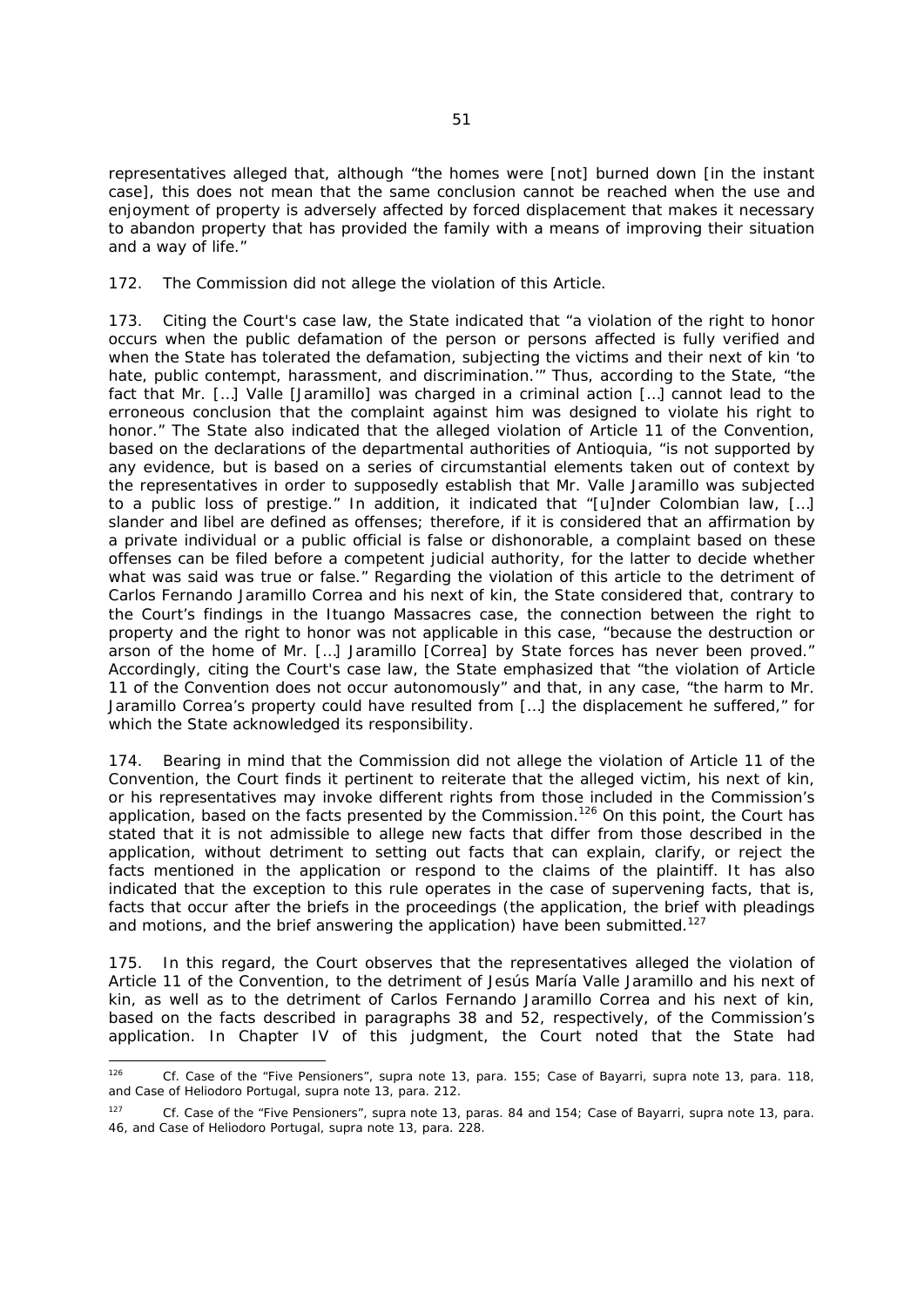representatives alleged that, although "the homes were [not] burned down [in the instant case], this does not mean that the same conclusion cannot be reached when the use and enjoyment of property is adversely affected by forced displacement that makes it necessary to abandon property that has provided the family with a means of improving their situation and a way of life."

172. The Commission did not allege the violation of this Article.

173. Citing the Court's case law, the State indicated that "a violation of the right to honor occurs when the public defamation of the person or persons affected is fully verified and when the State has tolerated the defamation, subjecting the victims and their next of kin 'to hate, public contempt, harassment, and discrimination.'" Thus, according to the State, "the fact that Mr. […] Valle [Jaramillo] was charged in a criminal action […] cannot lead to the erroneous conclusion that the complaint against him was designed to violate his right to honor." The State also indicated that the alleged violation of Article 11 of the Convention, based on the declarations of the departmental authorities of Antioquia, "is not supported by any evidence, but is based on a series of circumstantial elements taken out of context by the representatives in order to supposedly establish that Mr. Valle Jaramillo was subjected to a public loss of prestige." In addition, it indicated that "[u]nder Colombian law, […] slander and libel are defined as offenses; therefore, if it is considered that an affirmation by a private individual or a public official is false or dishonorable, a complaint based on these offenses can be filed before a competent judicial authority, for the latter to decide whether what was said was true or false." Regarding the violation of this article to the detriment of Carlos Fernando Jaramillo Correa and his next of kin, the State considered that, contrary to the Court's findings in the *Ituango Massacres case,* the connection between the right to property and the right to honor was not applicable in this case, "because the destruction or arson of the home of Mr. […] Jaramillo [Correa] by State forces has never been proved." Accordingly, citing the Court's case law, the State emphasized that "the violation of Article 11 of the Convention does not occur autonomously" and that, in any case, "the harm to Mr. Jaramillo Correa's property could have resulted from […] the displacement he suffered," for which the State acknowledged its responsibility.

174. Bearing in mind that the Commission did not allege the violation of Article 11 of the Convention, the Court finds it pertinent to reiterate that the alleged victim, his next of kin, or his representatives may invoke different rights from those included in the Commission's application, based on the facts presented by the Commission.<sup>126</sup> On this point, the Court has stated that it is not admissible to allege new facts that differ from those described in the application, without detriment to setting out facts that can explain, clarify, or reject the facts mentioned in the application or respond to the claims of the plaintiff. It has also indicated that the exception to this rule operates in the case of supervening facts, that is, facts that occur after the briefs in the proceedings (the application, the brief with pleadings and motions, and the brief answering the application) have been submitted.<sup>127</sup>

175. In this regard, the Court observes that the representatives alleged the violation of Article 11 of the Convention, to the detriment of Jesús María Valle Jaramillo and his next of kin, as well as to the detriment of Carlos Fernando Jaramillo Correa and his next of kin, based on the facts described in paragraphs 38 and 52, respectively, of the Commission's application. In Chapter IV of this judgment, the Court noted that the State had

 $126$ 126 *Cf. Case of the "Five Pensioners", supra* note 13, para. 155; *Case of Bayarri, supra* note 13, para. 118, and *Case of Heliodoro Portugal, supra* note 13, para. 212.

<sup>127</sup> *Cf. Case of the "Five Pensioners", supra* note 13, paras. 84 and 154; *Case of Bayarri, supra* note 13, para. 46, and *Case of Heliodoro Portugal, supra* note 13, para. 228.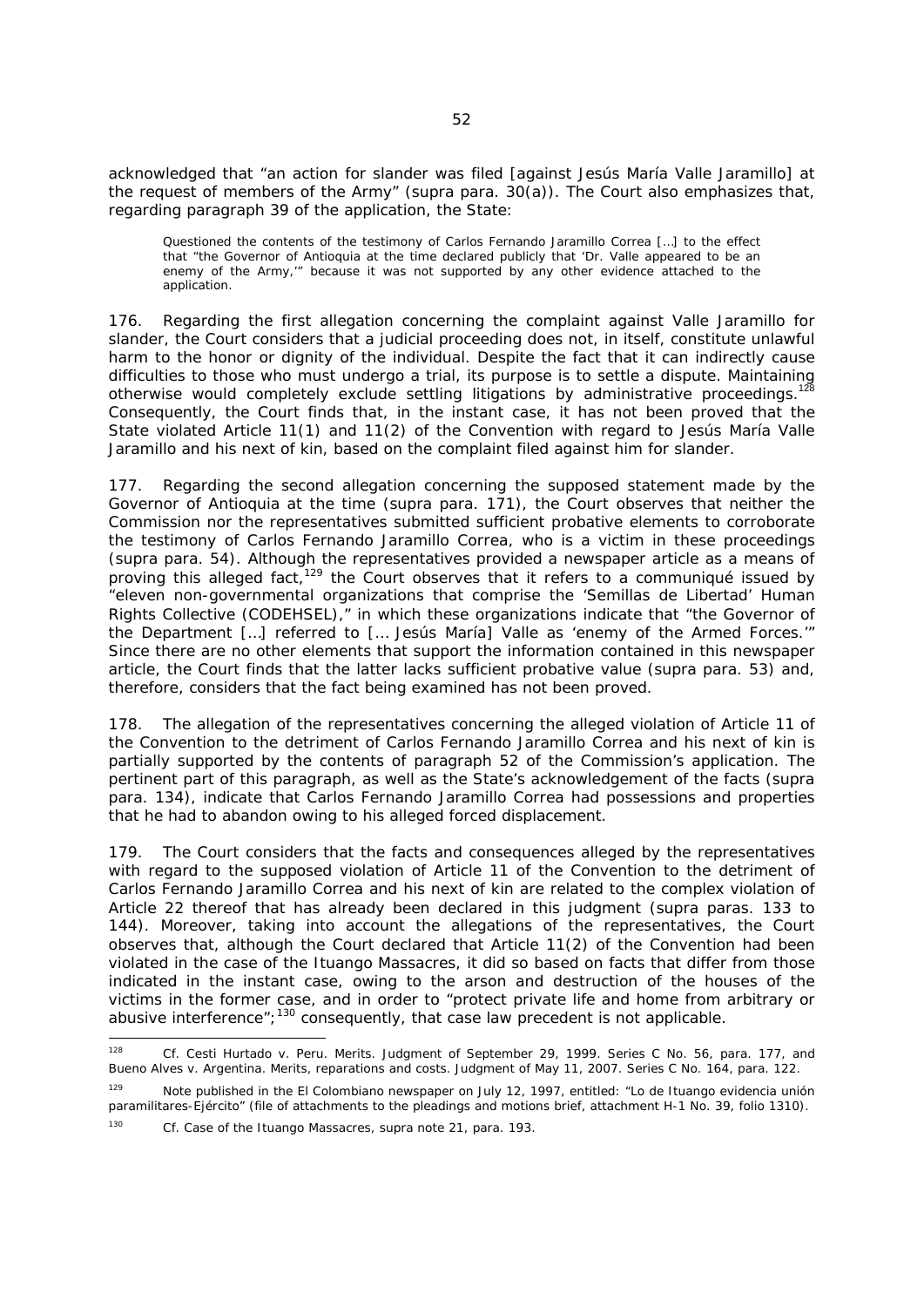acknowledged that "an action for slander was filed [against Jesús María Valle Jaramillo] at the request of members of the Army" (*supra* para. 30(a)). The Court also emphasizes that, regarding paragraph 39 of the application, the State:

Questioned the contents of the testimony of Carlos Fernando Jaramillo Correa […] to the effect that "the Governor of Antioquia at the time declared publicly that 'Dr. Valle appeared to be an enemy of the Army,'" because it was not supported by any other evidence attached to the application.

176. Regarding the first allegation concerning the complaint against Valle Jaramillo for slander, the Court considers that a judicial proceeding does not, in itself, constitute unlawful harm to the honor or dignity of the individual. Despite the fact that it can indirectly cause difficulties to those who must undergo a trial, its purpose is to settle a dispute. Maintaining otherwise would completely exclude settling litigations by administrative proceedings.<sup>128</sup> Consequently, the Court finds that, in the instant case, it has not been proved that the State violated Article 11(1) and 11(2) of the Convention with regard to Jesús María Valle Jaramillo and his next of kin, based on the complaint filed against him for slander.

177. Regarding the second allegation concerning the supposed statement made by the Governor of Antioquia at the time (*supra* para. 171), the Court observes that neither the Commission nor the representatives submitted sufficient probative elements to corroborate the testimony of Carlos Fernando Jaramillo Correa, who is a victim in these proceedings (*supra* para. 54). Although the representatives provided a newspaper article as a means of proving this alleged fact,<sup>129</sup> the Court observes that it refers to a communique issued by "eleven non-governmental organizations that comprise the 'Semillas de Libertad' Human Rights Collective (CODEHSEL)," in which these organizations indicate that "the Governor of the Department […] referred to [… Jesús María] Valle as 'enemy of the Armed Forces.'" Since there are no other elements that support the information contained in this newspaper article, the Court finds that the latter lacks sufficient probative value (*supra* para. 53) and, therefore, considers that the fact being examined has not been proved.

178. The allegation of the representatives concerning the alleged violation of Article 11 of the Convention to the detriment of Carlos Fernando Jaramillo Correa and his next of kin is partially supported by the contents of paragraph 52 of the Commission's application. The pertinent part of this paragraph, as well as the State's acknowledgement of the facts (*supra*  para. 134), indicate that Carlos Fernando Jaramillo Correa had possessions and properties that he had to abandon owing to his alleged forced displacement.

179. The Court considers that the facts and consequences alleged by the representatives with regard to the supposed violation of Article 11 of the Convention to the detriment of Carlos Fernando Jaramillo Correa and his next of kin are related to the complex violation of Article 22 thereof that has already been declared in this judgment (*supra* paras. 133 to 144). Moreover, taking into account the allegations of the representatives, the Court observes that, although the Court declared that Article 11(2) of the Convention had been violated in the case of the *Ituango Massacres,* it did so based on facts that differ from those indicated in the instant case, owing to the arson and destruction of the houses of the victims in the former case, and in order to "protect private life and home from arbitrary or abusive interference";<sup>130</sup> consequently, that case law precedent is not applicable.

<sup>128</sup> Cf. Cesti Hurtado v. Peru. Merits. Judgment of September 29, 1999. Series C No. 56, para. 177, and *Bueno Alves v. Argentina. Merits, reparations and costs.* Judgment of May 11, 2007. Series C No. 164, para. 122.

<sup>129</sup> Note published in the *El Colombiano* newspaper on July 12, 1997, entitled: "*Lo de Ituango evidencia unión paramilitares-Ejército*" (file of attachments to the pleadings and motions brief, attachment H-1 No. 39, folio 1310).

<sup>130</sup> *Cf. Case of the Ituango Massacres, supra* note 21, para. 193.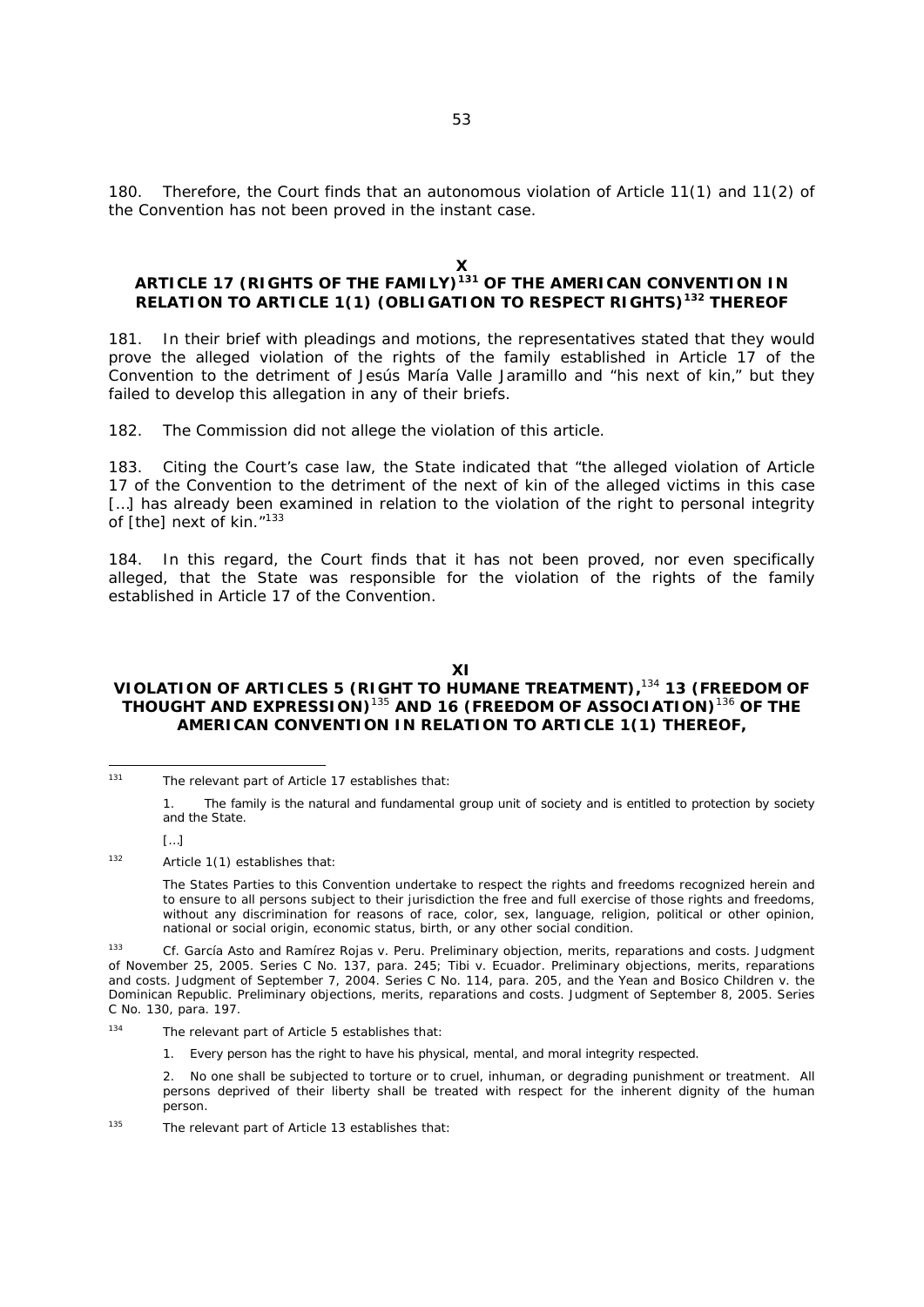180. Therefore, the Court finds that an autonomous violation of Article 11(1) and 11(2) of the Convention has not been proved in the instant case.

### **X ARTICLE 17 (RIGHTS OF THE FAMILY)131 OF THE AMERICAN CONVENTION IN RELATION TO ARTICLE 1(1) (OBLIGATION TO RESPECT RIGHTS)132 THEREOF**

181. In their brief with pleadings and motions, the representatives stated that they would prove the alleged violation of the rights of the family established in Article 17 of the Convention to the detriment of Jesús María Valle Jaramillo and "his next of kin," but they failed to develop this allegation in any of their briefs.

182. The Commission did not allege the violation of this article.

183. Citing the Court's case law, the State indicated that "the alleged violation of Article 17 of the Convention to the detriment of the next of kin of the alleged victims in this case [...] has already been examined in relation to the violation of the right to personal integrity of [the] next of kin."<sup>133</sup>

184. In this regard, the Court finds that it has not been proved, nor even specifically alleged, that the State was responsible for the violation of the rights of the family established in Article 17 of the Convention.

### **XI**

# **VIOLATION OF ARTICLES 5 (RIGHT TO HUMANE TREATMENT),**<sup>134</sup> **13 (FREEDOM OF THOUGHT AND EXPRESSION)**<sup>135</sup> **AND 16 (FREEDOM OF ASSOCIATION)**<sup>136</sup> **OF THE AMERICAN CONVENTION IN RELATION TO ARTICLE 1(1) THEREOF,**

1. The family is the natural and fundamental group unit of society and is entitled to protection by society and the State.

[…]

<sup>131</sup> The relevant part of Article 17 establishes that:

<sup>132</sup> Article 1(1) establishes that:

The States Parties to this Convention undertake to respect the rights and freedoms recognized herein and to ensure to all persons subject to their jurisdiction the free and full exercise of those rights and freedoms, without any discrimination for reasons of race, color, sex, language, religion, political or other opinion, national or social origin, economic status, birth, or any other social condition.

<sup>133</sup> *Cf. García Asto and Ramírez Rojas v. Peru. Preliminary objection, merits, reparations and costs*. Judgment of November 25, 2005. Series C No. 137, para. 245; *Tibi v. Ecuador. Preliminary objections, merits, reparations and costs*. Judgment of September 7, 2004. Series C No. 114, para. 205, and *the Yean and Bosico Children v. the Dominican Republic. Preliminary objections, merits, reparations and costs*. Judgment of September 8, 2005. Series C No. 130, para. 197.

<sup>134</sup> The relevant part of Article 5 establishes that:

<sup>1.</sup> Every person has the right to have his physical, mental, and moral integrity respected.

<sup>2.</sup> No one shall be subjected to torture or to cruel, inhuman, or degrading punishment or treatment. All persons deprived of their liberty shall be treated with respect for the inherent dignity of the human person.

<sup>135</sup> The relevant part of Article 13 establishes that: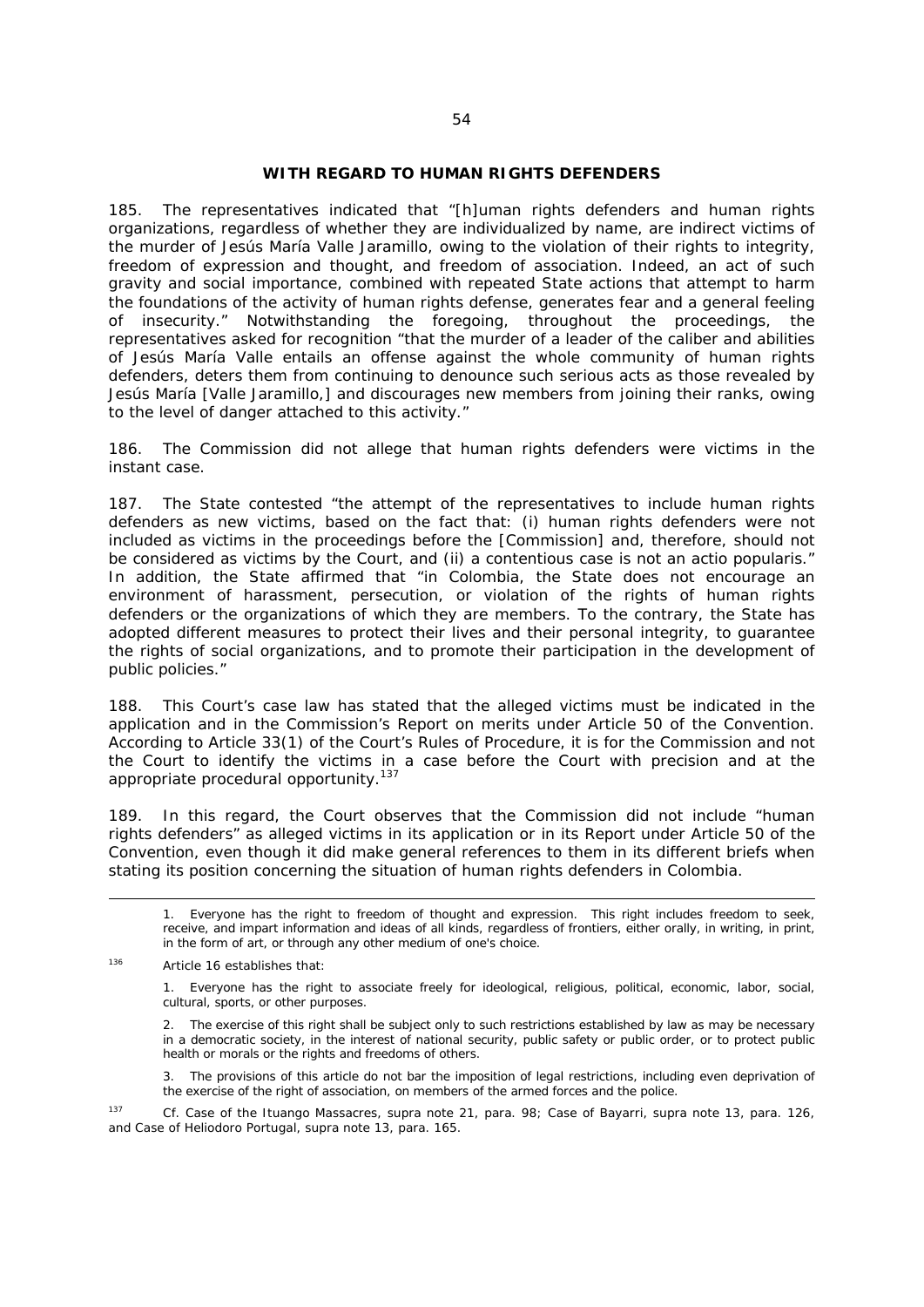#### **WITH REGARD TO HUMAN RIGHTS DEFENDERS**

185. The representatives indicated that "[h]uman rights defenders and human rights organizations, regardless of whether they are individualized by name, are indirect victims of the murder of Jesús María Valle Jaramillo, owing to the violation of their rights to integrity, freedom of expression and thought, and freedom of association. Indeed, an act of such gravity and social importance, combined with repeated State actions that attempt to harm the foundations of the activity of human rights defense, generates fear and a general feeling of insecurity." Notwithstanding the foregoing, throughout the proceedings, the representatives asked for recognition "that the murder of a leader of the caliber and abilities of Jesús María Valle entails an offense against the whole community of human rights defenders, deters them from continuing to denounce such serious acts as those revealed by Jesús María [Valle Jaramillo,] and discourages new members from joining their ranks, owing to the level of danger attached to this activity."

186. The Commission did not allege that human rights defenders were victims in the instant case.

187. The State contested "the attempt of the representatives to include human rights defenders as new victims, based on the fact that: (i) human rights defenders were not included as victims in the proceedings before the [Commission] and, therefore, should not be considered as victims by the Court, and (ii) a contentious case is not an *actio popularis.*" In addition, the State affirmed that "in Colombia, the State does not encourage an environment of harassment, persecution, or violation of the rights of human rights defenders or the organizations of which they are members. To the contrary, the State has adopted different measures to protect their lives and their personal integrity, to guarantee the rights of social organizations, and to promote their participation in the development of public policies."

188. This Court's case law has stated that the alleged victims must be indicated in the application and in the Commission's Report on merits under Article 50 of the Convention. According to Article 33(1) of the Court's Rules of Procedure, it is for the Commission and not the Court to identify the victims in a case before the Court with precision and at the appropriate procedural opportunity.<sup>137</sup>

189. In this regard, the Court observes that the Commission did not include "human rights defenders" as alleged victims in its application or in its Report under Article 50 of the Convention, even though it did make general references to them in its different briefs when stating its position concerning the situation of human rights defenders in Colombia.

1. Everyone has the right to freedom of thought and expression. This right includes freedom to seek, receive, and impart information and ideas of all kinds, regardless of frontiers, either orally, in writing, in print, in the form of art, or through any other medium of one's choice.

136 Article 16 establishes that:

1. Everyone has the right to associate freely for ideological, religious, political, economic, labor, social, cultural, sports, or other purposes.

2. The exercise of this right shall be subject only to such restrictions established by law as may be necessary in a democratic society, in the interest of national security, public safety or public order, or to protect public health or morals or the rights and freedoms of others.

3. The provisions of this article do not bar the imposition of legal restrictions, including even deprivation of the exercise of the right of association, on members of the armed forces and the police.

137 *Cf. Case of the Ituango Massacres, supra* note 21, para. 98; *Case of Bayarri, supra* note 13, para. 126, and *Case of Heliodoro Portugal, supra* note 13, para. 165.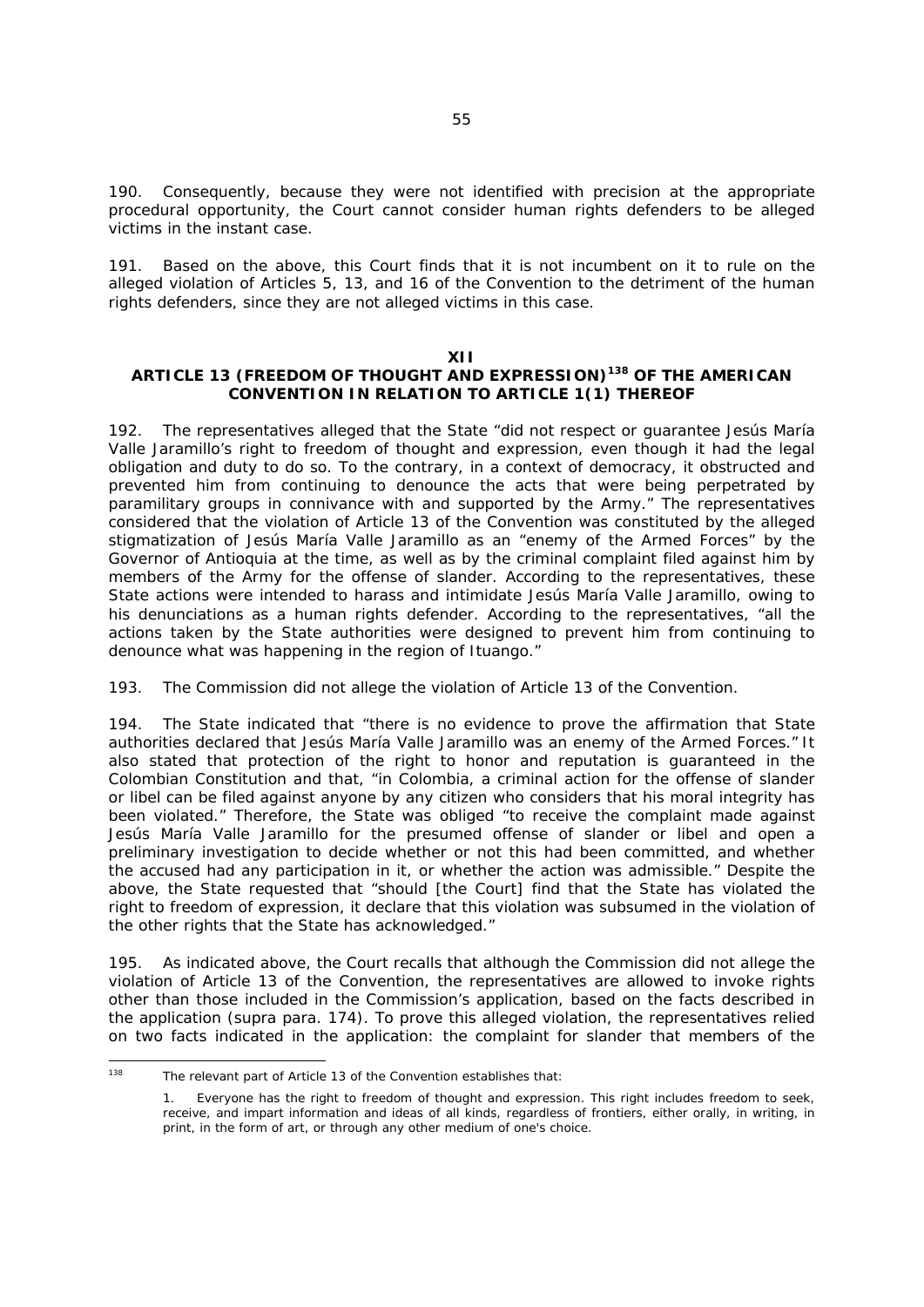190. Consequently, because they were not identified with precision at the appropriate procedural opportunity, the Court cannot consider human rights defenders to be alleged victims in the instant case.

191. Based on the above, this Court finds that it is not incumbent on it to rule on the alleged violation of Articles 5, 13, and 16 of the Convention to the detriment of the human rights defenders, since they are not alleged victims in this case.

#### **XII**

# **ARTICLE 13 (FREEDOM OF THOUGHT AND EXPRESSION)138 OF THE AMERICAN CONVENTION IN RELATION TO ARTICLE 1(1) THEREOF**

192. The representatives alleged that the State "did not respect or guarantee Jesús María Valle Jaramillo's right to freedom of thought and expression, even though it had the legal obligation and duty to do so. To the contrary, in a context of democracy, it obstructed and prevented him from continuing to denounce the acts that were being perpetrated by paramilitary groups in connivance with and supported by the Army." The representatives considered that the violation of Article 13 of the Convention was constituted by the alleged stigmatization of Jesús María Valle Jaramillo as an "enemy of the Armed Forces" by the Governor of Antioquia at the time, as well as by the criminal complaint filed against him by members of the Army for the offense of slander. According to the representatives, these State actions were intended to harass and intimidate Jesús María Valle Jaramillo, owing to his denunciations as a human rights defender. According to the representatives, "all the actions taken by the State authorities were designed to prevent him from continuing to denounce what was happening in the region of Ituango."

193. The Commission did not allege the violation of Article 13 of the Convention.

194. The State indicated that "there is no evidence to prove the affirmation that State authorities declared that Jesús María Valle Jaramillo was an enemy of the Armed Forces." It also stated that protection of the right to honor and reputation is guaranteed in the Colombian Constitution and that, "in Colombia, a criminal action for the offense of slander or libel can be filed against anyone by any citizen who considers that his moral integrity has been violated." Therefore, the State was obliged "to receive the complaint made against Jesús María Valle Jaramillo for the presumed offense of slander or libel and open a preliminary investigation to decide whether or not this had been committed, and whether the accused had any participation in it, or whether the action was admissible." Despite the above, the State requested that "should [the Court] find that the State has violated the right to freedom of expression, it declare that this violation was subsumed in the violation of the other rights that the State has acknowledged."

195. As indicated above, the Court recalls that although the Commission did not allege the violation of Article 13 of the Convention, the representatives are allowed to invoke rights other than those included in the Commission's application, based on the facts described in the application (*supra* para. 174). To prove this alleged violation, the representatives relied on two facts indicated in the application: the complaint for slander that members of the

<sup>138</sup> The relevant part of Article 13 of the Convention establishes that:

<sup>1.</sup> Everyone has the right to freedom of thought and expression. This right includes freedom to seek, receive, and impart information and ideas of all kinds, regardless of frontiers, either orally, in writing, in print, in the form of art, or through any other medium of one's choice.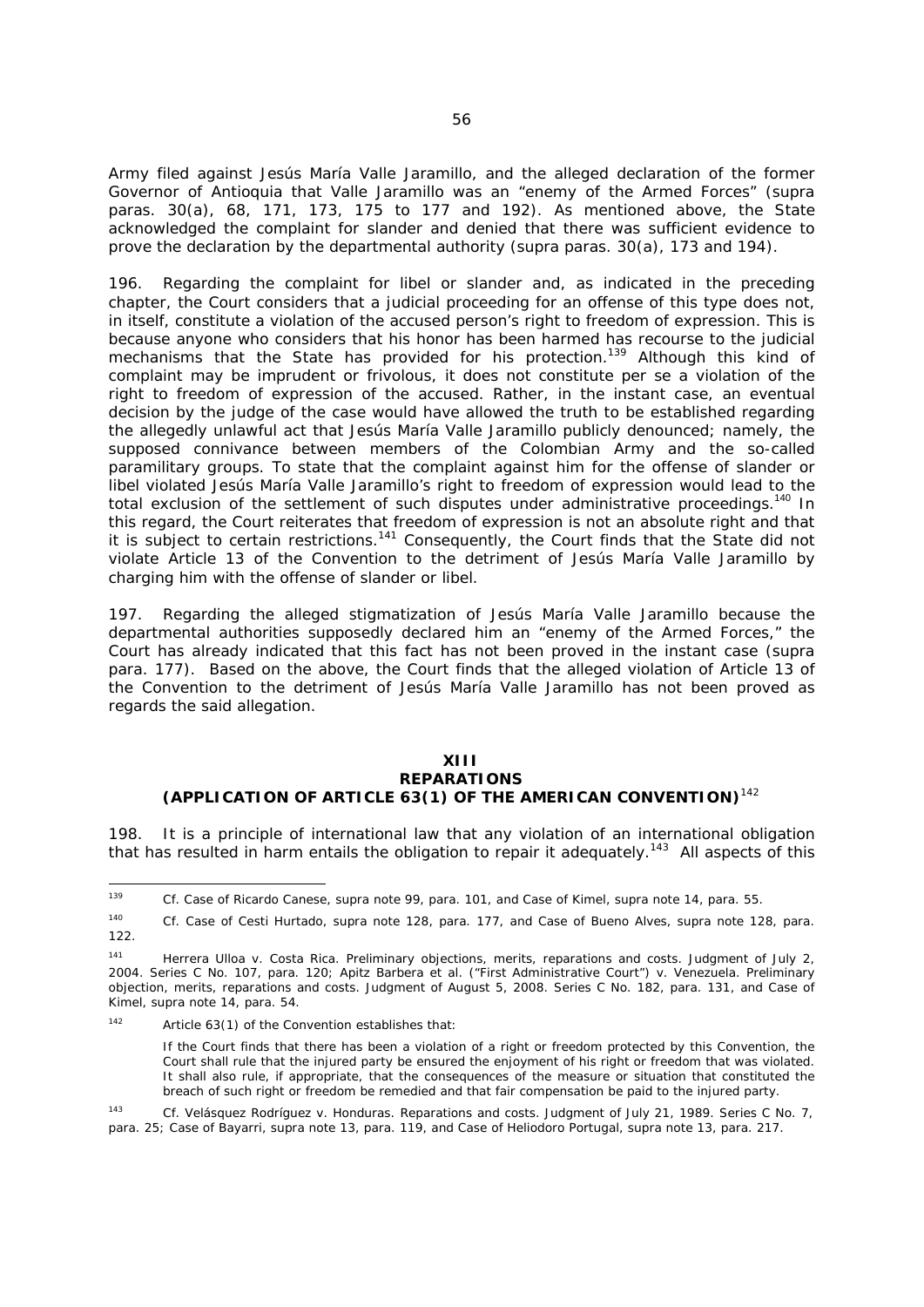Army filed against Jesús María Valle Jaramillo, and the alleged declaration of the former Governor of Antioquia that Valle Jaramillo was an "enemy of the Armed Forces" (*supra*  paras. 30(a), 68, 171, 173, 175 to 177 and 192). As mentioned above, the State acknowledged the complaint for slander and denied that there was sufficient evidence to prove the declaration by the departmental authority (*supra* paras. 30(a), 173 and 194).

196. Regarding the complaint for libel or slander and, as indicated in the preceding chapter, the Court considers that a judicial proceeding for an offense of this type does not, in itself, constitute a violation of the accused person's right to freedom of expression. This is because anyone who considers that his honor has been harmed has recourse to the judicial mechanisms that the State has provided for his protection.<sup>139</sup> Although this kind of complaint may be imprudent or frivolous, it does not constitute *per se* a violation of the right to freedom of expression of the accused. Rather, in the instant case, an eventual decision by the judge of the case would have allowed the truth to be established regarding the allegedly unlawful act that Jesús María Valle Jaramillo publicly denounced; namely, the supposed connivance between members of the Colombian Army and the so-called paramilitary groups. To state that the complaint against him for the offense of slander or libel violated Jesús María Valle Jaramillo's right to freedom of expression would lead to the total exclusion of the settlement of such disputes under administrative proceedings.<sup>140</sup> In this regard, the Court reiterates that freedom of expression is not an absolute right and that it is subject to certain restrictions.<sup>141</sup> Consequently, the Court finds that the State did not it is subject to certain restrictions.<sup>141</sup> Consequently, the Court finds that the State did not violate Article 13 of the Convention to the detriment of Jesús María Valle Jaramillo by charging him with the offense of slander or libel.

197. Regarding the alleged stigmatization of Jesús María Valle Jaramillo because the departmental authorities supposedly declared him an "enemy of the Armed Forces," the Court has already indicated that this fact has not been proved in the instant case (*supra*  para. 177). Based on the above, the Court finds that the alleged violation of Article 13 of the Convention to the detriment of Jesús María Valle Jaramillo has not been proved as regards the said allegation.

## **XIII REPARATIONS (APPLICATION OF ARTICLE 63(1) OF THE AMERICAN CONVENTION)**<sup>142</sup>

198. It is a principle of international law that any violation of an international obligation that has resulted in harm entails the obligation to repair it adequately.143 All aspects of this

<sup>139</sup> 139 *Cf. Case of Ricardo Canese, supra* note 99, para. 101, and *Case of Kimel, supra* note 14, para. 55.

<sup>140</sup> *Cf. Case of Cesti Hurtado, supra* note 128, para. 177, and *Case of Bueno Alves, supra* note 128, para. 122.

<sup>141</sup> *Herrera Ulloa v. Costa Rica. Preliminary objections, merits, reparations and costs.* Judgment of July 2, 2004. Series C No. 107, para. 120; *Apitz Barbera et al. ("First Administrative Court") v. Venezuela. Preliminary objection, merits, reparations and costs.* Judgment of August 5, 2008. Series C No. 182, para. 131, and *Case of Kimel, supra* note 14, para. 54.

<sup>142</sup> Article 63(1) of the Convention establishes that:

If the Court finds that there has been a violation of a right or freedom protected by this Convention, the Court shall rule that the injured party be ensured the enjoyment of his right or freedom that was violated. It shall also rule, if appropriate, that the consequences of the measure or situation that constituted the breach of such right or freedom be remedied and that fair compensation be paid to the injured party.

<sup>143</sup> *Cf. Velásquez Rodríguez v. Honduras. Reparations and costs.* Judgment of July 21, 1989. Series C No. 7, para. 25; *Case of Bayarri, supra* note 13, para. 119, and *Case of Heliodoro Portugal, supra* note 13, para. 217.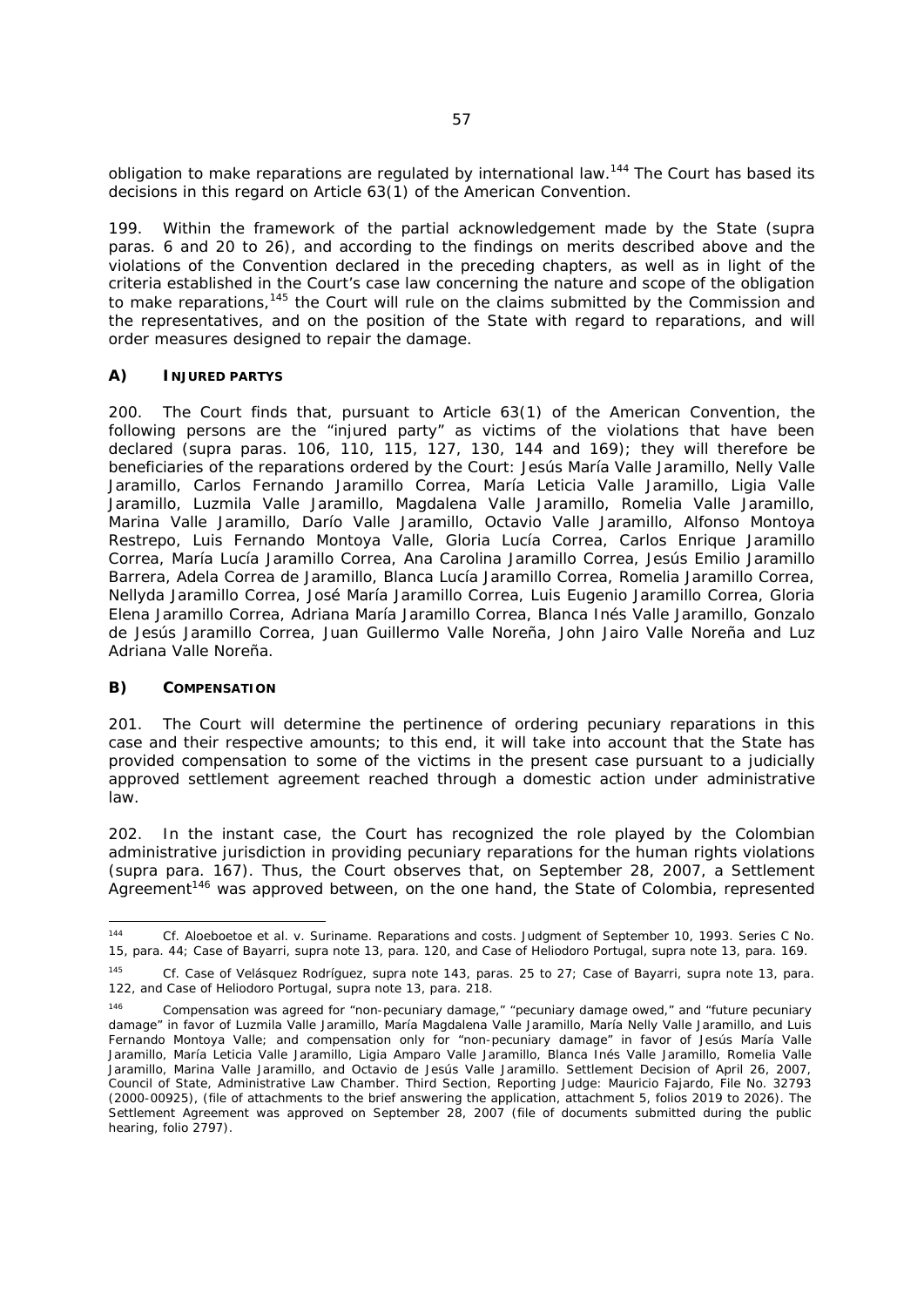obligation to make reparations are regulated by international law.<sup>144</sup> The Court has based its decisions in this regard on Article 63(1) of the American Convention.

199. Within the framework of the partial acknowledgement made by the State (*supra*  paras. 6 and 20 to 26), and according to the findings on merits described above and the violations of the Convention declared in the preceding chapters, as well as in light of the criteria established in the Court's case law concerning the nature and scope of the obligation to make reparations,<sup>145</sup> the Court will rule on the claims submitted by the Commission and the representatives, and on the position of the State with regard to reparations, and will order measures designed to repair the damage.

# *A) INJURED PARTYS*

200. The Court finds that, pursuant to Article 63(1) of the American Convention, the following persons are the "injured party" as victims of the violations that have been declared (*supra* paras. 106, 110, 115, 127, 130, 144 and 169); they will therefore be beneficiaries of the reparations ordered by the Court: Jesús María Valle Jaramillo, Nelly Valle Jaramillo, Carlos Fernando Jaramillo Correa, María Leticia Valle Jaramillo, Ligia Valle Jaramillo, Luzmila Valle Jaramillo, Magdalena Valle Jaramillo, Romelia Valle Jaramillo, Marina Valle Jaramillo, Darío Valle Jaramillo, Octavio Valle Jaramillo, Alfonso Montoya Restrepo, Luis Fernando Montoya Valle, Gloria Lucía Correa, Carlos Enrique Jaramillo Correa, María Lucía Jaramillo Correa, Ana Carolina Jaramillo Correa, Jesús Emilio Jaramillo Barrera, Adela Correa de Jaramillo, Blanca Lucía Jaramillo Correa, Romelia Jaramillo Correa, Nellyda Jaramillo Correa, José María Jaramillo Correa, Luis Eugenio Jaramillo Correa, Gloria Elena Jaramillo Correa, Adriana María Jaramillo Correa, Blanca Inés Valle Jaramillo, Gonzalo de Jesús Jaramillo Correa, Juan Guillermo Valle Noreña, John Jairo Valle Noreña and Luz Adriana Valle Noreña.

### *B) COMPENSATION*

-

201. The Court will determine the pertinence of ordering pecuniary reparations in this case and their respective amounts; to this end, it will take into account that the State has provided compensation to some of the victims in the present case pursuant to a judicially approved settlement agreement reached through a domestic action under administrative law.

202. In the instant case, the Court has recognized the role played by the Colombian administrative jurisdiction in providing pecuniary reparations for the human rights violations (*supra* para. 167). Thus, the Court observes that, on September 28, 2007, a Settlement Agreement<sup>146</sup> was approved between, on the one hand, the State of Colombia, represented

<sup>144</sup> *Cf. Aloeboetoe et al. v. Suriname. Reparations and costs.* Judgment of September 10, 1993. Series C No. 15, para. 44; *Case of Bayarri, supra* note 13, para. 120, and *Case of Heliodoro Portugal, supra* note 13, para. 169.

<sup>145</sup> *Cf. Case of Velásquez Rodríguez, supra* note 143, paras. 25 to 27; *Case of Bayarri, supra* note 13, para. 122, and *Case of Heliodoro Portugal, supra* note 13, para. 218.

Compensation was agreed for "non-pecuniary damage," "pecuniary damage owed," and "future pecuniary damage" in favor of Luzmila Valle Jaramillo, María Magdalena Valle Jaramillo, María Nelly Valle Jaramillo, and Luis Fernando Montoya Valle; and compensation only for "non-pecuniary damage" in favor of Jesús María Valle Jaramillo, María Leticia Valle Jaramillo, Ligia Amparo Valle Jaramillo, Blanca Inés Valle Jaramillo, Romelia Valle Jaramillo, Marina Valle Jaramillo, and Octavio de Jesús Valle Jaramillo. Settlement Decision of April 26, 2007, Council of State, Administrative Law Chamber. Third Section, Reporting Judge: Mauricio Fajardo, File No. 32793 (2000-00925), (file of attachments to the brief answering the application, attachment 5, folios 2019 to 2026). The Settlement Agreement was approved on September 28, 2007 (file of documents submitted during the public hearing, folio 2797).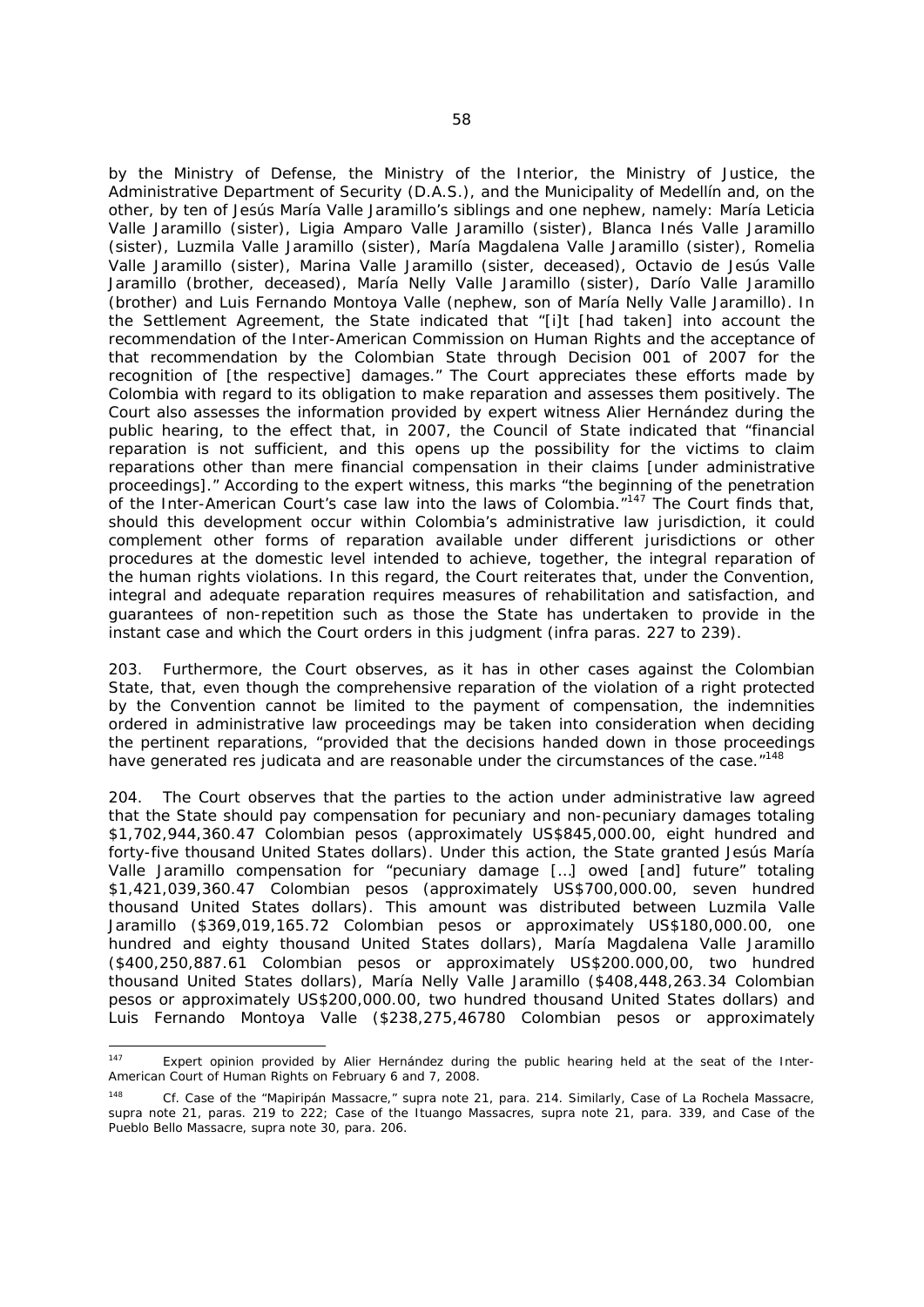by the Ministry of Defense, the Ministry of the Interior, the Ministry of Justice, the Administrative Department of Security (D.A.S.), and the Municipality of Medellín and, on the other, by ten of Jesús María Valle Jaramillo's siblings and one nephew, namely: María Leticia Valle Jaramillo (sister), Ligia Amparo Valle Jaramillo (sister), Blanca Inés Valle Jaramillo (sister), Luzmila Valle Jaramillo (sister), María Magdalena Valle Jaramillo (sister), Romelia Valle Jaramillo (sister), Marina Valle Jaramillo (sister, deceased), Octavio de Jesús Valle Jaramillo (brother, deceased), María Nelly Valle Jaramillo (sister), Darío Valle Jaramillo (brother) and Luis Fernando Montoya Valle (nephew, son of María Nelly Valle Jaramillo). In the Settlement Agreement, the State indicated that "[i]t [had taken] into account the recommendation of the Inter-American Commission on Human Rights and the acceptance of that recommendation by the Colombian State through Decision 001 of 2007 for the recognition of [the respective] damages." The Court appreciates these efforts made by Colombia with regard to its obligation to make reparation and assesses them positively. The Court also assesses the information provided by expert witness Alier Hernández during the public hearing, to the effect that, in 2007, the Council of State indicated that "financial reparation is not sufficient, and this opens up the possibility for the victims to claim reparations other than mere financial compensation in their claims [under administrative proceedings]." According to the expert witness, this marks "the beginning of the penetration of the Inter-American Court's case law into the laws of Colombia.<sup>"147</sup> The Court finds that, should this development occur within Colombia's administrative law jurisdiction, it could complement other forms of reparation available under different jurisdictions or other procedures at the domestic level intended to achieve, together, the integral reparation of the human rights violations. In this regard, the Court reiterates that, under the Convention, integral and adequate reparation requires measures of rehabilitation and satisfaction, and guarantees of non-repetition such as those the State has undertaken to provide in the instant case and which the Court orders in this judgment (*infra* paras. 227 to 239).

203. Furthermore, the Court observes, as it has in other cases against the Colombian State, that, even though the comprehensive reparation of the violation of a right protected by the Convention cannot be limited to the payment of compensation, the indemnities ordered in administrative law proceedings may be taken into consideration when deciding the pertinent reparations, "provided that the decisions handed down in those proceedings have generated *res judicata* and are reasonable under the circumstances of the case."148

204. The Court observes that the parties to the action under administrative law agreed that the State should pay compensation for pecuniary and non-pecuniary damages totaling \$1,702,944,360.47 Colombian pesos (approximately US\$845,000.00, eight hundred and forty-five thousand United States dollars). Under this action, the State granted Jesús María Valle Jaramillo compensation for "pecuniary damage […] owed [and] future" totaling \$1,421,039,360.47 Colombian pesos (approximately US\$700,000.00, seven hundred thousand United States dollars). This amount was distributed between Luzmila Valle Jaramillo (\$369,019,165.72 Colombian pesos or approximately US\$180,000.00, one hundred and eighty thousand United States dollars), María Magdalena Valle Jaramillo (\$400,250,887.61 Colombian pesos or approximately US\$200.000,00, two hundred thousand United States dollars), María Nelly Valle Jaramillo (\$408,448,263.34 Colombian pesos or approximately US\$200,000.00, two hundred thousand United States dollars) and Luis Fernando Montoya Valle (\$238,275,46780 Colombian pesos or approximately

 $147$ Expert opinion provided by Alier Hernández during the public hearing held at the seat of the Inter-American Court of Human Rights on February 6 and 7, 2008.

<sup>148</sup> *Cf. Case of the "Mapiripán Massacre," supra* note 21, para. 214. Similarly, *Case of La Rochela Massacre, supra* note 21, paras. 219 to 222; *Case of the Ituango Massacres, supra* note 21, para. 339, and *Case of the Pueblo Bello Massacre, supra* note 30, para. 206.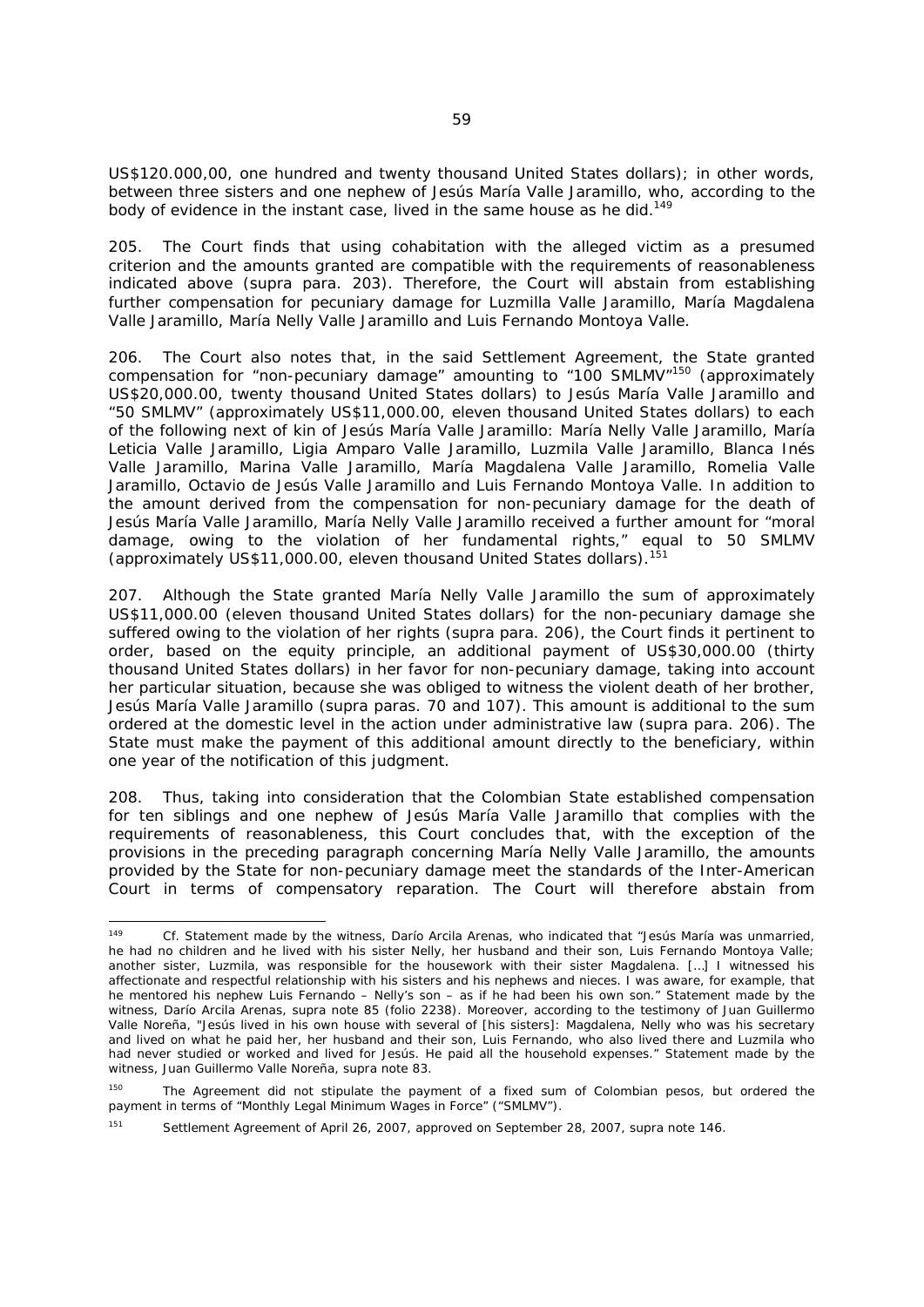US\$120.000,00, one hundred and twenty thousand United States dollars); in other words, between three sisters and one nephew of Jesús María Valle Jaramillo, who, according to the body of evidence in the instant case, lived in the same house as he did.<sup>149</sup>

205. The Court finds that using cohabitation with the alleged victim as a presumed criterion and the amounts granted are compatible with the requirements of reasonableness indicated above (*supra* para. 203). Therefore, the Court will abstain from establishing further compensation for pecuniary damage for Luzmilla Valle Jaramillo, María Magdalena Valle Jaramillo, María Nelly Valle Jaramillo and Luis Fernando Montoya Valle.

206. The Court also notes that, in the said Settlement Agreement, the State granted compensation for "non-pecuniary damage" amounting to "100 SMLMV"<sup>150</sup> (approximately US\$20,000.00, twenty thousand United States dollars) to Jesús María Valle Jaramillo and "50 SMLMV" (approximately US\$11,000.00, eleven thousand United States dollars) to each of the following next of kin of Jesús María Valle Jaramillo: María Nelly Valle Jaramillo, María Leticia Valle Jaramillo, Ligia Amparo Valle Jaramillo, Luzmila Valle Jaramillo, Blanca Inés Valle Jaramillo, Marina Valle Jaramillo, María Magdalena Valle Jaramillo, Romelia Valle Jaramillo, Octavio de Jesús Valle Jaramillo and Luis Fernando Montoya Valle. In addition to the amount derived from the compensation for non-pecuniary damage for the death of Jesús María Valle Jaramillo, María Nelly Valle Jaramillo received a further amount for "moral damage, owing to the violation of her fundamental rights," equal to 50 SMLMV (approximately US\$11,000.00, eleven thousand United States dollars).<sup>151</sup>

207. Although the State granted María Nelly Valle Jaramillo the sum of approximately US\$11,000.00 (eleven thousand United States dollars) for the non-pecuniary damage she suffered owing to the violation of her rights (*supra* para. 206), the Court finds it pertinent to order, based on the equity principle, an additional payment of US\$30,000.00 (thirty thousand United States dollars) in her favor for non-pecuniary damage, taking into account her particular situation, because she was obliged to witness the violent death of her brother, Jesús María Valle Jaramillo (*supra* paras. 70 and 107). This amount is additional to the sum ordered at the domestic level in the action under administrative law (*supra* para. 206). The State must make the payment of this additional amount directly to the beneficiary, within one year of the notification of this judgment.

208. Thus, taking into consideration that the Colombian State established compensation for ten siblings and one nephew of Jesús María Valle Jaramillo that complies with the requirements of reasonableness, this Court concludes that, with the exception of the provisions in the preceding paragraph concerning María Nelly Valle Jaramillo, the amounts provided by the State for non-pecuniary damage meet the standards of the Inter-American Court in terms of compensatory reparation. The Court will therefore abstain from

-

Cf. Statement made by the witness, Darío Arcila Arenas, who indicated that "Jesús María was unmarried, he had no children and he lived with his sister Nelly, her husband and their son, Luis Fernando Montoya Valle; another sister, Luzmila, was responsible for the housework with their sister Magdalena. […] I witnessed his affectionate and respectful relationship with his sisters and his nephews and nieces. I was aware, for example, that he mentored his nephew Luis Fernando – Nelly's son – as if he had been his own son." Statement made by the witness, Darío Arcila Arenas, *supra* note 85 (folio 2238). Moreover, according to the testimony of Juan Guillermo Valle Noreña, "Jesús lived in his own house with several of [his sisters]: Magdalena, Nelly who was his secretary and lived on what he paid her, her husband and their son, Luis Fernando, who also lived there and Luzmila who had never studied or worked and lived for Jesús. He paid all the household expenses." Statement made by the witness, Juan Guillermo Valle Noreña, *supra* note 83.

<sup>&</sup>lt;sup>150</sup> The Agreement did not stipulate the payment of a fixed sum of Colombian pesos, but ordered the payment in terms of "Monthly Legal Minimum Wages in Force" ("SMLMV").

<sup>151</sup> Settlement Agreement of April 26, 2007, approved on September 28, 2007, *supra* note 146.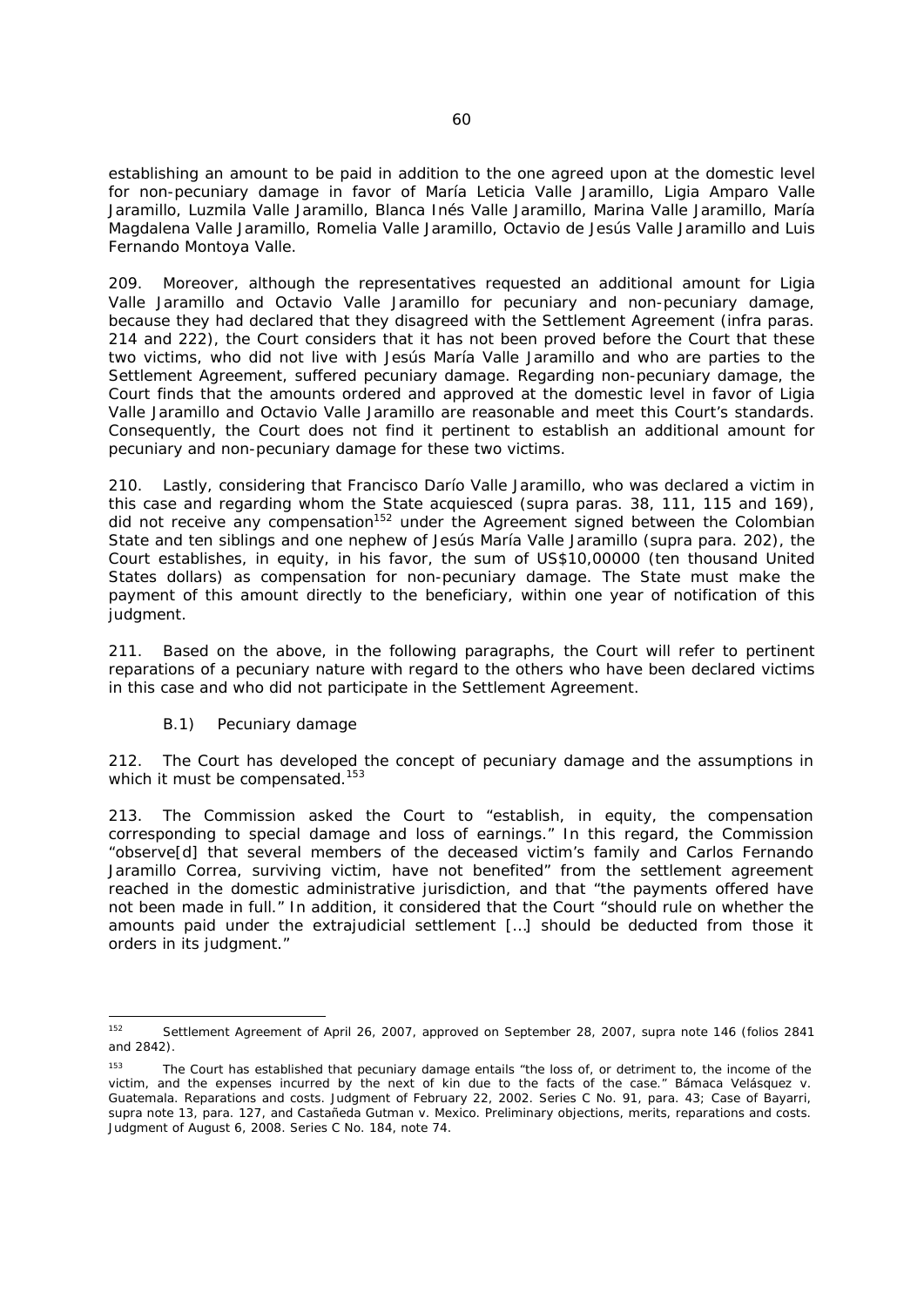establishing an amount to be paid in addition to the one agreed upon at the domestic level for non-pecuniary damage in favor of María Leticia Valle Jaramillo, Ligia Amparo Valle Jaramillo, Luzmila Valle Jaramillo, Blanca Inés Valle Jaramillo, Marina Valle Jaramillo, María Magdalena Valle Jaramillo, Romelia Valle Jaramillo, Octavio de Jesús Valle Jaramillo and Luis Fernando Montoya Valle.

209. Moreover, although the representatives requested an additional amount for Ligia Valle Jaramillo and Octavio Valle Jaramillo for pecuniary and non-pecuniary damage, because they had declared that they disagreed with the Settlement Agreement (*infra* paras. 214 and 222), the Court considers that it has not been proved before the Court that these two victims, who did not live with Jesús María Valle Jaramillo and who are parties to the Settlement Agreement, suffered pecuniary damage. Regarding non-pecuniary damage, the Court finds that the amounts ordered and approved at the domestic level in favor of Ligia Valle Jaramillo and Octavio Valle Jaramillo are reasonable and meet this Court's standards. Consequently, the Court does not find it pertinent to establish an additional amount for pecuniary and non-pecuniary damage for these two victims.

210. Lastly, considering that Francisco Darío Valle Jaramillo, who was declared a victim in this case and regarding whom the State acquiesced (*supra* paras. 38, 111, 115 and 169), did not receive any compensation<sup>152</sup> under the Agreement signed between the Colombian State and ten siblings and one nephew of Jesús María Valle Jaramillo (*supra* para. 202), the Court establishes, in equity, in his favor, the sum of US\$10,00000 (ten thousand United States dollars) as compensation for non-pecuniary damage. The State must make the payment of this amount directly to the beneficiary, within one year of notification of this judgment.

211. Based on the above, in the following paragraphs, the Court will refer to pertinent reparations of a pecuniary nature with regard to the others who have been declared victims in this case and who did not participate in the Settlement Agreement.

# *B.1) Pecuniary damage*

212. The Court has developed the concept of pecuniary damage and the assumptions in which it must be compensated.<sup>153</sup>

213. The Commission asked the Court to "establish, in equity, the compensation corresponding to special damage and loss of earnings." In this regard, the Commission "observe[d] that several members of the deceased victim's family and Carlos Fernando Jaramillo Correa, surviving victim, have not benefited" from the settlement agreement reached in the domestic administrative jurisdiction, and that "the payments offered have not been made in full." In addition, it considered that the Court "should rule on whether the amounts paid under the extrajudicial settlement […] should be deducted from those it orders in its judgment."

 $152$ 152 Settlement Agreement of April 26, 2007, approved on September 28, 2007, *supra* note 146 (folios 2841 and 2842).

<sup>&</sup>lt;sup>153</sup> The Court has established that pecuniary damage entails "the loss of, or detriment to, the income of the victim, and the expenses incurred by the next of kin due to the facts of the case." *Bámaca Velásquez v. Guatemala. Reparations and costs*. Judgment of February 22, 2002. Series C No. 91, para. 43; *Case of Bayarri, supra* note 13, para. 127, and *Castañeda Gutman v. Mexico. Preliminary objections, merits, reparations and costs.*  Judgment of August 6, 2008. Series C No. 184, note 74.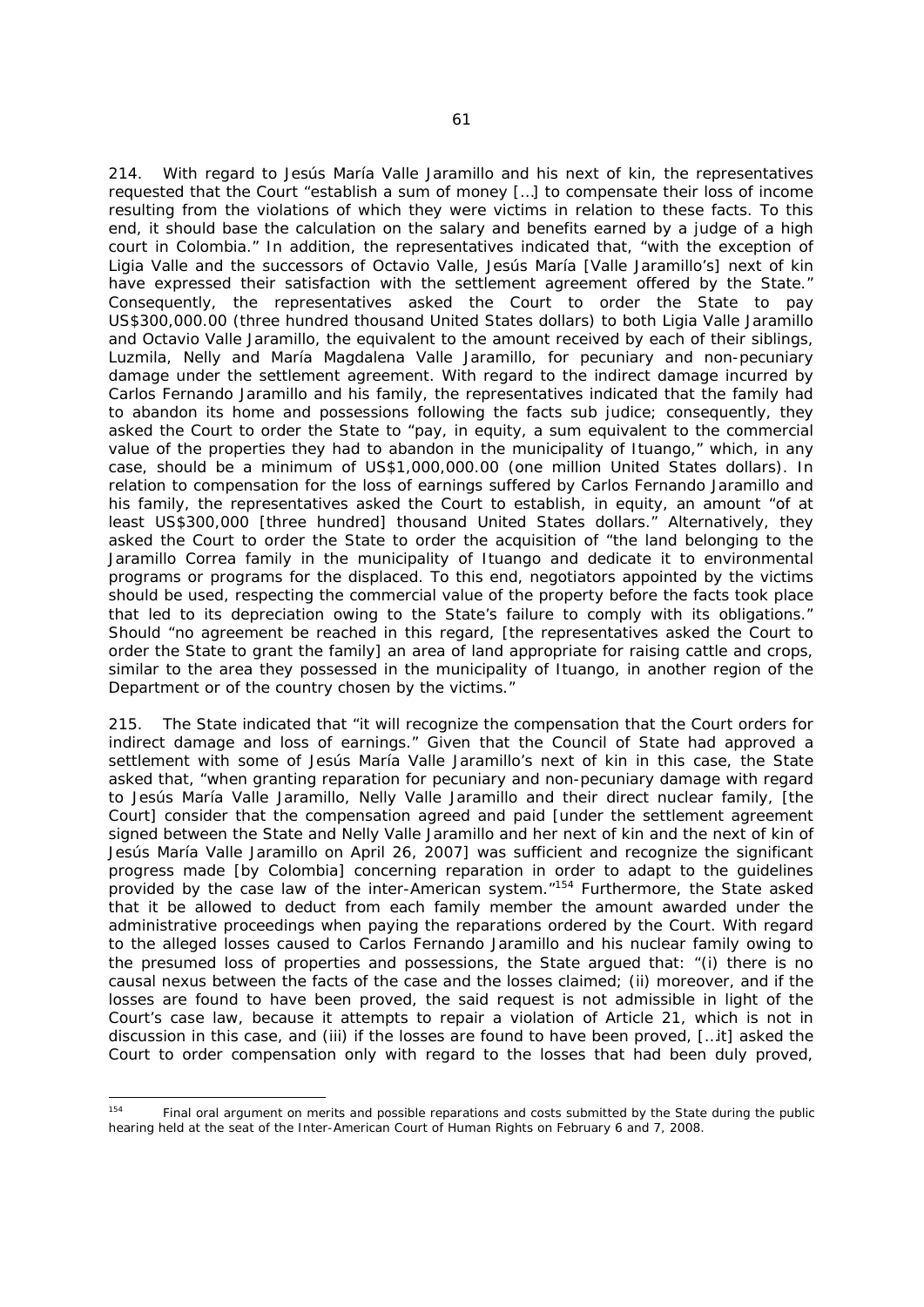214. With regard to Jesús María Valle Jaramillo and his next of kin, the representatives requested that the Court "establish a sum of money […] to compensate their loss of income resulting from the violations of which they were victims in relation to these facts. To this end, it should base the calculation on the salary and benefits earned by a judge of a high court in Colombia." In addition, the representatives indicated that, "with the exception of Ligia Valle and the successors of Octavio Valle, Jesús María [Valle Jaramillo's] next of kin have expressed their satisfaction with the settlement agreement offered by the State." Consequently, the representatives asked the Court to order the State to pay US\$300,000.00 (three hundred thousand United States dollars) to both Ligia Valle Jaramillo and Octavio Valle Jaramillo, the equivalent to the amount received by each of their siblings, Luzmila, Nelly and María Magdalena Valle Jaramillo, for pecuniary and non-pecuniary damage under the settlement agreement. With regard to the indirect damage incurred by Carlos Fernando Jaramillo and his family, the representatives indicated that the family had to abandon its home and possessions following the facts *sub judice*; consequently, they asked the Court to order the State to "pay, in equity, a sum equivalent to the commercial value of the properties they had to abandon in the municipality of Ituango," which, in any case, should be a minimum of US\$1,000,000.00 (one million United States dollars). In relation to compensation for the loss of earnings suffered by Carlos Fernando Jaramillo and his family, the representatives asked the Court to establish, in equity, an amount "of at least US\$300,000 [three hundred] thousand United States dollars." Alternatively, they asked the Court to order the State to order the acquisition of "the land belonging to the Jaramillo Correa family in the municipality of Ituango and dedicate it to environmental programs or programs for the displaced. To this end, negotiators appointed by the victims should be used, respecting the commercial value of the property before the facts took place that led to its depreciation owing to the State's failure to comply with its obligations." Should "no agreement be reached in this regard, [the representatives asked the Court to order the State to grant the family] an area of land appropriate for raising cattle and crops, similar to the area they possessed in the municipality of Ituango, in another region of the Department or of the country chosen by the victims."

215. The State indicated that "it will recognize the compensation that the Court orders for indirect damage and loss of earnings." Given that the Council of State had approved a settlement with some of Jesús María Valle Jaramillo's next of kin in this case, the State asked that, "when granting reparation for pecuniary and non-pecuniary damage with regard to Jesús María Valle Jaramillo, Nelly Valle Jaramillo and their direct nuclear family, [the Court] consider that the compensation agreed and paid [under the settlement agreement signed between the State and Nelly Valle Jaramillo and her next of kin and the next of kin of Jesús María Valle Jaramillo on April 26, 2007] was sufficient and recognize the significant progress made [by Colombia] concerning reparation in order to adapt to the guidelines provided by the case law of the inter-American system."154 Furthermore, the State asked that it be allowed to deduct from each family member the amount awarded under the administrative proceedings when paying the reparations ordered by the Court. With regard to the alleged losses caused to Carlos Fernando Jaramillo and his nuclear family owing to the presumed loss of properties and possessions, the State argued that: "(i) there is no causal nexus between the facts of the case and the losses claimed; (ii) moreover, and if the losses are found to have been proved, the said request is not admissible in light of the Court's case law, because it attempts to repair a violation of Article 21, which is not in discussion in this case, and (iii) if the losses are found to have been proved, […it] asked the Court to order compensation only with regard to the losses that had been duly proved,

<sup>154</sup> Final oral argument on merits and possible reparations and costs submitted by the State during the public hearing held at the seat of the Inter-American Court of Human Rights on February 6 and 7, 2008.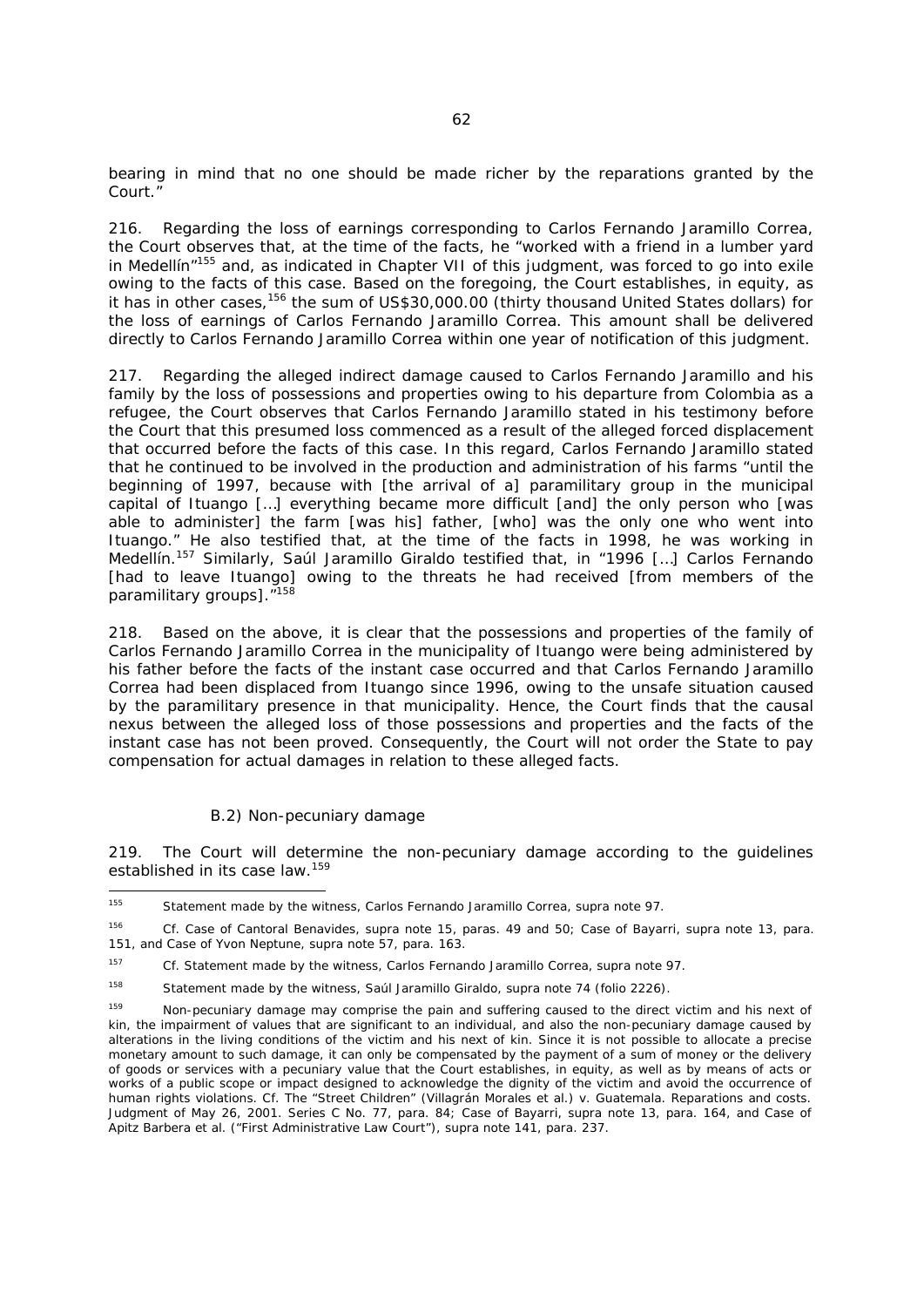bearing in mind that no one should be made richer by the reparations granted by the Court."

216. Regarding the loss of earnings corresponding to Carlos Fernando Jaramillo Correa, the Court observes that, at the time of the facts, he "worked with a friend in a lumber yard in Medellín"155 and, as indicated in Chapter VII of this judgment, was forced to go into exile owing to the facts of this case. Based on the foregoing, the Court establishes, in equity, as it has in other cases,<sup>156</sup> the sum of US\$30,000.00 (thirty thousand United States dollars) for the loss of earnings of Carlos Fernando Jaramillo Correa. This amount shall be delivered directly to Carlos Fernando Jaramillo Correa within one year of notification of this judgment.

217. Regarding the alleged indirect damage caused to Carlos Fernando Jaramillo and his family by the loss of possessions and properties owing to his departure from Colombia as a refugee, the Court observes that Carlos Fernando Jaramillo stated in his testimony before the Court that this presumed loss commenced as a result of the alleged forced displacement that occurred before the facts of this case. In this regard, Carlos Fernando Jaramillo stated that he continued to be involved in the production and administration of his farms "until the beginning of 1997, because with [the arrival of a] paramilitary group in the municipal capital of Ituango […] everything became more difficult [and] the only person who [was able to administer] the farm [was his] father, [who] was the only one who went into Ituango." He also testified that, at the time of the facts in 1998, he was working in Medellín.<sup>157</sup> Similarly, Saúl Jaramillo Giraldo testified that, in "1996 [...] Carlos Fernando [had to leave Ituango] owing to the threats he had received [from members of the paramilitary groups].<sup>"158</sup>

218. Based on the above, it is clear that the possessions and properties of the family of Carlos Fernando Jaramillo Correa in the municipality of Ituango were being administered by his father before the facts of the instant case occurred and that Carlos Fernando Jaramillo Correa had been displaced from Ituango since 1996, owing to the unsafe situation caused by the paramilitary presence in that municipality. Hence, the Court finds that the causal nexus between the alleged loss of those possessions and properties and the facts of the instant case has not been proved. Consequently, the Court will not order the State to pay compensation for actual damages in relation to these alleged facts.

### *B.2) Non-pecuniary damage*

219. The Court will determine the non-pecuniary damage according to the guidelines established in its case law.<sup>159</sup>

<sup>155</sup> 155 Statement made by the witness, Carlos Fernando Jaramillo Correa, *supra* note 97.

<sup>156</sup> *Cf. Case of Cantoral Benavides, supra* note 15, paras. 49 and 50; *Case of Bayarri, supra* note 13, para. 151, and *Case of Yvon Neptune, supra* note 57, para. 163.

<sup>157</sup> *Cf.* Statement made by the witness, Carlos Fernando Jaramillo Correa, *supra* note 97.

<sup>158</sup> Statement made by the witness, Saúl Jaramillo Giraldo, *supra* note 74 (folio 2226).

<sup>&</sup>lt;sup>159</sup> Non-pecuniary damage may comprise the pain and suffering caused to the direct victim and his next of kin, the impairment of values that are significant to an individual, and also the non-pecuniary damage caused by alterations in the living conditions of the victim and his next of kin. Since it is not possible to allocate a precise monetary amount to such damage, it can only be compensated by the payment of a sum of money or the delivery of goods or services with a pecuniary value that the Court establishes, in equity, as well as by means of acts or works of a public scope or impact designed to acknowledge the dignity of the victim and avoid the occurrence of human rights violations. *Cf. The "Street Children" (Villagrán Morales et al.) v. Guatemala. Reparations and costs.*  Judgment of May 26, 2001. Series C No. 77, para. 84; *Case of Bayarri, supra* note 13, para. 164, and *Case of Apitz Barbera et al. ("First Administrative Law Court"), supra* note 141, para. 237.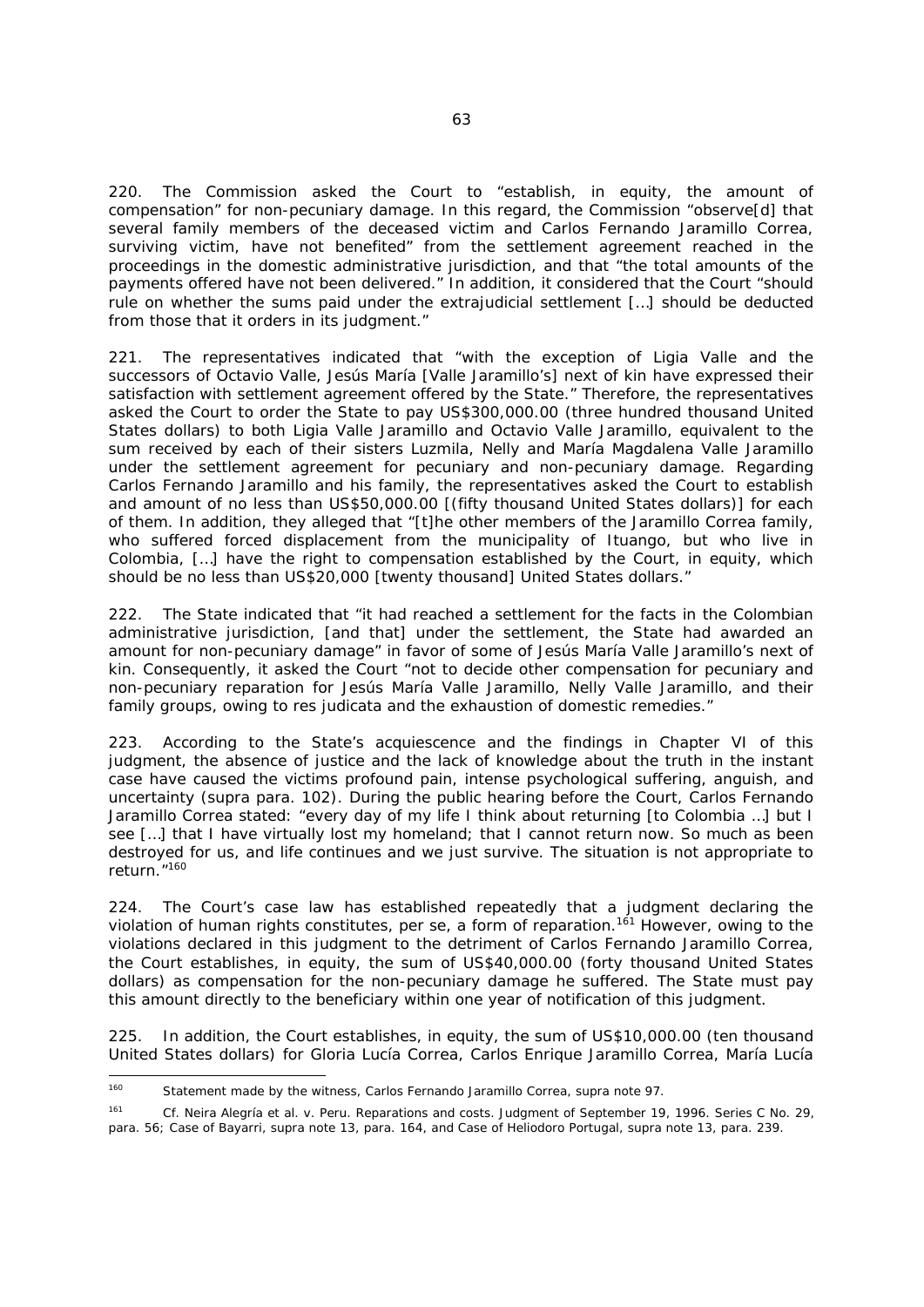220. The Commission asked the Court to "establish, in equity, the amount of compensation" for non-pecuniary damage. In this regard, the Commission "observe[d] that several family members of the deceased victim and Carlos Fernando Jaramillo Correa, surviving victim, have not benefited" from the settlement agreement reached in the proceedings in the domestic administrative jurisdiction, and that "the total amounts of the payments offered have not been delivered." In addition, it considered that the Court "should rule on whether the sums paid under the extrajudicial settlement […] should be deducted from those that it orders in its judgment."

221. The representatives indicated that "with the exception of Ligia Valle and the successors of Octavio Valle, Jesús María [Valle Jaramillo's] next of kin have expressed their satisfaction with settlement agreement offered by the State." Therefore, the representatives asked the Court to order the State to pay US\$300,000.00 (three hundred thousand United States dollars) to both Ligia Valle Jaramillo and Octavio Valle Jaramillo, equivalent to the sum received by each of their sisters Luzmila, Nelly and María Magdalena Valle Jaramillo under the settlement agreement for pecuniary and non-pecuniary damage. Regarding Carlos Fernando Jaramillo and his family, the representatives asked the Court to establish and amount of no less than US\$50,000.00 [(fifty thousand United States dollars)] for each of them. In addition, they alleged that "[t]he other members of the Jaramillo Correa family, who suffered forced displacement from the municipality of Ituango, but who live in Colombia, […] have the right to compensation established by the Court, in equity, which should be no less than US\$20,000 [twenty thousand] United States dollars."

222. The State indicated that "it had reached a settlement for the facts in the Colombian administrative jurisdiction, [and that] under the settlement, the State had awarded an amount for non-pecuniary damage" in favor of some of Jesús María Valle Jaramillo's next of kin. Consequently, it asked the Court "not to decide other compensation for pecuniary and non-pecuniary reparation for Jesús María Valle Jaramillo, Nelly Valle Jaramillo, and their family groups, owing to *res judicata* and the exhaustion of domestic remedies."

223. According to the State's acquiescence and the findings in Chapter VI of this judgment, the absence of justice and the lack of knowledge about the truth in the instant case have caused the victims profound pain, intense psychological suffering, anguish, and uncertainty (*supra* para. 102). During the public hearing before the Court, Carlos Fernando Jaramillo Correa stated: "every day of my life I think about returning [to Colombia …] but I see […] that I have virtually lost my homeland; that I cannot return now. So much as been destroyed for us, and life continues and we just survive. The situation is not appropriate to return."160

224. The Court's case law has established repeatedly that a judgment declaring the violation of human rights constitutes, per se, a form of reparation.<sup>161</sup> However, owing to the violations declared in this judgment to the detriment of Carlos Fernando Jaramillo Correa, the Court establishes, in equity, the sum of US\$40,000.00 (forty thousand United States dollars) as compensation for the non-pecuniary damage he suffered. The State must pay this amount directly to the beneficiary within one year of notification of this judgment.

225. In addition, the Court establishes, in equity, the sum of US\$10,000.00 (ten thousand United States dollars) for Gloria Lucía Correa, Carlos Enrique Jaramillo Correa, María Lucía

<sup>-</sup>160 Statement made by the witness, Carlos Fernando Jaramillo Correa, *supra* note 97.

<sup>161</sup> *Cf. Neira Alegría et al. v. Peru. Reparations and costs.* Judgment of September 19, 1996. Series C No. 29, para. 56; *Case of Bayarri, supra* note 13, para. 164, and *Case of Heliodoro Portugal, supra* note 13, para. 239.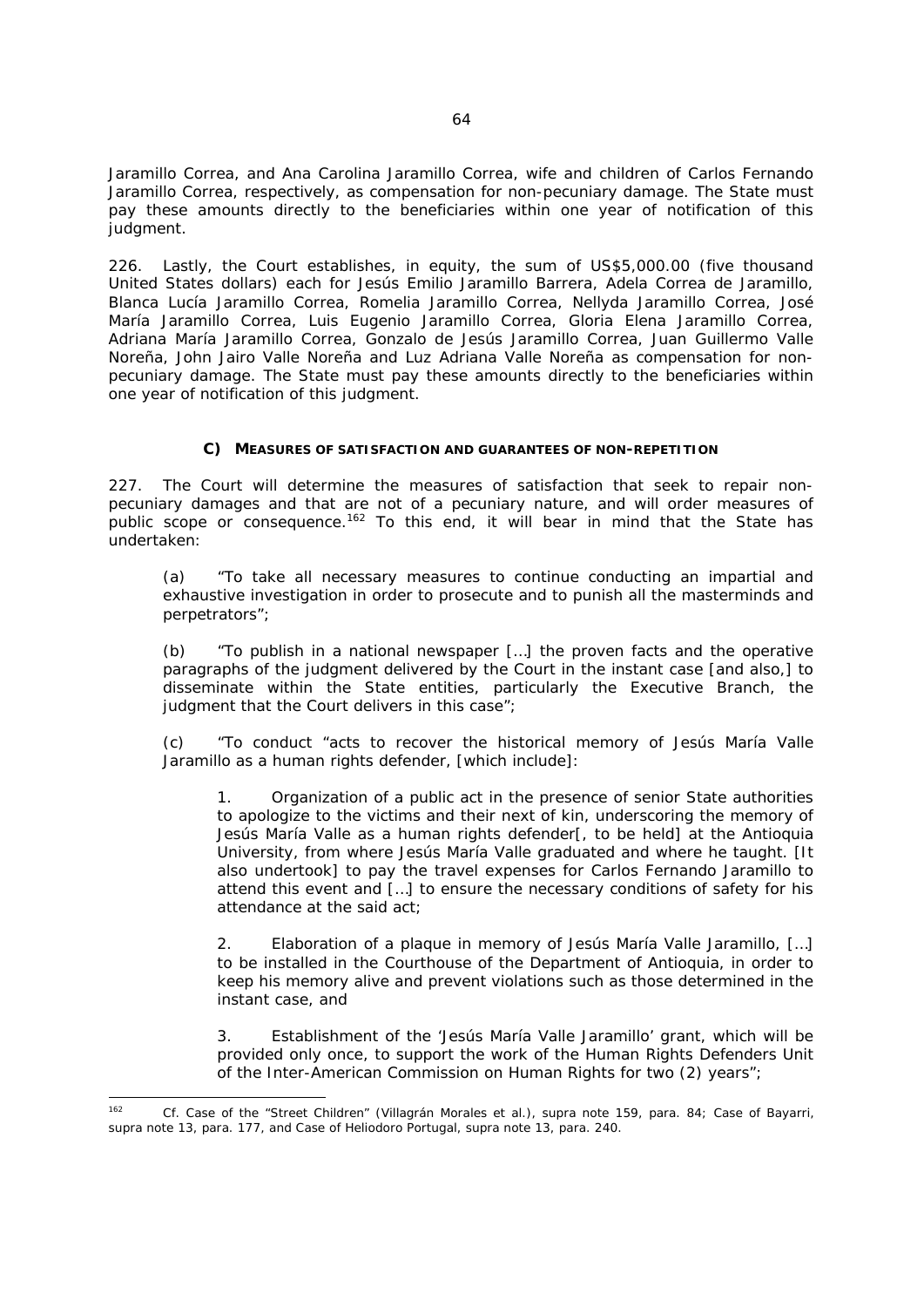Jaramillo Correa, and Ana Carolina Jaramillo Correa, wife and children of Carlos Fernando Jaramillo Correa, respectively, as compensation for non-pecuniary damage. The State must pay these amounts directly to the beneficiaries within one year of notification of this judgment.

226. Lastly, the Court establishes, in equity, the sum of US\$5,000.00 (five thousand United States dollars) each for Jesús Emilio Jaramillo Barrera, Adela Correa de Jaramillo, Blanca Lucía Jaramillo Correa, Romelia Jaramillo Correa, Nellyda Jaramillo Correa, José María Jaramillo Correa, Luis Eugenio Jaramillo Correa, Gloria Elena Jaramillo Correa, Adriana María Jaramillo Correa, Gonzalo de Jesús Jaramillo Correa, Juan Guillermo Valle Noreña, John Jairo Valle Noreña and Luz Adriana Valle Noreña as compensation for nonpecuniary damage. The State must pay these amounts directly to the beneficiaries within one year of notification of this judgment.

# *C) MEASURES OF SATISFACTION AND GUARANTEES OF NON-REPETITION*

227. The Court will determine the measures of satisfaction that seek to repair nonpecuniary damages and that are not of a pecuniary nature, and will order measures of public scope or consequence.162 To this end, it will bear in mind that the State has undertaken:

(a) "To take all necessary measures to continue conducting an impartial and exhaustive investigation in order to prosecute and to punish all the masterminds and perpetrators";

(b) "To publish in a national newspaper […] the proven facts and the operative paragraphs of the judgment delivered by the Court in the instant case [and also,] to disseminate within the State entities, particularly the Executive Branch, the judgment that the Court delivers in this case";

(c) "To conduct "acts to recover the historical memory of Jesús María Valle Jaramillo as a human rights defender, [which include]:

1. Organization of a public act in the presence of senior State authorities to apologize to the victims and their next of kin, underscoring the memory of Jesús María Valle as a human rights defender[, to be held] at the Antioquia University, from where Jesús María Valle graduated and where he taught. [It also undertook] to pay the travel expenses for Carlos Fernando Jaramillo to attend this event and […] to ensure the necessary conditions of safety for his attendance at the said act;

2. Elaboration of a plaque in memory of Jesús María Valle Jaramillo, […] to be installed in the Courthouse of the Department of Antioquia, in order to keep his memory alive and prevent violations such as those determined in the instant case, and

3. Establishment of the 'Jesús María Valle Jaramillo' grant, which will be provided only once, to support the work of the Human Rights Defenders Unit of the Inter-American Commission on Human Rights for two (2) years";

 $162$ 162 *Cf. Case of the "Street Children" (Villagrán Morales et al.)*, *supra* note 159, para. 84; *Case of Bayarri, supra* note 13, para. 177, and *Case of Heliodoro Portugal, supra* note 13, para. 240.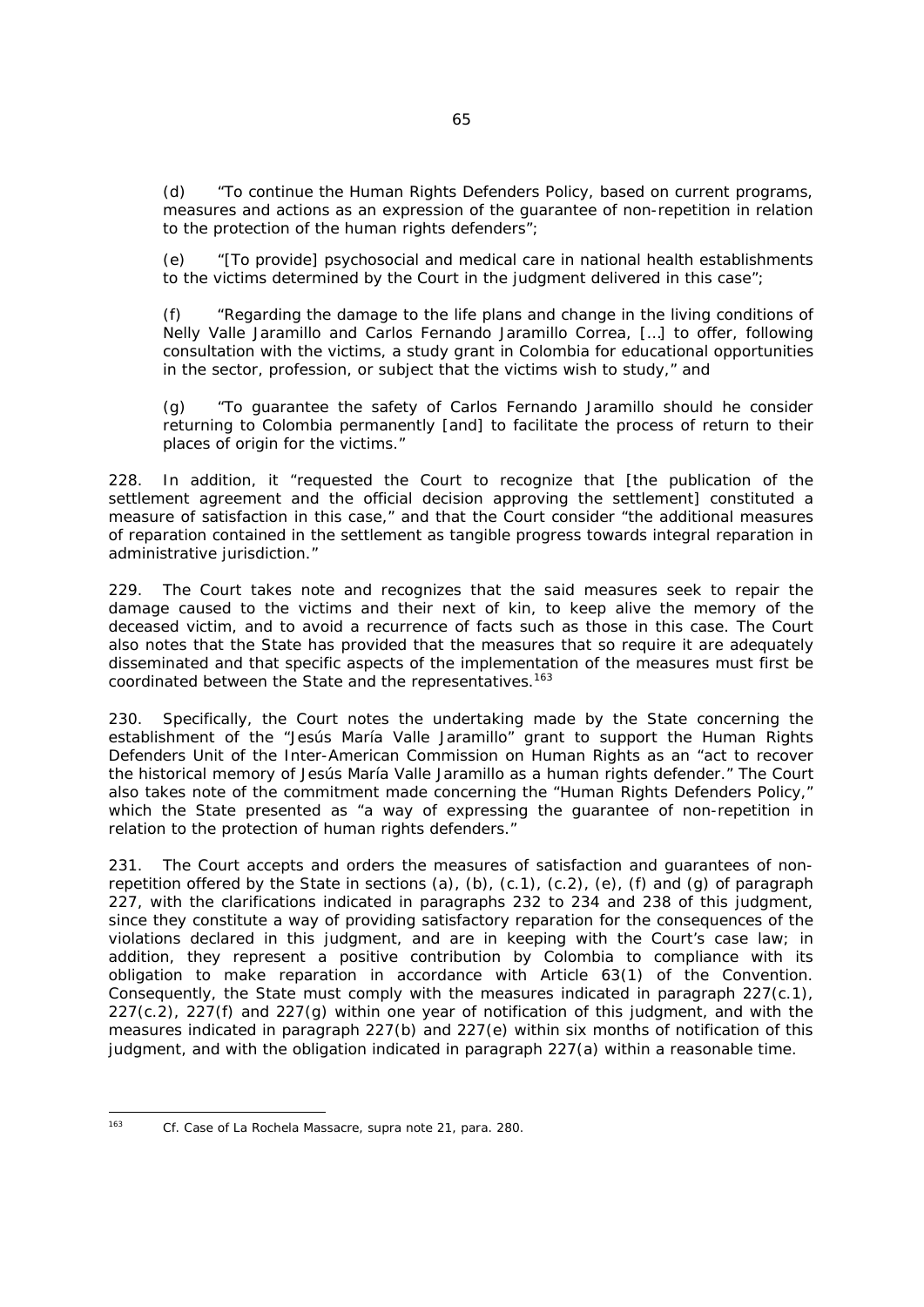(d) "To continue the Human Rights Defenders Policy, based on current programs, measures and actions as an expression of the guarantee of non-repetition in relation to the protection of the human rights defenders";

(e) "[To provide] psychosocial and medical care in national health establishments to the victims determined by the Court in the judgment delivered in this case";

(f) "Regarding the damage to the life plans and change in the living conditions of Nelly Valle Jaramillo and Carlos Fernando Jaramillo Correa, […] to offer, following consultation with the victims, a study grant in Colombia for educational opportunities in the sector, profession, or subject that the victims wish to study," and

(g) "To guarantee the safety of Carlos Fernando Jaramillo should he consider returning to Colombia permanently [and] to facilitate the process of return to their places of origin for the victims."

228. In addition, it "requested the Court to recognize that [the publication of the settlement agreement and the official decision approving the settlement] constituted a measure of satisfaction in this case," and that the Court consider "the additional measures of reparation contained in the settlement as tangible progress towards integral reparation in administrative jurisdiction."

229. The Court takes note and recognizes that the said measures seek to repair the damage caused to the victims and their next of kin, to keep alive the memory of the deceased victim, and to avoid a recurrence of facts such as those in this case. The Court also notes that the State has provided that the measures that so require it are adequately disseminated and that specific aspects of the implementation of the measures must first be coordinated between the State and the representatives.<sup>163</sup>

230. Specifically, the Court notes the undertaking made by the State concerning the establishment of the "Jesús María Valle Jaramillo" grant to support the Human Rights Defenders Unit of the Inter-American Commission on Human Rights as an "act to recover the historical memory of Jesús María Valle Jaramillo as a human rights defender." The Court also takes note of the commitment made concerning the "Human Rights Defenders Policy," which the State presented as "a way of expressing the guarantee of non-repetition in relation to the protection of human rights defenders."

231. The Court accepts and orders the measures of satisfaction and guarantees of nonrepetition offered by the State in sections (a), (b),  $(c.1)$ ,  $(c.2)$ ,  $(e)$ ,  $(f)$  and (g) of paragraph 227, with the clarifications indicated in paragraphs 232 to 234 and 238 of this judgment, since they constitute a way of providing satisfactory reparation for the consequences of the violations declared in this judgment, and are in keeping with the Court's case law; in addition, they represent a positive contribution by Colombia to compliance with its obligation to make reparation in accordance with Article 63(1) of the Convention. Consequently, the State must comply with the measures indicated in paragraph 227(c.1), 227(c.2), 227(f) and 227(g) within one year of notification of this judgment, and with the measures indicated in paragraph 227(b) and 227(e) within six months of notification of this judgment, and with the obligation indicated in paragraph 227(a) within a reasonable time.

 $163$ 163 *Cf. Case of La Rochela Massacre, supra* note 21, para. 280.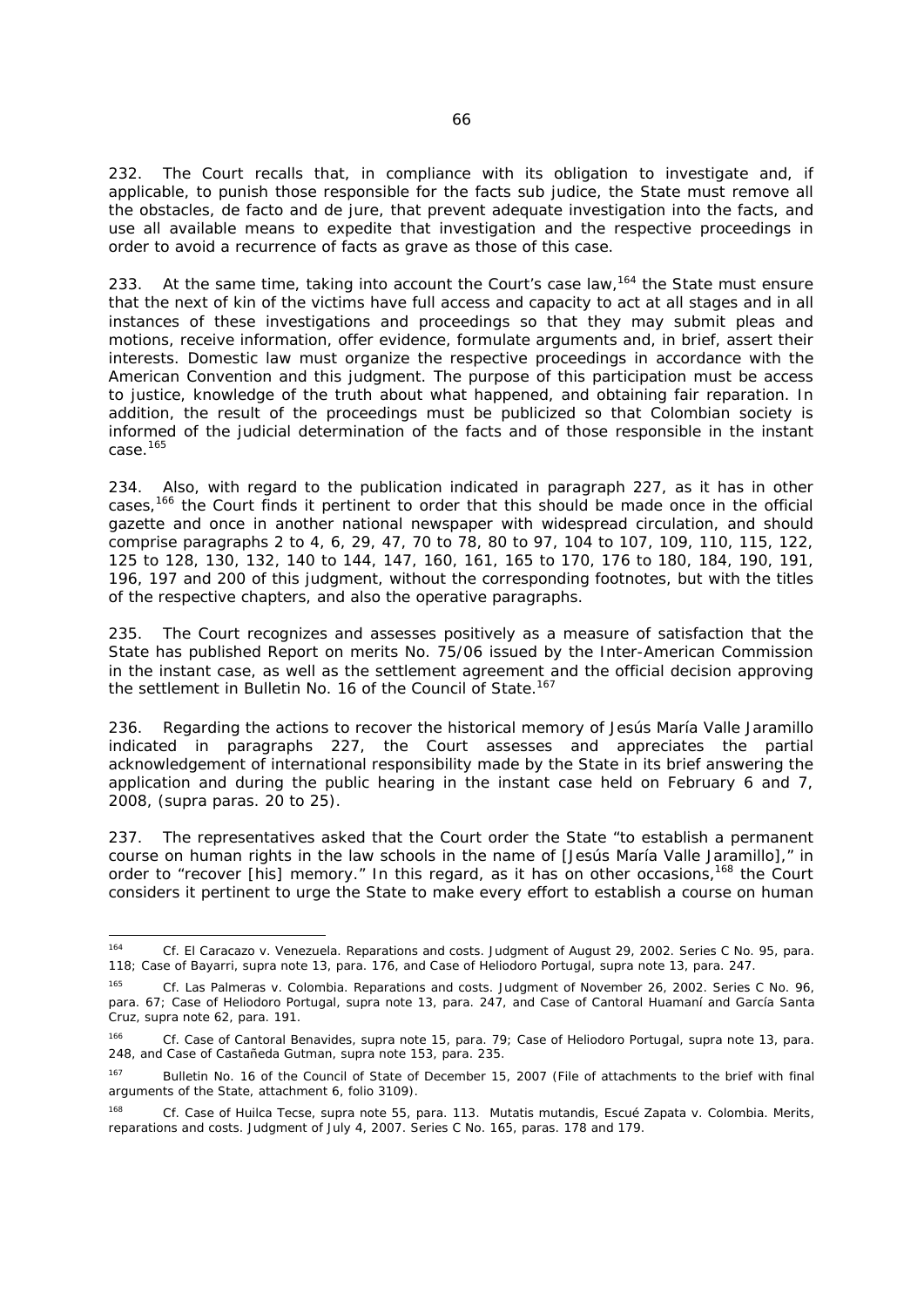232. The Court recalls that, in compliance with its obligation to investigate and, if applicable, to punish those responsible for the facts *sub judice*, the State must remove all the obstacles, *de facto* and *de jure*, that prevent adequate investigation into the facts, and use all available means to expedite that investigation and the respective proceedings in order to avoid a recurrence of facts as grave as those of this case.

233. At the same time, taking into account the Court's case law,  $164$  the State must ensure that the next of kin of the victims have full access and capacity to act at all stages and in all instances of these investigations and proceedings so that they may submit pleas and motions, receive information, offer evidence, formulate arguments and, in brief, assert their interests. Domestic law must organize the respective proceedings in accordance with the American Convention and this judgment. The purpose of this participation must be access to justice, knowledge of the truth about what happened, and obtaining fair reparation. In addition, the result of the proceedings must be publicized so that Colombian society is informed of the judicial determination of the facts and of those responsible in the instant case.165

234. Also, with regard to the publication indicated in paragraph 227, as it has in other cases.<sup>166</sup> the Court finds it pertinent to order that this should be made once in the official gazette and once in another national newspaper with widespread circulation, and should comprise paragraphs 2 to 4, 6, 29, 47, 70 to 78, 80 to 97, 104 to 107, 109, 110, 115, 122, 125 to 128, 130, 132, 140 to 144, 147, 160, 161, 165 to 170, 176 to 180, 184, 190, 191, 196, 197 and 200 of this judgment, without the corresponding footnotes, but with the titles of the respective chapters, and also the operative paragraphs.

235. The Court recognizes and assesses positively as a measure of satisfaction that the State has published Report on merits No. 75/06 issued by the Inter-American Commission in the instant case, as well as the settlement agreement and the official decision approving the settlement in Bulletin No. 16 of the Council of State.<sup>167</sup>

236. Regarding the actions to recover the historical memory of Jesús María Valle Jaramillo indicated in paragraphs 227, the Court assesses and appreciates the partial acknowledgement of international responsibility made by the State in its brief answering the application and during the public hearing in the instant case held on February 6 and 7, 2008, (*supra* paras. 20 to 25).

237. The representatives asked that the Court order the State "to establish a permanent course on human rights in the law schools in the name of [Jesús María Valle Jaramillo]," in order to "recover [his] memory." In this regard, as it has on other occasions,<sup>168</sup> the Court considers it pertinent to urge the State to make every effort to establish a course on human

 $164$ 164 *Cf. El Caracazo v. Venezuela. Reparations and costs*. Judgment of August 29, 2002. Series C No. 95, para. 118; *Case of Bayarri, supra* note 13, para. 176, and *Case of Heliodoro Portugal, supra* note 13, para. 247.

<sup>165</sup> *Cf. Las Palmeras v. Colombia. Reparations and costs*. Judgment of November 26, 2002. Series C No. 96, para. 67; *Case of Heliodoro Portugal, supra* note 13, para. 247, and *Case of Cantoral Huamaní and García Santa Cruz, supra* note 62, para. 191.

<sup>166</sup> *Cf. Case of Cantoral Benavides, supra* note 15, para. 79; *Case of Heliodoro Portugal, supra* note 13, para. 248, and *Case of Castañeda Gutman,* supra note 153, para. 235.

<sup>&</sup>lt;sup>167</sup> Bulletin No. 16 of the Council of State of December 15, 2007 (File of attachments to the brief with final arguments of the State, attachment 6, folio 3109).

<sup>168</sup> *Cf. Case of Huilca Tecse, supra* note 55, para. 113. *Mutatis mutandis*, *Escué Zapata v. Colombia. Merits, reparations and costs.* Judgment of July 4, 2007. Series C No. 165, paras. 178 and 179.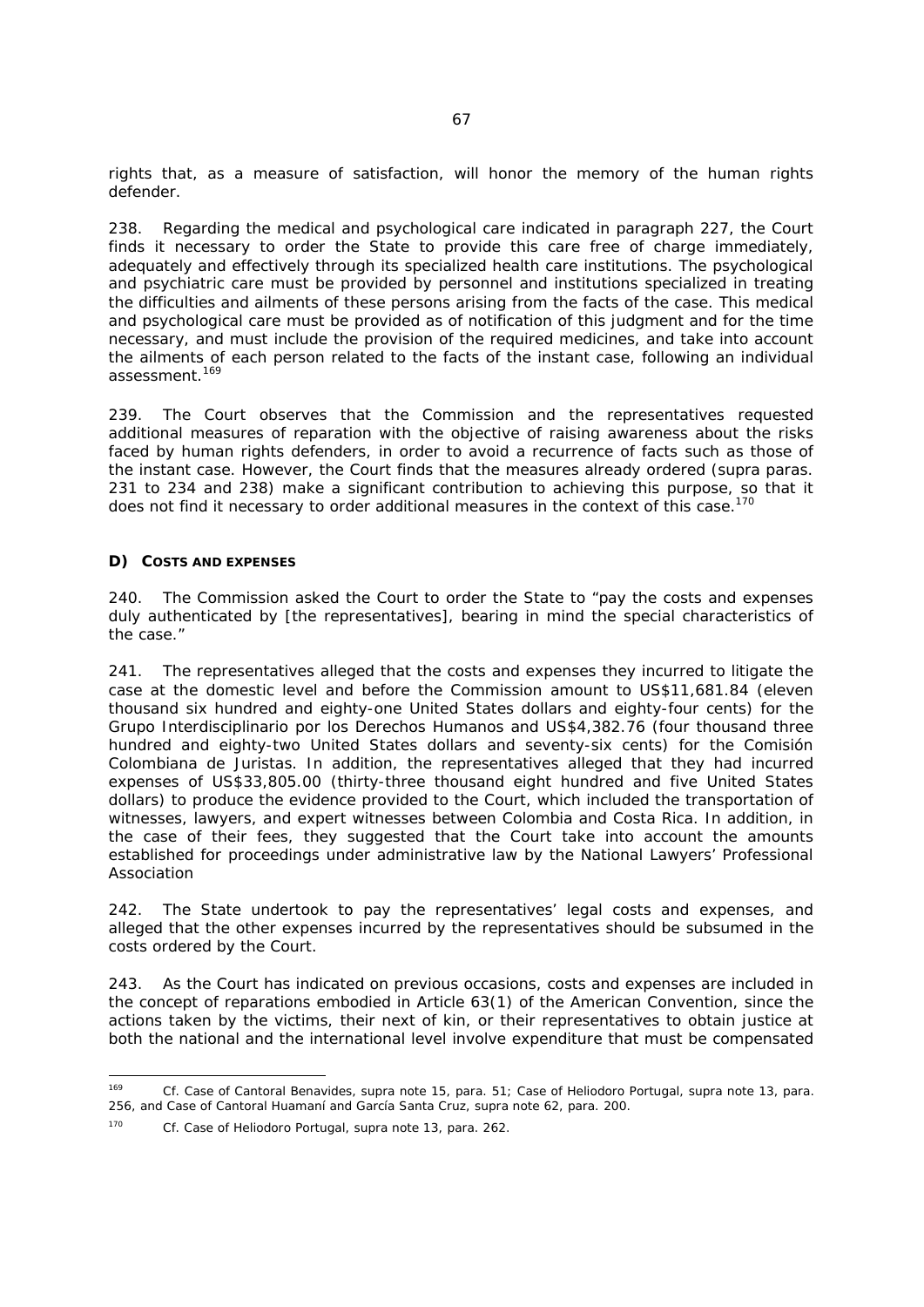rights that, as a measure of satisfaction, will honor the memory of the human rights defender.

238. Regarding the medical and psychological care indicated in paragraph 227, the Court finds it necessary to order the State to provide this care free of charge immediately, adequately and effectively through its specialized health care institutions. The psychological and psychiatric care must be provided by personnel and institutions specialized in treating the difficulties and ailments of these persons arising from the facts of the case. This medical and psychological care must be provided as of notification of this judgment and for the time necessary, and must include the provision of the required medicines, and take into account the ailments of each person related to the facts of the instant case, following an individual assessment.169

239. The Court observes that the Commission and the representatives requested additional measures of reparation with the objective of raising awareness about the risks faced by human rights defenders, in order to avoid a recurrence of facts such as those of the instant case. However, the Court finds that the measures already ordered (*supra* paras. 231 to 234 and 238) make a significant contribution to achieving this purpose, so that it does not find it necessary to order additional measures in the context of this case.<sup>170</sup>

# *D) COSTS AND EXPENSES*

240. The Commission asked the Court to order the State to "pay the costs and expenses duly authenticated by [the representatives], bearing in mind the special characteristics of the case."

241. The representatives alleged that the costs and expenses they incurred to litigate the case at the domestic level and before the Commission amount to US\$11,681.84 (eleven thousand six hundred and eighty-one United States dollars and eighty-four cents) for the *Grupo Interdisciplinario por los Derechos Humanos* and US\$4,382.76 (four thousand three hundred and eighty-two United States dollars and seventy-six cents) for the *Comisión Colombiana de Juristas*. In addition, the representatives alleged that they had incurred expenses of US\$33,805.00 (thirty-three thousand eight hundred and five United States dollars) to produce the evidence provided to the Court, which included the transportation of witnesses, lawyers, and expert witnesses between Colombia and Costa Rica. In addition, in the case of their fees, they suggested that the Court take into account the amounts established for proceedings under administrative law by the National Lawyers' Professional Association

242. The State undertook to pay the representatives' legal costs and expenses, and alleged that the other expenses incurred by the representatives should be subsumed in the costs ordered by the Court.

243. As the Court has indicated on previous occasions, costs and expenses are included in the concept of reparations embodied in Article 63(1) of the American Convention, since the actions taken by the victims, their next of kin, or their representatives to obtain justice at both the national and the international level involve expenditure that must be compensated

<sup>-</sup>169 *Cf. Case of Cantoral Benavides, supra* note 15, para. 51; *Case of Heliodoro Portugal, supra* note 13, para. 256, and *Case of Cantoral Huamaní and García Santa Cruz, supra* note 62, para. 200.

Cf. Case of Heliodoro Portugal, supra note 13, para. 262.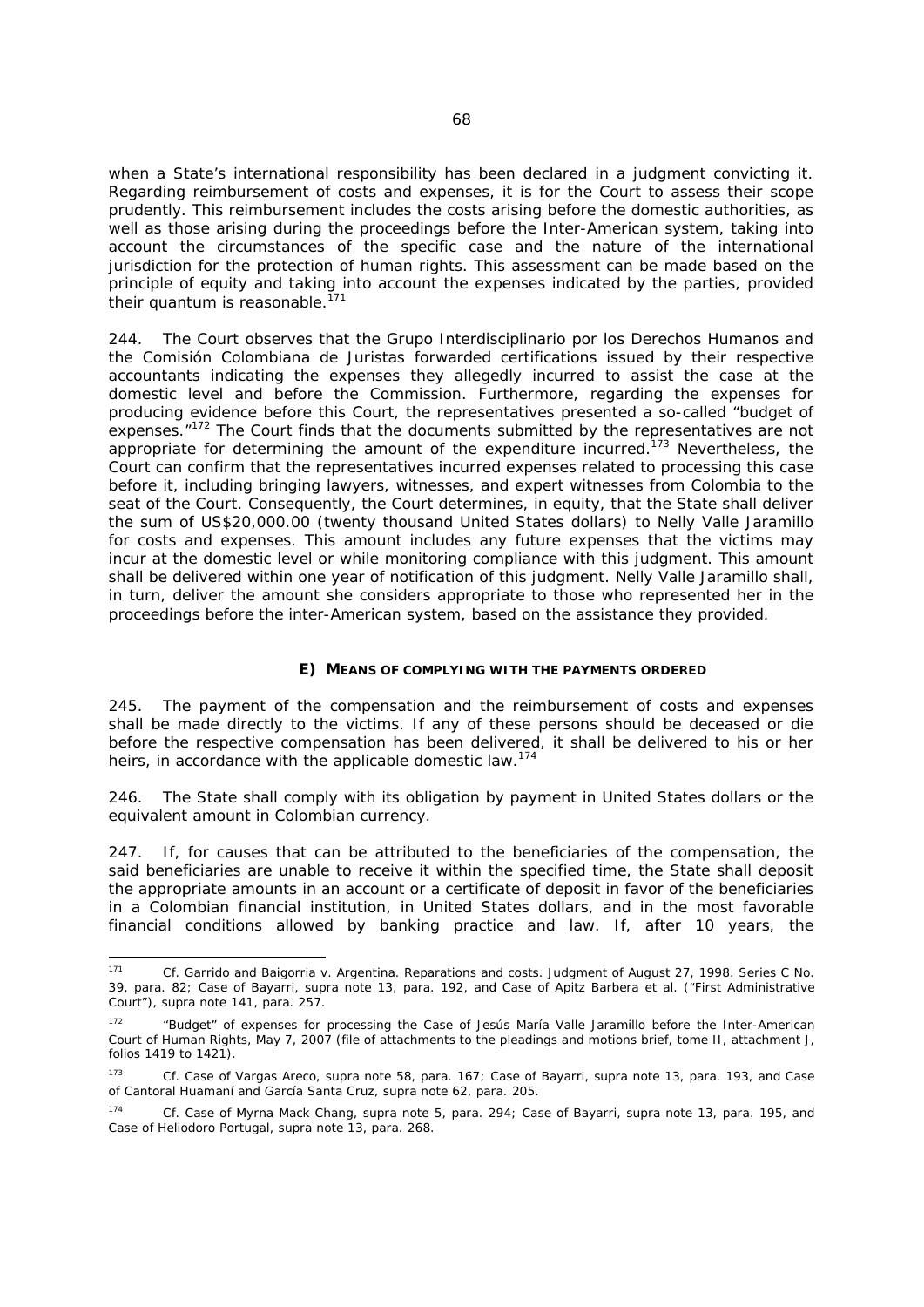when a State's international responsibility has been declared in a judgment convicting it. Regarding reimbursement of costs and expenses, it is for the Court to assess their scope prudently. This reimbursement includes the costs arising before the domestic authorities, as well as those arising during the proceedings before the Inter-American system, taking into account the circumstances of the specific case and the nature of the international jurisdiction for the protection of human rights. This assessment can be made based on the principle of equity and taking into account the expenses indicated by the parties, provided their *quantum* is reasonable.<sup>171</sup>

244. The Court observes that the *Grupo Interdisciplinario por los Derechos Humanos* and the *Comisión Colombiana de Juristas* forwarded certifications issued by their respective accountants indicating the expenses they allegedly incurred to assist the case at the domestic level and before the Commission. Furthermore, regarding the expenses for producing evidence before this Court, the representatives presented a so-called "budget of expenses."<sup>172</sup> The Court finds that the documents submitted by the representatives are not appropriate for determining the amount of the expenditure incurred.<sup>173</sup> Nevertheless, the Court can confirm that the representatives incurred expenses related to processing this case before it, including bringing lawyers, witnesses, and expert witnesses from Colombia to the seat of the Court. Consequently, the Court determines, in equity, that the State shall deliver the sum of US\$20,000.00 (twenty thousand United States dollars) to Nelly Valle Jaramillo for costs and expenses. This amount includes any future expenses that the victims may incur at the domestic level or while monitoring compliance with this judgment. This amount shall be delivered within one year of notification of this judgment. Nelly Valle Jaramillo shall, in turn, deliver the amount she considers appropriate to those who represented her in the proceedings before the inter-American system, based on the assistance they provided.

### *E) MEANS OF COMPLYING WITH THE PAYMENTS ORDERED*

245. The payment of the compensation and the reimbursement of costs and expenses shall be made directly to the victims. If any of these persons should be deceased or die before the respective compensation has been delivered, it shall be delivered to his or her heirs, in accordance with the applicable domestic law.<sup>174</sup>

246. The State shall comply with its obligation by payment in United States dollars or the equivalent amount in Colombian currency.

247. If, for causes that can be attributed to the beneficiaries of the compensation, the said beneficiaries are unable to receive it within the specified time, the State shall deposit the appropriate amounts in an account or a certificate of deposit in favor of the beneficiaries in a Colombian financial institution, in United States dollars, and in the most favorable financial conditions allowed by banking practice and law. If, after 10 years, the

<sup>171</sup> 171 *Cf. Garrido and Baigorria v. Argentina. Reparations and costs*. Judgment of August 27, 1998. Series C No. 39, para. 82; *Case of Bayarri, supra* note 13, para. 192, and *Case of Apitz Barbera et al. ("First Administrative Court"), supra* note 141, para. 257.

<sup>&</sup>lt;sup>172</sup> "Budget" of expenses for processing the Case of Jesús María Valle Jaramillo before the Inter-American Court of Human Rights, May 7, 2007 (file of attachments to the pleadings and motions brief, tome II, attachment J, folios 1419 to 1421).

<sup>173</sup> *Cf. Case of Vargas Areco, supra* note 58, para. 167; *Case of Bayarri, supra* note 13, para. 193, and *Case of Cantoral Huamaní and García Santa Cruz, supra* note 62, para. 205.

<sup>174</sup> *Cf. Case of Myrna Mack Chang, supra* note 5, para. 294; *Case of Bayarri, supra* note 13, para. 195, and *Case of Heliodoro Portugal, supra* note 13, para. 268.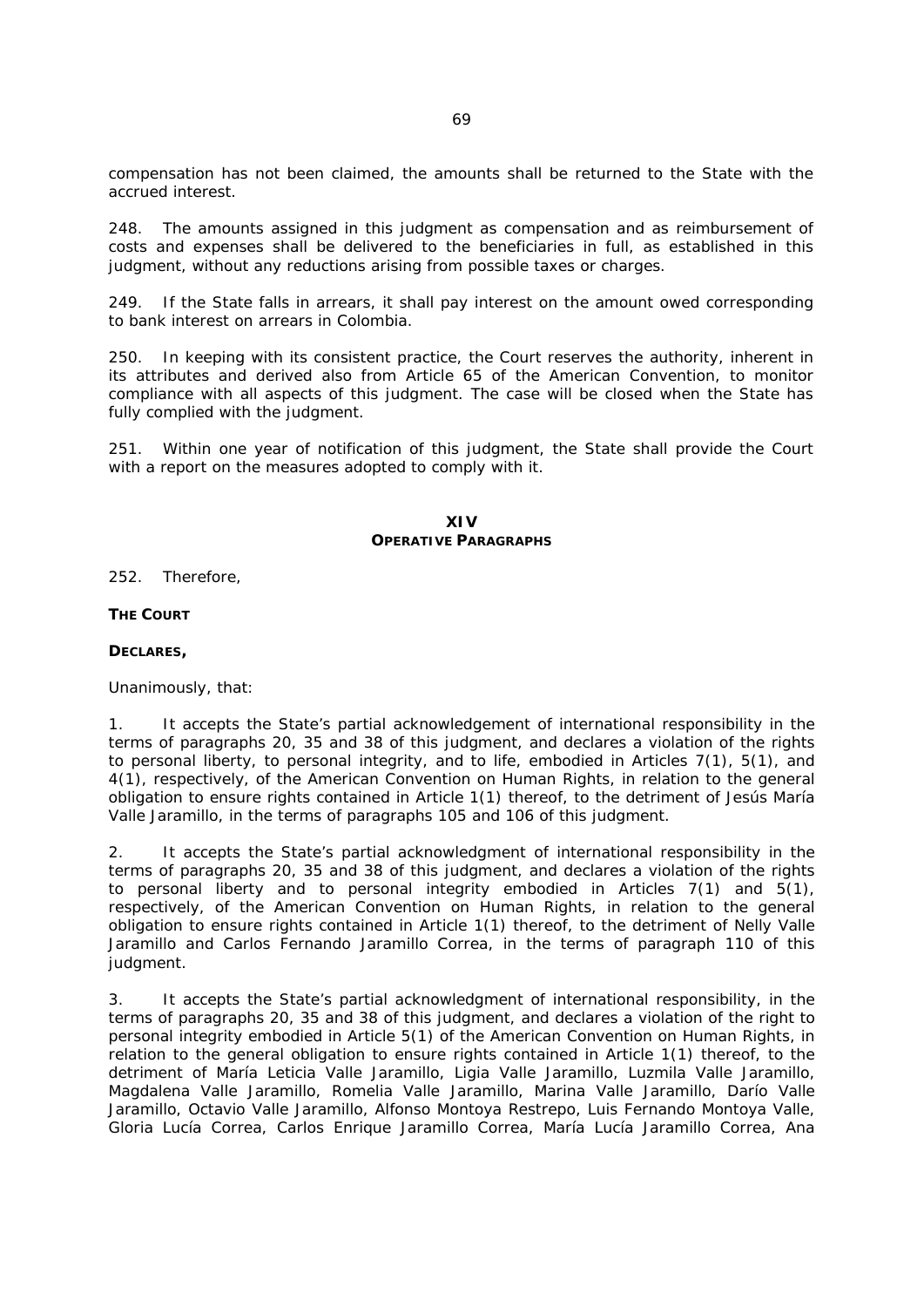compensation has not been claimed, the amounts shall be returned to the State with the accrued interest.

248. The amounts assigned in this judgment as compensation and as reimbursement of costs and expenses shall be delivered to the beneficiaries in full, as established in this judgment, without any reductions arising from possible taxes or charges.

249. If the State falls in arrears, it shall pay interest on the amount owed corresponding to bank interest on arrears in Colombia.

250. In keeping with its consistent practice, the Court reserves the authority, inherent in its attributes and derived also from Article 65 of the American Convention, to monitor compliance with all aspects of this judgment. The case will be closed when the State has fully complied with the judgment.

251. Within one year of notification of this judgment, the State shall provide the Court with a report on the measures adopted to comply with it.

### **XIV OPERATIVE PARAGRAPHS**

252. Therefore,

### **THE COURT**

### **DECLARES,**

Unanimously, that:

1. It accepts the State's partial acknowledgement of international responsibility in the terms of paragraphs 20, 35 and 38 of this judgment, and declares a violation of the rights to personal liberty, to personal integrity, and to life, embodied in Articles 7(1), 5(1), and 4(1), respectively, of the American Convention on Human Rights, in relation to the general obligation to ensure rights contained in Article 1(1) thereof, to the detriment of Jesús María Valle Jaramillo, in the terms of paragraphs 105 and 106 of this judgment.

2. It accepts the State's partial acknowledgment of international responsibility in the terms of paragraphs 20, 35 and 38 of this judgment, and declares a violation of the rights to personal liberty and to personal integrity embodied in Articles 7(1) and 5(1), respectively, of the American Convention on Human Rights, in relation to the general obligation to ensure rights contained in Article 1(1) thereof, to the detriment of Nelly Valle Jaramillo and Carlos Fernando Jaramillo Correa, in the terms of paragraph 110 of this judgment.

3. It accepts the State's partial acknowledgment of international responsibility, in the terms of paragraphs 20, 35 and 38 of this judgment, and declares a violation of the right to personal integrity embodied in Article 5(1) of the American Convention on Human Rights, in relation to the general obligation to ensure rights contained in Article 1(1) thereof, to the detriment of María Leticia Valle Jaramillo, Ligia Valle Jaramillo, Luzmila Valle Jaramillo, Magdalena Valle Jaramillo, Romelia Valle Jaramillo, Marina Valle Jaramillo, Darío Valle Jaramillo, Octavio Valle Jaramillo, Alfonso Montoya Restrepo, Luis Fernando Montoya Valle, Gloria Lucía Correa, Carlos Enrique Jaramillo Correa, María Lucía Jaramillo Correa, Ana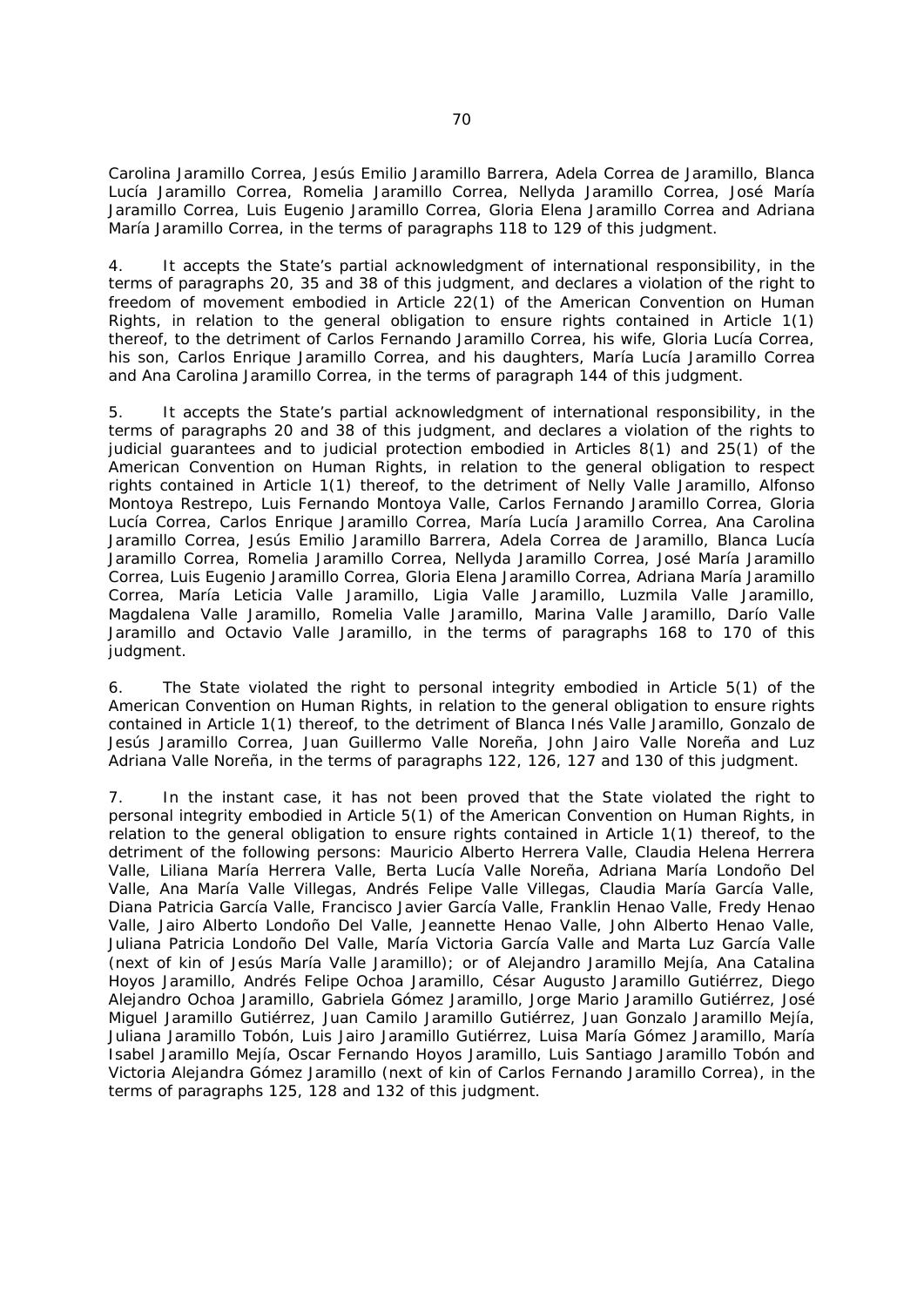Carolina Jaramillo Correa, Jesús Emilio Jaramillo Barrera, Adela Correa de Jaramillo, Blanca Lucía Jaramillo Correa, Romelia Jaramillo Correa, Nellyda Jaramillo Correa, José María Jaramillo Correa, Luis Eugenio Jaramillo Correa, Gloria Elena Jaramillo Correa and Adriana María Jaramillo Correa, in the terms of paragraphs 118 to 129 of this judgment.

4. It accepts the State's partial acknowledgment of international responsibility, in the terms of paragraphs 20, 35 and 38 of this judgment, and declares a violation of the right to freedom of movement embodied in Article 22(1) of the American Convention on Human Rights, in relation to the general obligation to ensure rights contained in Article 1(1) thereof, to the detriment of Carlos Fernando Jaramillo Correa, his wife, Gloria Lucía Correa, his son, Carlos Enrique Jaramillo Correa, and his daughters, María Lucía Jaramillo Correa and Ana Carolina Jaramillo Correa, in the terms of paragraph 144 of this judgment.

5. It accepts the State's partial acknowledgment of international responsibility, in the terms of paragraphs 20 and 38 of this judgment, and declares a violation of the rights to judicial guarantees and to judicial protection embodied in Articles 8(1) and 25(1) of the American Convention on Human Rights, in relation to the general obligation to respect rights contained in Article 1(1) thereof, to the detriment of Nelly Valle Jaramillo, Alfonso Montoya Restrepo, Luis Fernando Montoya Valle, Carlos Fernando Jaramillo Correa, Gloria Lucía Correa, Carlos Enrique Jaramillo Correa, María Lucía Jaramillo Correa, Ana Carolina Jaramillo Correa, Jesús Emilio Jaramillo Barrera, Adela Correa de Jaramillo, Blanca Lucía Jaramillo Correa, Romelia Jaramillo Correa, Nellyda Jaramillo Correa, José María Jaramillo Correa, Luis Eugenio Jaramillo Correa, Gloria Elena Jaramillo Correa, Adriana María Jaramillo Correa, María Leticia Valle Jaramillo, Ligia Valle Jaramillo, Luzmila Valle Jaramillo, Magdalena Valle Jaramillo, Romelia Valle Jaramillo, Marina Valle Jaramillo, Darío Valle Jaramillo and Octavio Valle Jaramillo, in the terms of paragraphs 168 to 170 of this judgment.

6. The State violated the right to personal integrity embodied in Article 5(1) of the American Convention on Human Rights, in relation to the general obligation to ensure rights contained in Article 1(1) thereof, to the detriment of Blanca Inés Valle Jaramillo, Gonzalo de Jesús Jaramillo Correa, Juan Guillermo Valle Noreña, John Jairo Valle Noreña and Luz Adriana Valle Noreña, in the terms of paragraphs 122, 126, 127 and 130 of this judgment.

7. In the instant case, it has not been proved that the State violated the right to personal integrity embodied in Article 5(1) of the American Convention on Human Rights, in relation to the general obligation to ensure rights contained in Article 1(1) thereof, to the detriment of the following persons: Mauricio Alberto Herrera Valle, Claudia Helena Herrera Valle, Liliana María Herrera Valle, Berta Lucía Valle Noreña, Adriana María Londoño Del Valle, Ana María Valle Villegas, Andrés Felipe Valle Villegas, Claudia María García Valle, Diana Patricia García Valle, Francisco Javier García Valle, Franklin Henao Valle, Fredy Henao Valle, Jairo Alberto Londoño Del Valle, Jeannette Henao Valle, John Alberto Henao Valle, Juliana Patricia Londoño Del Valle, María Victoria García Valle and Marta Luz García Valle (next of kin of Jesús María Valle Jaramillo); or of Alejandro Jaramillo Mejía, Ana Catalina Hoyos Jaramillo, Andrés Felipe Ochoa Jaramillo, César Augusto Jaramillo Gutiérrez, Diego Alejandro Ochoa Jaramillo, Gabriela Gómez Jaramillo, Jorge Mario Jaramillo Gutiérrez, José Miguel Jaramillo Gutiérrez, Juan Camilo Jaramillo Gutiérrez, Juan Gonzalo Jaramillo Mejía, Juliana Jaramillo Tobón, Luis Jairo Jaramillo Gutiérrez, Luisa María Gómez Jaramillo, María Isabel Jaramillo Mejía, Oscar Fernando Hoyos Jaramillo, Luis Santiago Jaramillo Tobón and Victoria Alejandra Gómez Jaramillo (next of kin of Carlos Fernando Jaramillo Correa), in the terms of paragraphs 125, 128 and 132 of this judgment.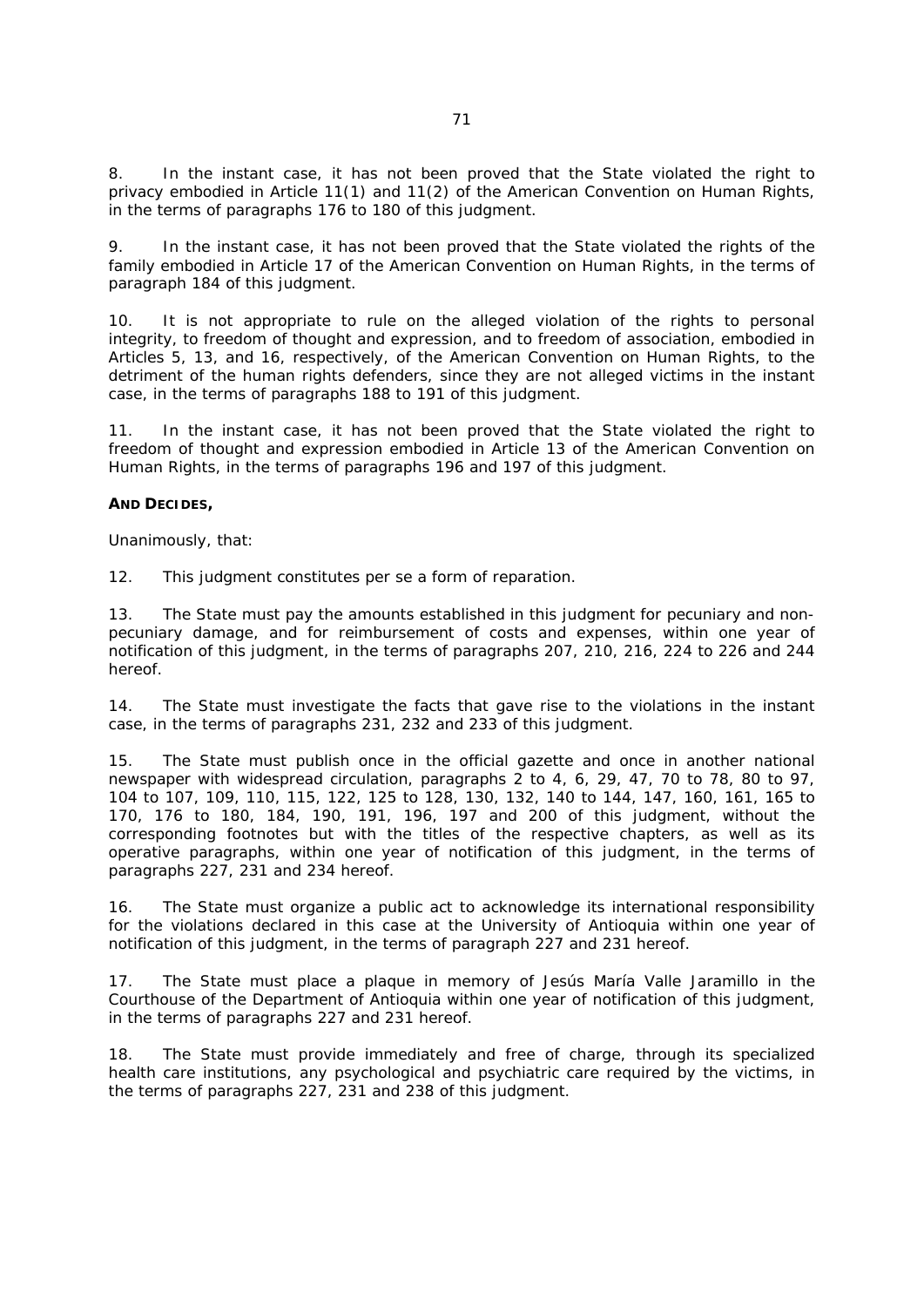8. In the instant case, it has not been proved that the State violated the right to privacy embodied in Article 11(1) and 11(2) of the American Convention on Human Rights, in the terms of paragraphs 176 to 180 of this judgment.

9. In the instant case, it has not been proved that the State violated the rights of the family embodied in Article 17 of the American Convention on Human Rights, in the terms of paragraph 184 of this judgment.

10. It is not appropriate to rule on the alleged violation of the rights to personal integrity, to freedom of thought and expression, and to freedom of association, embodied in Articles 5, 13, and 16, respectively, of the American Convention on Human Rights, to the detriment of the human rights defenders, since they are not alleged victims in the instant case, in the terms of paragraphs 188 to 191 of this judgment.

11. In the instant case, it has not been proved that the State violated the right to freedom of thought and expression embodied in Article 13 of the American Convention on Human Rights, in the terms of paragraphs 196 and 197 of this judgment.

### **AND DECIDES,**

Unanimously, that:

12. This judgment constitutes *per se* a form of reparation.

13. The State must pay the amounts established in this judgment for pecuniary and nonpecuniary damage, and for reimbursement of costs and expenses, within one year of notification of this judgment, in the terms of paragraphs 207, 210, 216, 224 to 226 and 244 hereof.

14. The State must investigate the facts that gave rise to the violations in the instant case, in the terms of paragraphs 231, 232 and 233 of this judgment.

15. The State must publish once in the official gazette and once in another national newspaper with widespread circulation, paragraphs 2 to 4, 6, 29, 47, 70 to 78, 80 to 97, 104 to 107, 109, 110, 115, 122, 125 to 128, 130, 132, 140 to 144, 147, 160, 161, 165 to 170, 176 to 180, 184, 190, 191, 196, 197 and 200 of this judgment, without the corresponding footnotes but with the titles of the respective chapters, as well as its operative paragraphs, within one year of notification of this judgment, in the terms of paragraphs 227, 231 and 234 hereof.

16. The State must organize a public act to acknowledge its international responsibility for the violations declared in this case at the University of Antioquia within one year of notification of this judgment, in the terms of paragraph 227 and 231 hereof.

17. The State must place a plaque in memory of Jesús María Valle Jaramillo in the Courthouse of the Department of Antioquia within one year of notification of this judgment, in the terms of paragraphs 227 and 231 hereof.

18. The State must provide immediately and free of charge, through its specialized health care institutions, any psychological and psychiatric care required by the victims, in the terms of paragraphs 227, 231 and 238 of this judgment.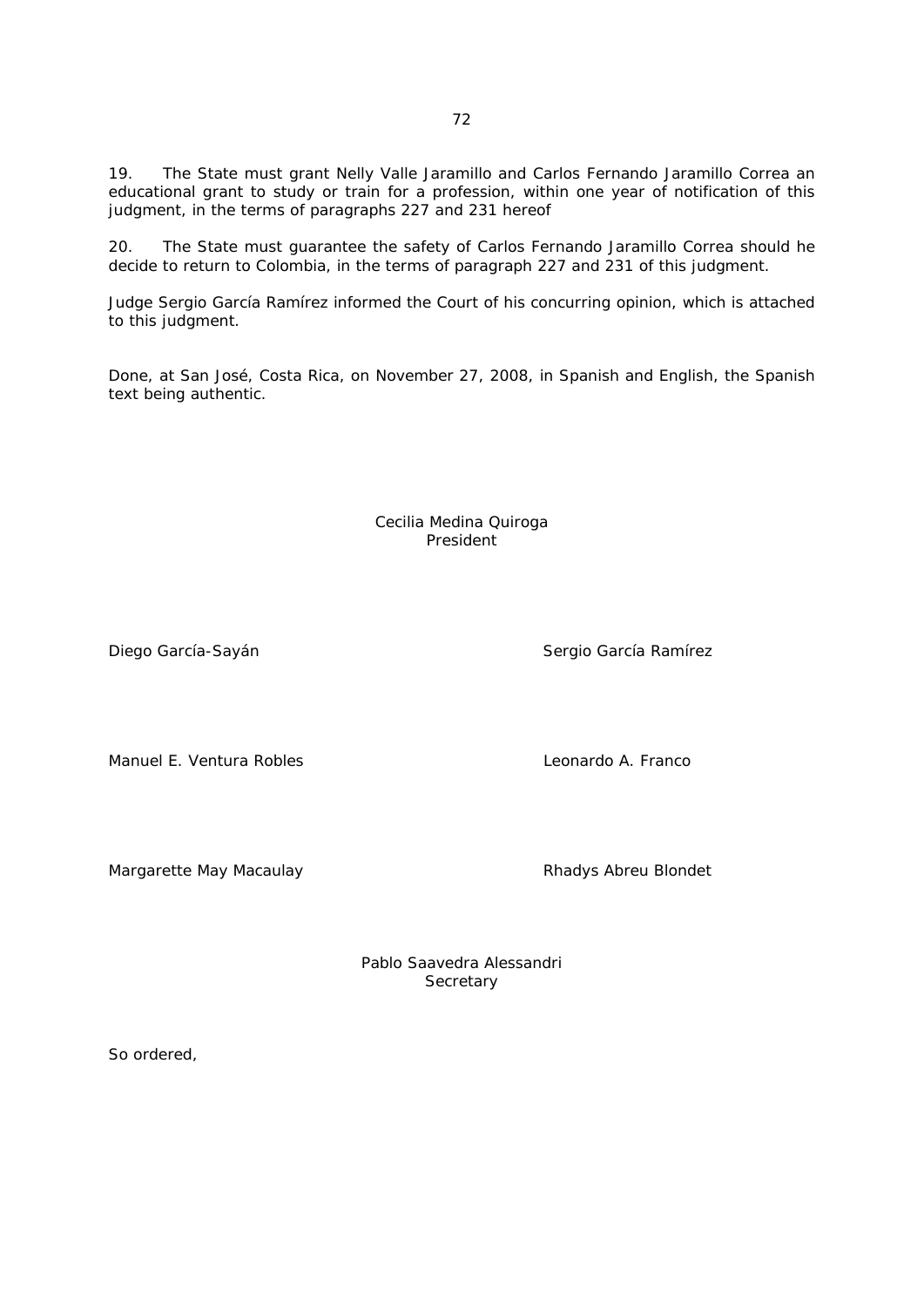19. The State must grant Nelly Valle Jaramillo and Carlos Fernando Jaramillo Correa an educational grant to study or train for a profession, within one year of notification of this judgment, in the terms of paragraphs 227 and 231 hereof

20. The State must guarantee the safety of Carlos Fernando Jaramillo Correa should he decide to return to Colombia, in the terms of paragraph 227 and 231 of this judgment.

Judge Sergio García Ramírez informed the Court of his concurring opinion, which is attached to this judgment.

Done, at San José, Costa Rica, on November 27, 2008, in Spanish and English, the Spanish text being authentic.

> Cecilia Medina Quiroga President

Diego García-Sayán Sergio García Ramírez

Manuel F. Ventura Robles Leonardo A. Franco

Margarette May Macaulay **Rhadys Abreu Blondet** 

Pablo Saavedra Alessandri **Secretary** 

So ordered,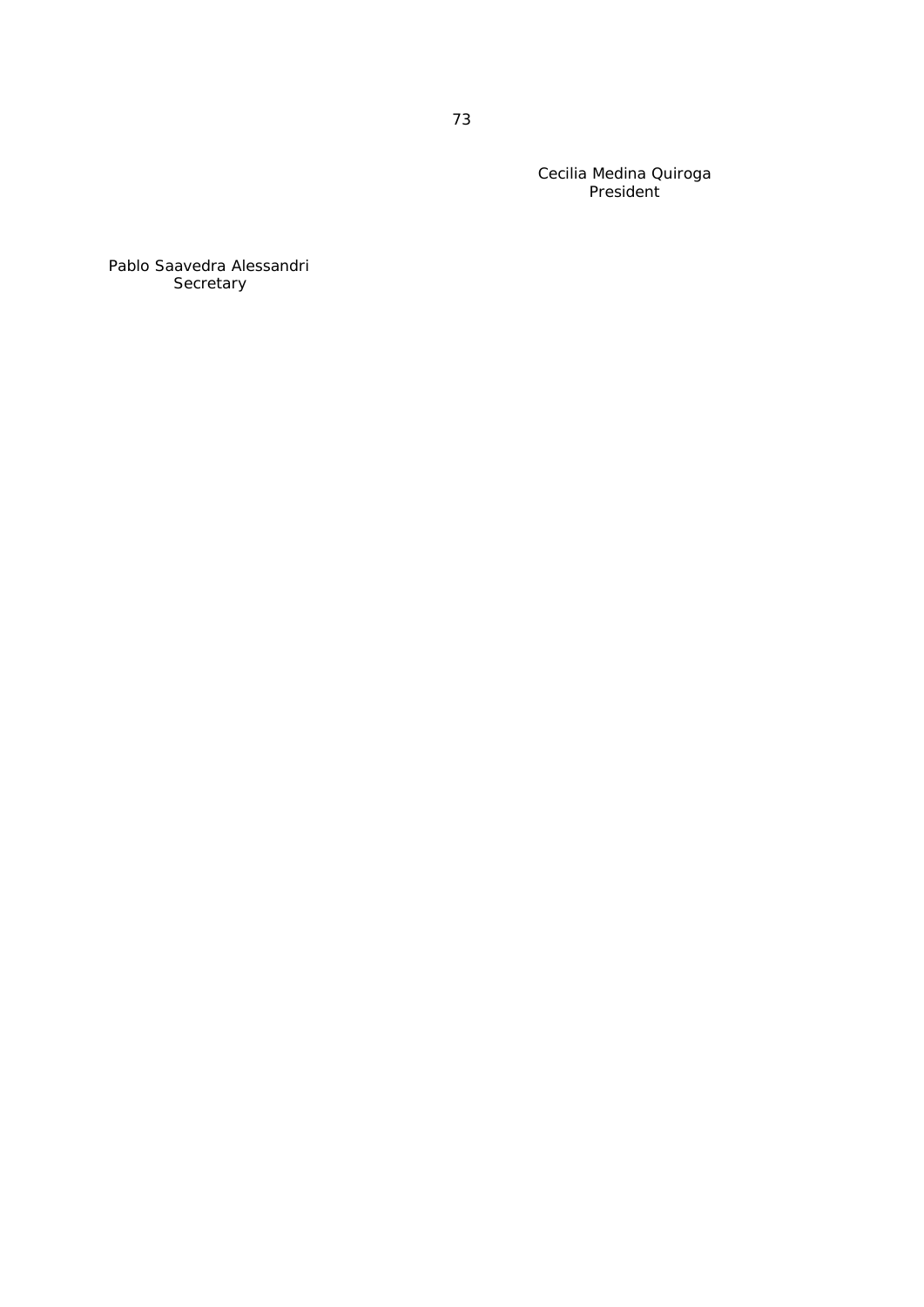Cecilia Medina Quiroga President

Pablo Saavedra Alessandri Secretary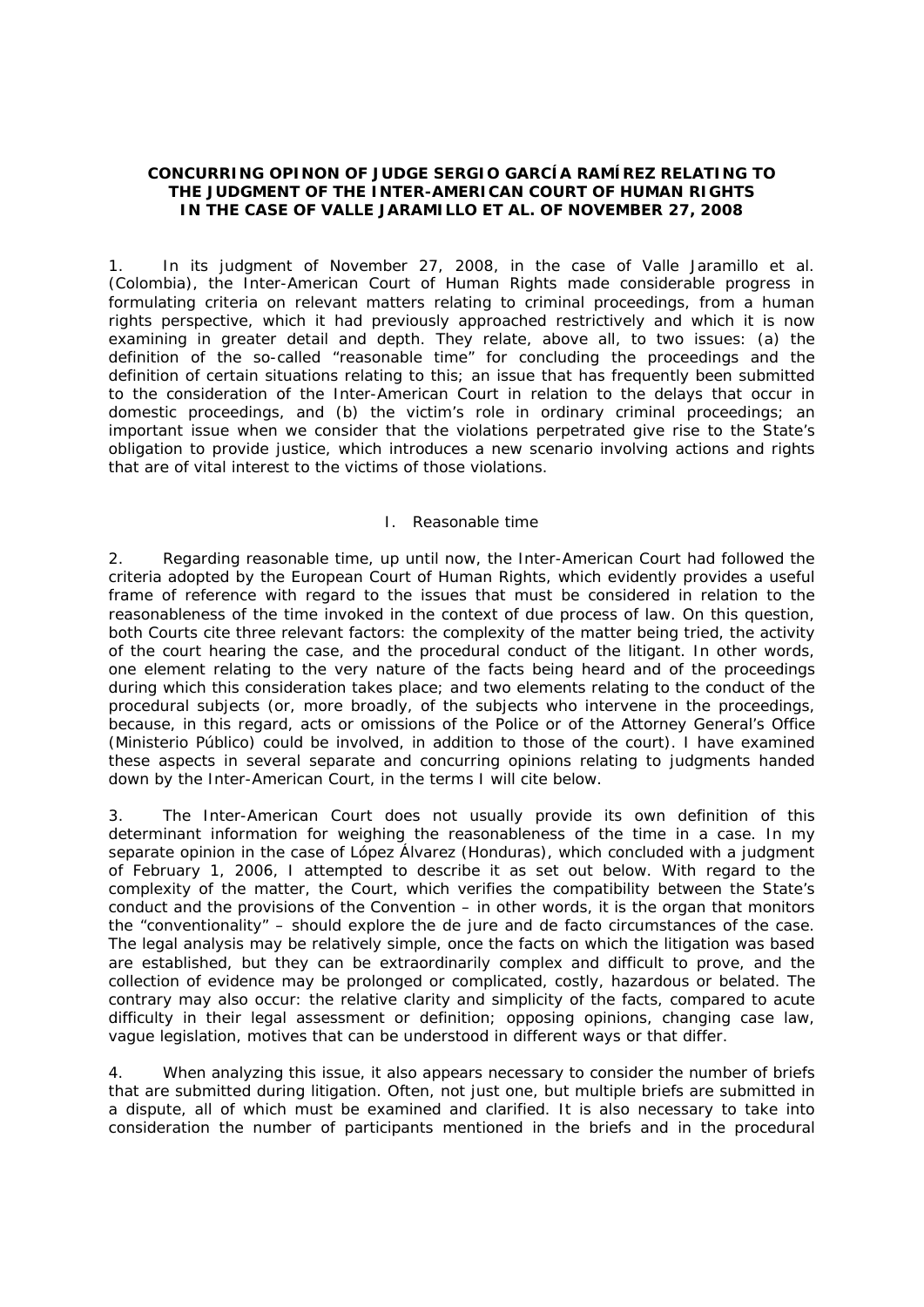## **CONCURRING OPINON OF JUDGE SERGIO GARCÍA RAMÍREZ RELATING TO THE JUDGMENT OF THE INTER-AMERICAN COURT OF HUMAN RIGHTS IN THE CASE OF** *VALLE JARAMILLO ET AL.* **OF NOVEMBER 27, 2008**

1. In its judgment of November 27, 2008, in the case of *Valle Jaramillo et al.* (Colombia), the Inter-American Court of Human Rights made considerable progress in formulating criteria on relevant matters relating to criminal proceedings, from a human rights perspective, which it had previously approached restrictively and which it is now examining in greater detail and depth. They relate, above all, to two issues: (a) the definition of the so-called "reasonable time" for concluding the proceedings and the definition of certain situations relating to this; an issue that has frequently been submitted to the consideration of the Inter-American Court in relation to the delays that occur in domestic proceedings, and (b) the victim's role in ordinary criminal proceedings; an important issue when we consider that the violations perpetrated give rise to the State's obligation to provide justice, which introduces a new scenario involving actions and rights that are of vital interest to the victims of those violations.

## I. *Reasonable time*

2. Regarding reasonable time, up until now, the Inter-American Court had followed the criteria adopted by the European Court of Human Rights, which evidently provides a useful frame of reference with regard to the issues that must be considered in relation to the reasonableness of the time invoked in the context of due process of law. On this question, both Courts cite three relevant factors: the complexity of the matter being tried, the activity of the court hearing the case, and the procedural conduct of the litigant. In other words, one element relating to the very nature of the facts being heard and of the proceedings during which this consideration takes place; and two elements relating to the conduct of the procedural subjects (or, more broadly, of the subjects who intervene in the proceedings, because, in this regard, acts or omissions of the Police or of the Attorney General's Office (*Ministerio Público*) could be involved, in addition to those of the court). I have examined these aspects in several separate and concurring opinions relating to judgments handed down by the Inter-American Court, in the terms I will cite below.

3. The Inter-American Court does not usually provide its own definition of this determinant information for weighing the reasonableness of the time in a case. In my separate opinion in the case of *López Álvarez* (Honduras), which concluded with a judgment of February 1, 2006, I attempted to describe it as set out below. With regard to the complexity of the matter, the Court, which verifies the compatibility between the State's conduct and the provisions of the Convention – in other words, it is the organ that monitors the "conventionality" – should explore the *de jure* and *de facto* circumstances of the case. The legal analysis may be relatively simple, once the facts on which the litigation was based are established, but they can be extraordinarily complex and difficult to prove, and the collection of evidence may be prolonged or complicated, costly, hazardous or belated. The contrary may also occur: the relative clarity and simplicity of the facts, compared to acute difficulty in their legal assessment or definition; opposing opinions, changing case law, vague legislation, motives that can be understood in different ways or that differ.

4. When analyzing this issue, it also appears necessary to consider the number of briefs that are submitted during litigation. Often, not just one, but multiple briefs are submitted in a dispute, all of which must be examined and clarified. It is also necessary to take into consideration the number of participants mentioned in the briefs and in the procedural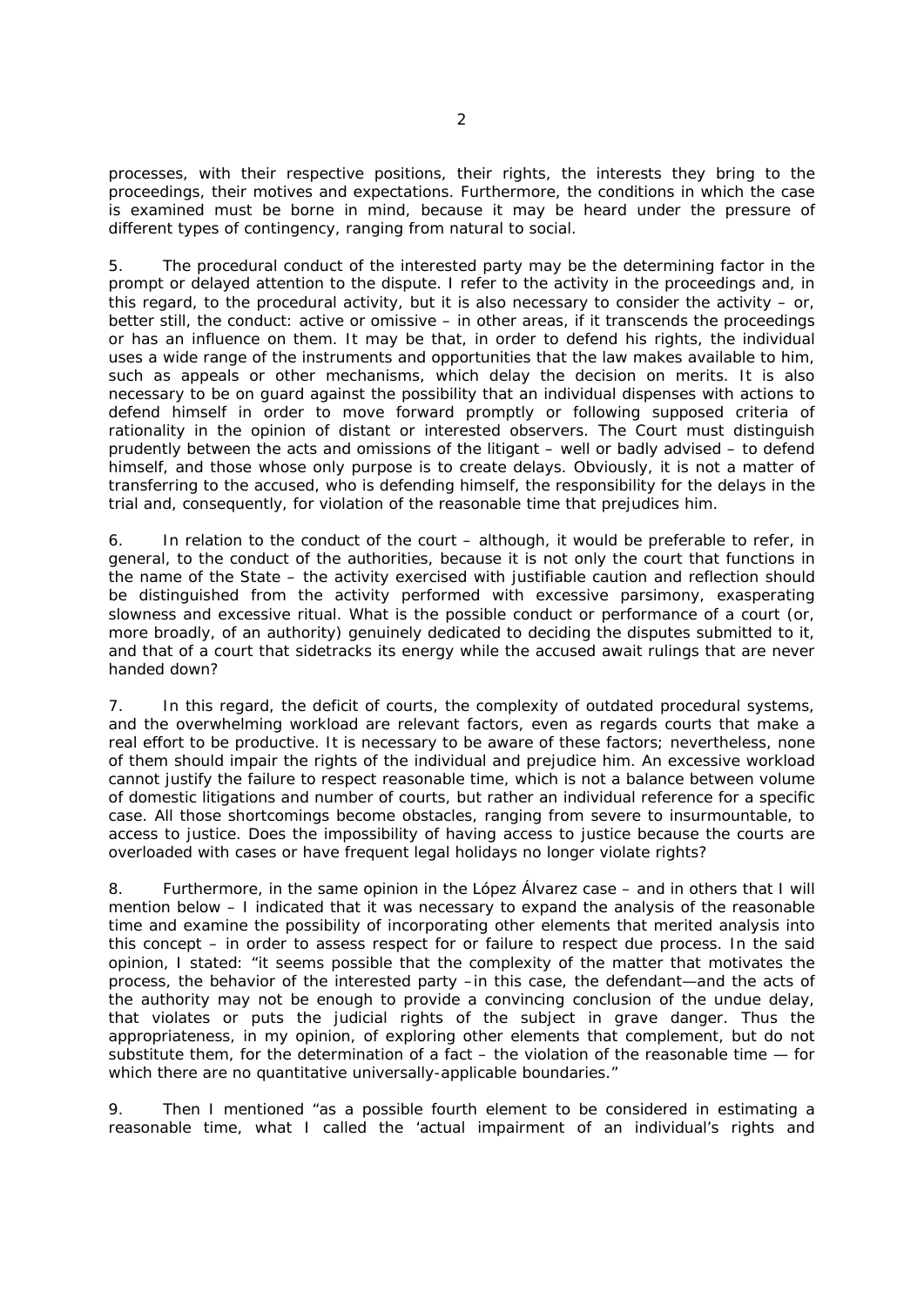processes, with their respective positions, their rights, the interests they bring to the proceedings, their motives and expectations. Furthermore, the conditions in which the case is examined must be borne in mind, because it may be heard under the pressure of different types of contingency, ranging from natural to social.

5. The procedural conduct of the interested party may be the determining factor in the prompt or delayed attention to the dispute. I refer to the activity in the proceedings and, in this regard, to the procedural activity, but it is also necessary to consider the activity – or, better still, the conduct: active or omissive – in other areas, if it transcends the proceedings or has an influence on them. It may be that, in order to defend his rights, the individual uses a wide range of the instruments and opportunities that the law makes available to him, such as appeals or other mechanisms, which delay the decision on merits. It is also necessary to be on guard against the possibility that an individual dispenses with actions to defend himself in order to move forward promptly or following supposed criteria of rationality in the opinion of distant or interested observers. The Court must distinguish prudently between the acts and omissions of the litigant – well or badly advised – to defend himself, and those whose only purpose is to create delays. Obviously, it is not a matter of transferring to the accused, who is defending himself, the responsibility for the delays in the trial and, consequently, for violation of the reasonable time that prejudices him.

6. In relation to the conduct of the court – although, it would be preferable to refer, in general, to the conduct of the authorities, because it is not only the court that functions in the name of the State – the activity exercised with justifiable caution and reflection should be distinguished from the activity performed with excessive parsimony, exasperating slowness and excessive ritual. What is the possible conduct or performance of a court (or, more broadly, of an authority) genuinely dedicated to deciding the disputes submitted to it, and that of a court that sidetracks its energy while the accused await rulings that are never handed down?

7. In this regard, the deficit of courts, the complexity of outdated procedural systems, and the overwhelming workload are relevant factors, even as regards courts that make a real effort to be productive. It is necessary to be aware of these factors; nevertheless, none of them should impair the rights of the individual and prejudice him. An excessive workload cannot justify the failure to respect reasonable time, which is not a balance between volume of domestic litigations and number of courts, but rather an individual reference for a specific case. All those shortcomings become obstacles, ranging from severe to insurmountable, to access to justice. Does the impossibility of having access to justice because the courts are overloaded with cases or have frequent legal holidays no longer violate rights?

8. Furthermore, in the same opinion in the *López Álvarez* case – and in others that I will mention below – I indicated that it was necessary to expand the analysis of the reasonable time and examine the possibility of incorporating other elements that merited analysis into this concept – in order to assess respect for or failure to respect due process. In the said opinion, I stated: "it seems possible that the complexity of the matter that motivates the process, the behavior of the interested party –in this case, the defendant—and the acts of the authority may not be enough to provide a convincing conclusion of the undue delay, that violates or puts the judicial rights of the subject in grave danger. Thus the appropriateness, in my opinion, of exploring other elements that complement, but do not substitute them, for the determination of a fact – the violation of the reasonable time — for which there are no quantitative universally-applicable boundaries."

9. Then I mentioned "as a possible fourth element to be considered in estimating a reasonable time, what I called the '*actual impairment of an individual's rights and*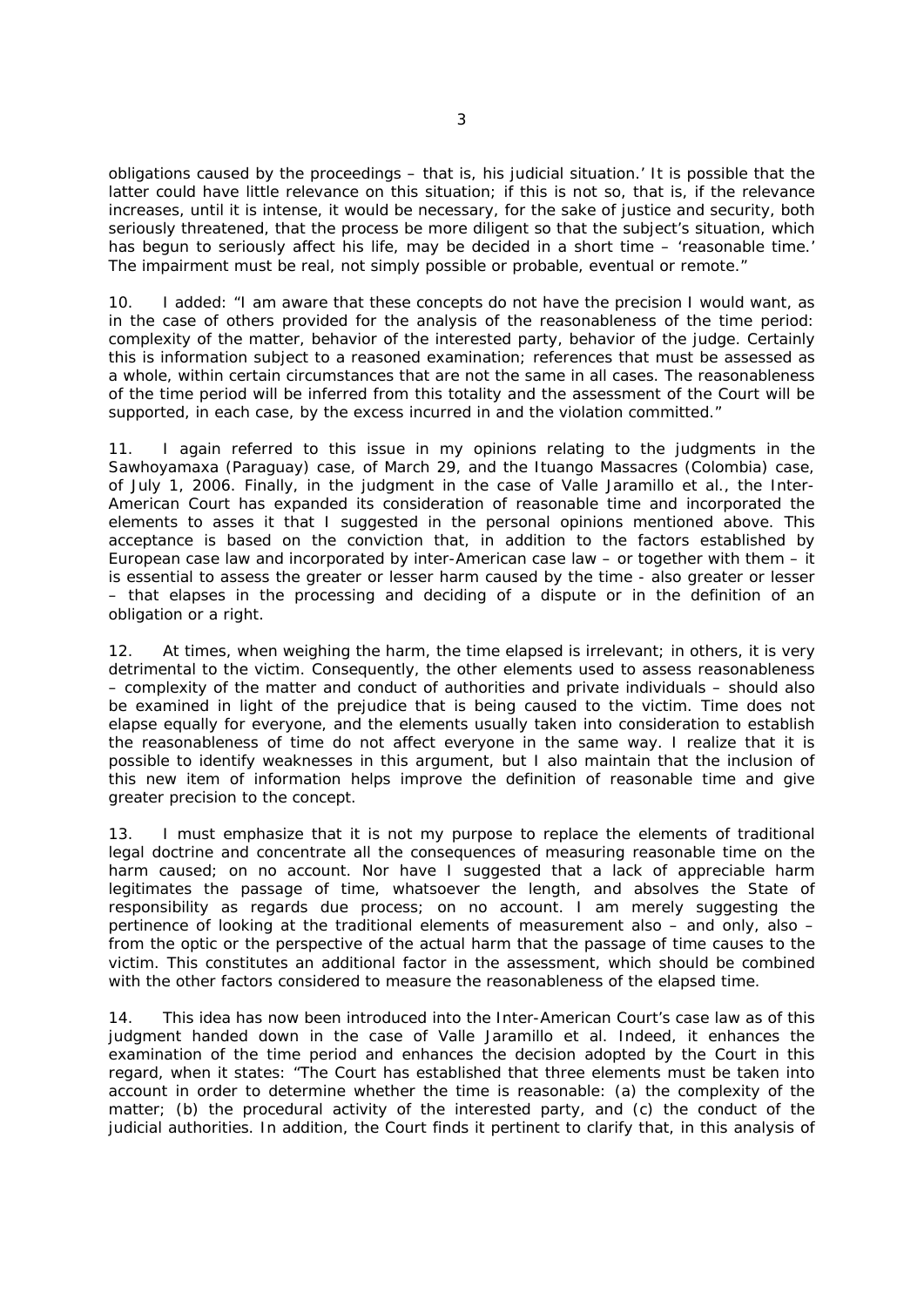*obligations caused by the proceedings – that is, his judicial situation*.' It is possible that the latter could have little relevance on this situation; if this is not so, that is, if the relevance increases, until it is intense, it would be necessary, for the sake of justice and security, both seriously threatened, that the process be more diligent so that the subject's situation, which has begun to seriously affect his life, may be decided in a short time – 'reasonable time.' The impairment must be real, not simply possible or probable, eventual or remote."

10. I added: "I am aware that these concepts do not have the precision I would want, as in the case of others provided for the analysis of the reasonableness of the time period: complexity of the matter, behavior of the interested party, behavior of the judge. Certainly this is information subject to a reasoned examination; references that must be assessed as a whole, within certain circumstances that are not the same in all cases. The reasonableness of the time period will be inferred from this totality and the assessment of the Court will be supported, in each case, by the excess incurred in and the violation committed."

11. I again referred to this issue in my opinions relating to the judgments in the *Sawhoyamaxa* (Paraguay) case, of March 29, and the *Ituango Massacres* (Colombia) case, of July 1, 2006. Finally, in the judgment in the case of *Valle Jaramillo et al.,* the Inter-American Court has expanded its consideration of reasonable time and incorporated the elements to asses it that I suggested in the personal opinions mentioned above. This acceptance is based on the conviction that, in addition to the factors established by European case law and incorporated by inter-American case law – or together with them – it is essential to assess the greater or lesser harm caused by the time - also greater or lesser – that elapses in the processing and deciding of a dispute or in the definition of an obligation or a right.

12. At times, when weighing the harm, the time elapsed is irrelevant; in others, it is very detrimental to the victim. Consequently, the other elements used to assess reasonableness – complexity of the matter and conduct of authorities and private individuals – should also be examined in light of the prejudice that is being caused to the victim. Time does not elapse equally for everyone, and the elements usually taken into consideration to establish the reasonableness of time do not affect everyone in the same way. I realize that it is possible to identify weaknesses in this argument, but I also maintain that the inclusion of this new item of information helps improve the definition of reasonable time and give greater precision to the concept.

13. I must emphasize that it is not my purpose to replace the elements of traditional legal doctrine and concentrate all the consequences of measuring reasonable time on the harm caused; on no account. Nor have I suggested that a lack of appreciable harm legitimates the passage of time, whatsoever the length, and absolves the State of responsibility as regards due process; on no account. I am merely suggesting the pertinence of looking at the traditional elements of measurement also – and only, also – from the optic or the perspective of the actual harm that the passage of time causes to the victim. This constitutes an additional factor in the assessment, which should be combined with the other factors considered to measure the reasonableness of the elapsed time.

14. This idea has now been introduced into the Inter-American Court's case law as of this judgment handed down in the case of *Valle Jaramillo et al.* Indeed, it enhances the examination of the time period and enhances the decision adopted by the Court in this regard, when it states: "The Court has established that three elements must be taken into account in order to determine whether the time is reasonable: (a) the complexity of the matter; (b) the procedural activity of the interested party, and (c) the conduct of the judicial authorities. In addition, the Court finds it pertinent to clarify that, in this analysis of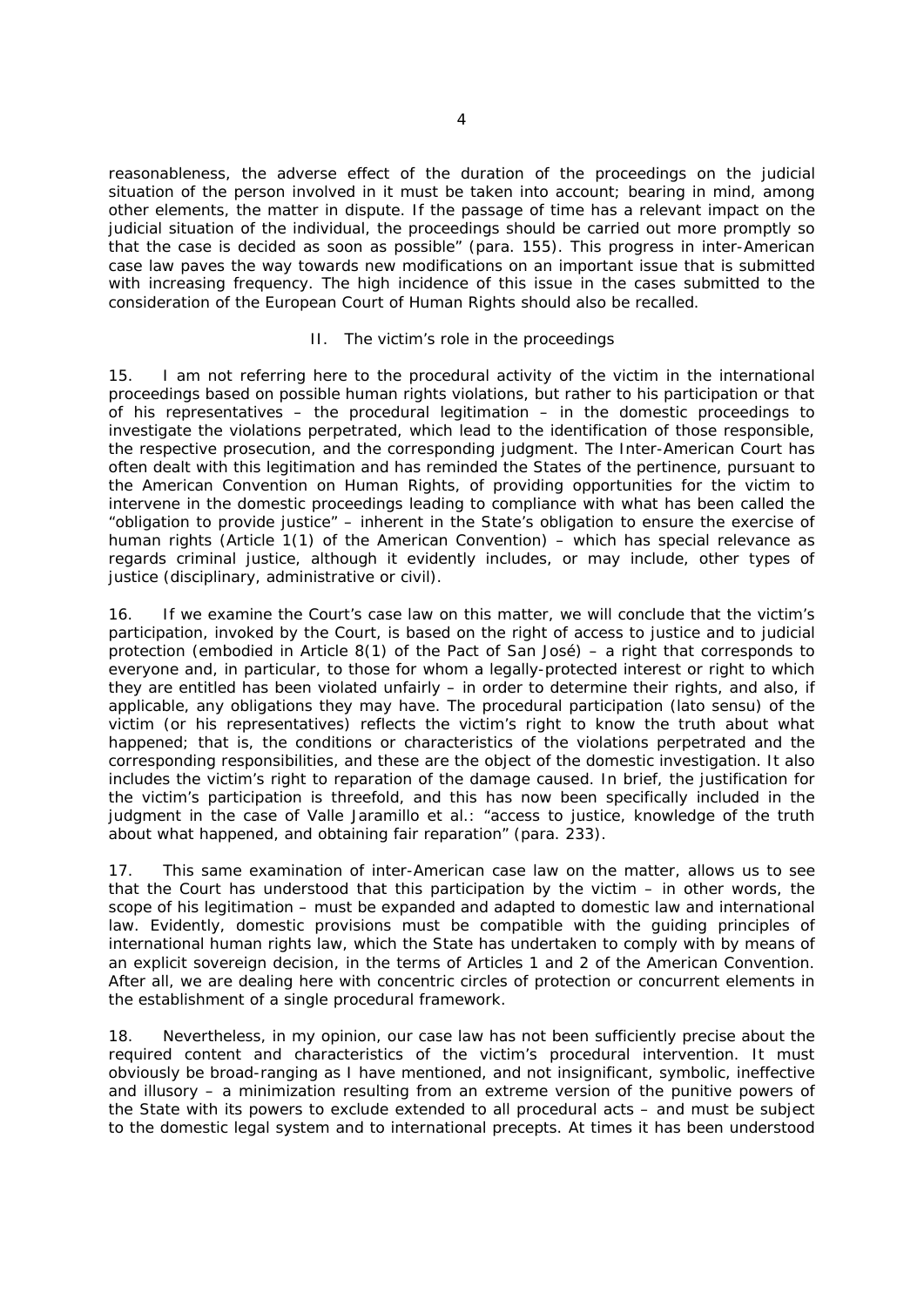reasonableness, the adverse effect of the duration of the proceedings on the judicial situation of the person involved in it must be taken into account; bearing in mind, among other elements, the matter in dispute. If the passage of time has a relevant impact on the judicial situation of the individual, the proceedings should be carried out more promptly so that the case is decided as soon as possible*"* (para. 155). This progress in inter-American case law paves the way towards new modifications on an important issue that is submitted with increasing frequency. The high incidence of this issue in the cases submitted to the consideration of the European Court of Human Rights should also be recalled.

## II. The victim's role in the proceedings

15. I am not referring here to the procedural activity of the victim in the international proceedings based on possible human rights violations, but rather to his participation or that of his representatives – the procedural legitimation – in the domestic proceedings to investigate the violations perpetrated, which lead to the identification of those responsible, the respective prosecution, and the corresponding judgment. The Inter-American Court has often dealt with this legitimation and has reminded the States of the pertinence, pursuant to the American Convention on Human Rights, of providing opportunities for the victim to intervene in the domestic proceedings leading to compliance with what has been called the "obligation to provide justice" – inherent in the State's obligation to ensure the exercise of human rights (Article 1(1) of the American Convention) – which has special relevance as regards criminal justice, although it evidently includes, or may include, other types of justice (disciplinary, administrative or civil).

16. If we examine the Court's case law on this matter, we will conclude that the victim's participation, invoked by the Court, is based on the right of access to justice and to judicial protection (embodied in Article 8(1) of the Pact of San José) – a right that corresponds to everyone and, in particular, to those for whom a legally-protected interest or right to which they are entitled has been violated unfairly – in order to determine their rights, and also, if applicable, any obligations they may have. The procedural participation (*lato sensu*) of the victim (or his representatives) reflects the victim's right to know the truth about what happened; that is, the conditions or characteristics of the violations perpetrated and the corresponding responsibilities, and these are the object of the domestic investigation. It also includes the victim's right to reparation of the damage caused. In brief, the justification for the victim's participation is threefold, and this has now been specifically included in the judgment in the case of *Valle Jaramillo et al.*: *"*access to justice, knowledge of the truth about what happened, and obtaining fair reparation*"* (para. 233).

17. This same examination of inter-American case law on the matter, allows us to see that the Court has understood that this participation by the victim – in other words, the scope of his legitimation – must be expanded and adapted to domestic law and international law. Evidently, domestic provisions must be compatible with the guiding principles of international human rights law, which the State has undertaken to comply with by means of an explicit sovereign decision, in the terms of Articles 1 and 2 of the American Convention. After all, we are dealing here with concentric circles of protection or concurrent elements in the establishment of a single procedural framework.

18. Nevertheless, in my opinion, our case law has not been sufficiently precise about the required content and characteristics of the victim's procedural intervention. It must obviously be broad-ranging as I have mentioned, and not insignificant, symbolic, ineffective and illusory – a minimization resulting from an extreme version of the punitive powers of the State with its powers to exclude extended to all procedural acts – and must be subject to the domestic legal system and to international precepts. At times it has been understood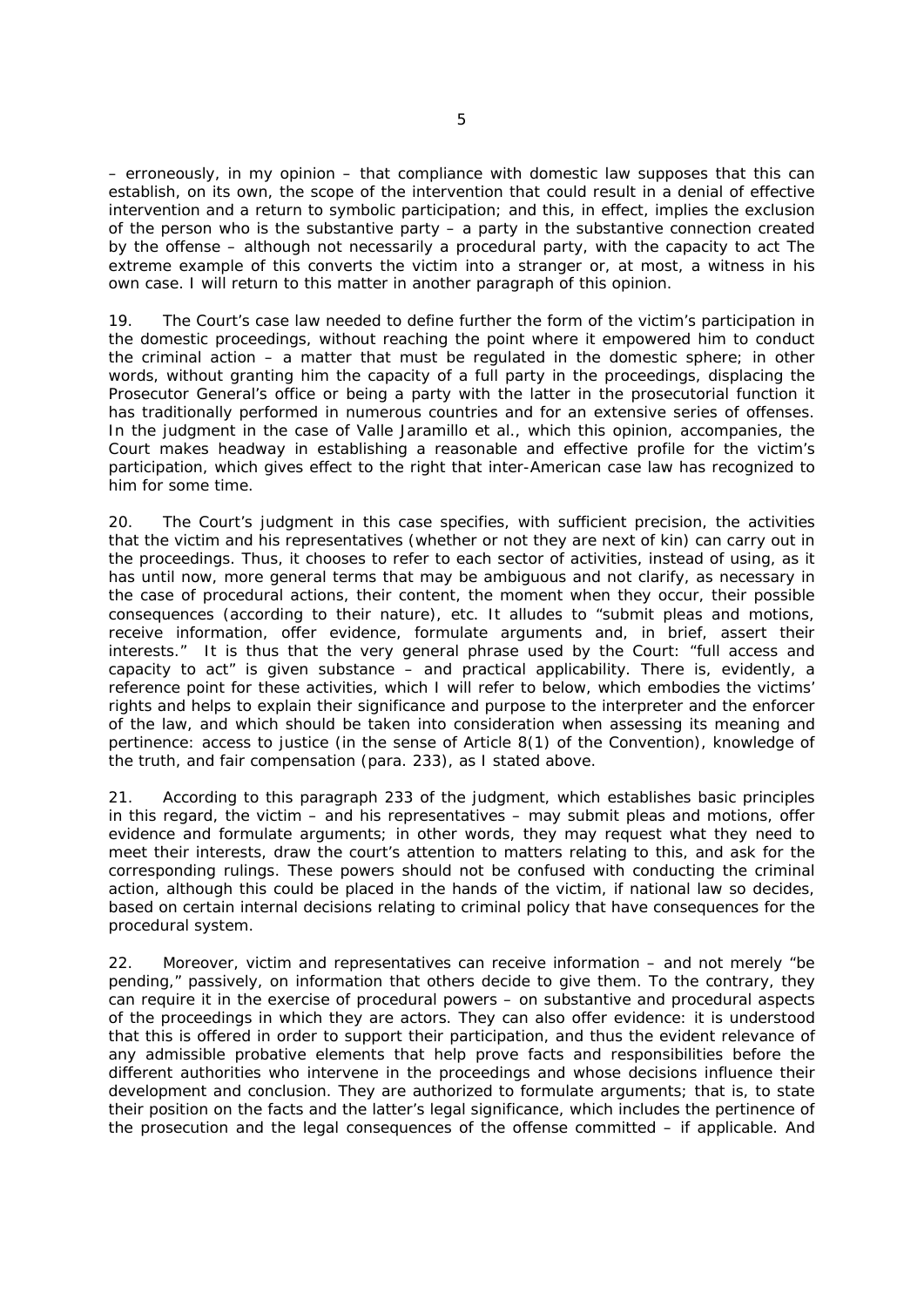– erroneously, in my opinion – that compliance with domestic law supposes that this can establish, on its own, the scope of the intervention that could result in a denial of effective intervention and a return to symbolic participation; and this, in effect, implies the exclusion of the person who is the substantive party – a party in the substantive connection created by the offense – although not necessarily a procedural party, with the capacity to act The extreme example of this converts the victim into a stranger or, at most, a witness in his own case. I will return to this matter in another paragraph of this opinion.

19. The Court's case law needed to define further the form of the victim's participation in the domestic proceedings, without reaching the point where it empowered him to conduct the criminal action – a matter that must be regulated in the domestic sphere; in other words, without granting him the capacity of a full party in the proceedings, displacing the Prosecutor General's office or being a party with the latter in the prosecutorial function it has traditionally performed in numerous countries and for an extensive series of offenses. In the judgment in the case of *Valle Jaramillo et al.*, which this opinion, accompanies, the Court makes headway in establishing a reasonable and effective profile for the victim's participation, which gives effect to the right that inter-American case law has recognized to him for some time.

20. The Court's judgment in this case specifies, with sufficient precision, the activities that the victim and his representatives (whether or not they are next of kin) can carry out in the proceedings. Thus, it chooses to refer to each sector of activities, instead of using, as it has until now, more general terms that may be ambiguous and not clarify, as necessary in the case of procedural actions, their content, the moment when they occur, their possible consequences (according to their nature), etc. It alludes to "*submit pleas and motions, receive information, offer evidence, formulate arguments and, in brief, assert their interests."* It is thus that the very general phrase used by the Court: "full access and capacity to act" is given substance – and practical applicability. There is, evidently, a reference point for these activities, which I will refer to below, which embodies the victims' rights and helps to explain their significance and purpose to the interpreter and the enforcer of the law, and which should be taken into consideration when assessing its meaning and pertinence: access to justice (in the sense of Article 8(1) of the Convention), knowledge of the truth, and fair compensation (para. 233), as I stated above.

21. According to this paragraph 233 of the judgment, which establishes basic principles in this regard, the victim – and his representatives – may submit pleas and motions, offer evidence and formulate arguments; in other words, they may request what they need to meet their interests, draw the court's attention to matters relating to this, and ask for the corresponding rulings. These powers should not be confused with conducting the criminal action, although this could be placed in the hands of the victim, if national law so decides, based on certain internal decisions relating to criminal policy that have consequences for the procedural system.

22. Moreover, victim and representatives can receive information – and not merely "be pending," passively, on information that others decide to give them. To the contrary, they can require it in the exercise of procedural powers – on substantive and procedural aspects of the proceedings in which they are actors. They can also offer evidence: it is understood that this is offered in order to support their participation, and thus the evident relevance of any admissible probative elements that help prove facts and responsibilities before the different authorities who intervene in the proceedings and whose decisions influence their development and conclusion. They are authorized to formulate arguments; that is, to state their position on the facts and the latter's legal significance, which includes the pertinence of the prosecution and the legal consequences of the offense committed – if applicable. And